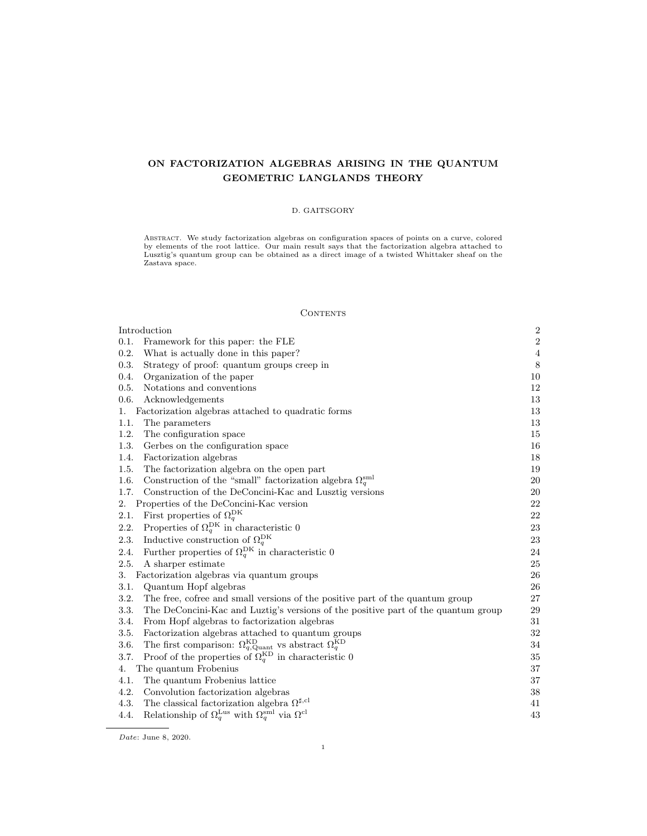# ON FACTORIZATION ALGEBRAS ARISING IN THE QUANTUM GEOMETRIC LANGLANDS THEORY

## D. GAITSGORY

ABSTRACT. We study factorization algebras on configuration spaces of points on a curve, colored<br>by elements of the root lattice. Our main result says that the factorization algebra attached to<br>Lusztig's quantum group can b

## **CONTENTS**

|                                                 | Introduction                                                                                           |                |
|-------------------------------------------------|--------------------------------------------------------------------------------------------------------|----------------|
| 0.1.                                            | Framework for this paper: the FLE                                                                      | $\,2$          |
| 0.2.                                            | What is actually done in this paper?                                                                   | $\overline{4}$ |
| 0.3.                                            | Strategy of proof: quantum groups creep in                                                             | 8              |
| 0.4.                                            | Organization of the paper                                                                              | 10             |
| 0.5.                                            | Notations and conventions                                                                              | 12             |
| 0.6.                                            | Acknowledgements                                                                                       | 13             |
| 1.                                              | Factorization algebras attached to quadratic forms                                                     | 13             |
| 1.1.                                            | The parameters                                                                                         | 13             |
| 1.2.                                            | The configuration space                                                                                | 15             |
| 1.3.                                            | Gerbes on the configuration space                                                                      | 16             |
| 1.4.                                            | Factorization algebras                                                                                 | 18             |
| 1.5.                                            | The factorization algebra on the open part                                                             | 19             |
| 1.6.                                            | Construction of the "small" factorization algebra $\Omega_q^{\rm sml}$                                 | 20             |
| 1.7.                                            | Construction of the DeConcini-Kac and Lusztig versions                                                 | 20             |
| 2.<br>Properties of the DeConcini-Kac version   |                                                                                                        | 22             |
| 2.1.                                            | First properties of $\Omega_q^{\text{DK}}$                                                             | 22             |
| 2.2.                                            | Properties of $\Omega_q^{\text{DK}}$ in characteristic 0                                               | 23             |
| 2.3.                                            | Inductive construction of $\Omega^{\text{DK}}_q$                                                       | 23             |
| 2.4.                                            | Further properties of $\Omega_q^{\text{DK}}$ in characteristic 0                                       | 24             |
| 2.5.                                            | A sharper estimate                                                                                     | 25             |
| Factorization algebras via quantum groups<br>3. |                                                                                                        | 26             |
| 3.1.                                            | Quantum Hopf algebras                                                                                  | 26             |
| 3.2.                                            | The free, cofree and small versions of the positive part of the quantum group                          | 27             |
| 3.3.                                            | The DeConcini-Kac and Luztig's versions of the positive part of the quantum group                      | 29             |
| 3.4.                                            | From Hopf algebras to factorization algebras                                                           | 31             |
| 3.5.                                            | Factorization algebras attached to quantum groups                                                      | 32             |
| 3.6.                                            | The first comparison: $\Omega_{q,\mathrm{Quant}}^{\mathrm{KD}}$ vs abstract $\Omega_{q}^{\mathrm{KD}}$ | 34             |
| 3.7.                                            | Proof of the properties of $\Omega_q^{\text{KD}}$ in characteristic 0                                  | 35             |
| 4.                                              | The quantum Frobenius                                                                                  | 37             |
| 4.1.                                            | The quantum Frobenius lattice                                                                          | 37             |
| 4.2.                                            | Convolution factorization algebras                                                                     | 38             |
| 4.3.                                            | The classical factorization algebra $\Omega^{\sharp,\text{cl}}$                                        | 41             |
| 4.4.                                            | Relationship of $\Omega_q^{\text{Lus}}$ with $\Omega_q^{\text{sml}}$ via $\Omega^{\text{cl}}$          | 43             |

 $Date:$  June 8, 2020.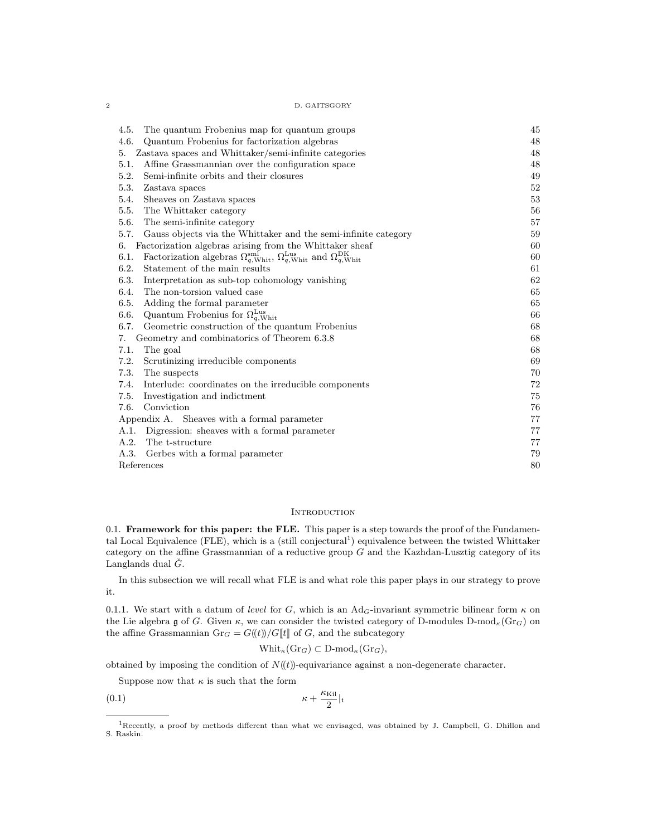$2\,$  D. GAITSGORY  $\,$ 

| The quantum Frobenius map for quantum groups<br>4.5.                                                                                                  | 45     |
|-------------------------------------------------------------------------------------------------------------------------------------------------------|--------|
| 4.6.<br>Quantum Frobenius for factorization algebras                                                                                                  | 48     |
| Zastava spaces and Whittaker/semi-infinite categories<br>5.                                                                                           | 48     |
| Affine Grassmannian over the configuration space<br>5.1.                                                                                              | 48     |
| 5.2.<br>Semi-infinite orbits and their closures                                                                                                       | 49     |
| 5.3.<br>Zastava spaces                                                                                                                                | $52\,$ |
| 5.4.<br>Sheaves on Zastava spaces                                                                                                                     | 53     |
| 5.5.<br>The Whittaker category                                                                                                                        | 56     |
| 5.6.<br>The semi-infinite category                                                                                                                    | 57     |
| 5.7.<br>Gauss objects via the Whittaker and the semi-infinite category                                                                                | 59     |
| Factorization algebras arising from the Whittaker sheaf<br>6.                                                                                         | 60     |
| Factorization algebras $\Omega_{q,\text{Whit}}^{\text{sml}}$ , $\Omega_{q,\text{Whit}}^{\text{Lus}}$ and $\Omega_{q,\text{Whit}}^{\text{DK}}$<br>6.1. | 60     |
| 6.2.<br>Statement of the main results                                                                                                                 | 61     |
| 6.3.<br>Interpretation as sub-top cohomology vanishing                                                                                                | 62     |
| The non-torsion valued case<br>6.4.                                                                                                                   | 65     |
| 6.5.<br>Adding the formal parameter                                                                                                                   | 65     |
| Quantum Frobenius for $\Omega_{q,\text{Whit}}^{\text{Lus}}$<br>6.6.                                                                                   | 66     |
| 6.7.<br>Geometric construction of the quantum Frobenius                                                                                               | 68     |
| Geometry and combinatorics of Theorem 6.3.8<br>7.                                                                                                     | 68     |
| The goal<br>7.1.                                                                                                                                      | 68     |
| 7.2.<br>Scrutinizing irreducible components                                                                                                           | 69     |
| 7.3.<br>The suspects                                                                                                                                  | 70     |
| 7.4.<br>Interlude: coordinates on the irreducible components                                                                                          | 72     |
| 7.5.<br>Investigation and indictment                                                                                                                  | 75     |
| Conviction<br>7.6.                                                                                                                                    | 76     |
| Appendix A. Sheaves with a formal parameter                                                                                                           | 77     |
| A.1.<br>Digression: sheaves with a formal parameter                                                                                                   | 77     |
| A.2.<br>The t-structure                                                                                                                               | 77     |
| A.3.<br>Gerbes with a formal parameter                                                                                                                | 79     |
| References                                                                                                                                            |        |
|                                                                                                                                                       |        |

## **INTRODUCTION**

0.1. Framework for this paper: the FLE. This paper is a step towards the proof of the Fundamental Local Equivalence (FLE), which is a (still conjectural<sup>1</sup>) equivalence between the twisted Whittaker category on the affine Grassmannian of a reductive group  $G$  and the Kazhdan-Lusztig category of its Langlands dual  $\check{G}$ .

In this subsection we will recall what FLE is and what role this paper plays in our strategy to prove it.

0.1.1. We start with a datum of level for G, which is an Ad<sub>G</sub>-invariant symmetric bilinear form  $\kappa$  on the Lie algebra g of G. Given  $\kappa$ , we can consider the twisted category of D-modules D-mod<sub> $\kappa$ </sub>(Gr<sub>G</sub>) on the affine Grassmannian  $Gr_G = G(\!(t)\!)/G[\![t]\!]$  of G, and the subcategory

$$
\text{Whit}_{\kappa}(\text{Gr}_G) \subset \text{D-mod}_{\kappa}(\text{Gr}_G),
$$

obtained by imposing the condition of  $N(\mathbf{t})$ -equivariance against a non-degenerate character.

Suppose now that  $\kappa$  is such that the form

$$
\kappa + \frac{\kappa_{\text{Kil}}}{2}|_{\mathfrak{t}}
$$

<sup>1</sup>Recently, a proof by methods different than what we envisaged, was obtained by J. Campbell, G. Dhillon and S. Raskin.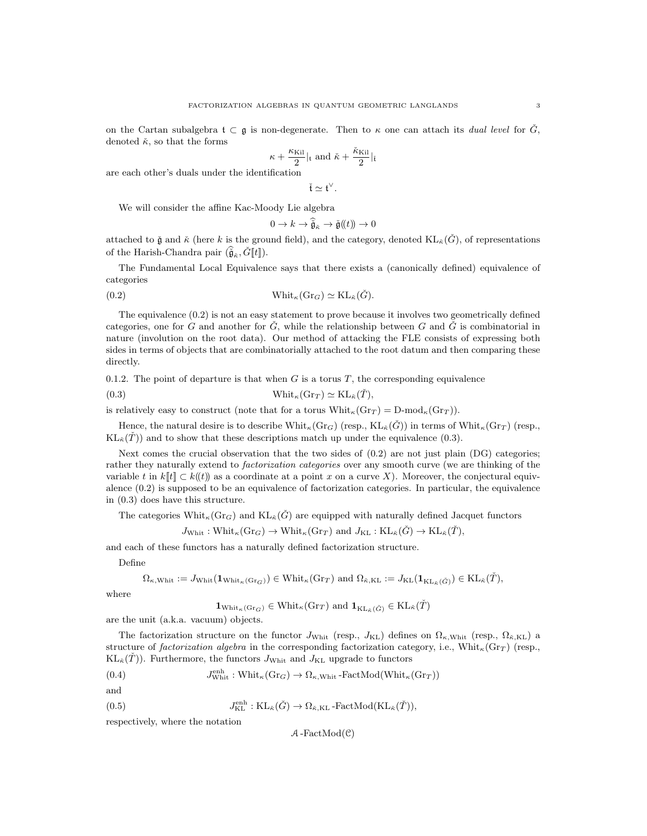$$
\kappa + \frac{\kappa_{\text{Kil}}}{2}|_{\mathfrak{t}} \text{ and } \check{\kappa} + \frac{\check{\kappa}_{\text{Kil}}}{2}|_{\check{\mathfrak{t}}
$$

are each other's duals under the identification

$$
\check{t} \simeq t^\vee
$$

.

We will consider the affine Kac-Moody Lie algebra

$$
0 \to k \to \widetilde{\tilde{\mathfrak{g}}}_{\tilde{\kappa}} \to \check{\mathfrak{g}}(\mathfrak{k}) \to 0
$$

attached to  $\check{g}$  and  $\check{\kappa}$  (here k is the ground field), and the category, denoted  $KL_{\check{\kappa}}(\check{G})$ , of representations of the Harish-Chandra pair  $(\tilde{\hat{\mathfrak{g}}}_{\kappa}, \check{G}[\![t]\!]).$ 

The Fundamental Local Equivalence says that there exists a (canonically defined) equivalence of categories

(0.2) 
$$
\text{Whit}_{\kappa}(\text{Gr}_G) \simeq \text{KL}_{\tilde{\kappa}}(\check{G}).
$$

The equivalence (0.2) is not an easy statement to prove because it involves two geometrically defined categories, one for G and another for  $\check{G}$ , while the relationship between G and  $\check{G}$  is combinatorial in nature (involution on the root data). Our method of attacking the FLE consists of expressing both sides in terms of objects that are combinatorially attached to the root datum and then comparing these directly.

0.1.2. The point of departure is that when G is a torus T, the corresponding equivalence

(0.3) 
$$
\text{Whit}_{\kappa}(\text{Gr}_T) \simeq \text{KL}_{\tilde{\kappa}}(\tilde{T}),
$$

is relatively easy to construct (note that for a torus  $\text{Whit}_{\kappa}(\text{Gr}_T) = \text{D-mod}_{\kappa}(\text{Gr}_T)$ ).

Hence, the natural desire is to describe  $\text{Whit}_{\kappa}(Gr_G)$  (resp.,  $\text{KL}_{\kappa}(\check{G})$ ) in terms of  $\text{Whit}_{\kappa}(Gr_T)$  (resp.,  $KL_{\breve{\sigma}}(\tilde{T})$  and to show that these descriptions match up under the equivalence (0.3).

Next comes the crucial observation that the two sides of  $(0.2)$  are not just plain  $(DG)$  categories; rather they naturally extend to factorization categories over any smooth curve (we are thinking of the variable t in  $k[[t]] \subset k((t))$  as a coordinate at a point x on a curve X). Moreover, the conjectural equivalence  $(0.2)$  is supposed to be an equivalence of factorization categories. In particular, the equivalence in (0.3) does have this structure.

The categories  $\text{Whit}_{\kappa}(Gr_G)$  and  $\text{KL}_{\kappa}(\check{G})$  are equipped with naturally defined Jacquet functors

$$
J_{\text{Whit}}: \text{Whit}_{\kappa}(\text{Gr}_G) \to \text{Whit}_{\kappa}(\text{Gr}_T) \text{ and } J_{\text{KL}}: \text{KL}_{\tilde{\kappa}}(\check{G}) \to \text{KL}_{\tilde{\kappa}}(\check{T}),
$$

and each of these functors has a naturally defined factorization structure.

Define

$$
\Omega_{\kappa,\mathrm{Whit}}:=J_{\mathrm{Whit}}(\mathbf{1}_{\mathrm{Whit}_\kappa(\mathrm{Gr}_G)})\in \mathrm{Whit}_\kappa(\mathrm{Gr}_T) \text{ and } \Omega_{\check\kappa,\mathrm{KL}}:=J_{\mathrm{KL}}(\mathbf{1}_{\mathrm{KL}_{\check\kappa}(\check G)})\in \mathrm{KL}_{\check\kappa}(\check T),
$$

where

$$
\mathbf{1}_{\mathrm{Whit}_{\kappa}(\mathrm{Gr}_G)} \in \mathrm{Whit}_{\kappa}(\mathrm{Gr}_T) \text{ and } \mathbf{1}_{\mathrm{KL}_{\tilde{\kappa}}(\tilde{G})} \in \mathrm{KL}_{\tilde{\kappa}}(\check{T})
$$

are the unit (a.k.a. vacuum) objects.

The factorization structure on the functor  $J_{\text{Whit}}$  (resp.,  $J_{\text{KL}}$ ) defines on  $\Omega_{\kappa,\text{Whit}}$  (resp.,  $\Omega_{\kappa,\text{KL}}$ ) a structure of factorization algebra in the corresponding factorization category, i.e., Whit<sub>k</sub>(Gr<sub>T</sub>) (resp.,  $KL_{\tilde{\kappa}}(\tilde{T})$ ). Furthermore, the functors J<sub>Whit</sub> and J<sub>KL</sub> upgrade to functors

(0.4) 
$$
J^{\text{enh}}_{\text{Whit}}: \text{Whit}_{\kappa}(\text{Gr}_G) \to \Omega_{\kappa, \text{Whit}}\text{-FactMod}(\text{Whit}_{\kappa}(\text{Gr}_T))
$$

and

 $(0.5)$  $E_{\text{KL}}^{\text{enh}}:\text{KL}_{\tilde{\kappa}}(\check{G})\to \Omega_{\tilde{\kappa},\text{KL}}\text{-FactMod}(\text{KL}_{\tilde{\kappa}}(\check{T})),$ 

respectively, where the notation

$$
\mathcal{A}\operatorname{-FactMod}(\mathcal{C})
$$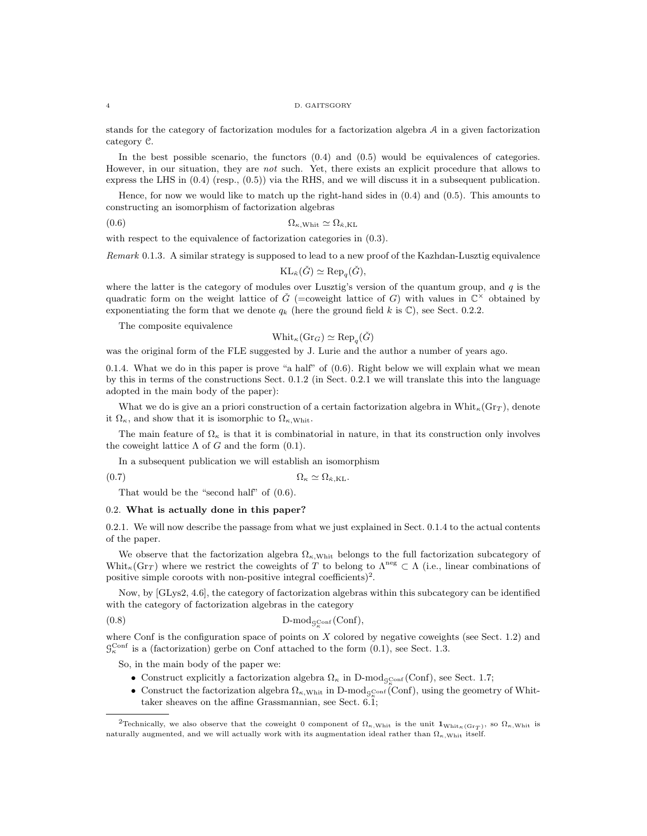#### 4 D. GAITSGORY

stands for the category of factorization modules for a factorization algebra  $A$  in a given factorization category C.

In the best possible scenario, the functors (0.4) and (0.5) would be equivalences of categories. However, in our situation, they are not such. Yet, there exists an explicit procedure that allows to express the LHS in (0.4) (resp., (0.5)) via the RHS, and we will discuss it in a subsequent publication.

Hence, for now we would like to match up the right-hand sides in (0.4) and (0.5). This amounts to constructing an isomorphism of factorization algebras

(0.6)  $\Omega_{\kappa,\text{Whit}} \simeq \Omega_{\kappa,\text{KL}}$ 

with respect to the equivalence of factorization categories in  $(0.3)$ .

Remark 0.1.3. A similar strategy is supposed to lead to a new proof of the Kazhdan-Lusztig equivalence

 $KL_{\check{\kappa}}(\check{G}) \simeq \text{Rep}_q(\check{G}),$ 

where the latter is the category of modules over Lusztig's version of the quantum group, and  $q$  is the quadratic form on the weight lattice of  $\check{G}$  (=coweight lattice of G) with values in  $\mathbb{C}^{\times}$  obtained by exponentiating the form that we denote  $q_k$  (here the ground field k is  $\mathbb{C}$ ), see Sect. 0.2.2.

The composite equivalence

$$
\mathsf{Whit}_\kappa(\mathsf{Gr}_G) \simeq \mathsf{Rep}_q(\check{G})
$$

was the original form of the FLE suggested by J. Lurie and the author a number of years ago.

0.1.4. What we do in this paper is prove "a half" of  $(0.6)$ . Right below we will explain what we mean by this in terms of the constructions Sect. 0.1.2 (in Sect. 0.2.1 we will translate this into the language adopted in the main body of the paper):

What we do is give an a priori construction of a certain factorization algebra in Whit<sub> $\kappa$ </sub>(Gr<sub>T</sub>), denote it  $\Omega_{\kappa}$ , and show that it is isomorphic to  $\Omega_{\kappa,\text{Whit}}$ .

The main feature of  $\Omega_{\kappa}$  is that it is combinatorial in nature, in that its construction only involves the coweight lattice  $\Lambda$  of G and the form  $(0.1)$ .

In a subsequent publication we will establish an isomorphism

(0.7)  $\Omega_{\kappa} \simeq \Omega_{\kappa,\mathrm{KL}}$ .

That would be the "second half" of (0.6).

### 0.2. What is actually done in this paper?

0.2.1. We will now describe the passage from what we just explained in Sect. 0.1.4 to the actual contents of the paper.

We observe that the factorization algebra  $\Omega_{\kappa,\text{Whit}}$  belongs to the full factorization subcategory of Whit<sub>K</sub>(Gr<sub>T</sub>) where we restrict the coweights of T to belong to  $\Lambda^{neg} \subset \Lambda$  (i.e., linear combinations of positive simple coroots with non-positive integral coefficients)<sup>2</sup>.

Now, by [GLys2, 4.6], the category of factorization algebras within this subcategory can be identified with the category of factorization algebras in the category

$$
(0.8)\qquad \qquad \text{D-mod}_{g_{\kappa}^{\text{Conf}}}(\text{Conf}),
$$

where Conf is the configuration space of points on  $X$  colored by negative coweights (see Sect. 1.2) and  $\mathcal{G}_{\kappa}^{\text{Conf}}$  is a (factorization) gerbe on Conf attached to the form  $(0.1)$ , see Sect. 1.3.

So, in the main body of the paper we:

- Construct explicitly a factorization algebra  $\Omega_{\kappa}$  in D-mod<sub>gconf</sub> (Conf), see Sect. 1.7;
- Construct the factorization algebra  $\Omega_{\kappa,\text{Whit}}$  in D-mod<sub>gConf</sub> (Conf), using the geometry of Whittaker sheaves on the affine Grassmannian, see Sect. 6.1;

<sup>&</sup>lt;sup>2</sup>Technically, we also observe that the coweight 0 component of  $\Omega_{\kappa, \text{Whit}}$  is the unit  $\mathbf{1}_{\text{Whit}_{\kappa}(\text{Gr}_{T})}$ , so  $\Omega_{\kappa, \text{Whit}}$  is naturally augmented, and we will actually work with its augmentation ideal rather than  $\Omega_{\kappa, \text{White}}$  itself.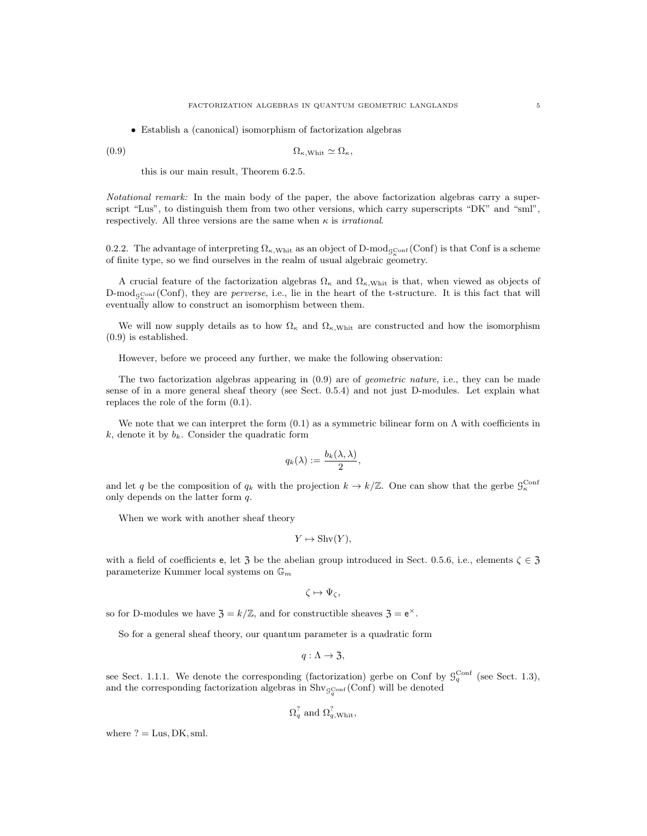• Establish a (canonical) isomorphism of factorization algebras

(0.9) Ωκ,Whit ' Ωκ,

this is our main result, Theorem 6.2.5.

Notational remark: In the main body of the paper, the above factorization algebras carry a superscript "Lus", to distinguish them from two other versions, which carry superscripts "DK" and "sml", respectively. All three versions are the same when  $\kappa$  is *irrational*.

0.2.2. The advantage of interpreting  $\Omega_{\kappa, \text{Whit}}$  as an object of D-mod<sub>gConf</sub> (Conf) is that Conf is a scheme of finite type, so we find ourselves in the realm of usual algebraic geometry.

A crucial feature of the factorization algebras  $\Omega_{\kappa}$  and  $\Omega_{\kappa,\text{Whit}}$  is that, when viewed as objects of  $\text{D-mod}_{\mathcal{G}_{\kappa}^{\text{Conf}}}(\text{Conf})$ , they are *perverse*, i.e., lie in the heart of the t-structure. It is this fact that will eventually allow to construct an isomorphism between them.

We will now supply details as to how  $\Omega_{\kappa}$  and  $\Omega_{\kappa,\text{Whit}}$  are constructed and how the isomorphism (0.9) is established.

However, before we proceed any further, we make the following observation:

The two factorization algebras appearing in (0.9) are of geometric nature, i.e., they can be made sense of in a more general sheaf theory (see Sect. 0.5.4) and not just D-modules. Let explain what replaces the role of the form (0.1).

We note that we can interpret the form  $(0.1)$  as a symmetric bilinear form on  $\Lambda$  with coefficients in  $k$ , denote it by  $b_k$ . Consider the quadratic form

$$
q_k(\lambda) := \frac{b_k(\lambda, \lambda)}{2},
$$

and let q be the composition of  $q_k$  with the projection  $k \to k/\mathbb{Z}$ . One can show that the gerbe  $\mathcal{G}_\kappa^{\text{Conf}}$ only depends on the latter form q.

When we work with another sheaf theory

$$
Y \mapsto \text{Shv}(Y),
$$

with a field of coefficients e, let  $\overline{3}$  be the abelian group introduced in Sect. 0.5.6, i.e., elements  $\zeta \in \overline{3}$ parameterize Kummer local systems on  $\mathbb{G}_m$ 

$$
\zeta\mapsto \Psi_\zeta,
$$

so for D-modules we have  $\mathfrak{Z} = k/\mathbb{Z}$ , and for constructible sheaves  $\mathfrak{Z} = e^{\times}$ .

So for a general sheaf theory, our quantum parameter is a quadratic form

$$
q: \Lambda \rightarrow \mathfrak{Z},
$$

see Sect. 1.1.1. We denote the corresponding (factorization) gerbe on Conf by  $\mathcal{G}_q^{\text{Conf}}$  (see Sect. 1.3), and the corresponding factorization algebras in  $\text{Shv}_{\mathcal{G}_{q}^{\text{Conf}}}(\text{Conf})$  will be denoted

$$
\Omega_q^?
$$
 and  $\Omega_{q,\text{Whit}}^?$ 

where  $? =$  Lus, DK, sml.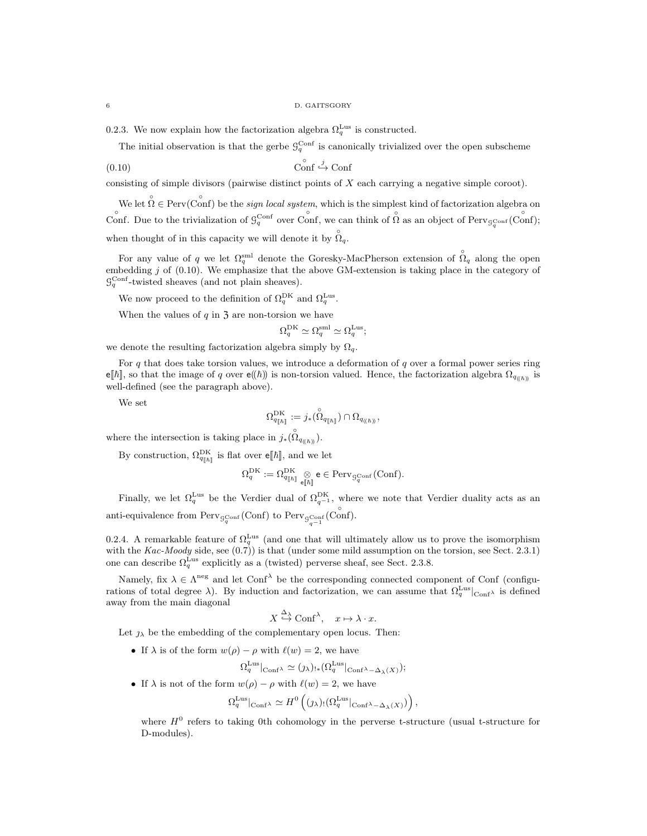0.2.3. We now explain how the factorization algebra  $\Omega_q^{\text{Lus}}$  is constructed.

The initial observation is that the gerbe  $\mathcal{G}_q^{\text{Conf}}$  is canonically trivialized over the open subscheme

$$
\begin{array}{c}\n\text{Conf} \xrightarrow{j} \text{Conf}\n\end{array}
$$

consisting of simple divisors (pairwise distinct points of X each carrying a negative simple coroot).

We let  $\hat{\Omega} \in \text{Perv}(\hat{\text{Conf}})$  be the *sign local system*, which is the simplest kind of factorization algebra on Conf. Due to the trivialization of  $\mathcal{G}_q^{\text{Conf}}$  over Conf, we can think of  $\hat{\Omega}$  as an object of Perv $_{\mathcal{G}_q^{\text{Conf}}}(\hat{\text{Conf}})$ ; when thought of in this capacity we will denote it by  $\hat{Q}_q$ .

For any value of q we let  $\Omega_q^{\text{sml}}$  denote the Goresky-MacPherson extension of  $\hat{\Omega}_q$  along the open embedding j of  $(0.10)$ . We emphasize that the above GM-extension is taking place in the category of  $\mathcal{G}_q^{\text{Conf}}$ -twisted sheaves (and not plain sheaves).

We now proceed to the definition of  $\Omega_q^{\text{DK}}$  and  $\Omega_q^{\text{Lus}}$ .

When the values of  $q$  in  $\overline{3}$  are non-torsion we have

$$
\Omega_q^{\mathrm{DK}} \simeq \Omega_q^{\mathrm{sml}} \simeq \Omega_q^{\mathrm{Lus}};
$$

we denote the resulting factorization algebra simply by  $\Omega_q.$ 

For  $q$  that does take torsion values, we introduce a deformation of  $q$  over a formal power series ring e[ $\hbar$ ], so that the image of q over e(( $\hbar$ )) is non-torsion valued. Hence, the factorization algebra  $\Omega_{q_{(\hbar)}}$  is well-defined (see the paragraph above).

We set

$$
\Omega_{q_{[\![\hbar]\!]}}^{\mathrm{DK}} := j_* ( \overset{\circ}{\Omega}_{q_{[\![\hbar]\!]}} ) \cap \Omega_{q_{((\![\hbar]\!)}},
$$

where the intersection is taking place in  $j_*(\hat{S}_{q_{(\ell\hbar)}})$ .

By construction,  $\Omega_{q_{\lceil \hbar \rceil}}^{\text{DK}}$  is flat over  $e[\![\hbar ]\!]$ , and we let

$$
\Omega^{\mathrm{DK}}_q := \Omega^{\mathrm{DK}}_{q[\![\hbar]\!]} \underset{\mathsf{e}[\![\hbar]\!]}{\otimes} \mathsf{e} \in \mathrm{Perv}_{\mathcal{G}_q^{\mathrm{Conf}}}(\mathrm{Conf}).
$$

Finally, we let  $\Omega_q^{\text{Lus}}$  be the Verdier dual of  $\Omega_{q^{-1}}^{\text{DK}}$ , where we note that Verdier duality acts as an anti-equivalence from  $\text{Perv}_{\mathcal{G}_q^{\text{Conf}}}(\text{Conf})$  to  $\text{Perv}_{\mathcal{G}_{q^{-1}}}(\overset{\circ}{\text{Conf}})$ .

0.2.4. A remarkable feature of  $\Omega_q^{\text{Lus}}$  (and one that will ultimately allow us to prove the isomorphism with the Kac-Moody side, see  $(0.7)$ ) is that (under some mild assumption on the torsion, see Sect. 2.3.1) one can describe  $\Omega_q^{\text{Lus}}$  explicitly as a (twisted) perverse sheaf, see Sect. 2.3.8.

Namely, fix  $\lambda \in \Lambda^{neg}$  and let Conf<sup> $\lambda$ </sup> be the corresponding connected component of Conf (configurations of total degree  $\lambda$ ). By induction and factorization, we can assume that  $\Omega_q^{\text{Lus}}|_{\text{Conf}}\lambda$  is defined away from the main diagonal

$$
X \stackrel{\Delta_{\lambda}}{\hookrightarrow} \text{Conf}^{\lambda}, \quad x \mapsto \lambda \cdot x.
$$

Let  $\jmath_{\lambda}$  be the embedding of the complementary open locus. Then:

• If  $\lambda$  is of the form  $w(\rho) - \rho$  with  $\ell(w) = 2$ , we have

$$
\Omega_q^{\text{Lus}}|_{\text{Conf}^{\lambda}} \simeq (\jmath_{\lambda})_{!*} (\Omega_q^{\text{Lus}}|_{\text{Conf}^{\lambda} - \Delta_{\lambda}(X)}) ;
$$

• If  $\lambda$  is not of the form  $w(\rho) - \rho$  with  $\ell(w) = 2$ , we have

$$
\Omega_q^{\text{Lus}}|_{\text{Conf}^{\lambda}} \simeq H^0\left( (\jmath_{\lambda})_! (\Omega_q^{\text{Lus}}|_{\text{Conf}^{\lambda} - \Delta_{\lambda}(X)}) \right),
$$

where  $H^0$  refers to taking 0th cohomology in the perverse t-structure (usual t-structure for D-modules).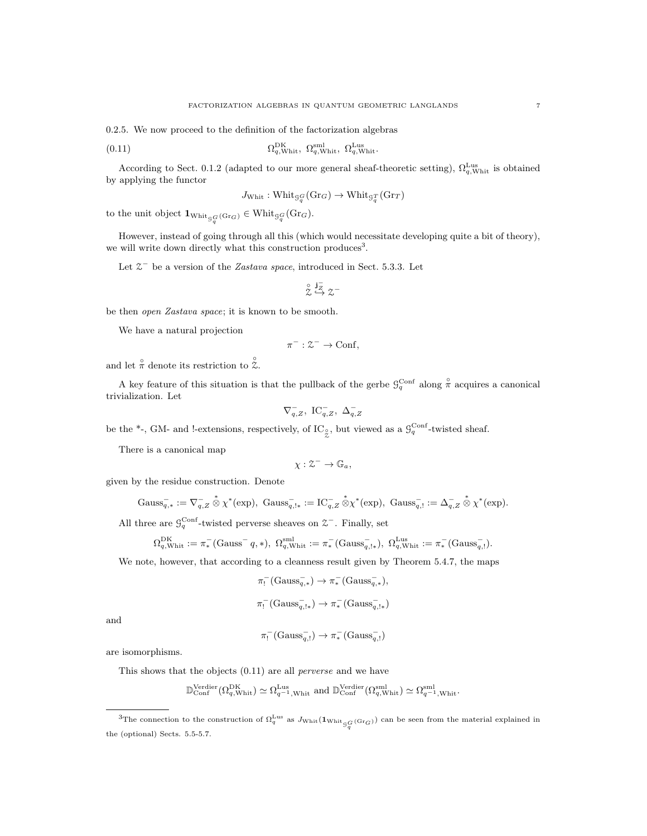0.2.5. We now proceed to the definition of the factorization algebras

(0.11) 
$$
\Omega_{q,\text{Whit}}^{\text{DK}}, \ \Omega_{q,\text{Whit}}^{\text{sml}}, \ \Omega_{q,\text{Whit}}^{\text{Lus}},
$$

According to Sect. 0.1.2 (adapted to our more general sheaf-theoretic setting),  $\Omega_{q,\text{Whit}}^{\text{Lus}}$  is obtained by applying the functor

$$
J_{\text{Whit}}: \text{Whit}_{\mathcal{G}_q^G}(\text{Gr}_G) \to \text{Whit}_{\mathcal{G}_q^T}(\text{Gr}_T)
$$

to the unit object  $1_{\text{Whit}_{\mathcal{G}_q^G}(\text{Gr}_G)} \in \text{Whit}_{\mathcal{G}_q^G}(\text{Gr}_G)$ .

However, instead of going through all this (which would necessitate developing quite a bit of theory), we will write down directly what this construction produces<sup>3</sup>.

Let  $\mathcal{Z}^-$  be a version of the *Zastava space*, introduced in Sect. 5.3.3. Let

$$
\stackrel{\circ}{\mathcal{Z}}\stackrel{\mathbf{j}_Z^-}{\hookrightarrow}\mathcal{Z}^-
$$

be then open Zastava space; it is known to be smooth.

We have a natural projection

$$
\pi^-: \mathcal{Z}^- \to \text{Conf},
$$

and let  $\hat{\pi}$  denote its restriction to  $\hat{\mathcal{Z}}$ .

A key feature of this situation is that the pullback of the gerbe  $\mathcal{G}_q^{\text{Conf}}$  along  $\overset{\circ}{\pi}$  acquires a canonical trivialization. Let

$$
\nabla_{q,Z}^-,\ \operatorname{IC}_{q,Z}^-,\ \Delta_{q,Z}^-
$$

be the  $*$ -, GM- and !-extensions, respectively, of  $IC_{\zeta}$ , but viewed as a  $\mathcal{G}_q^{\text{Conf}}$ -twisted sheaf.

There is a canonical map

$$
\chi: \mathcal{Z}^- \to \mathbb{G}_a,
$$

given by the residue construction. Denote

$$
\mathrm{Gauss}_{q,*}^-:=\nabla_{q,Z}^- \overset{*}{\otimes} \chi^*(\exp), \ \mathrm{Gauss}_{q,1*}^-:=\mathrm{IC}_{q,Z}^- \overset{*}{\otimes} \chi^*(\exp), \ \mathrm{Gauss}_{q,!}^-:=\Delta_{q,Z}^- \overset{*}{\otimes} \chi^*(\exp).
$$

All three are  $\mathcal{G}_q^{\text{Conf}}$ -twisted perverse sheaves on  $\mathcal{Z}^-$ . Finally, set

$$
\Omega_{q,\mathrm{Whit}}^{\mathrm{DK}} := \pi_*^-(\mathrm{Gauss}^- \, q, *), \ \Omega_{q,\mathrm{Whit}}^{\mathrm{sml}} := \pi_*^-(\mathrm{Gauss}_{q,\mathrm{l}*}^-), \ \Omega_{q,\mathrm{Whit}}^{\mathrm{Lus}} := \pi_*^-(\mathrm{Gauss}_{q,\mathrm{l}}^-).
$$

We note, however, that according to a cleanness result given by Theorem 5.4.7, the maps

$$
\pi_!^- (\text{Gauss}_{q,*}^-) \to \pi_*^- (\text{Gauss}_{q,*}^-),
$$

$$
\pi_!^- (\text{Gauss}_{q,1*}^-) \to \pi_*^- (\text{Gauss}_{q,1*}^-)
$$

and

$$
\pi_!^- (\text{Gauss}_{q,!}^-) \to \pi_*^- (\text{Gauss}_{q,!}^-)
$$

are isomorphisms.

This shows that the objects (0.11) are all perverse and we have

$$
\mathbb{D}^\text{Verdier}_{\text{Conf}}(\Omega_{q,\text{Whit}}^{\text{DK}}) \simeq \Omega_{q^{-1},\text{Whit}}^{\text{Lus}} \text{ and } \mathbb{D}_\text{Conf}^\text{Verdier}(\Omega_{q,\text{Whit}}^\text{sml}) \simeq \Omega_{q^{-1},\text{Whit}}^\text{sml}.
$$

<sup>&</sup>lt;sup>3</sup>The connection to the construction of  $\Omega_q^{\text{Lus}}$  as  $J_{\text{Whit}}(\mathbf{1}_{\text{Whit}}_{\mathcal{G}_q^G(\text{Gr}_G)})$  can be seen from the material explained in the (optional) Sects. 5.5-5.7.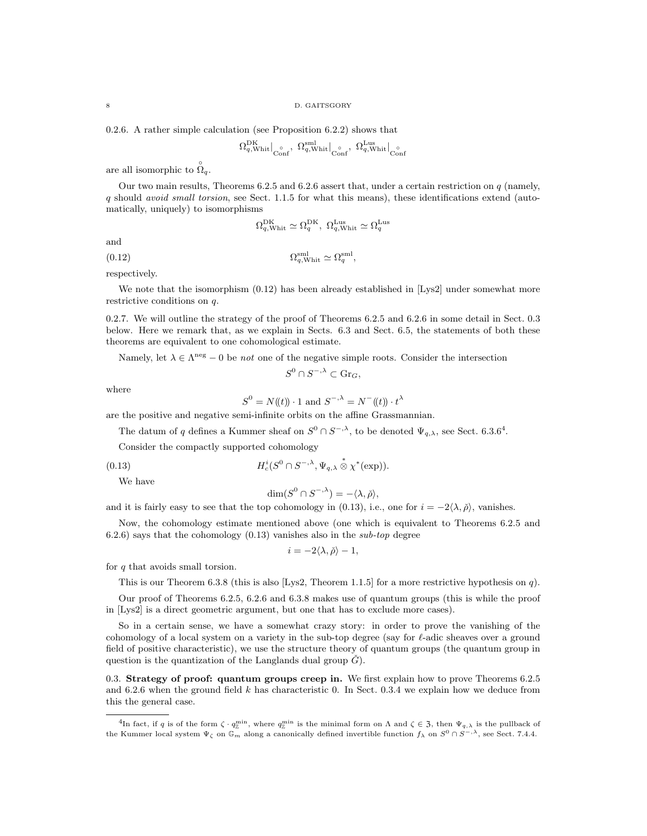0.2.6. A rather simple calculation (see Proposition 6.2.2) shows that

$$
\Omega_{q,\text{Whit}}^{\text{DK}}\big|_{\text{Conf}},\ \Omega_{q,\text{Whit}}^{\text{sm}}\big|_{\text{Conf}},\ \Omega_{q,\text{Whit}}^{\text{Lus}}\big|_{\text{Conf}}
$$

are all isomorphic to  $\hat{\Omega}_q$ .

Our two main results, Theorems 6.2.5 and 6.2.6 assert that, under a certain restriction on q (namely,  $q$  should avoid small torsion, see Sect. 1.1.5 for what this means), these identifications extend (automatically, uniquely) to isomorphisms

$$
\Omega_{q,\text{Whit}}^{\text{DK}} \simeq \Omega_{q}^{\text{DK}}, \ \Omega_{q,\text{Whit}}^{\text{Lus}} \simeq \Omega_{q}^{\text{Lus}}
$$

and

(0.12)  $\Omega_{q,\text{White}}^{\text{sml}} \simeq \Omega_q^{\text{sml}}$ ,

respectively.

We note that the isomorphism  $(0.12)$  has been already established in [Lys2] under somewhat more restrictive conditions on q.

0.2.7. We will outline the strategy of the proof of Theorems 6.2.5 and 6.2.6 in some detail in Sect. 0.3 below. Here we remark that, as we explain in Sects. 6.3 and Sect. 6.5, the statements of both these theorems are equivalent to one cohomological estimate.

Namely, let  $\lambda \in \Lambda^{\text{neg}} - 0$  be *not* one of the negative simple roots. Consider the intersection

$$
S^0 \cap S^{-, \lambda} \subset \text{Gr}_G,
$$

where

$$
S^{0} = N(\!(t)\!) \cdot 1
$$
 and 
$$
S^{-,\lambda} = N^{-}(\!(t)\!) \cdot t^{\lambda}
$$

are the positive and negative semi-infinite orbits on the affine Grassmannian.

The datum of q defines a Kummer sheaf on  $S^0 \cap S^{-,\lambda}$ , to be denoted  $\Psi_{q,\lambda}$ , see Sect. 6.3.6<sup>4</sup>.

Consider the compactly supported cohomology

(0.13) 
$$
H_c^i(S^0 \cap S^{-,\lambda}, \Psi_{q,\lambda} \overset{*}{\otimes} \chi^*(\exp)).
$$

We have

$$
\dim(S^0 \cap S^{-,\lambda}) = -\langle \lambda, \check{\rho} \rangle,
$$

and it is fairly easy to see that the top cohomology in (0.13), i.e., one for  $i = -2\langle \lambda, \tilde{\rho} \rangle$ , vanishes.

Now, the cohomology estimate mentioned above (one which is equivalent to Theorems 6.2.5 and  $(6.2.6)$  says that the cohomology  $(0.13)$  vanishes also in the sub-top degree

$$
i = -2\langle \lambda, \check{\rho} \rangle - 1,
$$

for q that avoids small torsion.

This is our Theorem 6.3.8 (this is also [Lys2, Theorem 1.1.5] for a more restrictive hypothesis on q).

Our proof of Theorems 6.2.5, 6.2.6 and 6.3.8 makes use of quantum groups (this is while the proof in [Lys2] is a direct geometric argument, but one that has to exclude more cases).

So in a certain sense, we have a somewhat crazy story: in order to prove the vanishing of the cohomology of a local system on a variety in the sub-top degree (say for  $\ell$ -adic sheaves over a ground field of positive characteristic), we use the structure theory of quantum groups (the quantum group in question is the quantization of the Langlands dual group  $\check{G}$ ).

0.3. Strategy of proof: quantum groups creep in. We first explain how to prove Theorems 6.2.5 and 6.2.6 when the ground field  $k$  has characteristic 0. In Sect. 0.3.4 we explain how we deduce from this the general case.

<sup>&</sup>lt;sup>4</sup>In fact, if q is of the form  $\zeta \cdot q_{\mathbb{Z}}^{\min}$ , where  $q_{\mathbb{Z}}^{\min}$  is the minimal form on  $\Lambda$  and  $\zeta \in \mathfrak{Z}$ , then  $\Psi_{q,\lambda}$  is the pullback of the Kummer local system  $\Psi_{\zeta}$  on  $\mathbb{G}_m$  along a canonically defined invertible function  $f_{\lambda}$  on  $S^0 \cap S^{-,\lambda}$ , see Sect. 7.4.4.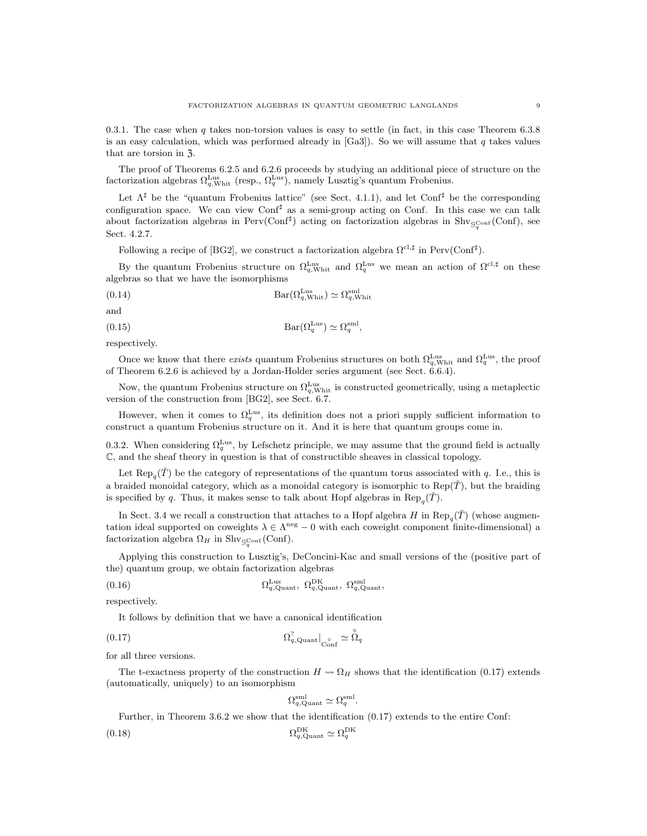0.3.1. The case when q takes non-torsion values is easy to settle (in fact, in this case Theorem 6.3.8) is an easy calculation, which was performed already in  $[Ga3]$ ). So we will assume that q takes values that are torsion in  $\overline{3}$ .

The proof of Theorems 6.2.5 and 6.2.6 proceeds by studying an additional piece of structure on the factorization algebras  $\Omega_{q,\text{Whit}}^{\text{Lus}}$  (resp.,  $\Omega_{q}^{\text{Lus}}$ ), namely Lusztig's quantum Frobenius.

Let  $\Lambda^{\sharp}$  be the "quantum Frobenius lattice" (see Sect. 4.1.1), and let Conf<sup> $\sharp$ </sup> be the corresponding configuration space. We can view Conf<sup> $\sharp$ </sup> as a semi-group acting on Conf. In this case we can talk about factorization algebras in Perv(Conf<sup>#</sup>) acting on factorization algebras in Shv<sub>gConf</sub>(Conf), see Sect. 4.2.7.

Following a recipe of [BG2], we construct a factorization algebra  $\Omega^{cl, \sharp}$  in Perv(Conf<sup> $\sharp$ </sup>).

By the quantum Frobenius structure on  $\Omega_{q,\text{Whit}}^{\text{Lus}}$  and  $\Omega_{q}^{\text{Lus}}$  we mean an action of  $\Omega^{c_1,\sharp}$  on these algebras so that we have the isomorphisms

(0.14) 
$$
Bar(\Omega_{q,\text{Whit}}^{\text{Lus}}) \simeq \Omega_{q,\text{Whit}}^{\text{sml}}
$$

(0.15) 
$$
Bar(\Omega_q^{\text{Lus}}) \simeq \Omega_q^{\text{sml}},
$$

respectively.

and

Once we know that there exists quantum Frobenius structures on both  $\Omega_q^{\text{Lus}}$  and  $\Omega_q^{\text{Lus}}$ , the proof of Theorem 6.2.6 is achieved by a Jordan-Holder series argument (see Sect. 6.6.4).

Now, the quantum Frobenius structure on  $\Omega_{q,\text{Whit}}^{\text{Lus}}$  is constructed geometrically, using a metaplectic version of the construction from [BG2], see Sect. 6.7.

However, when it comes to  $\Omega_q^{\text{Lus}}$ , its definition does not a priori supply sufficient information to construct a quantum Frobenius structure on it. And it is here that quantum groups come in.

0.3.2. When considering  $\Omega_q^{\text{Lus}}$ , by Lefschetz principle, we may assume that the ground field is actually C, and the sheaf theory in question is that of constructible sheaves in classical topology.

Let  $\text{Rep}_{q}(\check{T})$  be the category of representations of the quantum torus associated with q. I.e., this is a braided monoidal category, which as a monoidal category is isomorphic to  $\text{Rep}(\tilde{T})$ , but the braiding is specified by q. Thus, it makes sense to talk about Hopf algebras in  $\text{Rep}_q(\check{T})$ .

In Sect. 3.4 we recall a construction that attaches to a Hopf algebra H in  $\text{Rep}_q(\check{T})$  (whose augmentation ideal supported on coweights  $\lambda \in \Lambda^{neg} - 0$  with each coweight component finite-dimensional) a factorization algebra  $\Omega_H$  in Shv<sub>gConf</sub> (Conf).

Applying this construction to Lusztig's, DeConcini-Kac and small versions of the (positive part of the) quantum group, we obtain factorization algebras

$$
(0.16) \t\t \t\t \Omega_{q,\text{Quant}}^{\text{Lus}}, \ \Omega_{q,\text{Quant}}^{\text{DK}}, \ \Omega_{q,\text{Quant}}^{\text{sml}},
$$

respectively.

It follows by definition that we have a canonical identification

$$
(0.17) \t\t\t\t\t\t\Omega_{q,\text{Quant}}^?|_{\text{Conf}} \simeq \overset{\circ}{\Omega}_{q}
$$

for all three versions.

The t-exactness property of the construction  $H \rightsquigarrow \Omega_H$  shows that the identification (0.17) extends (automatically, uniquely) to an isomorphism

$$
\Omega_{q,\mathrm{Quant}}^{\mathrm{sml}} \simeq \Omega_{q}^{\mathrm{sml}}.
$$

Further, in Theorem 3.6.2 we show that the identification (0.17) extends to the entire Conf:

$$
(0.18)\t\t\t\t\t\Omega_{q,\text{Quant}}^{\text{DK}} \simeq \Omega_{q}^{\text{DK}}
$$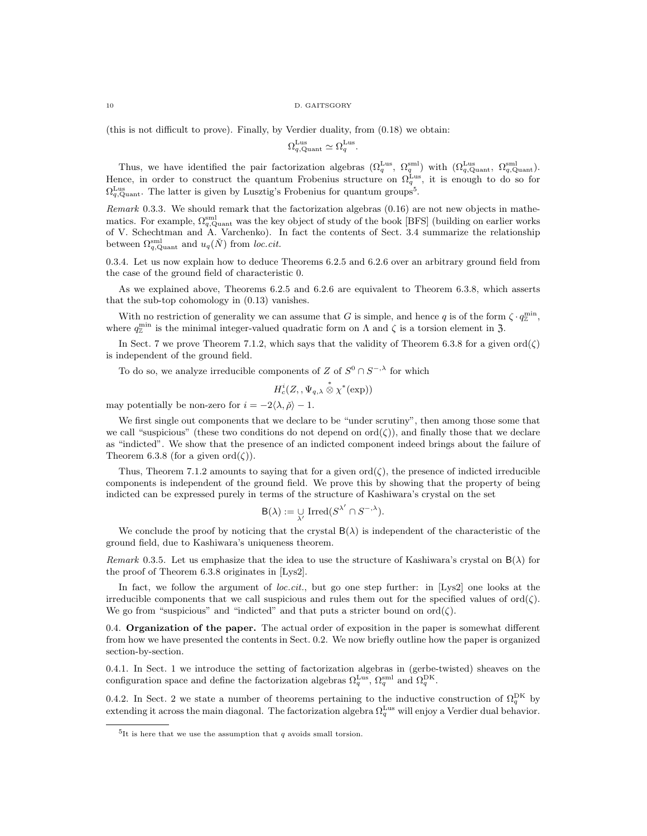#### 10 D. GAITSGORY

(this is not difficult to prove). Finally, by Verdier duality, from (0.18) we obtain:

$$
\Omega_{q,\text{Quant}}^{\text{Lus}} \simeq \Omega_q^{\text{Lus}}.
$$

Thus, we have identified the pair factorization algebras  $(\Omega_q^{\text{Lus}}, \Omega_q^{\text{sml}})$  with  $(\Omega_q^{\text{Lus}}, \Omega_{q,\text{Quant}}^{\text{sml}})$ . Hence, in order to construct the quantum Frobenius structure on  $\Omega_q^{\text{Lus}}$ , it is enough to do so for  $\Omega_{q,\text{Quant}}^{\text{Lus}}$ . The latter is given by Lusztig's Frobenius for quantum groups<sup>5</sup>.

Remark 0.3.3. We should remark that the factorization algebras (0.16) are not new objects in mathematics. For example,  $\Omega_{q,\text{Quant}}^{\text{sml}}$  was the key object of study of the book [BFS] (building on earlier works of V. Schechtman and A. Varchenko). In fact the contents of Sect. 3.4 summarize the relationship between  $\Omega_{q,\text{Quant}}^{\text{sml}}$  and  $u_q(\check{N})$  from loc.cit.

0.3.4. Let us now explain how to deduce Theorems 6.2.5 and 6.2.6 over an arbitrary ground field from the case of the ground field of characteristic 0.

As we explained above, Theorems 6.2.5 and 6.2.6 are equivalent to Theorem 6.3.8, which asserts that the sub-top cohomology in (0.13) vanishes.

With no restriction of generality we can assume that G is simple, and hence q is of the form  $\zeta \cdot q_{\mathbb{Z}}^{\min}$ , where  $q_{\rm z}^{\rm min}$  is the minimal integer-valued quadratic form on  $\Lambda$  and  $\zeta$  is a torsion element in 3.

In Sect. 7 we prove Theorem 7.1.2, which says that the validity of Theorem 6.3.8 for a given  $\text{ord}(\zeta)$ is independent of the ground field.

To do so, we analyze irreducible components of Z of  $S^0 \cap S^{-, \lambda}$  for which

$$
H_c^i(Z, ,\Psi_{q,\lambda}\overset{*}{\otimes}\chi^*(\exp))
$$

may potentially be non-zero for  $i = -2\langle \lambda, \check{\rho} \rangle - 1$ .

We first single out components that we declare to be "under scrutiny", then among those some that we call "suspicious" (these two conditions do not depend on  $ord(\zeta)$ ), and finally those that we declare as "indicted". We show that the presence of an indicted component indeed brings about the failure of Theorem 6.3.8 (for a given ord $(\zeta)$ ).

Thus, Theorem 7.1.2 amounts to saying that for a given  $\text{ord}(\zeta)$ , the presence of indicted irreducible components is independent of the ground field. We prove this by showing that the property of being indicted can be expressed purely in terms of the structure of Kashiwara's crystal on the set

$$
\mathsf{B}(\lambda) := \bigcup_{\lambda'} \operatorname{Irred}(S^{\lambda'} \cap S^{-,\lambda}).
$$

We conclude the proof by noticing that the crystal  $B(\lambda)$  is independent of the characteristic of the ground field, due to Kashiwara's uniqueness theorem.

Remark 0.3.5. Let us emphasize that the idea to use the structure of Kashiwara's crystal on  $B(\lambda)$  for the proof of Theorem 6.3.8 originates in [Lys2].

In fact, we follow the argument of *loc.cit.*, but go one step further: in [Lys2] one looks at the irreducible components that we call suspicious and rules them out for the specified values of  $\text{ord}(\zeta)$ . We go from "suspicious" and "indicted" and that puts a stricter bound on  $\text{ord}(\zeta)$ .

0.4. Organization of the paper. The actual order of exposition in the paper is somewhat different from how we have presented the contents in Sect. 0.2. We now briefly outline how the paper is organized section-by-section.

0.4.1. In Sect. 1 we introduce the setting of factorization algebras in (gerbe-twisted) sheaves on the configuration space and define the factorization algebras  $\Omega_q^{\text{Lus}}$ ,  $\Omega_q^{\text{eml}}$  and  $\Omega_q^{\text{DK}}$ .

0.4.2. In Sect. 2 we state a number of theorems pertaining to the inductive construction of  $\Omega_q^{\text{DK}}$  by extending it across the main diagonal. The factorization algebra  $\Omega_q^{\text{Lus}}$  will enjoy a Verdier dual behavior.

<sup>&</sup>lt;sup>5</sup>It is here that we use the assumption that q avoids small torsion.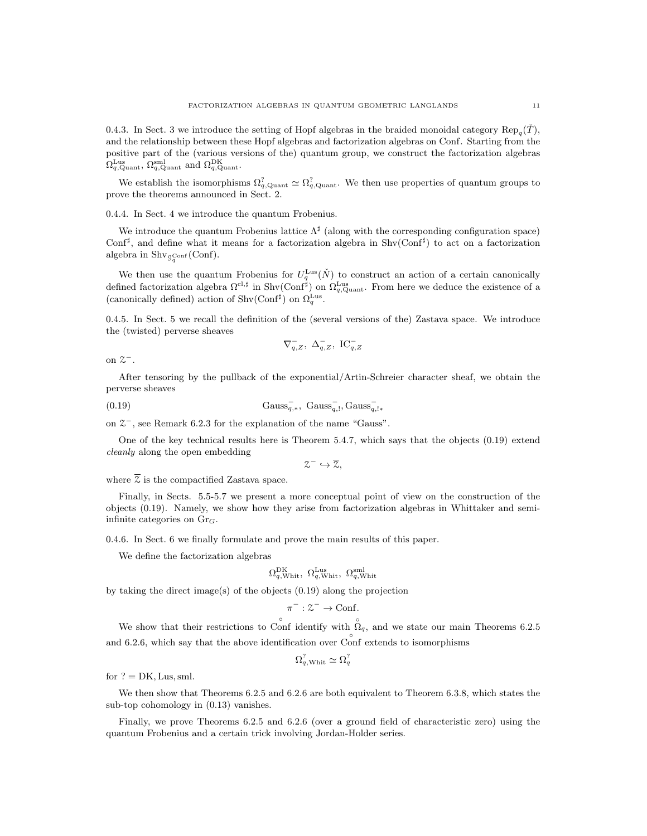0.4.3. In Sect. 3 we introduce the setting of Hopf algebras in the braided monoidal category  $\text{Rep}_q(\check{T})$ , and the relationship between these Hopf algebras and factorization algebras on Conf. Starting from the positive part of the (various versions of the) quantum group, we construct the factorization algebras  $\Omega_{q,\text{Quant}}^{\text{Lus}}, \Omega_{q,\text{Quant}}^{\text{sml}}$  and  $\Omega_{q,\text{Quant}}^{\text{DK}}$ .

We establish the isomorphisms  $\Omega_{q,\text{Quant}}^? \simeq \Omega_{q,\text{Quant}}^?$ . We then use properties of quantum groups to prove the theorems announced in Sect. 2.

0.4.4. In Sect. 4 we introduce the quantum Frobenius.

We introduce the quantum Frobenius lattice  $\Lambda^{\sharp}$  (along with the corresponding configuration space) Conf<sup>#</sup>, and define what it means for a factorization algebra in Shv(Conf<sup>#</sup>) to act on a factorization algebra in  $\mathrm{Shv}_{\mathcal{G}_q^{\mathrm{Conf}}}(\mathrm{Conf}).$ 

We then use the quantum Frobenius for  $U_q^{\text{Lus}}(\check{N})$  to construct an action of a certain canonically defined factorization algebra  $\Omega^{cl, \sharp}$  in Shv(Conf<sup> $\sharp$ </sup>) on  $\Omega_{q, \text{Quant}}^{\text{Lus}}$ . From here we deduce the existence of a (canonically defined) action of Shv(Conf<sup>#</sup>) on  $\Omega_q^{\text{Lus}}$ .

0.4.5. In Sect. 5 we recall the definition of the (several versions of the) Zastava space. We introduce the (twisted) perverse sheaves

$$
\nabla_{q,Z}^-,\ \Delta_{q,Z}^-,\ \mathrm{IC}_{q,Z}^-
$$

on  $2^-$ .

After tensoring by the pullback of the exponential/Artin-Schreier character sheaf, we obtain the perverse sheaves

(0.19) 
$$
Gauss_{q,*}^-, Gauss_{q,!}^-, Gauss_{q,!}^-,
$$

on  $2^-$ , see Remark 6.2.3 for the explanation of the name "Gauss".

One of the key technical results here is Theorem 5.4.7, which says that the objects (0.19) extend cleanly along the open embedding

 $z^- \hookrightarrow \overline{z},$ 

where  $\overline{z}$  is the compactified Zastava space.

Finally, in Sects. 5.5-5.7 we present a more conceptual point of view on the construction of the objects (0.19). Namely, we show how they arise from factorization algebras in Whittaker and semiinfinite categories on  $Gr_G$ .

0.4.6. In Sect. 6 we finally formulate and prove the main results of this paper.

We define the factorization algebras

$$
\Omega_{q,\text{Whit}}^{\text{DK}}, \ \Omega_{q,\text{Whit}}^{\text{Lus}}, \ \Omega_{q,\text{Whit}}^{\text{sml}}
$$

by taking the direct image(s) of the objects (0.19) along the projection

$$
\pi^-:\mathcal{Z}^-\to\mathrm{Conf}.
$$

We show that their restrictions to Conf identify with  $\hat{\Omega}_q$ , and we state our main Theorems 6.2.5 and 6.2.6, which say that the above identification over Conf extends to isomorphisms

$$
\Omega_{q,\text{Whit}}^? \simeq \Omega_q^?
$$

for  $? = DK$ , Lus, sml.

We then show that Theorems 6.2.5 and 6.2.6 are both equivalent to Theorem 6.3.8, which states the sub-top cohomology in (0.13) vanishes.

Finally, we prove Theorems 6.2.5 and 6.2.6 (over a ground field of characteristic zero) using the quantum Frobenius and a certain trick involving Jordan-Holder series.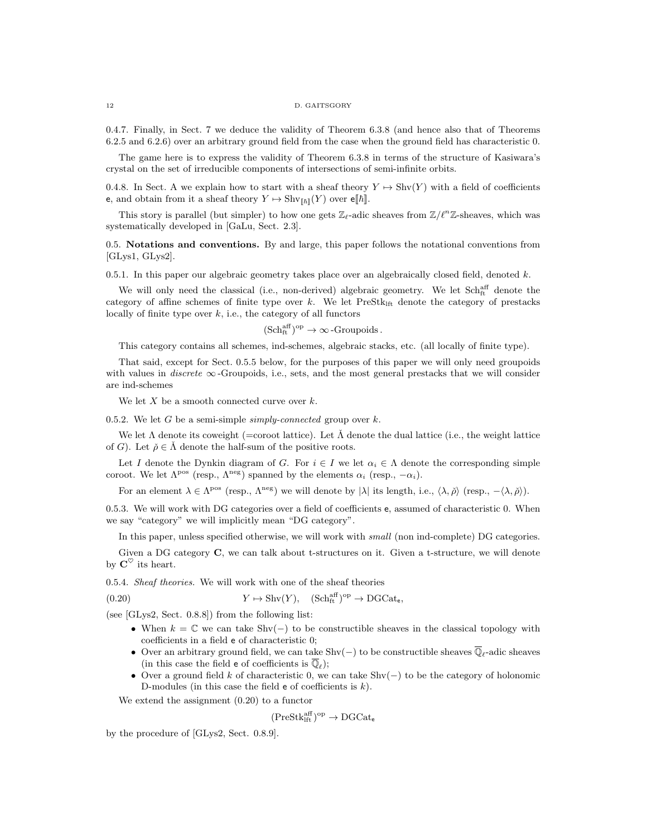0.4.7. Finally, in Sect. 7 we deduce the validity of Theorem 6.3.8 (and hence also that of Theorems 6.2.5 and 6.2.6) over an arbitrary ground field from the case when the ground field has characteristic 0.

The game here is to express the validity of Theorem 6.3.8 in terms of the structure of Kasiwara's crystal on the set of irreducible components of intersections of semi-infinite orbits.

0.4.8. In Sect. A we explain how to start with a sheaf theory  $Y \mapsto \text{Shv}(Y)$  with a field of coefficients e, and obtain from it a sheaf theory  $Y \mapsto \text{Shv}_{\llbracket \hbar \rrbracket}(Y)$  over  $\epsilon \llbracket \hbar \rrbracket$ .

This story is parallel (but simpler) to how one gets  $\mathbb{Z}_{\ell}$ -adic sheaves from  $\mathbb{Z}/\ell^{n}\mathbb{Z}$ -sheaves, which was systematically developed in [GaLu, Sect. 2.3].

0.5. Notations and conventions. By and large, this paper follows the notational conventions from [GLys1, GLys2].

0.5.1. In this paper our algebraic geometry takes place over an algebraically closed field, denoted  $k$ .

We will only need the classical (i.e., non-derived) algebraic geometry. We let Sch<sub>ft</sub> denote the category of affine schemes of finite type over  $k$ . We let  $PreStk<sub>lft</sub>$  denote the category of prestacks locally of finite type over  $k$ , i.e., the category of all functors

 $(\mathrm{Sch}^{\mathrm{aff}}_{\mathrm{ft}})^\mathrm{op} \to \infty$ -Groupoids.

This category contains all schemes, ind-schemes, algebraic stacks, etc. (all locally of finite type).

That said, except for Sect. 0.5.5 below, for the purposes of this paper we will only need groupoids with values in *discrete*  $\infty$ -Groupoids, i.e., sets, and the most general prestacks that we will consider are ind-schemes

We let  $X$  be a smooth connected curve over  $k$ .

0.5.2. We let G be a semi-simple simply-connected group over  $k$ .

We let  $\Lambda$  denote its coweight (=coroot lattice). Let  $\tilde{\Lambda}$  denote the dual lattice (i.e., the weight lattice of G). Let  $\check{\rho} \in \Lambda$  denote the half-sum of the positive roots.

Let I denote the Dynkin diagram of G. For  $i \in I$  we let  $\alpha_i \in \Lambda$  denote the corresponding simple coroot. We let  $\Lambda^{pos}$  (resp.,  $\Lambda^{neg}$ ) spanned by the elements  $\alpha_i$  (resp.,  $-\alpha_i$ ).

For an element  $\lambda \in \Lambda^{pos}$  (resp.,  $\Lambda^{neg}$ ) we will denote by  $|\lambda|$  its length, i.e.,  $\langle \lambda, \check{\rho} \rangle$  (resp.,  $-\langle \lambda, \check{\rho} \rangle$ ).

0.5.3. We will work with DG categories over a field of coefficients e, assumed of characteristic 0. When we say "category" we will implicitly mean "DG category".

In this paper, unless specified otherwise, we will work with *small* (non ind-complete) DG categories.

Given a DG category C, we can talk about t-structures on it. Given a t-structure, we will denote by  $\mathbf{C}^{\heartsuit}$  its heart.

0.5.4. Sheaf theories. We will work with one of the sheaf theories

(0.20) 
$$
Y \mapsto \text{Shv}(Y), \quad (\text{Sch}^{\text{aff}}_{\text{ft}})^{\text{op}} \to \text{DGCat}_{\text{e}},
$$

(see [GLys2, Sect. 0.8.8]) from the following list:

- When  $k = \mathbb{C}$  we can take Shv(-) to be constructible sheaves in the classical topology with coefficients in a field e of characteristic 0;
- Over an arbitrary ground field, we can take Shv(-) to be constructible sheaves  $\overline{\mathbb{Q}}_{\ell}$ -adic sheaves (in this case the field **e** of coefficients is  $\overline{\mathbb{Q}}_{\ell}$ );
- Over a ground field k of characteristic 0, we can take  $\text{Shv}(-)$  to be the category of holonomic D-modules (in this case the field  $e$  of coefficients is  $k$ ).

We extend the assignment (0.20) to a functor

$$
(\mathrm{PreStk}_\mathrm{lft}^\mathrm{aff})^\mathrm{op}\to \mathrm{DGCat}_e
$$

by the procedure of [GLys2, Sect. 0.8.9].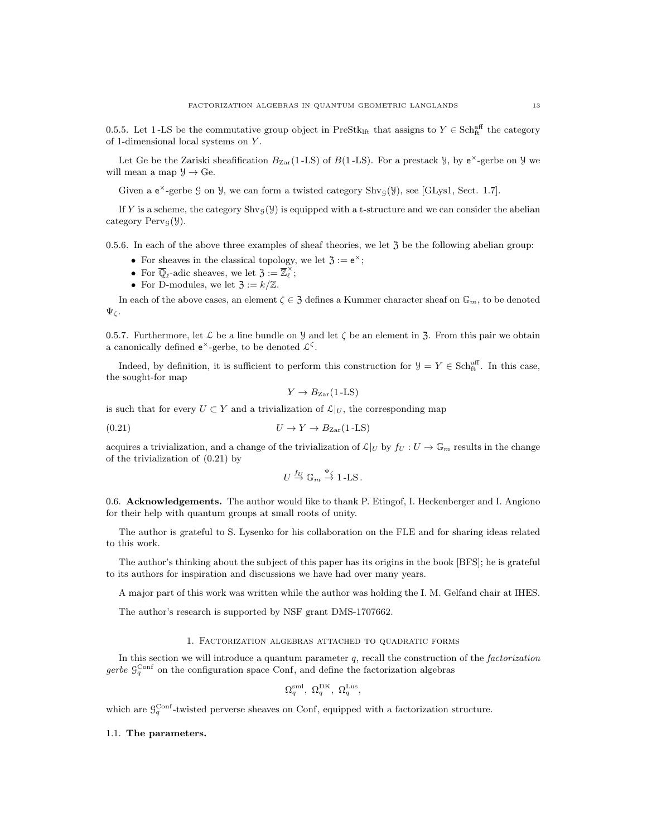0.5.5. Let 1-LS be the commutative group object in PreStk<sub>Ift</sub> that assigns to  $Y \in \text{Sch}^{\text{aff}}_{\text{ft}}$  the category of 1-dimensional local systems on Y .

Let Ge be the Zariski sheafification  $B_{\text{Zar}}(1-\text{LS})$  of  $B(1-\text{LS})$ . For a prestack  $\mathcal{Y}$ , by  $e^{\times}$ -gerbe on  $\mathcal{Y}$  we will mean a map  $\mathcal{Y} \to \mathbf{G}$ e.

Given a  $e^{\times}$ -gerbe  $\mathcal{G}$  on  $\mathcal{Y}$ , we can form a twisted category Shv<sub> $\mathcal{G}(\mathcal{Y})$ </sub>, see [GLys1, Sect. 1.7].

If Y is a scheme, the category  $\text{Shv}_\mathcal{G}(\mathcal{Y})$  is equipped with a t-structure and we can consider the abelian category  $Perv_{\mathcal{G}}(\mathcal{Y}).$ 

0.5.6. In each of the above three examples of sheaf theories, we let  $\mathfrak{Z}$  be the following abelian group:

- For sheaves in the classical topology, we let  $\mathfrak{Z} := e^{\times}$ ;
- For  $\overline{\mathbb{Q}}_{\ell}$ -adic sheaves, we let  $\overline{\mathfrak{Z}}_{\ell}$  :  $=\overline{\mathbb{Z}}_{\ell}^{\times}$ ;
- For D-modules, we let  $\mathfrak{Z} := k/\mathbb{Z}$ .

In each of the above cases, an element  $\zeta \in \mathfrak{Z}$  defines a Kummer character sheaf on  $\mathbb{G}_m$ , to be denoted  $\Psi_{\zeta}$ .

0.5.7. Furthermore, let  $\mathcal L$  be a line bundle on  $\mathcal Y$  and let  $\zeta$  be an element in  $\mathfrak Z$ . From this pair we obtain a canonically defined  $e^{\times}$ -gerbe, to be denoted  $\mathcal{L}^{\zeta}$ .

Indeed, by definition, it is sufficient to perform this construction for  $\mathcal{Y} = Y \in \text{Sch}^{\text{aff}}_{\text{ft}}$ . In this case, the sought-for map

$$
Y \to B_{\text{Zar}}(1\text{-LS})
$$

is such that for every  $U \subset Y$  and a trivialization of  $\mathcal{L}|_U$ , the corresponding map

$$
(0.21) \t\t\t U \to Y \to B_{\text{Zar}}(1-\text{LS})
$$

acquires a trivialization, and a change of the trivialization of  $\mathcal{L}|_U$  by  $f_U : U \to \mathbb{G}_m$  results in the change of the trivialization of (0.21) by

$$
U \stackrel{f_U}{\to} \mathbb{G}_m \stackrel{\Psi_{\zeta}}{\to} 1\text{-LS}.
$$

0.6. Acknowledgements. The author would like to thank P. Etingof, I. Heckenberger and I. Angiono for their help with quantum groups at small roots of unity.

The author is grateful to S. Lysenko for his collaboration on the FLE and for sharing ideas related to this work.

The author's thinking about the subject of this paper has its origins in the book [BFS]; he is grateful to its authors for inspiration and discussions we have had over many years.

A major part of this work was written while the author was holding the I. M. Gelfand chair at IHES.

The author's research is supported by NSF grant DMS-1707662.

#### 1. Factorization algebras attached to quadratic forms

In this section we will introduce a quantum parameter  $q$ , recall the construction of the *factorization* gerbe  $\mathcal{G}_q^{\text{Conf}}$  on the configuration space Conf, and define the factorization algebras

$$
\Omega_q^{\rm sml},\ \Omega_q^{\rm DK},\ \Omega_q^{\rm Lus},
$$

which are  $\mathcal{G}_q^{\text{Conf}}$ -twisted perverse sheaves on Conf, equipped with a factorization structure.

### 1.1. The parameters.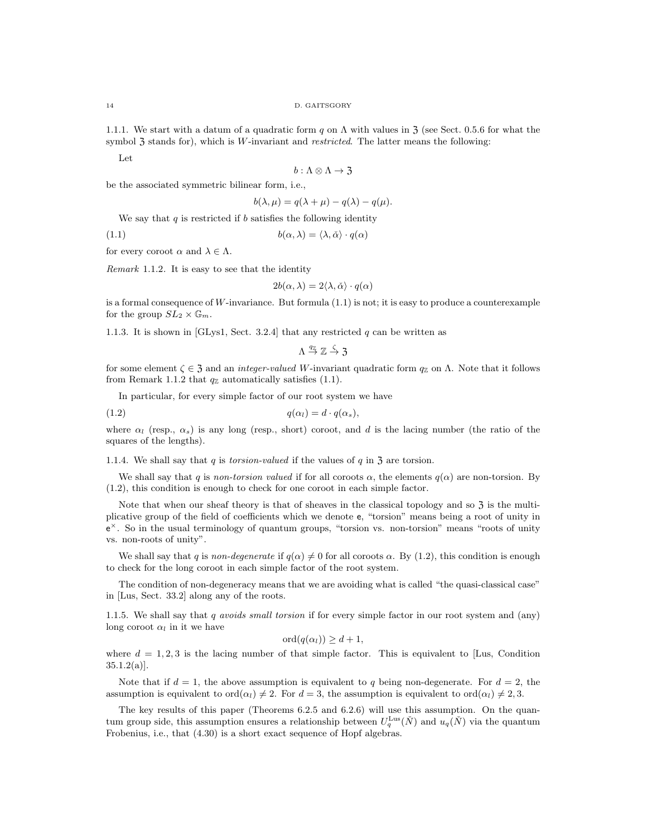1.1.1. We start with a datum of a quadratic form q on  $\Lambda$  with values in  $\lambda$  (see Sect. 0.5.6 for what the symbol  $\mathfrak{Z}$  stands for), which is W-invariant and *restricted*. The latter means the following:

Let

$$
b:\Lambda\otimes\Lambda\to{\mathfrak{Z}}
$$

be the associated symmetric bilinear form, i.e.,

$$
b(\lambda, \mu) = q(\lambda + \mu) - q(\lambda) - q(\mu).
$$

We say that  $q$  is restricted if  $b$  satisfies the following identity

(1.1)  $b(\alpha, \lambda) = \langle \lambda, \check{\alpha} \rangle \cdot q(\alpha)$ 

for every coroot  $\alpha$  and  $\lambda \in \Lambda$ .

Remark 1.1.2. It is easy to see that the identity

$$
2b(\alpha, \lambda) = 2\langle \lambda, \check{\alpha} \rangle \cdot q(\alpha)
$$

is a formal consequence of W-invariance. But formula  $(1.1)$  is not; it is easy to produce a counterexample for the group  $SL_2 \times \mathbb{G}_m$ .

1.1.3. It is shown in [GLys1, Sect. 3.2.4] that any restricted  $q$  can be written as

 $\Lambda \stackrel{q_{\mathbb{Z}}}{\rightarrow} \mathbb{Z} \stackrel{\zeta}{\rightarrow} \mathfrak{Z}$ 

for some element  $\zeta \in \mathfrak{Z}$  and an *integer-valued W*-invariant quadratic form  $q_{\mathbb{Z}}$  on  $\Lambda$ . Note that it follows from Remark 1.1.2 that  $q_{\mathbb{Z}}$  automatically satisfies (1.1).

In particular, for every simple factor of our root system we have

$$
(1.2) \t\t q(\alpha_l) = d \cdot q(\alpha_s),
$$

where  $\alpha_l$  (resp.,  $\alpha_s$ ) is any long (resp., short) coroot, and d is the lacing number (the ratio of the squares of the lengths).

1.1.4. We shall say that q is *torsion-valued* if the values of q in  $\overline{3}$  are torsion.

We shall say that q is non-torsion valued if for all coroots  $\alpha$ , the elements  $q(\alpha)$  are non-torsion. By (1.2), this condition is enough to check for one coroot in each simple factor.

Note that when our sheaf theory is that of sheaves in the classical topology and so  $\overline{3}$  is the multiplicative group of the field of coefficients which we denote e, "torsion" means being a root of unity in e <sup>×</sup>. So in the usual terminology of quantum groups, "torsion vs. non-torsion" means "roots of unity vs. non-roots of unity".

We shall say that q is non-degenerate if  $q(\alpha) \neq 0$  for all coroots  $\alpha$ . By (1.2), this condition is enough to check for the long coroot in each simple factor of the root system.

The condition of non-degeneracy means that we are avoiding what is called "the quasi-classical case" in [Lus, Sect. 33.2] along any of the roots.

1.1.5. We shall say that  $q$  avoids small torsion if for every simple factor in our root system and (any) long coroot  $\alpha_l$  in it we have

$$
ord(q(\alpha_l)) \geq d+1,
$$

where  $d = 1, 2, 3$  is the lacing number of that simple factor. This is equivalent to [Lus, Condition]  $35.1.2(a)$ ].

Note that if  $d = 1$ , the above assumption is equivalent to q being non-degenerate. For  $d = 2$ , the assumption is equivalent to ord $(\alpha_l) \neq 2$ . For  $d = 3$ , the assumption is equivalent to ord $(\alpha_l) \neq 2, 3$ .

The key results of this paper (Theorems 6.2.5 and 6.2.6) will use this assumption. On the quantum group side, this assumption ensures a relationship between  $U_q^{\text{Lus}}(\check{N})$  and  $u_q(\check{N})$  via the quantum Frobenius, i.e., that (4.30) is a short exact sequence of Hopf algebras.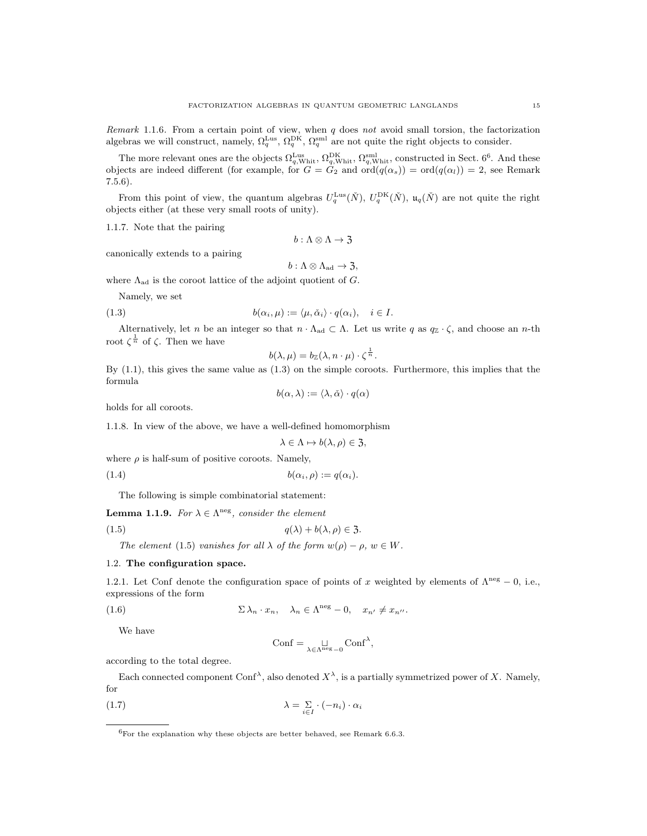Remark 1.1.6. From a certain point of view, when  $q$  does not avoid small torsion, the factorization algebras we will construct, namely,  $\Omega_q^{\text{Lus}}, \Omega_q^{\text{DK}}, \Omega_q^{\text{sml}}$  are not quite the right objects to consider.

The more relevant ones are the objects  $\Omega_{q,\text{Whit}}^{\text{Lus}}, \Omega_{q,\text{Whit}}^{\text{DK}}, \Omega_{q,\text{Whit}}^{\text{sml}}$ , constructed in Sect. 6<sup>6</sup>. And these objects are indeed different (for example, for  $G = G_2$  and  $\text{ord}(q(\alpha_s)) = \text{ord}(q(\alpha_l)) = 2$ , see Remark 7.5.6).

From this point of view, the quantum algebras  $U_q^{\text{Lus}}(\check{N})$ ,  $U_q^{\text{DK}}(\check{N})$ ,  $\mathfrak{u}_q(\check{N})$  are not quite the right objects either (at these very small roots of unity).

1.1.7. Note that the pairing

$$
b:\Lambda\otimes\Lambda\to{\mathfrak{Z}}
$$

canonically extends to a pairing

$$
b:\Lambda\otimes\Lambda_{\mathrm{ad}}\to\mathfrak{Z},
$$

where  $\Lambda_{\text{ad}}$  is the coroot lattice of the adjoint quotient of G.

Namely, we set

(1.3) 
$$
b(\alpha_i,\mu) := \langle \mu, \check{\alpha}_i \rangle \cdot q(\alpha_i), \quad i \in I.
$$

Alternatively, let n be an integer so that  $n \cdot \Lambda_{ad} \subset \Lambda$ . Let us write q as  $q_Z \cdot \zeta$ , and choose an n-th root  $\zeta^{\frac{1}{n}}$  of  $\zeta$ . Then we have

$$
b(\lambda,\mu)=b_{\mathbb{Z}}(\lambda,n\cdot\mu)\cdot\zeta^{\frac{1}{n}}.
$$

By (1.1), this gives the same value as (1.3) on the simple coroots. Furthermore, this implies that the formula

$$
b(\alpha, \lambda) := \langle \lambda, \check{\alpha} \rangle \cdot q(\alpha)
$$

holds for all coroots.

1.1.8. In view of the above, we have a well-defined homomorphism

$$
\lambda \in \Lambda \mapsto b(\lambda, \rho) \in \mathfrak{Z},
$$

where  $\rho$  is half-sum of positive coroots. Namely,

(1.4)  $b(\alpha_i, \rho) := q(\alpha_i).$ 

The following is simple combinatorial statement:

**Lemma 1.1.9.** For  $\lambda \in \Lambda^{neg}$ , consider the element

$$
(1.5) \t\t q(\lambda) + b(\lambda, \rho) \in \mathfrak{Z}.
$$

The element (1.5) vanishes for all  $\lambda$  of the form  $w(\rho) - \rho$ ,  $w \in W$ .

## 1.2. The configuration space.

1.2.1. Let Conf denote the configuration space of points of x weighted by elements of  $\Lambda^{neg} = 0$ , i.e., expressions of the form

(1.6) 
$$
\Sigma \lambda_n \cdot x_n, \quad \lambda_n \in \Lambda^{\text{neg}} - 0, \quad x_{n'} \neq x_{n''}.
$$

We have

$$
Conf = \mathop{\sqcup}_{\lambda \in \Lambda^{\text{neg}} - 0} Conf^{\lambda},
$$

according to the total degree.

Each connected component Conf<sup> $\lambda$ </sup>, also denoted  $X^{\lambda}$ , is a partially symmetrized power of X. Namely, for

$$
\lambda = \sum_{i \in I} \cdot (-n_i) \cdot \alpha_i
$$

 ${}^{6}$ For the explanation why these objects are better behaved, see Remark 6.6.3.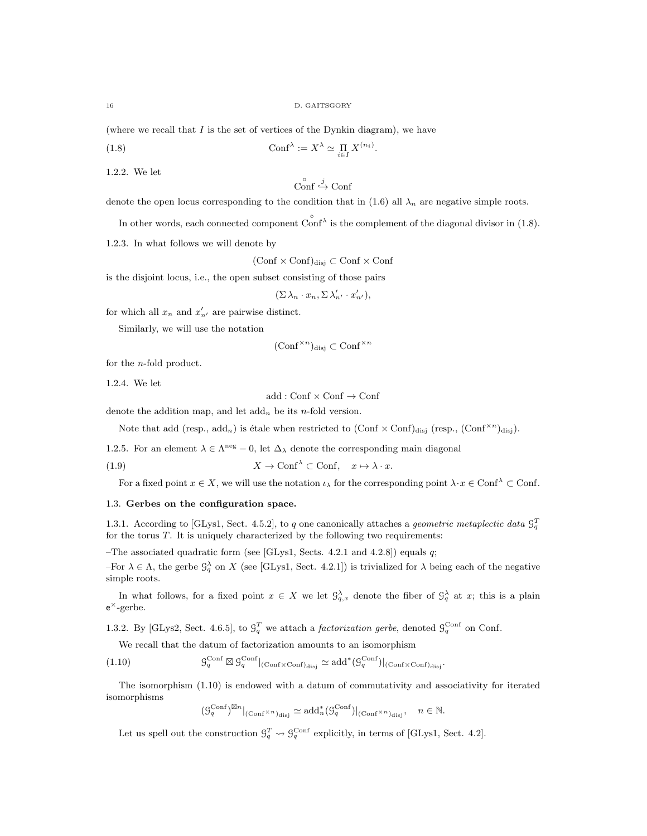(where we recall that  $I$  is the set of vertices of the Dynkin diagram), we have

(1.8) 
$$
\text{Conf}^{\lambda} := X^{\lambda} \simeq \prod_{i \in I} X^{(n_i)}
$$

1.2.2. We let

$$
\overset{\circ}{\text{Conf}} \xrightarrow{j} \text{Conf}
$$

.

denote the open locus corresponding to the condition that in (1.6) all  $\lambda_n$  are negative simple roots.

In other words, each connected component  $\hat{\text{Conf}}^{\lambda}$  is the complement of the diagonal divisor in (1.8).

1.2.3. In what follows we will denote by

 $(Conf \times Conf)_{disj} \subset Conf \times Conf$ 

is the disjoint locus, i.e., the open subset consisting of those pairs

$$
(\Sigma \lambda_n \cdot x_n, \Sigma \lambda'_{n'} \cdot x'_{n'}),
$$

for which all  $x_n$  and  $x'_{n'}$  are pairwise distinct.

Similarly, we will use the notation

$$
(\mathrm{Conf}^{\times n})_{\text{disj}} \subset \mathrm{Conf}^{\times n}
$$

for the n-fold product.

1.2.4. We let

 $add: Conf \times Conf \rightarrow Conf$ 

denote the addition map, and let  $\text{add}_n$  be its n-fold version.

Note that add (resp.,  $\text{add}_n$ ) is étale when restricted to  $(\text{Conf} \times \text{Conf})_{\text{disj}}$  (resp.,  $(\text{Conf}^{\times n})_{\text{disj}})$ .

1.2.5. For an element  $\lambda \in \Lambda^{\text{neg}} - 0$ , let  $\Delta_{\lambda}$  denote the corresponding main diagonal

(1.9) 
$$
X \to \text{Conf}^{\lambda} \subset \text{Conf}, \quad x \mapsto \lambda \cdot x.
$$

For a fixed point  $x \in X$ , we will use the notation  $\iota_{\lambda}$  for the corresponding point  $\lambda \cdot x \in \text{Conf}^{\lambda} \subset \text{Conf}$ .

### 1.3. Gerbes on the configuration space.

1.3.1. According to [GLys1, Sect. 4.5.2], to q one canonically attaches a geometric metaplectic data  $\mathcal{G}_q^T$ for the torus  $T$ . It is uniquely characterized by the following two requirements:

–The associated quadratic form (see [GLys1, Sects. 4.2.1 and 4.2.8]) equals  $q$ ;

For  $\lambda \in \Lambda$ , the gerbe  $\mathcal{G}_q^{\lambda}$  on X (see [GLys1, Sect. 4.2.1]) is trivialized for  $\lambda$  being each of the negative simple roots.

In what follows, for a fixed point  $x \in X$  we let  $\mathcal{G}^{\lambda}_{q,x}$  denote the fiber of  $\mathcal{G}^{\lambda}_{q}$  at x; this is a plain e <sup>×</sup>-gerbe.

1.3.2. By [GLys2, Sect. 4.6.5], to  $\mathcal{G}_q^T$  we attach a *factorization gerbe*, denoted  $\mathcal{G}_q^{\text{Conf}}$  on Conf.

We recall that the datum of factorization amounts to an isomorphism

 $(1.10)$  $\int_q^{\text{Conf}} \boxtimes \mathcal{G}_q^{\text{Conf}}|_{(\text{Conf}\times\text{Conf})_{\text{disj}}} \simeq \text{add}^*(\mathcal{G}_q^{\text{Conf}})|_{(\text{Conf}\times\text{Conf})_{\text{disj}}}.$ 

The isomorphism (1.10) is endowed with a datum of commutativity and associativity for iterated isomorphisms

 $(\mathcal{G}_q^{\text{Conf}})^{\boxtimes n}|_{(\text{Conf}\times n)_{\text{disj}}} \simeq \text{add}_n^*(\mathcal{G}_q^{\text{Conf}})|_{(\text{Conf}\times n)_{\text{disj}}}, \quad n \in \mathbb{N}.$ 

Let us spell out the construction  $\mathcal{G}_q^T \leadsto \mathcal{G}_q^{\text{Conf}}$  explicitly, in terms of [GLys1, Sect. 4.2].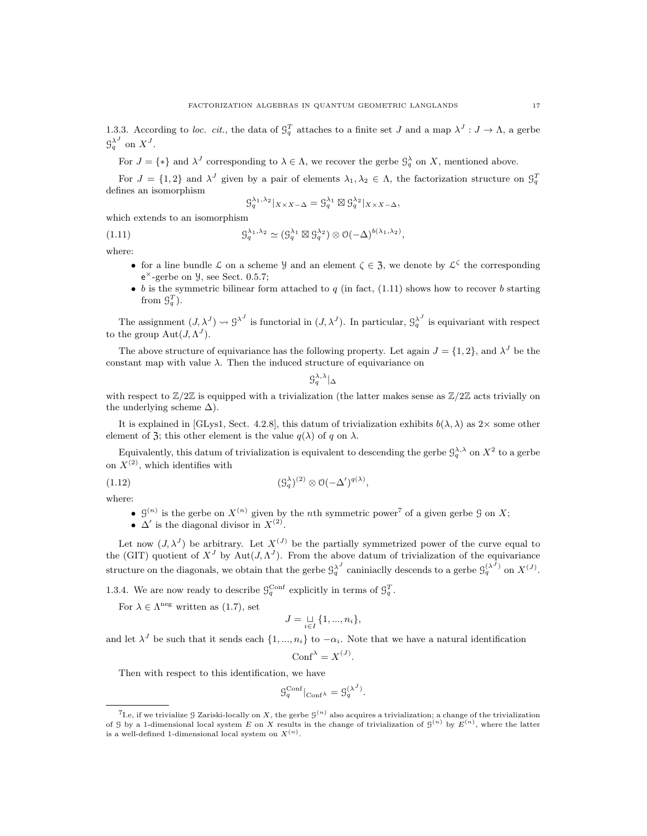1.3.3. According to loc. cit., the data of  $\mathcal{G}_q^T$  attaches to a finite set J and a map  $\lambda^J: J \to \Lambda$ , a gerbe  $\mathfrak{G}_q^{\lambda^J}$  on  $X^J$ .

For  $J = \{ * \}$  and  $\lambda^J$  corresponding to  $\lambda \in \Lambda$ , we recover the gerbe  $\mathcal{G}_q^{\lambda}$  on X, mentioned above.

For  $J = \{1,2\}$  and  $\lambda^J$  given by a pair of elements  $\lambda_1, \lambda_2 \in \Lambda$ , the factorization structure on  $\mathcal{G}_q^T$ defines an isomorphism

$$
\mathcal{G}_q^{\lambda_1, \lambda_2}|_{X \times X - \Delta} = \mathcal{G}_q^{\lambda_1} \boxtimes \mathcal{G}_q^{\lambda_2}|_{X \times X - \Delta},
$$

which extends to an isomorphism

(1.11) 
$$
\mathcal{G}_q^{\lambda_1,\lambda_2} \simeq (\mathcal{G}_q^{\lambda_1} \boxtimes \mathcal{G}_q^{\lambda_2}) \otimes \mathcal{O}(-\Delta)^{b(\lambda_1,\lambda_2)},
$$

where:

- for a line bundle L on a scheme *y* and an element  $\zeta \in \mathcal{F}$ , we denote by  $\mathcal{L}^{\zeta}$  the corresponding  $e^{\times}$ -gerbe on  $\mathcal{Y}$ , see Sect. 0.5.7;
- b is the symmetric bilinear form attached to q (in fact,  $(1.11)$  shows how to recover b starting from  $\mathcal{G}_q^T$ ).

The assignment  $(J, \lambda^J) \rightsquigarrow \beta^{\lambda^J}$  is functorial in  $(J, \lambda^J)$ . In particular,  $\beta_q^{\lambda^J}$  is equivariant with respect to the group  $\text{Aut}(J, \Lambda^J)$ .

The above structure of equivariance has the following property. Let again  $J = \{1, 2\}$ , and  $\lambda^J$  be the constant map with value  $\lambda$ . Then the induced structure of equivariance on

 $\left. \mathcal{G}_{q}^{\lambda,\lambda}\right\vert _{\Delta}$ 

with respect to  $\mathbb{Z}/2\mathbb{Z}$  is equipped with a trivialization (the latter makes sense as  $\mathbb{Z}/2\mathbb{Z}$  acts trivially on the underlying scheme  $\Delta$ ).

It is explained in [GLys1, Sect. 4.2.8], this datum of trivialization exhibits  $b(\lambda, \lambda)$  as 2× some other element of 3; this other element is the value  $q(\lambda)$  of q on  $\lambda$ .

Equivalently, this datum of trivialization is equivalent to descending the gerbe  $\mathcal{G}_q^{\lambda,\lambda}$  on  $X^2$  to a gerbe on  $X^{(2)}$ , which identifies with

(1.12) (G λ q ) (2) ⊗ O(−∆ 0 ) q(λ) ,

where:

- $\mathcal{G}^{(n)}$  is the gerbe on  $X^{(n)}$  given by the nth symmetric power<sup>7</sup> of a given gerbe  $\mathcal{G}$  on X;
- $\Delta'$  is the diagonal divisor in  $X^{(2)}$ .

Let now  $(J, \lambda^J)$  be arbitrary. Let  $X^{(J)}$  be the partially symmetrized power of the curve equal to the (GIT) quotient of  $X<sup>J</sup>$  by Aut $(J, \Lambda<sup>J</sup>)$ . From the above datum of trivialization of the equivariance structure on the diagonals, we obtain that the gerbe  $\mathcal{G}_q^{\lambda^J}$  caniniaclly descends to a gerbe  $\mathcal{G}_q^{(\lambda^J)}$  on  $X^{(J)}$ .

1.3.4. We are now ready to describe  $\mathcal{G}_q^{\text{Conf}}$  explicitly in terms of  $\mathcal{G}_q^T$ .

For  $\lambda \in \Lambda^{\text{neg}}$  written as (1.7), set

$$
J=\mathop{\sqcup}\limits_{i\in I}\{1,...,n_i\},
$$

and let  $\lambda^J$  be such that it sends each  $\{1, ..., n_i\}$  to  $-\alpha_i$ . Note that we have a natural identification

$$
\mathrm{Conf}^{\lambda} = X^{(J)}.
$$

Then with respect to this identification, we have

$$
\mathcal{G}_q^{\text{Conf}}|_{\text{Conf}^{\lambda}} = \mathcal{G}_q^{(\lambda^J)}.
$$

<sup>&</sup>lt;sup>7</sup>I.e, if we trivialize  $\mathcal G$  Zariski-locally on X, the gerbe  $\mathcal G^{(n)}$  also acquires a trivialization; a change of the trivialization of G by a 1-dimensional local system E on X results in the change of trivialization of  $\mathcal{G}^{(n)}$  by  $E^{(n)}$ , where the latter is a well-defined 1-dimensional local system on  $X^{(n)}$ .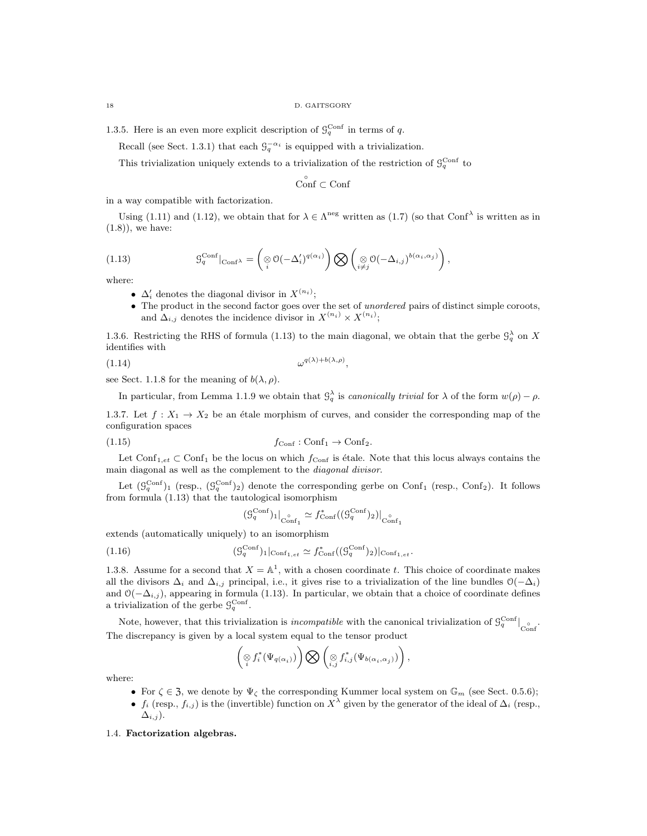1.3.5. Here is an even more explicit description of  $\mathcal{G}_q^{\text{Conf}}$  in terms of q.

Recall (see Sect. 1.3.1) that each  $\mathcal{G}_q^{-\alpha_i}$  is equipped with a trivialization.

This trivialization uniquely extends to a trivialization of the restriction of  $\mathcal{G}_q^{\text{Conf}}$  to

◦ Conf ⊂ Conf

in a way compatible with factorization.

Using (1.11) and (1.12), we obtain that for  $\lambda \in \Lambda^{neg}$  written as (1.7) (so that Conf<sup> $\lambda$ </sup> is written as in (1.8)), we have:

(1.13) 
$$
\mathcal{G}_q^{\text{Conf}}|_{\text{Conf}^{\lambda}} = \left(\underset{i}{\otimes} \mathcal{O}(-\Delta_i')^{q(\alpha_i)}\right) \bigotimes \left(\underset{i \neq j}{\otimes} \mathcal{O}(-\Delta_{i,j})^{b(\alpha_i, \alpha_j)}\right),
$$

where:

- $\Delta'_i$  denotes the diagonal divisor in  $X^{(n_i)}$ ;
- The product in the second factor goes over the set of *unordered* pairs of distinct simple coroots, and  $\Delta_{i,j}$  denotes the incidence divisor in  $X^{(n_i)} \times X^{(n_i)}$ ;

1.3.6. Restricting the RHS of formula (1.13) to the main diagonal, we obtain that the gerbe  $\mathcal{G}_q^{\lambda}$  on X identifies with

 $(1.14)$   $\omega$ 

$$
,^{q(\lambda)+b(\lambda,\rho)},
$$

see Sect. 1.1.8 for the meaning of  $b(\lambda, \rho)$ .

In particular, from Lemma 1.1.9 we obtain that  $\mathcal{G}_q^{\lambda}$  is canonically trivial for  $\lambda$  of the form  $w(\rho) - \rho$ .

1.3.7. Let  $f: X_1 \to X_2$  be an étale morphism of curves, and consider the corresponding map of the configuration spaces

$$
(1.15) \t fConf : Conf1 \to Conf2.
$$

Let  $Conf_{1,et} \subset Conf_1$  be the locus on which  $f_{Conf}$  is étale. Note that this locus always contains the main diagonal as well as the complement to the diagonal divisor.

Let  $(\mathcal{G}_q^{\text{Conf}})_1$  (resp.,  $(\mathcal{G}_q^{\text{Conf}})_2$ ) denote the corresponding gerbe on Conf<sub>1</sub> (resp., Conf<sub>2</sub>). It follows from formula (1.13) that the tautological isomorphism

$$
(\mathcal{G}_q^{\text{Conf}})_1|_{\text{Conf}_1} \simeq f_{\text{Conf}}^*((\mathcal{G}_q^{\text{Conf}})_2)|_{\text{Conf}_1}
$$

extends (automatically uniquely) to an isomorphism

(1.16) 
$$
(\mathcal{G}_q^{\text{Conf}})_1|_{\text{Conf}_{1,et}} \simeq f_{\text{Conf}}^*((\mathcal{G}_q^{\text{Conf}})_2)|_{\text{Conf}_{1,et}}.
$$

1.3.8. Assume for a second that  $X = \mathbb{A}^1$ , with a chosen coordinate t. This choice of coordinate makes all the divisors  $\Delta_i$  and  $\Delta_{i,j}$  principal, i.e., it gives rise to a trivialization of the line bundles  $\mathcal{O}(-\Delta_i)$ and  $\mathcal{O}(-\Delta_{i,j})$ , appearing in formula (1.13). In particular, we obtain that a choice of coordinate defines a trivialization of the gerbe  $\mathcal{G}_q^{\text{Conf}}$ .

Note, however, that this trivialization is *incompatible* with the canonical trivialization of  $\mathcal{G}_q^{\text{Conf}}|_{\text{Conf}}$ The discrepancy is given by a local system equal to the tensor product

$$
\left(\underset{i}{\otimes} f_i^*(\Psi_{q(\alpha_i)})\right)\bigotimes \left(\underset{i,j}{\otimes} f_{i,j}^*(\Psi_{b(\alpha_i,\alpha_j)})\right),
$$

where:

- For  $\zeta \in \mathfrak{Z}$ , we denote by  $\Psi_{\zeta}$  the corresponding Kummer local system on  $\mathbb{G}_m$  (see Sect. 0.5.6);
- $f_i$  (resp.,  $f_{i,j}$ ) is the (invertible) function on  $X^{\lambda}$  given by the generator of the ideal of  $\Delta_i$  (resp.,  $\Delta_{i,j}$ ).

#### 1.4. Factorization algebras.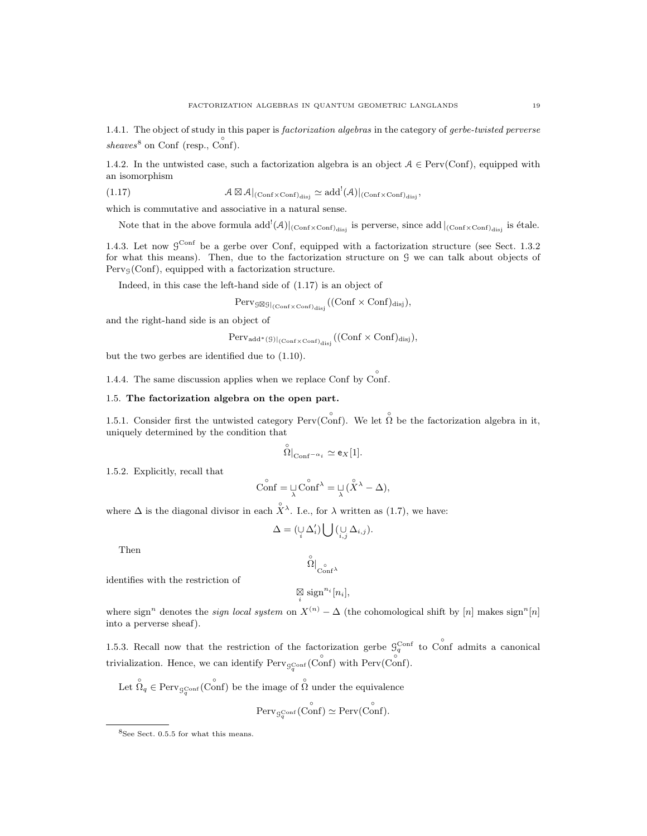1.4.1. The object of study in this paper is *factorization algebras* in the category of *gerbe-twisted perverse* sheaves<sup>8</sup> on Conf (resp.,  $C<sub>onf</sub>$ ).

1.4.2. In the untwisted case, such a factorization algebra is an object  $A \in \text{Perv}(\text{Conf})$ , equipped with an isomorphism

(1.17) 
$$
\mathcal{A} \boxtimes \mathcal{A}|_{(\mathrm{Conf} \times \mathrm{Conf})_{\mathrm{disj}}} \simeq \mathrm{add}^!(\mathcal{A})|_{(\mathrm{Conf} \times \mathrm{Conf})_{\mathrm{disj}}},
$$

which is commutative and associative in a natural sense.

Note that in the above formula  $add^!(\mathcal{A})|_{(\text{Conf}\times\text{Conf})_{\text{disj}}}$  is perverse, since  $add|_{(\text{Conf}\times\text{Conf})_{\text{disj}}}$  is étale.

1.4.3. Let now  $9^{\text{Conf}}$  be a gerbe over Conf, equipped with a factorization structure (see Sect. 1.3.2) for what this means). Then, due to the factorization structure on G we can talk about objects of  $Perv_G(Conf)$ , equipped with a factorization structure.

Indeed, in this case the left-hand side of (1.17) is an object of

$$
\mathrm{Perv}_{\mathcal{G} \boxtimes \mathcal{G}|_{(\mathrm{Conf} \times \mathrm{Conf})_{\mathrm{disj}}}}((\mathrm{Conf} \times \mathrm{Conf})_{\mathrm{disj}}),
$$

and the right-hand side is an object of

$$
\mathrm{Perv}_{\mathrm{add}^*(\mathcal{G})|_{(\mathrm{Conf}\times\mathrm{Conf})_{\mathrm{disj}}}}((\mathrm{Conf}\times\mathrm{Conf})_{\mathrm{disj}}),
$$

but the two gerbes are identified due to (1.10).

1.4.4. The same discussion applies when we replace Conf by  $\hat{\text{Conf}}$ .

## 1.5. The factorization algebra on the open part.

1.5.1. Consider first the untwisted category Perv(Conf). We let  $\hat{\Omega}$  be the factorization algebra in it, uniquely determined by the condition that

$$
\overset{\circ}{\Omega}|_{\mathrm{Conf}^{-\alpha_i}} \simeq \mathsf{e}_X[1].
$$

1.5.2. Explicitly, recall that

$$
\widehat{\text{Conf}} = \mathop{\sqcup}\limits_{\lambda} \widehat{\text{Conf}}^{\lambda} = \mathop{\sqcup}\limits_{\lambda} (\widehat{\mathop{\boldsymbol{X}}}^{\lambda} - \Delta),
$$

where  $\Delta$  is the diagonal divisor in each  $\hat{X}^{\lambda}$ . I.e., for  $\lambda$  written as (1.7), we have:

$$
\Delta = (\bigcup_i \Delta'_i) \bigcup (\bigcup_{i,j} \Delta_{i,j}).
$$

Then

$$
\overset{\circ}{\Omega}|_{C_{\rm{onf}}^{\circ}\lambda}
$$

identifies with the restriction of

$$
\mathop{\boxtimes}\limits_i \mathop{\rm sign^{n_i}} [n_i],
$$

where sign<sup>n</sup> denotes the *sign local system* on  $X^{(n)} - \Delta$  (the cohomological shift by [n] makes sign<sup>n</sup>[n] into a perverse sheaf).

1.5.3. Recall now that the restriction of the factorization gerbe  $\mathcal{G}_q^{\text{Conf}}$  to Conf admits a canonical trivialization. Hence, we can identify  $Perv_{\mathcal{G}_q^{\text{Conf}}}(\text{Conf})$  with  $Perv(\text{Conf})$ .

Let  $\hat{\Omega}_q \in \text{Perv}_{\mathcal{G}_q^{\text{Conf}}}(\hat{\text{Conf}})$  be the image of  $\hat{\Omega}$  under the equivalence

$$
\mathrm{Perv}_{\mathcal{G}_q^{\mathrm{Conf}}}(\mathring{\mathrm{Conf}}) \simeq \mathrm{Perv}(\mathring{\mathrm{Conf}}).
$$

<sup>8</sup>See Sect. 0.5.5 for what this means.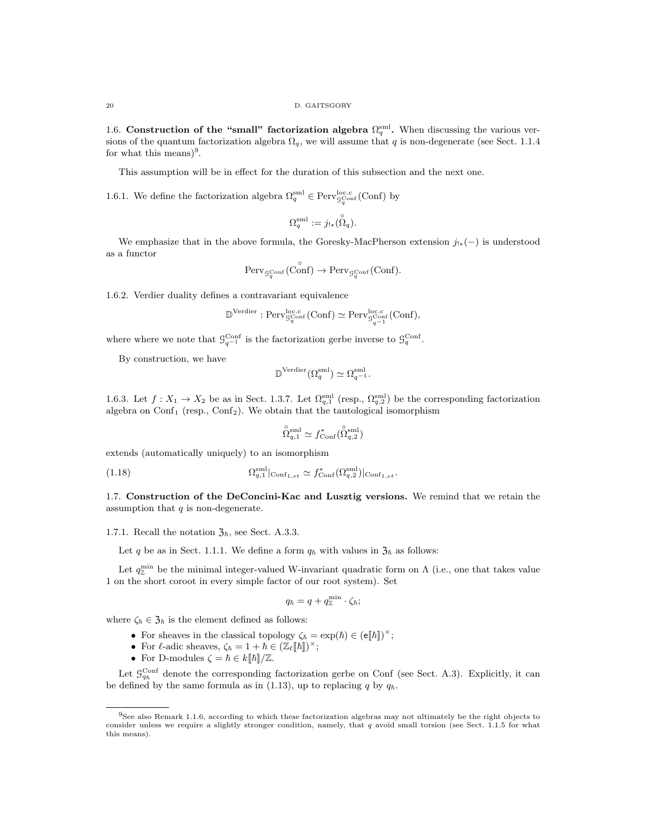1.6. Construction of the "small" factorization algebra  $\Omega_q^{\text{sm}}$ . When discussing the various versions of the quantum factorization algebra  $\Omega_q$ , we will assume that q is non-degenerate (see Sect. 1.1.4 for what this means)<sup>9</sup>.

This assumption will be in effect for the duration of this subsection and the next one.

1.6.1. We define the factorization algebra  $\Omega_q^{\text{sml}} \in \text{Perv}_{\mathcal{G}_q^{\text{Conf}}}^{\text{loc.c}}(\text{Conf})$  by

$$
\Omega_q^{\text{sml}} := j_{!*}(\overset{\circ}{\Omega}_q).
$$

We emphasize that in the above formula, the Goresky-MacPherson extension  $j_{!*}(-)$  is understood as a functor

$$
\mathrm{Perv}_{\mathcal{G}_q^{\mathrm{Conf}}}(\mathring{\mathrm{Conf}}) \to \mathrm{Perv}_{\mathcal{G}_q^{\mathrm{Conf}}}(\mathrm{Conf}).
$$

1.6.2. Verdier duality defines a contravariant equivalence

$$
\mathbb{D}^{\mathrm{Verdier}}:\mathrm{Perv}_{\mathcal{G}_q^{\mathrm{Conf}}}^{\mathrm{loc.c}}(\mathrm{Conf})\simeq \mathrm{Perv}_{\mathcal{G}_{q-1}^{\mathrm{loc.c}}}^{\mathrm{loc.c}}(\mathrm{Conf}),
$$

where where we note that  $\mathcal{G}_{q^{-1}}^{\text{Conf}}$  is the factorization gerbe inverse to  $\mathcal{G}_q^{\text{Conf}}$ .

By construction, we have

$$
\mathbb{D}^{\mathrm{Verdier}}(\Omega_q^{\mathrm{sml}}) \simeq \Omega_{q^{-1}}^{\mathrm{sml}}.
$$

1.6.3. Let  $f: X_1 \to X_2$  be as in Sect. 1.3.7. Let  $\Omega_{q,1}^{sml}$  (resp.,  $\Omega_{q,2}^{sml}$ ) be the corresponding factorization algebra on  $Conf_1$  (resp.,  $Conf_2$ ). We obtain that the tautological isomorphism

$$
\widehat{\Omega}_{q,1}^{\text{sml}} \simeq f_{\text{Conf}}^*(\widehat{\Omega}_{q,2}^{\text{sml}})
$$

extends (automatically uniquely) to an isomorphism

(1.18) 
$$
\Omega_{q,1}^{\text{sml}}|_{\text{Conf}_{1,et}} \simeq f_{\text{Conf}}^*(\Omega_{q,2}^{\text{sml}})|_{\text{Conf}_{1,et}}.
$$

1.7. Construction of the DeConcini-Kac and Lusztig versions. We remind that we retain the assumption that  $q$  is non-degenerate.

1.7.1. Recall the notation  $\mathfrak{Z}_{\hbar}$ , see Sect. A.3.3.

Let q be as in Sect. 1.1.1. We define a form  $q_{\hbar}$  with values in  $\mathfrak{Z}_{\hbar}$  as follows:

Let  $q_{\mathbb{Z}}^{\min}$  be the minimal integer-valued W-invariant quadratic form on  $\Lambda$  (i.e., one that takes value 1 on the short coroot in every simple factor of our root system). Set

$$
q_{\hbar}=q+q^{\min}_{\mathbb{Z}}\cdot\zeta_{\hbar};
$$

where  $\zeta_{\hbar} \in \mathfrak{Z}_{\hbar}$  is the element defined as follows:

- For sheaves in the classical topology  $\zeta_{\hbar} = \exp(\hbar) \in (e[\![\hbar]\!])^{\times};$
- For  $\ell$ -adic sheaves,  $\zeta_{\hbar} = 1 + \hbar \in (\mathbb{Z}_{\ell}[\![\hbar]\!])^{\times};$
- For D-modules  $\zeta = \hbar \in k[[\hbar]]/\mathbb{Z}$ .

Let  $\mathcal{G}_{q_h}^{\text{Conf}}$  denote the corresponding factorization gerbe on Conf (see Sect. A.3). Explicitly, it can be defined by the same formula as in (1.13), up to replacing q by  $q_h$ .

 $9$ See also Remark 1.1.6, according to which these factorization algebras may not ultimately be the right objects to consider unless we require a slightly stronger condition, namely, that  $q$  avoid small torsion (see Sect. 1.1.5 for what this means).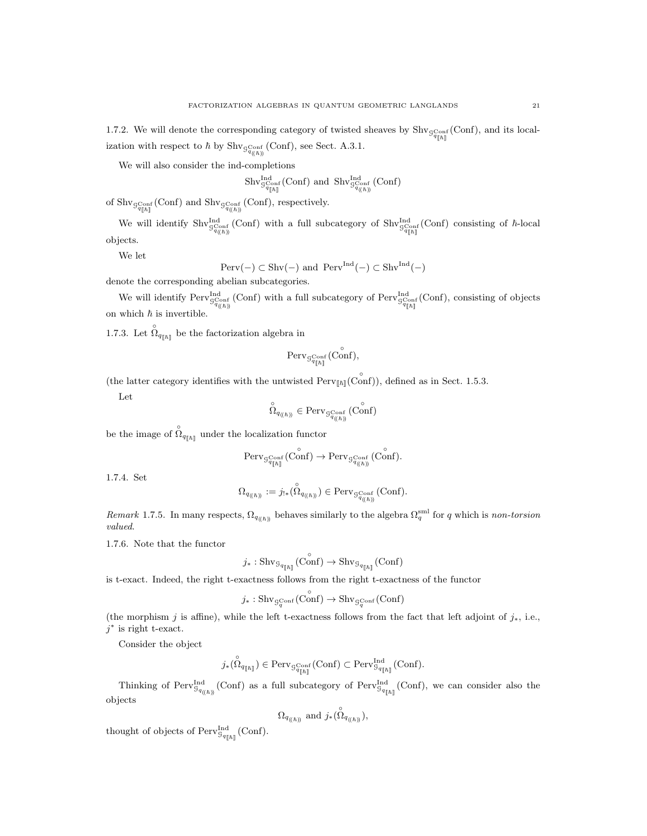1.7.2. We will denote the corresponding category of twisted sheaves by  $\text{Shv}_{g_{q[n]}^{\text{Cont}}}(\text{Conf})$ , and its localization with respect to  $\hbar$  by  $\text{Shv}_{\mathcal{G}^{\text{Conf}}_{q(h)}}$  (Conf), see Sect. A.3.1.

We will also consider the ind-completions

$$
\mathrm{Shv}^{\mathrm{Ind}}_{\mathcal{G}^{\mathrm{Conf}}_{q_{[\hbar]}}}( \mathrm{Conf} ) \text{ and } \mathrm{Shv}^{\mathrm{Ind}}_{\mathcal{G}^{\mathrm{Conf}}_{q_{(\hbar)}}}( \mathrm{Conf} )
$$

of  $\text{Shv}_{\mathcal{G}^{\text{Conf}}_{q_{[h]}}}(\text{Conf})$  and  $\text{Shv}_{\mathcal{G}^{\text{Conf}}_{q_{(h)}}}(\text{Conf})$ , respectively.

We will identify  $\text{Shv}_{\mathcal{G}_{q(n)}^{C_{\text{conf}}}}^{\text{Ind}}(\text{Conf})$  with a full subcategory of  $\text{Shv}_{\mathcal{G}_{q[n]}^{C_{\text{conf}}}}^{\text{Ind}}(\text{Conf})$  consisting of  $\hbar$ -local objects.

We let

$$
\mathrm{Perv}(-) \subset \mathrm{Shv}(-) \text{ and } \mathrm{Perv}^{\mathrm{Ind}}(-) \subset \mathrm{Shv}^{\mathrm{Ind}}(-)
$$

denote the corresponding abelian subcategories.

We will identify  $Perv_{G^{\text{Conf}}_{q(h)}}^{\text{Ind}}(\text{Conf})$  with a full subcategory of  $Perv_{G^{\text{Conf}}_{q[h]}}^{\text{Ind}}(\text{Conf})$ , consisting of objects on which  $\hbar$  is invertible.

1.7.3. Let  $\hat{\Omega}_{q_{[\![\hbar]\!]}}$  be the factorization algebra in

$$
\mathrm{Perv}_{\mathcal{G}^{\mathrm{Conf}}_{q_{\lceil \hskip-0.75pt \lceil \hskip-0.75pt \rceil}}(\mathring{\text{Conf}}),
$$

(the latter category identifies with the untwisted  $\text{Perv}_{[\hbar]}(\overrightarrow{Conf})$ ), defined as in Sect. 1.5.3.

Let

$$
\overset{\circ}{\Omega}_{q_{\left(\left(\hbar\right)\right)}}\in \text{Perv}_{\mathcal{G}^{\text{Conf}}_{q_{\left(\left(\hbar\right)\right)}}}\left(\text{Conf}\right)
$$

be the image of  $\hat{\Omega}_{q_{[h]}}$  under the localization functor

$$
\operatorname{Perv}\nolimits_{\mathcal{G}^{\operatorname{Conf}}_{q_{[\![\hbar]\!]}}}\nolimits(\operatorname{Conf}\nolimits)\rightarrow \operatorname{Perv}\nolimits_{\mathcal{G}^{\operatorname{Conf}}_{q_{(\![\hbar]\!]}}}\nolimits(\operatorname{Conf}\nolimits).
$$

1.7.4. Set

$$
\Omega_{q_{((\hbar))}} := j_{!*}(\overset{\circ}{\Omega}_{q_{((\hbar))}}) \in \text{Perv}_{\mathcal{G}^{\text{Conf}}_{q_{((\hbar))}}}(\text{Conf}).
$$

Remark 1.7.5. In many respects,  $\Omega_{q_{(\hbar)}}$  behaves similarly to the algebra  $\Omega_q^{\text{sml}}$  for q which is non-torsion valued.

1.7.6. Note that the functor

$$
j_*: \mathop{\mathrm{Shv}}\nolimits_{\mathop{\mathrm{S}}\nolimits_{q_{[\![\hbar]\!]}}}(\mathop{\mathrm{Conf}}\nolimits)\rightarrow \mathop{\mathrm{Shv}}\nolimits_{\mathop{\mathrm{S}}\nolimits_{q_{[\![\hbar]\!]}}}(\mathop{\mathrm{Conf}}\nolimits)
$$

is t-exact. Indeed, the right t-exactness follows from the right t-exactness of the functor

$$
j_* : \mathrm{Shv}_{\mathcal{G}_q^{\mathrm{Conf}}}(\mathring{\mathrm{Conf}}) \to \mathrm{Shv}_{\mathcal{G}_q^{\mathrm{Conf}}}(\mathrm{Conf})
$$

(the morphism j is affine), while the left t-exactness follows from the fact that left adjoint of  $j_*$ , i.e.,  $j^*$  is right t-exact.

Consider the object

$$
j_*(\overset{\circ}{\Omega}_{q_{[\![\hbar]\!]}})\in \text{Perv}_{\mathcal{G}_{q_{[\![\hbar]\!]}}^{\text{Cont}}}(\text{Conf})\subset \text{Perv}_{\mathcal{G}_{q_{[\![\hbar]\!]}}}^{\text{Ind}}(\text{Conf}).
$$

Thinking of  $Perv_{\mathcal{G}_{q_{(\ell\hbar)}}}^{\text{Ind}}(\text{Conf})$  as a full subcategory of  $Perv_{\mathcal{G}_{q_{[\ell\hbar]}}}^{\text{Ind}}(\text{Conf})$ , we can consider also the objects

$$
\Omega_{q_{((\hbar))}}
$$
 and  $j_*(\overset{\circ}{\Omega}_{q_{((\hbar))}})$ ,

thought of objects of  $\mathrm{Perv}_{\mathcal{G}_{q_{[\![\hbar]\!]}}}^{\mathrm{Ind}}(\mathrm{Conf}).$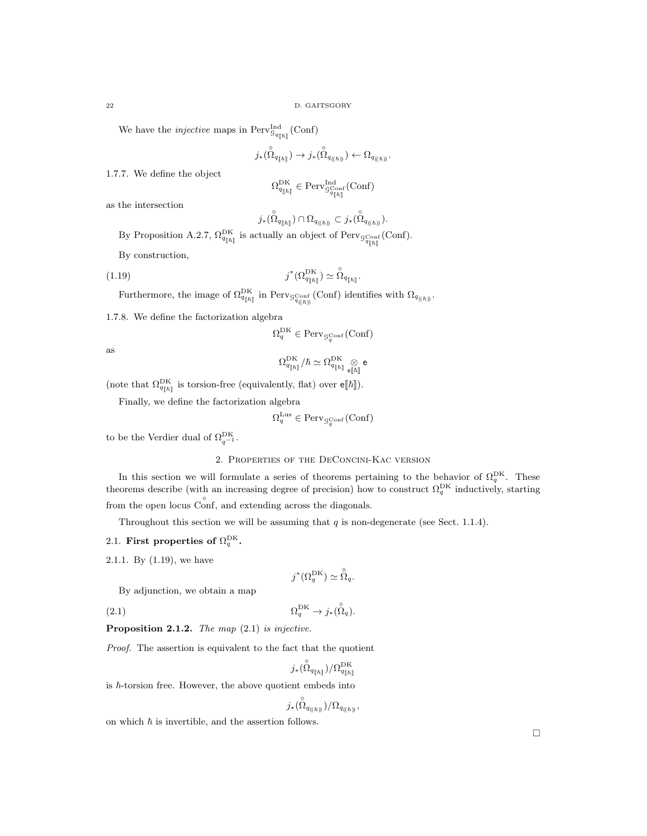We have the *injective* maps in  $Perv^{\text{Ind}}_{\mathcal{G}_{q_{[h]}}}(\text{Conf})$ 

$$
j_*(\overset{\circ}{\Omega}_{q_{[\![\hbar]\!]}})\rightarrow j_*(\overset{\circ}{\Omega}_{q_{((\![\hbar]\!))}})\leftarrow \Omega_{q_{((\![\hbar]\!))}}.
$$

1.7.7. We define the object

$$
\Omega_{\mathbf{\mathsf{q}}_{[\![\hbar]\!]}}^{\mathrm{DK}}\in \mathrm{Perv}^{\mathrm{Ind}}_{\mathbf{\mathsf{S}}_{\mathbf{\mathsf{q}}_{[\![\hbar]\!]}}}\mathrm{(Conf)}
$$

as the intersection

$$
j_*(\overset{\circ}{\Omega}_{q_{[\![\hbar]\!]}})\cap \Omega_{q_{((\![\hbar]\!])}}\subset j_*(\overset{\circ}{\Omega}_{q_{((\![\hbar]\!])}}).
$$

By Proposition A.2.7,  $\Omega_{q_{[\![\hbar]\!]}}^{\text{DK}}$  is actually an object of Perv<sub>gConf</sub> (Conf).

By construction,

(1.19) 
$$
j^*(\Omega_{q_{\llbracket \hbar \rrbracket}}^{\text{DK}}) \simeq \overset{\circ}{\Omega}_{q_{\llbracket \hbar \rrbracket}}.
$$

Furthermore, the image of  $\Omega_{q_{[\![\hbar]\!]}}^{\rm DK}$  in Perv $_{q_{\langle(n)\rangle}}$  (Conf) identifies with  $\Omega_{q_{(\![\hbar]\!)}}$ .

1.7.8. We define the factorization algebra

$$
\Omega^{\mathrm{DK}}_q \in \mathrm{Perv}_{\mathcal{G}_q^{\mathrm{Conf}}}(\mathrm{Conf})
$$

as

$$
\Omega_{q_{[\![\hbar]\!]}}^{\mathrm{DK}}/\hbar\simeq\Omega_{q_{[\![\hbar]\!]}}^{\mathrm{DK}}\underset{\mathrm{e}[[\hbar]]}{\otimes}\mathrm{e}
$$

(note that  $\Omega_{q_{\parallel\hbar\parallel}}^{\text{DK}}$  is torsion-free (equivalently, flat) over  $\mathbf{e}[\![\hbar]\!]$ ).

Finally, we define the factorization algebra

$$
\Omega^{\mathrm{Lus}}_q \in \mathrm{Perv}_{\mathcal{G}_q^{\mathrm{Conf}}}(\mathrm{Conf})
$$

to be the Verdier dual of  $\Omega_{q^{-1}}^{\rm DK}$ .

### 2. Properties of the DeConcini-Kac version

In this section we will formulate a series of theorems pertaining to the behavior of  $\Omega_q^{\text{DK}}$ . These theorems describe (with an increasing degree of precision) how to construct  $\Omega_q^{\text{DK}}$  inductively, starting from the open locus Conf, and extending across the diagonals.

Throughout this section we will be assuming that  $q$  is non-degenerate (see Sect. 1.1.4).

- 2.1. First properties of  $\Omega_q^{\text{DK}}$ .
- 2.1.1. By (1.19), we have

$$
j^*(\Omega_q^{\mathrm{DK}}) \simeq \overset{\circ}{\Omega}_q.
$$

By adjunction, we obtain a map

(2.1)  $\Omega_q^{\text{DK}} \to j_*(\hat{\Omega}_q)$ .

**Proposition 2.1.2.** The map  $(2.1)$  is injective.

Proof. The assertion is equivalent to the fact that the quotient

$$
j_*(\overset{\circ}{\Omega}_{q_{[\![\hbar]\!]}})/\Omega^{\rm DK}_{q_{[\![\hbar]\!]}}
$$

is  $\hbar$ -torsion free. However, the above quotient embeds into

$$
j_*(\overset{\circ}{\Omega}_{q_{((\hbar))}})/\Omega_{q_{((\hbar))}},
$$

on which  $\hbar$  is invertible, and the assertion follows.

 $\Box$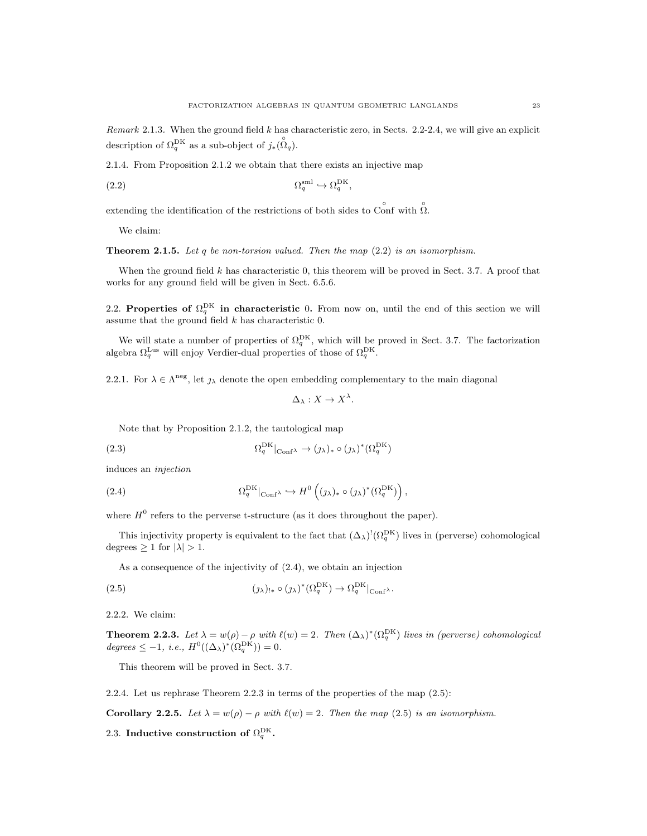Remark 2.1.3. When the ground field k has characteristic zero, in Sects. 2.2-2.4, we will give an explicit description of  $\Omega_q^{\text{DK}}$  as a sub-object of  $j_*(\overset{\circ}{\Omega}_q)$ .

2.1.4. From Proposition 2.1.2 we obtain that there exists an injective map

$$
(2.2) \t\t \t\t \Omega_q^{\text{sml}} \hookrightarrow \Omega_q^{\text{DK}},
$$

extending the identification of the restrictions of both sides to Conf with  $\hat{\Omega}$ .

We claim:

**Theorem 2.1.5.** Let q be non-torsion valued. Then the map  $(2.2)$  is an isomorphism.

When the ground field  $k$  has characteristic 0, this theorem will be proved in Sect. 3.7. A proof that works for any ground field will be given in Sect. 6.5.6.

2.2. Properties of  $\Omega_q^{\text{DK}}$  in characteristic 0. From now on, until the end of this section we will assume that the ground field  $k$  has characteristic 0.

We will state a number of properties of  $\Omega_q^{\text{DK}}$ , which will be proved in Sect. 3.7. The factorization algebra  $\Omega_q^{\text{Lus}}$  will enjoy Verdier-dual properties of those of  $\Omega_q^{\text{DK}}$ .

2.2.1. For  $\lambda \in \Lambda^{\text{neg}}$ , let  $\jmath_{\lambda}$  denote the open embedding complementary to the main diagonal

$$
\Delta_{\lambda}: X \to X^{\lambda}.
$$

Note that by Proposition 2.1.2, the tautological map

(2.3) 
$$
\Omega_q^{\text{DK}}|_{\text{Conf}^{\lambda}} \to (\jmath_{\lambda})_* \circ (\jmath_{\lambda})^* (\Omega_q^{\text{DK}})
$$

induces an injection

(2.4) 
$$
\Omega_q^{\text{DK}}|_{\text{Conf}^{\lambda}} \hookrightarrow H^0\left((\jmath_{\lambda})_* \circ (\jmath_{\lambda})^*(\Omega_q^{\text{DK}})\right),
$$

where  $H^0$  refers to the perverse t-structure (as it does throughout the paper).

This injectivity property is equivalent to the fact that  $(\Delta_\lambda)^!(\Omega_q^{DK})$  lives in (perverse) cohomological degrees  $\geq 1$  for  $|\lambda| > 1$ .

As a consequence of the injectivity of (2.4), we obtain an injection

(2.5) 
$$
(\jmath_{\lambda})_{!*} \circ (\jmath_{\lambda})^* (\Omega_q^{\text{DK}}) \to \Omega_q^{\text{DK}}|_{\text{Conf}^{\lambda}}.
$$

2.2.2. We claim:

**Theorem 2.2.3.** Let  $\lambda = w(\rho) - \rho$  with  $\ell(w) = 2$ . Then  $(\Delta_{\lambda})^*(\Omega_q^{DK})$  lives in (perverse) cohomological  $degrees \leq -1, i.e., H^0((\Delta_{\lambda})^*(\Omega_q^{DK})) = 0.$ 

This theorem will be proved in Sect. 3.7.

2.2.4. Let us rephrase Theorem 2.2.3 in terms of the properties of the map (2.5):

Corollary 2.2.5. Let  $\lambda = w(\rho) - \rho$  with  $\ell(w) = 2$ . Then the map (2.5) is an isomorphism.

2.3. Inductive construction of  $\Omega_q^{\text{DK}}$ .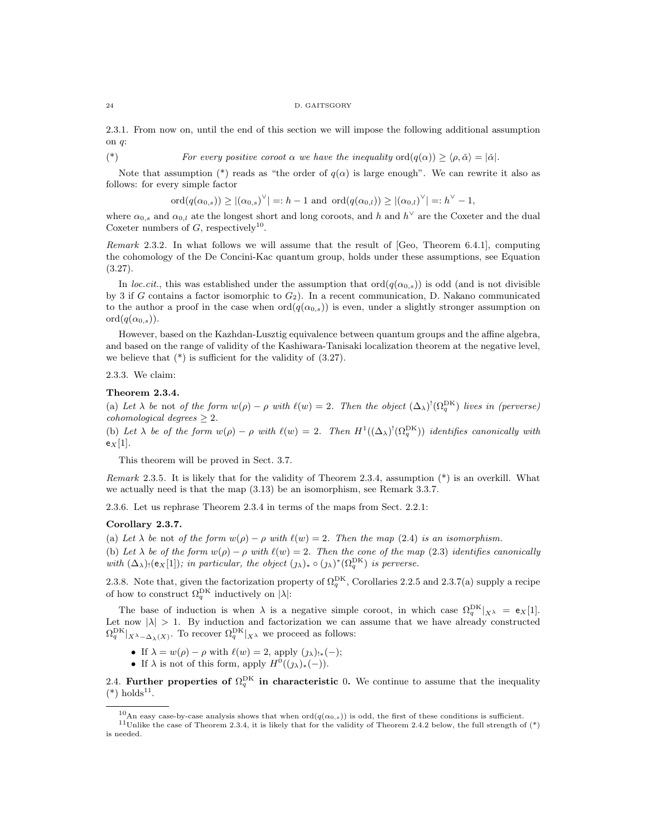#### 24 D. GAITSGORY

2.3.1. From now on, until the end of this section we will impose the following additional assumption on q:

(\*) For every positive coroot  $\alpha$  we have the inequality  $\text{ord}(q(\alpha)) \geq \langle \rho, \check{\alpha} \rangle = |\check{\alpha}|$ .

Note that assumption (\*) reads as "the order of  $q(\alpha)$  is large enough". We can rewrite it also as follows: for every simple factor

 $\mathrm{ord}(q(\alpha_{0,s})) \ge |(\alpha_{0,s})^{\vee}| =: h - 1 \text{ and } \mathrm{ord}(q(\alpha_{0,l})) \ge |(\alpha_{0,l})^{\vee}| =: h^{\vee} - 1,$ 

where  $\alpha_{0,s}$  and  $\alpha_{0,l}$  ate the longest short and long coroots, and h and  $h^{\vee}$  are the Coxeter and the dual Coxeter numbers of  $G$ , respectively<sup>10</sup>.

Remark 2.3.2. In what follows we will assume that the result of [Geo, Theorem 6.4.1], computing the cohomology of the De Concini-Kac quantum group, holds under these assumptions, see Equation  $(3.27).$ 

In loc.cit., this was established under the assumption that  $\text{ord}(q(\alpha_0,s))$  is odd (and is not divisible by 3 if G contains a factor isomorphic to  $G_2$ ). In a recent communication, D. Nakano communicated to the author a proof in the case when  $\text{ord}(q(\alpha_{0,s}))$  is even, under a slightly stronger assumption on  $\operatorname{ord}(q(\alpha_{0,s})).$ 

However, based on the Kazhdan-Lusztig equivalence between quantum groups and the affine algebra, and based on the range of validity of the Kashiwara-Tanisaki localization theorem at the negative level, we believe that  $(*)$  is sufficient for the validity of  $(3.27)$ .

2.3.3. We claim:

#### Theorem 2.3.4.

(a) Let  $\lambda$  be not of the form  $w(\rho) - \rho$  with  $\ell(w) = 2$ . Then the object  $(\Delta_{\lambda})^!(\Omega_q^{DK})$  lives in (perverse) cohomological degrees  $\geq 2$ .

(b) Let  $\lambda$  be of the form  $w(\rho) - \rho$  with  $\ell(w) = 2$ . Then  $H^1((\Delta_{\lambda})^!(\Omega_q^{DK}))$  identifies canonically with  $e_X[1]$ .

This theorem will be proved in Sect. 3.7.

Remark 2.3.5. It is likely that for the validity of Theorem 2.3.4, assumption (\*) is an overkill. What we actually need is that the map (3.13) be an isomorphism, see Remark 3.3.7.

2.3.6. Let us rephrase Theorem 2.3.4 in terms of the maps from Sect. 2.2.1:

### Corollary 2.3.7.

(a) Let  $\lambda$  be not of the form  $w(\rho) - \rho$  with  $\ell(w) = 2$ . Then the map (2.4) is an isomorphism.

(b) Let  $\lambda$  be of the form  $w(\rho) - \rho$  with  $\ell(w) = 2$ . Then the cone of the map (2.3) identifies canonically with  $(\Delta_{\lambda})_!$  (ex[1]); in particular, the object  $(\jmath_{\lambda})_* \circ (\jmath_{\lambda})^* (\Omega_q^{\text{DK}})$  is perverse.

2.3.8. Note that, given the factorization property of  $\Omega_q^{\text{DK}}$ , Corollaries 2.2.5 and 2.3.7(a) supply a recipe of how to construct  $\Omega_q^{\rm DK}$  inductively on  $|\lambda|$ :

The base of induction is when  $\lambda$  is a negative simple coroot, in which case  $\Omega_q^{\text{DK}}|_{X_\lambda} = \mathbf{e}_X[1]$ . Let now  $|\lambda| > 1$ . By induction and factorization we can assume that we have already constructed  $\Omega_q^{\text{DK}}|_{X^{\lambda} - \Delta_{\lambda}(X)}$ . To recover  $\Omega_q^{\text{DK}}|_{X^{\lambda}}$  we proceed as follows:

- If  $\lambda = w(\rho) \rho$  with  $\ell(w) = 2$ , apply  $(\lambda)_{!*}(-)$ ;
- If  $\lambda$  is not of this form, apply  $H^0((\jmath_\lambda)_*(-)).$

2.4. Further properties of  $\Omega_q^{\text{DK}}$  in characteristic 0. We continue to assume that the inequality  $(*)$  holds<sup>11</sup>.

<sup>&</sup>lt;sup>10</sup>An easy case-by-case analysis shows that when  $\text{ord}(q(\alpha_{0,s}))$  is odd, the first of these conditions is sufficient.

<sup>&</sup>lt;sup>11</sup>Unlike the case of Theorem 2.3.4, it is likely that for the validity of Theorem 2.4.2 below, the full strength of  $(*)$ is needed.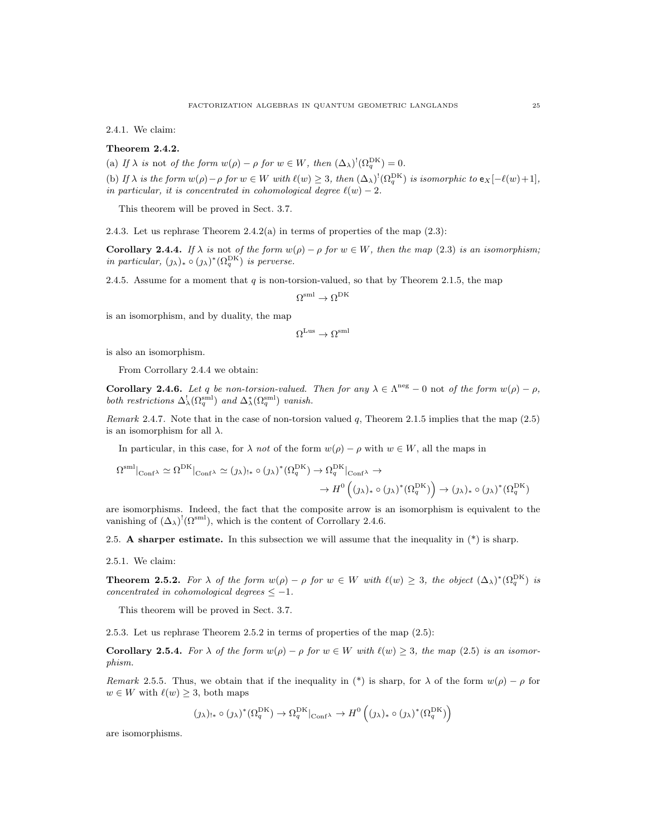2.4.1. We claim:

### Theorem 2.4.2.

(a) If  $\lambda$  is not of the form  $w(\rho) - \rho$  for  $w \in W$ , then  $(\Delta_{\lambda})^!(\Omega_q^{DK}) = 0$ .

(b) If  $\lambda$  is the form  $w(\rho) - \rho$  for  $w \in W$  with  $\ell(w) \geq 3$ , then  $(\Delta_{\lambda})^!(\Omega_q^{DK})$  is isomorphic to  $e_X[-\ell(w)+1]$ , in particular, it is concentrated in cohomological degree  $\ell(w) - 2$ .

This theorem will be proved in Sect. 3.7.

2.4.3. Let us rephrase Theorem 2.4.2(a) in terms of properties of the map (2.3):

**Corollary 2.4.4.** If  $\lambda$  is not of the form  $w(\rho) - \rho$  for  $w \in W$ , then the map (2.3) is an isomorphism; in particular,  $(\jmath_\lambda)_* \circ (\jmath_\lambda)^* (\Omega_q^{\text{DK}})$  is perverse.

2.4.5. Assume for a moment that  $q$  is non-torsion-valued, so that by Theorem 2.1.5, the map

$$
\Omega^{\mathrm{sml}} \to \Omega^{\mathrm{DK}}
$$

is an isomorphism, and by duality, the map

$$
\Omega^{\mathrm{Lus}} \to \Omega^{\mathrm{sml}}
$$

is also an isomorphism.

From Corrollary 2.4.4 we obtain:

**Corollary 2.4.6.** Let q be non-torsion-valued. Then for any  $\lambda \in \Lambda^{neg} - 0$  not of the form  $w(\rho) - \rho$ , both restrictions  $\Delta_{\lambda}^{!}(\Omega_q^{\text{sml}})$  and  $\Delta_{\lambda}^{*}(\Omega_q^{\text{sml}})$  vanish.

Remark 2.4.7. Note that in the case of non-torsion valued  $q$ , Theorem 2.1.5 implies that the map (2.5) is an isomorphism for all  $\lambda$ .

In particular, in this case, for  $\lambda$  not of the form  $w(\rho) - \rho$  with  $w \in W$ , all the maps in

$$
\Omega^{\text{sml}}|_{\text{Conf}\lambda} \simeq \Omega^{\text{DK}}|_{\text{Conf}\lambda} \simeq (j_{\lambda})_{!*} \circ (j_{\lambda})^*(\Omega_q^{\text{DK}}) \to \Omega_q^{\text{DK}}|_{\text{Conf}\lambda} \to \\
 \to H^0((j_{\lambda})_* \circ (j_{\lambda})^*(\Omega_q^{\text{DK}})) \to (j_{\lambda})_* \circ (j_{\lambda})^*(\Omega_q^{\text{DK}})
$$

are isomorphisms. Indeed, the fact that the composite arrow is an isomorphism is equivalent to the vanishing of  $(\Delta_{\lambda})^! (\Omega^{\text{sml}})$ , which is the content of Corrollary 2.4.6.

2.5. A sharper estimate. In this subsection we will assume that the inequality in  $(*)$  is sharp.

2.5.1. We claim:

**Theorem 2.5.2.** For  $\lambda$  of the form  $w(\rho) - \rho$  for  $w \in W$  with  $\ell(w) \geq 3$ , the object  $(\Delta_{\lambda})^*(\Omega_q^{\text{DK}})$  is concentrated in cohomological degrees  $\leq -1$ .

This theorem will be proved in Sect. 3.7.

2.5.3. Let us rephrase Theorem 2.5.2 in terms of properties of the map (2.5):

**Corollary 2.5.4.** For  $\lambda$  of the form  $w(\rho) - \rho$  for  $w \in W$  with  $\ell(w) \geq 3$ , the map (2.5) is an isomorphism.

Remark 2.5.5. Thus, we obtain that if the inequality in (\*) is sharp, for  $\lambda$  of the form  $w(\rho) - \rho$  for  $w \in W$  with  $\ell(w) \geq 3$ , both maps

$$
(\jmath_\lambda)_{!*} \circ (\jmath_\lambda)^*(\Omega_q^{\mathrm{DK}}) \to \Omega_q^{\mathrm{DK}}|_{\mathrm{Conf}^\lambda} \to H^0\left((\jmath_\lambda)_* \circ (\jmath_\lambda)^*(\Omega_q^{\mathrm{DK}})\right)
$$

are isomorphisms.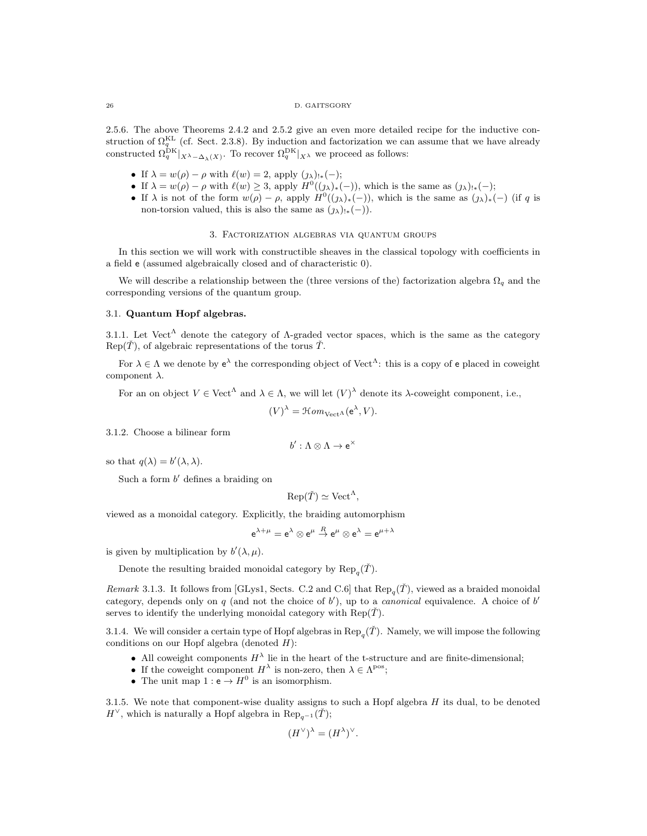#### 26 D. GAITSGORY

2.5.6. The above Theorems 2.4.2 and 2.5.2 give an even more detailed recipe for the inductive construction of  $\Omega_q^{\text{KL}}$  (cf. Sect. 2.3.8). By induction and factorization we can assume that we have already constructed  $\Omega_q^{\text{DK}}|_{X_{-\Delta_\lambda(X)}}$ . To recover  $\Omega_q^{\text{DK}}|_{X_\lambda}$  we proceed as follows:

- If  $\lambda = w(\rho) \rho$  with  $\ell(w) = 2$ , apply  $(\lambda)_{!*}(-)$ ;
- If  $\lambda = w(\rho) \rho$  with  $\ell(w) \geq 3$ , apply  $H^0((\jmath_\lambda)_*(-))$ , which is the same as  $(\jmath_\lambda)_{!*}(-)$ ;
- If  $\lambda$  is not of the form  $w(\rho) \rho$ , apply  $H^0((\jmath_\lambda)_*(-))$ , which is the same as  $(\jmath_\lambda)_*(-)$  (if q is non-torsion valued, this is also the same as  $(\jmath_\lambda)_{!*}(-)$ .

#### 3. Factorization algebras via quantum groups

In this section we will work with constructible sheaves in the classical topology with coefficients in a field e (assumed algebraically closed and of characteristic 0).

We will describe a relationship between the (three versions of the) factorization algebra  $\Omega_q$  and the corresponding versions of the quantum group.

#### 3.1. Quantum Hopf algebras.

3.1.1. Let Vect<sup>A</sup> denote the category of A-graded vector spaces, which is the same as the category  $\text{Rep}(\check{\mathcal{T}})$ , of algebraic representations of the torus  $\check{\mathcal{T}}$ .

For  $\lambda \in \Lambda$  we denote by  $e^{\lambda}$  the corresponding object of Vect<sup> $\Lambda$ </sup>: this is a copy of e placed in coweight component  $\lambda$ .

For an on object  $V \in \text{Vect}^{\Lambda}$  and  $\lambda \in \Lambda$ , we will let  $(V)^{\lambda}$  denote its  $\lambda$ -coweight component, i.e.,

$$
(V)^{\lambda} = \mathcal{H}om_{\text{Vect}^{\Lambda}}(e^{\lambda}, V).
$$

3.1.2. Choose a bilinear form

$$
b':\Lambda\otimes\Lambda\to\mathrm{e}^\times
$$

so that  $q(\lambda) = b'(\lambda, \lambda)$ .

Such a form  $b'$  defines a braiding on

$$
Rep(\check{T}) \simeq Vect^{\Lambda},
$$

viewed as a monoidal category. Explicitly, the braiding automorphism

$$
\mathsf{e}^{\lambda+\mu}=\mathsf{e}^\lambda\otimes\mathsf{e}^\mu\stackrel{R}{\to}\mathsf{e}^\mu\otimes\mathsf{e}^\lambda=\mathsf{e}^{\mu+\lambda}
$$

is given by multiplication by  $b'(\lambda,\mu)$ .

Denote the resulting braided monoidal category by  $\text{Rep}_q(\check{T})$ .

Remark 3.1.3. It follows from [GLys1, Sects. C.2 and C.6] that  $\text{Rep}_q(\check{T})$ , viewed as a braided monoidal category, depends only on q (and not the choice of  $b'$ ), up to a *canonical* equivalence. A choice of  $b'$ serves to identify the underlying monoidal category with  $\text{Rep}(\tilde{T})$ .

3.1.4. We will consider a certain type of Hopf algebras in  $\text{Rep}_q(\check{T})$ . Namely, we will impose the following conditions on our Hopf algebra (denoted  $H$ ):

- All coweight components  $H^{\lambda}$  lie in the heart of the t-structure and are finite-dimensional;
- If the coweight component  $H^{\lambda}$  is non-zero, then  $\lambda \in \Lambda^{pos}$ ;
- The unit map  $1: e \rightarrow H^0$  is an isomorphism.

3.1.5. We note that component-wise duality assigns to such a Hopf algebra  $H$  its dual, to be denoted  $H^{\vee}$ , which is naturally a Hopf algebra in  $\text{Rep}_{q^{-1}}(\check{T});$ 

$$
(H^{\vee})^{\lambda} = (H^{\lambda})^{\vee}.
$$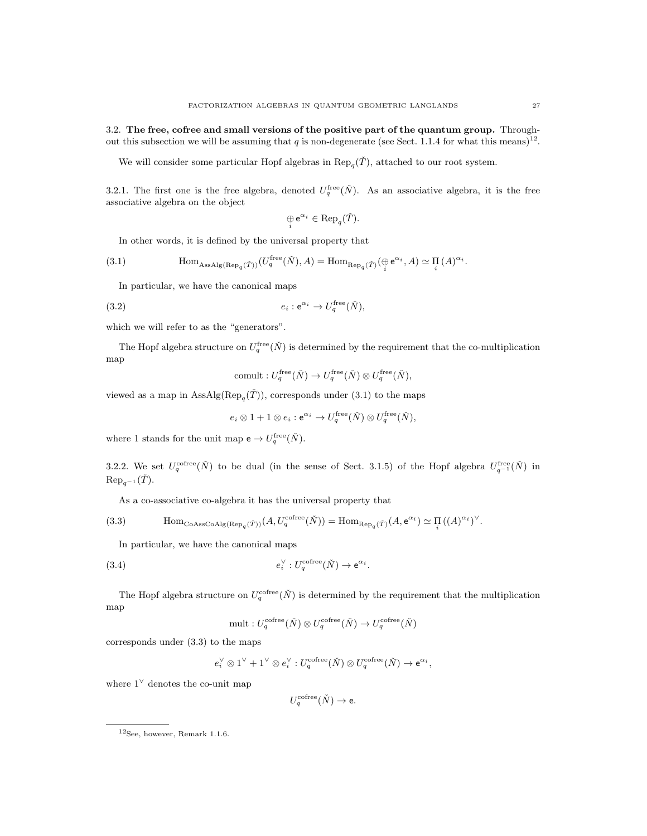3.2. The free, cofree and small versions of the positive part of the quantum group. Throughout this subsection we will be assuming that q is non-degenerate (see Sect. 1.1.4 for what this means)<sup>12</sup>.

We will consider some particular Hopf algebras in  $\text{Rep}_q(\check{T})$ , attached to our root system.

3.2.1. The first one is the free algebra, denoted  $U_q^{\text{free}}(\check{N})$ . As an associative algebra, it is the free associative algebra on the object

$$
\underset{i}{\oplus} e^{\alpha_i} \in {\rm Rep}_q(\check T).
$$

In other words, it is defined by the universal property that

(3.1) 
$$
\text{Hom}_{\text{AssAlg}(\text{Rep}_q(\check{T}))}(U_q^{\text{free}}(\check{N}), A) = \text{Hom}_{\text{Rep}_q(\check{T})}(\bigoplus_i e^{\alpha_i}, A) \simeq \prod_i (A)^{\alpha_i}.
$$

In particular, we have the canonical maps

(3.2) 
$$
e_i: \mathbf{e}^{\alpha_i} \to U_q^{\text{free}}(\check{N}),
$$

which we will refer to as the "generators".

The Hopf algebra structure on  $U_q^{\text{free}}(\check{N})$  is determined by the requirement that the co-multiplication map

commult: 
$$
U_q^{\text{free}}(\check{N}) \to U_q^{\text{free}}(\check{N}) \otimes U_q^{\text{free}}(\check{N}),
$$

viewed as a map in  $\text{AssAlg}(\text{Rep}_q(\check{T}))$ , corresponds under (3.1) to the maps

$$
e_i \otimes 1 + 1 \otimes e_i : e^{\alpha_i} \to U_q^{\text{free}}(\check{N}) \otimes U_q^{\text{free}}(\check{N}),
$$

where 1 stands for the unit map  $e \to U_q^{\text{free}}(\check{N})$ .

3.2.2. We set  $U_q^{\text{cofree}}(\check{N})$  to be dual (in the sense of Sect. 3.1.5) of the Hopf algebra  $U_{q^{-1}}^{\text{free}}(\check{N})$  in  $\text{Rep}_{q-1}(\check{T}).$ 

As a co-associative co-algebra it has the universal property that

(3.3) 
$$
\text{Hom}_{\text{CoAssCoAlg}(\text{Rep}_q(\check{T}))}(A, U_q^{\text{cofree}}(\check{N})) = \text{Hom}_{\text{Rep}_q(\check{T})}(A, e^{\alpha_i}) \simeq \prod_i ((A)^{\alpha_i})^{\vee}.
$$

In particular, we have the canonical maps

(3.4) 
$$
e_i^{\vee}: U_q^{\text{cofree}}(\check{N}) \to \mathrm{e}^{\alpha_i}.
$$

The Hopf algebra structure on  $U_q^{\text{cofree}}(\check{N})$  is determined by the requirement that the multiplication map

mult: 
$$
U_q^{\text{cofree}}(\check{N}) \otimes U_q^{\text{cofree}}(\check{N}) \to U_q^{\text{cofree}}(\check{N})
$$

corresponds under (3.3) to the maps

$$
e_i^{\vee} \otimes 1^{\vee} + 1^{\vee} \otimes e_i^{\vee} : U_q^{\text{cofree}}(\check{N}) \otimes U_q^{\text{cofree}}(\check{N}) \to e^{\alpha_i},
$$

where  $1^{\vee}$  denotes the co-unit map

$$
U_q^{\rm coffee}(\check N)\to {\rm e}.
$$

<sup>12</sup>See, however, Remark 1.1.6.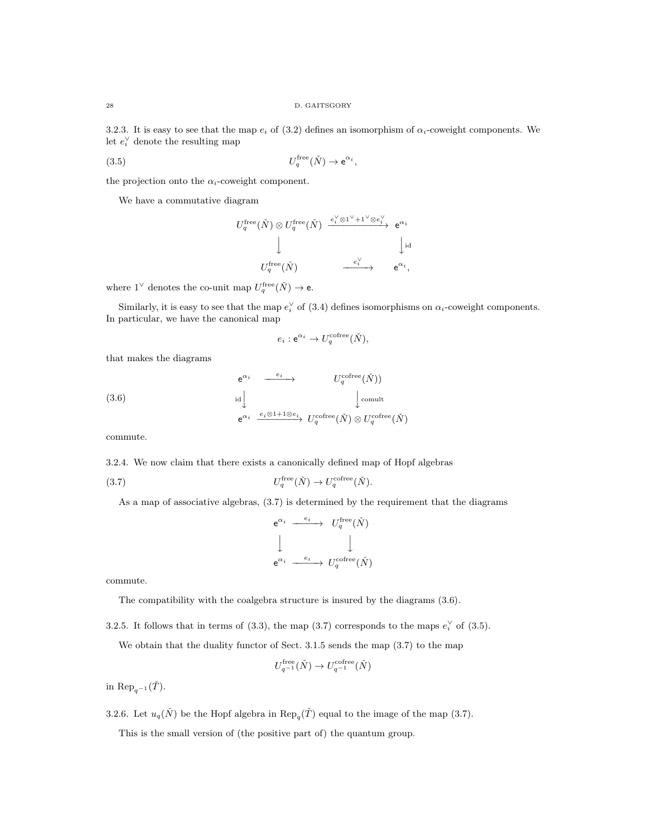3.2.3. It is easy to see that the map  $e_i$  of (3.2) defines an isomorphism of  $\alpha_i$ -coweight components. We let  $e_i^{\vee}$  denote the resulting map

$$
U_q^{\text{free}}(\check{N}) \to e^{\alpha_i},
$$

the projection onto the  $\alpha_i$ -coweight component.

We have a commutative diagram

$$
U_q^{\text{free}}(\check{N}) \otimes U_q^{\text{free}}(\check{N}) \xrightarrow{e_i^{\vee} \otimes 1^{\vee} + 1^{\vee} \otimes e_i^{\vee} \atop \downarrow} e^{\alpha_i}
$$
  

$$
\downarrow \qquad \qquad \downarrow \qquad \qquad \downarrow \text{id}
$$
  

$$
U_q^{\text{free}}(\check{N}) \xrightarrow{e_i^{\vee} \atop \downarrow} e^{\alpha_i},
$$

where  $1^{\vee}$  denotes the co-unit map  $U_q^{\text{free}}(\check{N}) \to e$ .

Similarly, it is easy to see that the map  $e_i^{\vee}$  of (3.4) defines isomorphisms on  $\alpha_i$ -coweight components. In particular, we have the canonical map

$$
e_i: e^{\alpha_i} \to U_q^{\text{cofree}}(\check{N}),
$$

that makes the diagrams

(3.6)  
\n
$$
e^{\alpha_i} \xrightarrow{e_i} U_q^{\text{cofree}}(\check{N}))
$$
  
\n $\text{id} \downarrow \qquad \qquad \downarrow \text{comult}$   
\n $e^{\alpha_i} \xrightarrow{e_i \otimes 1 + 1 \otimes e_i} U_q^{\text{cofree}}(\check{N}) \otimes U_q^{\text{cofree}}(\check{N})$ 

commute.

3.2.4. We now claim that there exists a canonically defined map of Hopf algebras

(3.7) 
$$
U_q^{\text{free}}(\check{N}) \to U_q^{\text{cofree}}(\check{N}).
$$

As a map of associative algebras, (3.7) is determined by the requirement that the diagrams

$$
\begin{array}{ccc}\n{\rm e}^{\alpha_i} & \xrightarrow{\quad e_i} & U_q^{\rm free}(\check{N}) \\
\Big\downarrow & & \Big\downarrow \\
{\rm e}^{\alpha_i} & \xrightarrow{\quad e_i} & U_q^{\rm ofree}(\check{N})\n\end{array}
$$

commute.

The compatibility with the coalgebra structure is insured by the diagrams (3.6).

3.2.5. It follows that in terms of (3.3), the map (3.7) corresponds to the maps  $e_i^{\vee}$  of (3.5).

We obtain that the duality functor of Sect. 3.1.5 sends the map (3.7) to the map

$$
U_{q^{-1}}^{\text{free}}(\check{N}) \to U_{q^{-1}}^{\text{cofree}}(\check{N})
$$

in Rep<sub>q</sub>-1( $\check{T}$ ).

3.2.6. Let  $u_q(N)$  be the Hopf algebra in  $\text{Rep}_q(\check{T})$  equal to the image of the map (3.7).

This is the small version of (the positive part of) the quantum group.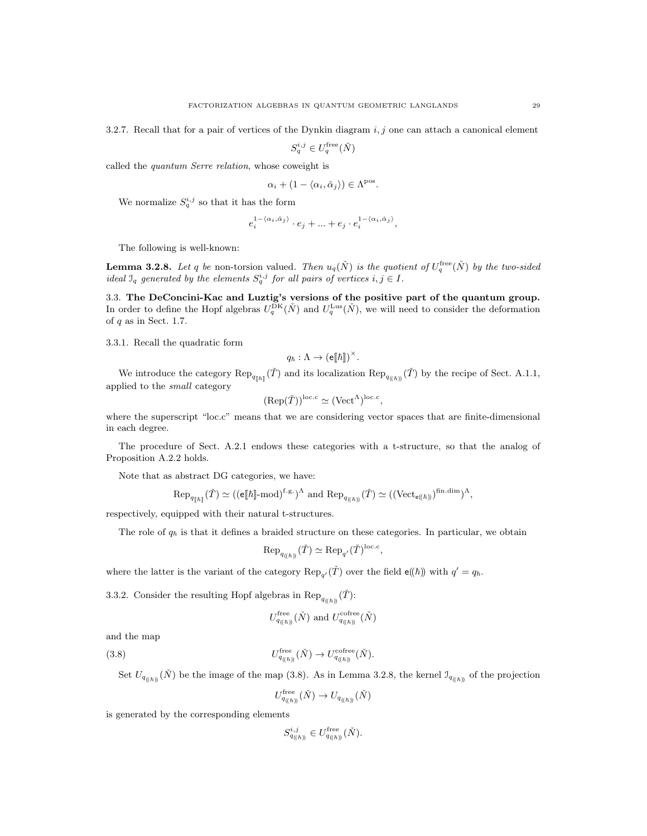3.2.7. Recall that for a pair of vertices of the Dynkin diagram  $i, j$  one can attach a canonical element

 $S_q^{i,j} \in U_q^{\text{free}}(\check{N})$ 

called the quantum Serre relation, whose coweight is

$$
\alpha_i + (1 - \langle \alpha_i, \check{\alpha}_j \rangle) \in \Lambda^{\text{pos}}.
$$

We normalize  $S_q^{i,j}$  so that it has the form

$$
e_i^{1-\langle \alpha_i, \check{\alpha}_j \rangle} \cdot e_j + \ldots + e_j \cdot e_i^{1-\langle \alpha_i, \check{\alpha}_j \rangle},
$$

The following is well-known:

**Lemma 3.2.8.** Let q be non-torsion valued. Then  $u_q(\check{N})$  is the quotient of  $U_q^{\text{free}}(\check{N})$  by the two-sided ideal  $\mathcal{I}_q$  generated by the elements  $S_q^{i,j}$  for all pairs of vertices  $i, j \in I$ .

3.3. The DeConcini-Kac and Luztig's versions of the positive part of the quantum group. In order to define the Hopf algebras  $U_q^{\text{DK}}(\check{N})$  and  $U_q^{\text{Lus}}(\check{N})$ , we will need to consider the deformation of  $q$  as in Sect. 1.7.

3.3.1. Recall the quadratic form

 $q_{\hbar} : \Lambda \to (\mathsf{e} \llbracket \hbar \rrbracket)^{\times}.$ 

We introduce the category  $\text{Rep}_{q_{[\![\hbar]\!]}}(\check{T})$  and its localization  $\text{Rep}_{q_{(\![\hbar)\!]}}(\check{T})$  by the recipe of Sect. A.1.1, applied to the small category

$$
(\text{Rep}(\check{T}))^{\text{loc.c}} \simeq (\text{Vect}^{\Lambda})^{\text{loc.c}},
$$

where the superscript "loc.c" means that we are considering vector spaces that are finite-dimensional in each degree.

The procedure of Sect. A.2.1 endows these categories with a t-structure, so that the analog of Proposition A.2.2 holds.

Note that as abstract DG categories, we have:

$$
\text{Rep}_{q_{\llbracket \hbar \rrbracket}}(\check{T}) \simeq ((\mathsf{e} \llbracket \hbar \rrbracket \text{-mod})^{\text{f.g.}})^\Lambda \text{ and } \text{Rep}_{q_{(\llbracket \hbar \rrbracket)}}(\check{T}) \simeq ((\text{Vect}_{\mathsf{e}(\llbracket \hbar \rrbracket})^{\text{fin.dim}})^\Lambda,
$$

respectively, equipped with their natural t-structures.

The role of  $q_h$  is that it defines a braided structure on these categories. In particular, we obtain

$$
\text{Rep}_{q_{(\langle \hbar \rangle)} } (\check{T}) \simeq \text{Rep}_{q'} (\check{T})^{\text{loc.c}},
$$

where the latter is the variant of the category  $\text{Rep}_{q'}(\tilde{T})$  over the field  $e(\hbar)$  with  $q' = q_{\hbar}$ .

3.3.2. Consider the resulting Hopf algebras in  $\text{Rep}_{q_{(\langle \hbar \rangle)}}(\check{T})$ :

$$
U_{q_{(\hbar))}}^{\text{free}}(\check{N}) \text{ and } U_{q_{(\hbar))}}^{\text{cofree}}(\check{N})
$$

and the map

 $(3.8)$  $U_{q_{(\langle \hbar \rangle\!\rangle}}^{\text{free}}(\check{N}) \to U_{q_{(\langle \hbar \rangle\!\rangle}}^{\text{cofree}}(\check{N}).$ 

Set  $U_{q_{(\ell\hbar)}}(\check{N})$  be the image of the map (3.8). As in Lemma 3.2.8, the kernel  $\mathcal{I}_{q_{(\ell\hbar)}}$  of the projection

$$
U_{q_{(\langle \hbar \rangle)}}^{\text{free}}(\check{N}) \to U_{q_{(\langle \hbar \rangle)}}(\check{N})
$$

is generated by the corresponding elements

$$
S_{q_{((\hbar))}}^{i,j}\in U_{q_{((\hbar))}}^{\text{free}}(\check{N}).
$$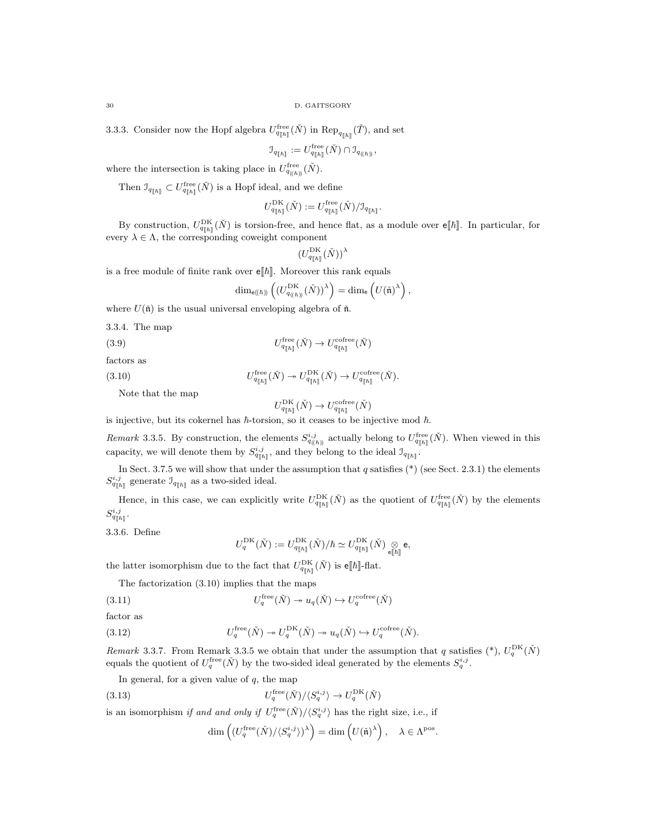30 D. GAITSGORY

3.3.3. Consider now the Hopf algebra  $U_{q_{[\![\hbar]\!]} }^{\text{free}}(\check{N})$  in  $\text{Rep}_{q_{[\![\hbar]\!]} }(\check{T})$ , and set

$$
\mathcal{I}_{q_{[\![\hbar]\!]}}:=U_{q_{[\![\hbar]\!]} }^{\text{free}}(\check{N})\cap \mathcal{I}_{q_{((\hbar))}},
$$

where the intersection is taking place in  $U_{q_{(\hbar)}}^{\text{free}}(\check{N})$ .

Then  $\mathcal{I}_{q_{[\![\hbar]\!]}} \subset U_{q_{[\![\hbar]\!]} }^{\text{free}}(\check{N})$  is a Hopf ideal, and we define

$$
U^{\rm DK}_{q_{[\![\hbar]\!]}}(\check N):=U^{\rm free}_{q_{[\![\hbar]\!]}}(\check N)/\mathfrak I_{q_{[\![\hbar]\!]}}.
$$

By construction,  $U_{q_{[h]}}^{\text{DK}}(\check{N})$  is torsion-free, and hence flat, as a module over  $\epsilon[\![\hbar]\!]$ . In particular, for every  $\lambda \in \Lambda$ , the corresponding coweight component

$$
(U^{\rm DK}_{q_{\llbracket \hbar \rrbracket}}(\check{N}))^\lambda
$$

is a free module of finite rank over  $e[\![\hbar]\!]$ . Moreover this rank equals

$$
\dim_{\mathsf{e}(\!(\hbar)\!)}\left(\left(U^{\mathrm{DK}}_{q_{(\!(\hbar)\!)}\,}(\check{N})\right)^{\lambda}\right)=\dim_{\mathsf{e}}\left(U(\check{\mathfrak{n}})^{\lambda}\right),
$$

where  $U(\tilde{\mathfrak{n}})$  is the usual universal enveloping algebra of  $\tilde{\mathfrak{n}}$ .

3.3.4. The map

(3.9) 
$$
U_{q_{[\hbar]}}^{\text{free}}(\check{N}) \to U_{q_{[\hbar]}}^{\text{cofree}}(\check{N})
$$

factors as  $(3.10)$ 

$$
U^{\operatorname{free}}_{q_{[\![\hbar]\!]} }(\check N)\twoheadrightarrow U^{\operatorname{DK}}_{q_{[\![\hbar]\!]} }(\check N)\to U^{\operatorname{cofree}}_{q_{[\![\hbar]\!]} }(\check N).
$$

Note that the map

$$
U^{\rm DK}_{q_{[\![\hbar]\!]}}(\check N)\to U^{\rm coffee}_{q_{[\![\hbar]\!]}}(\check N)
$$

is injective, but its cokernel has  $\hbar$ -torsion, so it ceases to be injective mod  $\hbar$ .

*Remark* 3.3.5. By construction, the elements  $S_{q_{(\hbar)}}^{i,j}$  actually belong to  $U_{q_{[\hbar]}}^{\text{free}}(\check{N})$ . When viewed in this capacity, we will denote them by  $S_{q_{\llbracket \hbar \rrbracket}}^{i,j}$ , and they belong to the ideal  $\mathfrak{I}_{q_{\llbracket \hbar \rrbracket}}$ .

In Sect. 3.7.5 we will show that under the assumption that  $q$  satisfies (\*) (see Sect. 2.3.1) the elements  $S^{i,j}_{q_{\llbracket \hbar \rrbracket}}$  generate  $\mathbb{J}_{q_{\llbracket \hbar \rrbracket}}$  as a two-sided ideal.

Hence, in this case, we can explicitly write  $U_{q_{[\![\hbar]\!]}}^{\rm DK}(\check{N})$  as the quotient of  $U_{q_{[\![\hbar]\!]}}^{\rm free}(\check{N})$  by the elements  $S^{i,j}_{q_{\llbracket \hbar \rrbracket}}.$ 

3.3.6. Define

$$
U_q^{\mathrm{DK}}(\check{N}):=U_{q_{[\![\check{h}]\!]} }^{\mathrm{DK}}(\check{N})/\hbar \simeq U_{q_{[\![\check{h}]\!]} }^{\mathrm{DK}}(\check{N}) \underset{\mathbf{e}[[\hbar]]}{\otimes} \mathbf{e},
$$

the latter isomorphism due to the fact that  $U_{q_{[\hbar]}}^{\text{DK}}(\check{N})$  is  $\epsilon[\![\hbar]\!]$ -flat.

The factorization (3.10) implies that the maps

(3.11) 
$$
U_q^{\text{free}}(\check{N}) \twoheadrightarrow u_q(\check{N}) \hookrightarrow U_q^{\text{cofree}}(\check{N})
$$

factor as

(3.12) 
$$
U_q^{\text{free}}(\check{N}) \twoheadrightarrow U_q^{\text{DK}}(\check{N}) \twoheadrightarrow u_q(\check{N}) \hookrightarrow U_q^{\text{cofree}}(\check{N}).
$$

Remark 3.3.7. From Remark 3.3.5 we obtain that under the assumption that q satisfies  $(*), U_q^{DK}(\check{N})$ equals the quotient of  $U_q^{\text{free}}(\check{N})$  by the two-sided ideal generated by the elements  $S_q^{i,j}$ .

In general, for a given value of  $q$ , the map

(3.13) 
$$
U_q^{\text{free}}(\check{N})/\langle S_q^{i,j} \rangle \to U_q^{\text{DK}}(\check{N})
$$

is an isomorphism *if and and only if*  $U_q^{\text{free}}(\check{N})/\langle S_q^{i,j} \rangle$  has the right size, i.e., if

$$
\dim\left( (U_q^{\rm free}(\check{N})/\langle S_q^{i,j} \rangle)^{\lambda}\right) = \dim\left( U(\check{\mathfrak{n}})^{\lambda}\right), \quad \lambda \in \Lambda^{\rm pos}.
$$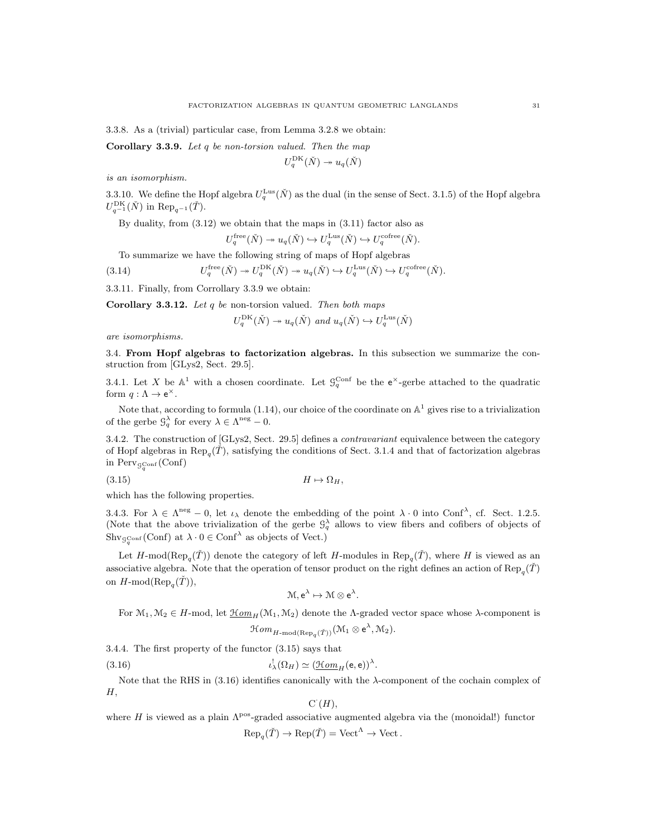3.3.8. As a (trivial) particular case, from Lemma 3.2.8 we obtain:

**Corollary 3.3.9.** Let q be non-torsion valued. Then the map

$$
U_q^{\mathrm{DK}}(\check{N}) \twoheadrightarrow u_q(\check{N})
$$

is an isomorphism.

3.3.10. We define the Hopf algebra  $U_q^{\text{Lus}}(\check{N})$  as the dual (in the sense of Sect. 3.1.5) of the Hopf algebra  $U_{q^{-1}}^{\rm DK}(\check N)$  in  ${\rm Rep}_{q^{-1}}(\check T)$ .

By duality, from  $(3.12)$  we obtain that the maps in  $(3.11)$  factor also as

$$
U_q^{\text{free}}(\check{N}) \twoheadrightarrow u_q(\check{N}) \hookrightarrow U_q^{\text{Lus}}(\check{N}) \hookrightarrow U_q^{\text{cofree}}(\check{N}).
$$

To summarize we have the following string of maps of Hopf algebras

(3.14) 
$$
U_q^{\text{free}}(\check{N}) \twoheadrightarrow U_q^{\text{DK}}(\check{N}) \twoheadrightarrow u_q(\check{N}) \hookrightarrow U_q^{\text{Lus}}(\check{N}) \hookrightarrow U_q^{\text{cofree}}(\check{N}).
$$

3.3.11. Finally, from Corrollary 3.3.9 we obtain:

Corollary 3.3.12. Let  $q$  be non-torsion valued. Then both maps

$$
U_q^{\text{DK}}(\check{N}) \to u_q(\check{N}) \text{ and } u_q(\check{N}) \hookrightarrow U_q^{\text{Lus}}(\check{N})
$$

are isomorphisms.

3.4. From Hopf algebras to factorization algebras. In this subsection we summarize the construction from [GLys2, Sect. 29.5].

3.4.1. Let X be  $\mathbb{A}^1$  with a chosen coordinate. Let  $\mathcal{G}_q^{\text{Conf}}$  be the  $e^{\times}$ -gerbe attached to the quadratic form  $q: \Lambda \to e^{\times}$ .

Note that, according to formula (1.14), our choice of the coordinate on  $\mathbb{A}^1$  gives rise to a trivialization of the gerbe  $\mathcal{G}_q^{\lambda}$  for every  $\lambda \in \Lambda^{\text{neg}} - 0$ .

3.4.2. The construction of [GLys2, Sect. 29.5] defines a contravariant equivalence between the category of Hopf algebras in  $\text{Rep}_q(\check{T})$ , satisfying the conditions of Sect. 3.1.4 and that of factorization algebras in  $\mathrm{Perv}_{\mathcal{G}_q^{\mathrm{Conf}}}(\mathrm{Conf})$ 

$$
(3.15) \t\t\t H \mapsto \Omega_H,
$$

which has the following properties.

3.4.3. For  $\lambda \in \Lambda^{neg} - 0$ , let  $\iota_{\lambda}$  denote the embedding of the point  $\lambda \cdot 0$  into Conf<sup> $\lambda$ </sup>, cf. Sect. 1.2.5. (Note that the above trivialization of the gerbe  $\mathcal{G}_q^{\lambda}$  allows to view fibers and cofibers of objects of  $\text{Shv}_{\mathcal{G}_q^{\text{Conf}}}(\text{Conf})$  at  $\lambda \cdot 0 \in \text{Conf}^{\lambda}$  as objects of Vect.)

Let H-mod( $\text{Rep}_{q}(\check{T})$ ) denote the category of left H-modules in  $\text{Rep}_{q}(\check{T})$ , where H is viewed as an associative algebra. Note that the operation of tensor product on the right defines an action of  $\text{Rep}_q(\check{T})$ on  $H\text{-mod}(\text{Rep}_q(\check{T})),$ 

$$
\mathcal{M}, e^{\lambda} \mapsto \mathcal{M} \otimes e^{\lambda}.
$$

For  $\mathcal{M}_1, \mathcal{M}_2 \in H$ -mod, let  $\underline{\mathcal{H}om}_H(\mathcal{M}_1, \mathcal{M}_2)$  denote the *Λ*-graded vector space whose *λ*-component is

$$
\mathcal{H}om_{H\text{-}\mathrm{mod}(\mathrm{Rep}_q(\check{T}))}(\mathcal{M}_1 \otimes e^{\lambda}, \mathcal{M}_2).
$$

3.4.4. The first property of the functor (3.15) says that

(3.16) 
$$
\iota^!_{\lambda}(\Omega_H) \simeq (\underline{\mathcal{H}om}_H(\mathbf{e},\mathbf{e}))^{\lambda}.
$$

Note that the RHS in (3.16) identifies canonically with the λ-component of the cochain complex of  $H,$ 

$$
\mathrm{C}^{\cdot}(H),
$$

where H is viewed as a plain  $\Lambda^{pos}$ -graded associative augmented algebra via the (monoidal!) functor  $\text{Rep}_{q}(\check{T}) \to \text{Rep}(\check{T}) = \text{Vect}^{\Lambda} \to \text{Vect}.$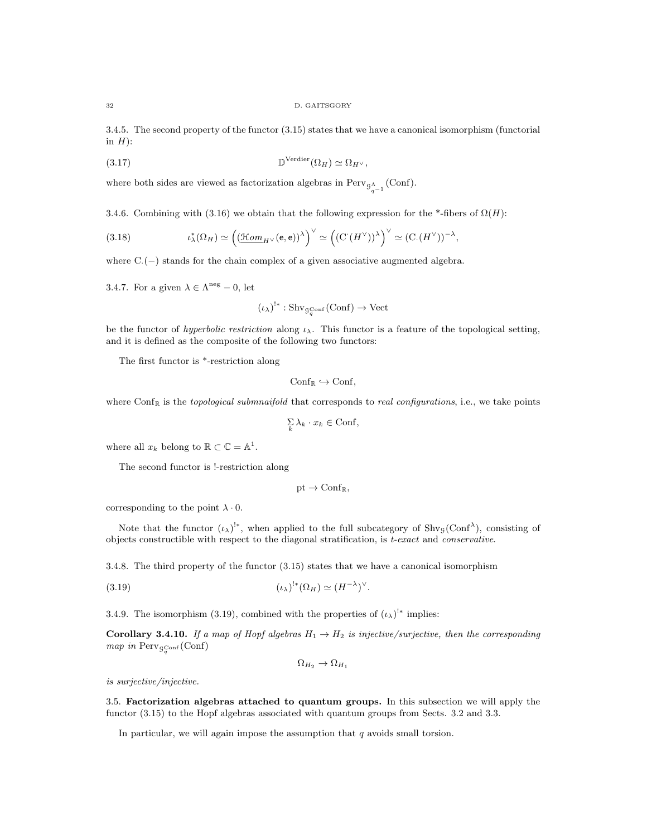32 D. GAITSGORY

3.4.5. The second property of the functor (3.15) states that we have a canonical isomorphism (functorial in  $H$ ):

(3.17) 
$$
\mathbb{D}^{\mathrm{Verdier}}(\Omega_H) \simeq \Omega_{H^{\vee}},
$$

where both sides are viewed as factorization algebras in  $Perv_{\mathcal{G}_{q-1}^{\Lambda}}(\text{Conf})$ .

3.4.6. Combining with (3.16) we obtain that the following expression for the \*-fibers of  $\Omega(H)$ :

(3.18) 
$$
\iota_{\lambda}^{*}(\Omega_{H}) \simeq \left( \left( \underline{\mathfrak{Hom}}_{H^{\vee}}(\mathbf{e}, \mathbf{e}) \right)^{\lambda} \right)^{\vee} \simeq \left( \left( \mathrm{C}^{*}(H^{\vee}) \right)^{\lambda} \right)^{\vee} \simeq \left( \mathrm{C} \cdot (H^{\vee}) \right)^{-\lambda},
$$

where C·(−) stands for the chain complex of a given associative augmented algebra.

3.4.7. For a given  $\lambda \in \Lambda^{\text{neg}} - 0$ , let

$$
(\iota_{\lambda})^{!*}: \mathrm{Shv}_{\mathcal{G}_q^{\mathrm{Conf}}}(\mathrm{Conf}) \to \mathrm{Vect}
$$

be the functor of hyperbolic restriction along  $\iota_{\lambda}$ . This functor is a feature of the topological setting, and it is defined as the composite of the following two functors:

The first functor is \*-restriction along

$$
\mathrm{Conf}_{\mathbb{R}} \hookrightarrow \mathrm{Conf},
$$

where  $Conf_R$  is the topological submnaifold that corresponds to real configurations, i.e., we take points

$$
\sum_{k}\lambda_{k}\cdot x_{k}\in\mathbf{Conf},
$$

where all  $x_k$  belong to  $\mathbb{R} \subset \mathbb{C} = \mathbb{A}^1$ .

The second functor is !-restriction along

$$
\mathrm{pt}\to\mathrm{Conf}_\mathbb{R},
$$

corresponding to the point  $\lambda \cdot 0$ .

Note that the functor  $(\iota_\lambda)^{!*}$ , when applied to the full subcategory of Shv<sub>9</sub>(Conf<sup> $\lambda$ </sup>), consisting of objects constructible with respect to the diagonal stratification, is  $t$ -exact and conservative.

3.4.8. The third property of the functor (3.15) states that we have a canonical isomorphism

$$
(3.19) \t\t\t (L_{\lambda})^{!*}(\Omega_H) \simeq (H^{-\lambda})^{\vee}.
$$

3.4.9. The isomorphism (3.19), combined with the properties of  $(\iota_{\lambda})^{!*}$  implies:

Corollary 3.4.10. If a map of Hopf algebras  $H_1 \rightarrow H_2$  is injective/surjective, then the corresponding map in  $\text{Perv}_{\mathcal{G}_q^{\text{Conf}}}(\text{Conf})$ 

$$
\Omega_{H_2} \to \Omega_{H_1}
$$

is surjective/injective.

3.5. Factorization algebras attached to quantum groups. In this subsection we will apply the functor (3.15) to the Hopf algebras associated with quantum groups from Sects. 3.2 and 3.3.

In particular, we will again impose the assumption that  $q$  avoids small torsion.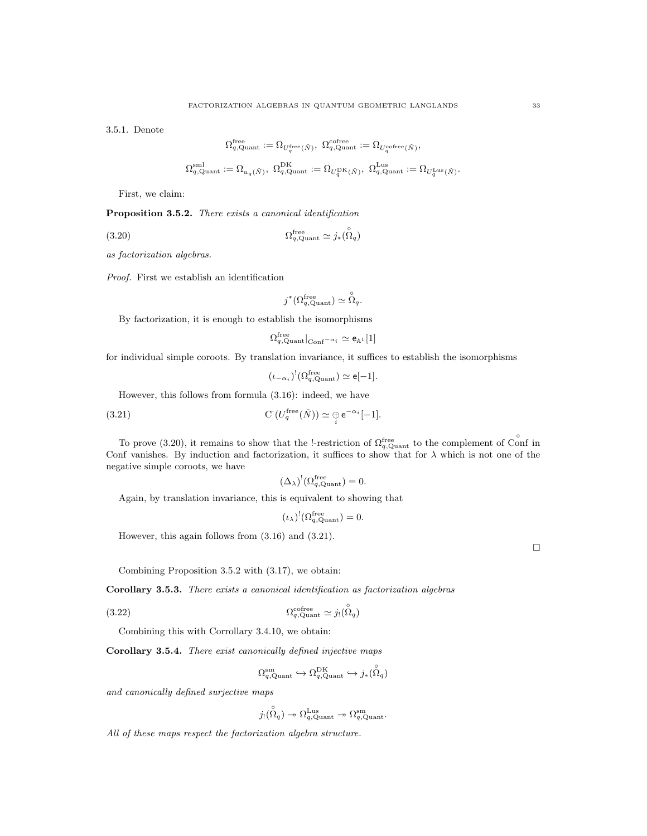3.5.1. Denote

$$
\begin{aligned} \Omega_{q,\mathrm{Quant}}^{\mathrm{free}}&:=\Omega_{U_q^{\mathrm{free}}(\check{N})},\ \Omega_{q,\mathrm{Quant}}^{\mathrm{cofree}}:=\Omega_{U_q^{\mathrm{cofree}}(\check{N})},\\ \Omega_{q,\mathrm{Quant}}^{\mathrm{sml}}&:=\Omega_{u_q(\check{N})},\ \Omega_{q,\mathrm{Quant}}^{\mathrm{DK}}&:=\Omega_{U_q^{\mathrm{DK}}(\check{N})},\ \Omega_{q,\mathrm{Quant}}^{\mathrm{Lus}}:=\Omega_{U_q^{\mathrm{Lus}}(\check{N})} \end{aligned}
$$

First, we claim:

Proposition 3.5.2. There exists a canonical identification

(3.20) 
$$
\Omega_{q,\text{Quant}}^{\text{free}} \simeq j_*(\stackrel{\circ}{\Omega}_q)
$$

as factorization algebras.

Proof. First we establish an identification

$$
j^*(\Omega_{q,\mathrm{Quant}}^{\mathrm{free}}) \simeq \overset{\circ}{\Omega}_q.
$$

By factorization, it is enough to establish the isomorphisms

$$
\Omega^{\rm free}_{q, {\rm Quant}}|_{\rm Conf^{-\alpha}i} \simeq {\rm e}_{\mathbb{A}^1}[1]
$$

for individual simple coroots. By translation invariance, it suffices to establish the isomorphisms

$$
(\iota_{-\alpha_i})^!(\Omega_{q,\mathrm{Quant}}^{\mathrm{free}}) \simeq \mathsf{e}[-1].
$$

However, this follows from formula (3.16): indeed, we have

(3.21) 
$$
\mathcal{C}\left(U_q^{\text{free}}(\check{N})\right) \simeq \underset{i}{\oplus} e^{-\alpha_i}[-1].
$$

To prove (3.20), it remains to show that the !-restriction of  $\Omega_{q, \text{Quant}}^{\text{free}}$  to the complement of Conf in Conf vanishes. By induction and factorization, it suffices to show that for  $\lambda$  which is not one of the negative simple coroots, we have

$$
(\Delta_{\lambda})^!(\Omega_{q,\mathrm{Quant}}^{\mathrm{free}})=0.
$$

Again, by translation invariance, this is equivalent to showing that

$$
(\iota_{\lambda})^!(\Omega_{q,\mathrm{Quant}}^{\mathrm{free}})=0.
$$

However, this again follows from (3.16) and (3.21).

Combining Proposition 3.5.2 with (3.17), we obtain:

Corollary 3.5.3. There exists a canonical identification as factorization algebras

$$
(3.22)\t\t\t\t\t\Omega_{q,\text{Quant}}^{\text{cofree}} \simeq j_! (\stackrel{\circ}{\Omega}_q)
$$

Combining this with Corrollary 3.4.10, we obtain:

Corollary 3.5.4. There exist canonically defined injective maps

$$
\Omega_{q,\mathrm{Quant}}^{\mathrm{sm}} \hookrightarrow \Omega_{q,\mathrm{Quant}}^{\mathrm{DK}} \hookrightarrow j_*(\overset{\circ}{\Omega}_q)
$$

and canonically defined surjective maps

$$
j_! \overset{\circ}{(\Omega_q)} \twoheadrightarrow \Omega_{q,\mathrm{Quant}}^{\mathrm{Lus}} \twoheadrightarrow \Omega_{q,\mathrm{Quant}}^{\mathrm{sm}}.
$$

All of these maps respect the factorization algebra structure.

.

 $\Box$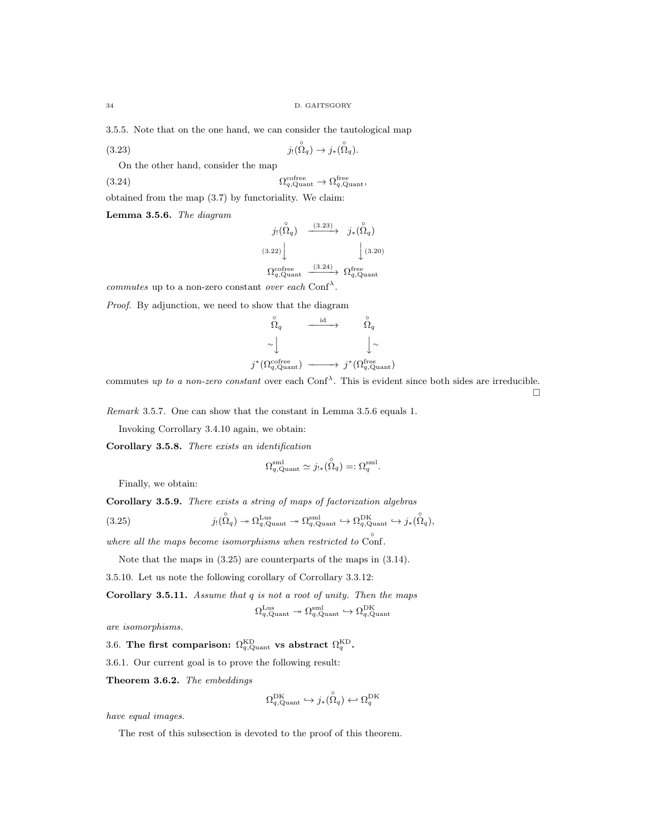3.5.5. Note that on the one hand, we can consider the tautological map

(3.23) 
$$
j_! (\stackrel{\circ}{\Omega}_q) \to j_* (\stackrel{\circ}{\Omega}_q).
$$

On the other hand, consider the map

(3.24) 
$$
\Omega_{q,\text{Quant}}^{\text{cofree}} \to \Omega_{q,\text{Quant}}^{\text{free}},
$$

obtained from the map (3.7) by functoriality. We claim:

Lemma 3.5.6. The diagram

$$
j_! (\stackrel{\circ}{\Omega}_q) \xrightarrow{\qquad (3.23)} j_*(\stackrel{\circ}{\Omega}_q) \n(3.22) \qquad \qquad \downarrow (3.20) \n\Omega_q^{\text{cofree}} \xrightarrow{\qquad (3.24)} \Omega_q^{\text{free}} \Omega_{q,\text{Quant}}^{\text{even}}
$$

*commutes* up to a non-zero constant over each Conf<sup> $\lambda$ </sup>.

Proof. By adjunction, we need to show that the diagram

$$
\begin{array}{ccc}\n\stackrel{\circ}{\Omega}_{q} & \xrightarrow{\mathrm{id}} & \stackrel{\circ}{\Omega}_{q} \\
\sim \downarrow & & \downarrow \sim \\
j^{*}(\Omega_{q,\mathrm{Quant}}^{cofree}) & \xrightarrow{\hspace*{1.5cm}} j^{*}(\Omega_{q,\mathrm{Quant}}^{free})\n\end{array}
$$

commutes up to a non-zero constant over each Conf<sup> $\lambda$ </sup>. This is evident since both sides are irreducible.  $\Box$ 

Remark 3.5.7. One can show that the constant in Lemma 3.5.6 equals 1.

Invoking Corrollary 3.4.10 again, we obtain:

Corollary 3.5.8. There exists an identification

$$
\Omega_{q,\mathrm{Quant}}^{\mathrm{sml}} \simeq j_{!*}(\overset{\circ}{\Omega}_q) =: \Omega_q^{\mathrm{sml}}.
$$

Finally, we obtain:

Corollary 3.5.9. There exists a string of maps of factorization algebras

(3.25) 
$$
j_! (\stackrel{\circ}{\Omega}_q) \twoheadrightarrow \Omega_{q, \text{Quant}}^{\text{Lus}} \twoheadrightarrow \Omega_{q, \text{Quant}}^{\text{snl}} \hookrightarrow \Omega_{q, \text{Quant}}^{\text{DK}} \hookrightarrow j_*(\stackrel{\circ}{\Omega}_q),
$$

where all the maps become isomorphisms when restricted to  $\r{Cont.}$ 

Note that the maps in (3.25) are counterparts of the maps in (3.14).

3.5.10. Let us note the following corollary of Corrollary 3.3.12:

Corollary 3.5.11. Assume that  $q$  is not a root of unity. Then the maps

$$
\Omega_{q,\mathrm{Quant}}^{\mathrm{Lus}} \twoheadrightarrow \Omega_{q,\mathrm{Quant}}^{\mathrm{sml}} \hookrightarrow \Omega_{q,\mathrm{Quant}}^{\mathrm{DK}}
$$

are isomorphisms.

3.6. The first comparison:  $\Omega_{q,\text{Quant}}^{\text{KD}}$  vs abstract  $\Omega_{q}^{\text{KD}}$ .

3.6.1. Our current goal is to prove the following result:

Theorem 3.6.2. The embeddings

$$
\Omega_{q,\mathrm{Quant}}^{\mathrm{DK}} \hookrightarrow j_*(\overset{\circ}{\Omega}_{q}) \hookleftarrow \Omega_{q}^{\mathrm{DK}}
$$

have equal images.

The rest of this subsection is devoted to the proof of this theorem.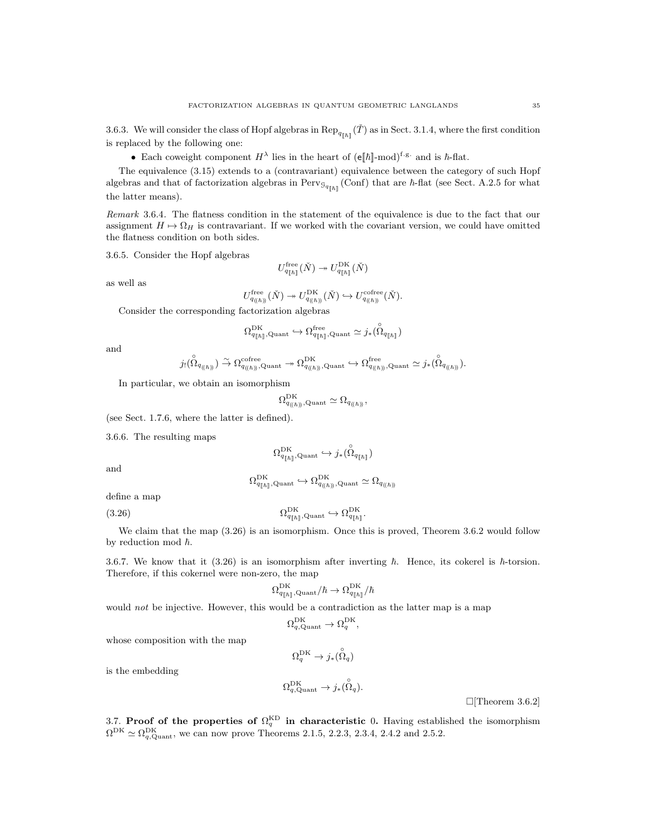3.6.3. We will consider the class of Hopf algebras in  $\text{Rep}_{q_{[h]}}(\check{T})$  as in Sect. 3.1.4, where the first condition is replaced by the following one:

• Each coweight component  $H^{\lambda}$  lies in the heart of  $(e||\hbar]$ -mod)<sup>f.g.</sup> and is  $\hbar$ -flat.

The equivalence (3.15) extends to a (contravariant) equivalence between the category of such Hopf algebras and that of factorization algebras in  $Perv_{\mathcal{G}_{q_{[h]}}}(\text{Conf})$  that are  $\hbar$ -flat (see Sect. A.2.5 for what the latter means).

Remark 3.6.4. The flatness condition in the statement of the equivalence is due to the fact that our assignment  $H \mapsto \Omega_H$  is contravariant. If we worked with the covariant version, we could have omitted the flatness condition on both sides.

3.6.5. Consider the Hopf algebras

$$
U_{q_{[\![\hbar]\!]}}^{\text{free}}(\check{N})\twoheadrightarrow U_{q_{[\![\hbar]\!]}}^{\text{DK}}(\check{N})
$$

as well as

$$
U_{q_{(\hbar))}}^{\text{free}}(\check{N}) \twoheadrightarrow U_{q_{(\hbar))}}^{\text{DK}}(\check{N}) \hookrightarrow U_{q_{(\hbar))}}^{\text{cofree}}(\check{N}).
$$

Consider the corresponding factorization algebras

$$
\Omega^{\mathrm{DK}}_{q_{[\![\hbar]\!]},\mathrm{Quant}}\hookrightarrow \Omega^{\mathrm{free}}_{q_{[\![\hbar]\!]},\mathrm{Quant}}\simeq j_*(\overset{\circ}{\Omega}_{q_{[\![\hbar]\!]}})
$$

and

$$
j_! ( \overset{\circ}{\Omega}_{q_{((\hbar))}}) \overset{\sim}{\to} \Omega^{\mathrm{cofree}}_{q_{((\hbar))}, \mathrm{Quant}} \twoheadrightarrow \Omega^{\mathrm{DK}}_{q_{((\hbar))}, \mathrm{Quant}} \hookrightarrow \Omega^{\mathrm{free}}_{q_{((\hbar))}, \mathrm{Quant}} \simeq j_*( \overset{\circ}{\Omega}_{q_{((\hbar))}}).
$$

In particular, we obtain an isomorphism

$$
\Omega^{\mathrm{DK}}_{q_{(\langle \hbar \rangle)}, \mathrm{Quant}} \simeq \Omega_{q_{(\langle \hbar \rangle)}},
$$

(see Sect. 1.7.6, where the latter is defined).

3.6.6. The resulting maps

$$
\Omega^{\mathrm{DK}}_{q_{[\![\hbar]\!]},\mathrm{Quant}}\hookrightarrow j_*(\overset{\circ}{\Omega}_{q_{[\![\hbar]\!]}})
$$

and

$$
\Omega_{q_{[\![\hbar]\!]},\mathrm{Quant}}^{\mathrm{DK}} \hookrightarrow \Omega_{q_{(\!(\hbar)\!)},\mathrm{Quant}}^{\mathrm{DK}} \simeq \Omega_{q_{(\!(\hbar)\!)}}
$$

define a map

(3.26) 
$$
\Omega_{q_{[\hbar]}],\text{Quant}}^{\text{DK}} \hookrightarrow \Omega_{q_{[\hbar]}}^{\text{DK}},
$$

We claim that the map  $(3.26)$  is an isomorphism. Once this is proved, Theorem 3.6.2 would follow by reduction mod  $\hbar$ .

3.6.7. We know that it (3.26) is an isomorphism after inverting  $\hbar$ . Hence, its cokerel is  $\hbar$ -torsion. Therefore, if this cokernel were non-zero, the map

$$
2_{q_{[\![\hbar]\!]},\mathrm{Quant}}^{\mathrm{DK}}/\hbar\rightarrow \Omega_{q_{[\![\hbar]\!]} }^{\mathrm{DK}}/\hbar
$$

would not be injective. However, this would be a contradiction as the latter map is a map

Ω

$$
\Omega_{q,\mathrm{Quant}}^{\mathrm{DK}} \to \Omega_{q}^{\mathrm{DK}},
$$

whose composition with the map

$$
\Omega^{\rm DK}_q \to j_*(\overset{\circ}{\Omega}_q)
$$

is the embedding

$$
\Omega_{q,\mathrm{Quant}}^{\mathrm{DK}} \to j_*(\overset{\circ}{\Omega}_q).
$$

 $\Box$ [Theorem 3.6.2]

3.7. Proof of the properties of  $\Omega_q^{\text{KD}}$  in characteristic 0. Having established the isomorphism  $\Omega^{DK} \simeq \Omega_{q, \text{Quant}}^{\text{DK}}$ , we can now prove Theorems 2.1.5, 2.2.3, 2.3.4, 2.4.2 and 2.5.2.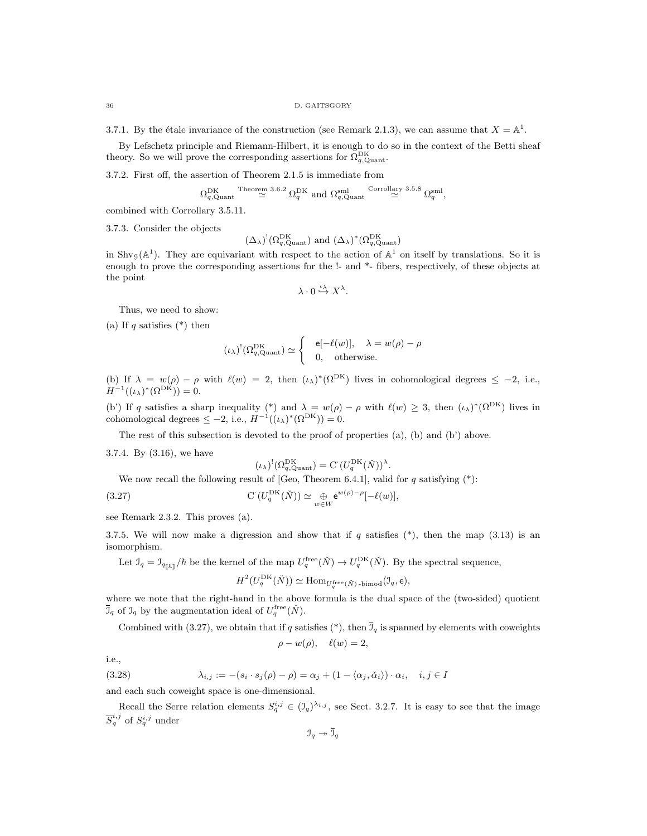3.7.1. By the étale invariance of the construction (see Remark 2.1.3), we can assume that  $X = \mathbb{A}^1$ .

By Lefschetz principle and Riemann-Hilbert, it is enough to do so in the context of the Betti sheaf theory. So we will prove the corresponding assertions for  $\Omega_{q,\text{Quant}}^{\text{DK}}$ .

3.7.2. First off, the assertion of Theorem 2.1.5 is immediate from

$$
\Omega_{q,\mathrm{Quant}}^{\mathrm{DK}} \overset{\text{Theorem 3.6.2}}{\simeq} \Omega_q^{\mathrm{DK}} \text{ and } \Omega_{q,\mathrm{Quant}}^{\mathrm{small}} \overset{\text{Corrollary 3.5.8}}{\simeq} \Omega_q^{\mathrm{sml}},
$$

combined with Corrollary 3.5.11.

3.7.3. Consider the objects

$$
(\Delta_{\lambda})^! (\Omega_{q, \text{Quant}}^{\text{DK}})
$$
 and  $(\Delta_{\lambda})^* (\Omega_{q, \text{Quant}}^{\text{DK}})$ 

in Shv<sub>G</sub>( $\mathbb{A}^1$ ). They are equivariant with respect to the action of  $\mathbb{A}^1$  on itself by translations. So it is enough to prove the corresponding assertions for the !- and \*- fibers, respectively, of these objects at the point

$$
\lambda\cdot 0\stackrel{\iota_\lambda}{\hookrightarrow} X^\lambda.
$$

Thus, we need to show:

(a) If q satisfies  $(*)$  then

$$
(\iota_{\lambda})^!(\Omega_{q,\mathrm{Quant}}^{\mathrm{DK}}) \simeq \begin{cases} & \mathsf{e}[-\ell(w)], \quad \lambda = w(\rho) - \rho \\ & 0, \quad \text{otherwise.} \end{cases}
$$

(b) If  $\lambda = w(\rho) - \rho$  with  $\ell(w) = 2$ , then  $(\iota_{\lambda})^*(\Omega^{\text{DK}})$  lives in cohomological degrees  $\leq -2$ , i.e.,  $H^{-1}((\iota_{\lambda})^*(\Omega^{\text{DK}})) = 0.$ 

(b') If q satisfies a sharp inequality (\*) and  $\lambda = w(\rho) - \rho$  with  $\ell(w) \geq 3$ , then  $(\iota_{\lambda})^*(\Omega^{\text{DK}})$  lives in cohomological degrees  $\leq -2$ , i.e.,  $H^{-1}((\iota_{\lambda})^*(\Omega^{\text{DK}})) = 0$ .

The rest of this subsection is devoted to the proof of properties (a), (b) and (b') above.

3.7.4. By (3.16), we have

$$
(\iota_{\lambda})^! (\Omega_{q, \text{Quant}}^{\text{DK}}) = C \left( U_q^{\text{DK}}(\check{N}) \right)^{\lambda}.
$$

We now recall the following result of [Geo, Theorem 6.4.1], valid for  $q$  satisfying  $(*)$ :

(3.27) 
$$
\mathcal{C}\left(U_q^{\mathrm{DK}}(\check{N})\right) \simeq \bigoplus_{w \in W} e^{w(\rho) - \rho} [-\ell(w)],
$$

see Remark 2.3.2. This proves (a).

3.7.5. We will now make a digression and show that if q satisfies  $(*)$ , then the map (3.13) is an isomorphism.

Let  $\mathcal{I}_q = \mathcal{I}_{q_{\|\hbar\|}}/\hbar$  be the kernel of the map  $U_q^{\text{free}}(\check{N}) \to U_q^{\text{DK}}(\check{N})$ . By the spectral sequence,

$$
H^2(U_q^{\mathrm{DK}}(\check{N})) \simeq \mathrm{Hom}_{U_q^{\mathrm{free}}(\check{N}) \text{-bimod}}(\mathfrak{I}_q, \mathsf{e}),
$$

where we note that the right-hand in the above formula is the dual space of the (two-sided) quotient  $\overline{\mathcal{I}}_q$  of  $\mathcal{I}_q$  by the augmentation ideal of  $U_q^{\text{free}}(\check{N})$ .

Combined with (3.27), we obtain that if q satisfies (\*), then  $\overline{J}_q$  is spanned by elements with coweights

$$
\rho - w(\rho), \quad \ell(w) = 2,
$$

i.e.,

(3.28) 
$$
\lambda_{i,j} := -(s_i \cdot s_j(\rho) - \rho) = \alpha_j + (1 - \langle \alpha_j, \check{\alpha}_i \rangle) \cdot \alpha_i, \quad i, j \in I
$$

and each such coweight space is one-dimensional.

Recall the Serre relation elements  $S_q^{i,j} \in (\mathcal{I}_q)^{\lambda_{i,j}}$ , see Sect. 3.2.7. It is easy to see that the image  $\overline{S}_q^{i,j}$  of  $S_q^{i,j}$  under

 $\mathfrak{I}_q \rightarrow \overline{\mathfrak{I}}_q$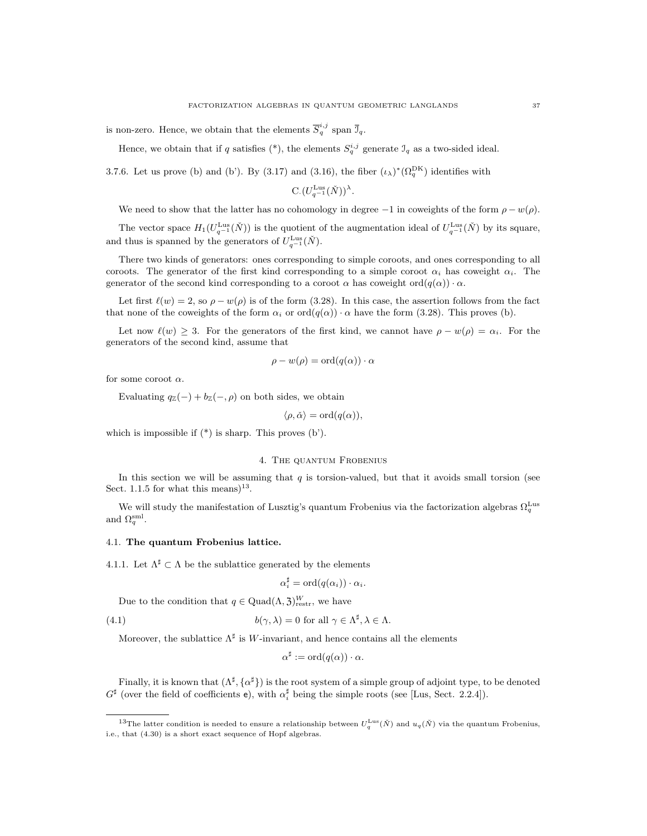is non-zero. Hence, we obtain that the elements  $\overline{S}_{q}^{i,j}$  span  $\overline{J}_{q}$ .

Hence, we obtain that if q satisfies (\*), the elements  $S_q^{i,j}$  generate  $\mathcal{I}_q$  as a two-sided ideal.

3.7.6. Let us prove (b) and (b'). By (3.17) and (3.16), the fiber  $(\iota_{\lambda})^*(\Omega_q^{DK})$  identifies with

$$
C.(U_{q^{-1}}^{\text{Lus}}(\check{N}))^{\lambda}.
$$

We need to show that the latter has no cohomology in degree  $-1$  in coweights of the form  $\rho - w(\rho)$ .

The vector space  $H_1(U_{q^{-1}}^{\text{Lus}}(\check{N}))$  is the quotient of the augmentation ideal of  $U_{q^{-1}}^{\text{Lus}}(\check{N})$  by its square, and thus is spanned by the generators of  $U_{q^{-1}}^{\text{Lus}}(\check{N})$ .

There two kinds of generators: ones corresponding to simple coroots, and ones corresponding to all coroots. The generator of the first kind corresponding to a simple coroot  $\alpha_i$  has coweight  $\alpha_i$ . The generator of the second kind corresponding to a coroot  $\alpha$  has coweight  $\text{ord}(q(\alpha)) \cdot \alpha$ .

Let first  $\ell(w) = 2$ , so  $\rho - w(\rho)$  is of the form (3.28). In this case, the assertion follows from the fact that none of the coweights of the form  $\alpha_i$  or  $\text{ord}(q(\alpha)) \cdot \alpha$  have the form (3.28). This proves (b).

Let now  $\ell(w) \geq 3$ . For the generators of the first kind, we cannot have  $\rho - w(\rho) = \alpha_i$ . For the generators of the second kind, assume that

$$
\rho - w(\rho) = \text{ord}(q(\alpha)) \cdot \alpha
$$

for some coroot  $\alpha$ .

Evaluating  $q_{\mathbb{Z}}(-) + b_{\mathbb{Z}}(-, \rho)$  on both sides, we obtain

 $\langle \rho, \check{\alpha} \rangle = \text{ord}(q(\alpha)).$ 

which is impossible if (\*) is sharp. This proves (b').

## 4. The quantum Frobenius

In this section we will be assuming that  $q$  is torsion-valued, but that it avoids small torsion (see Sect. 1.1.5 for what this means)<sup>13</sup>.

We will study the manifestation of Lusztig's quantum Frobenius via the factorization algebras  $\Omega_q^{\text{Lus}}$ and  $\Omega_q^{\text{sml}}$ .

### 4.1. The quantum Frobenius lattice.

4.1.1. Let  $\Lambda^{\sharp} \subset \Lambda$  be the sublattice generated by the elements

$$
\alpha_i^{\sharp} = \mathrm{ord}(q(\alpha_i)) \cdot \alpha_i.
$$

Due to the condition that  $q \in \text{Quad}(\Lambda, \mathfrak{Z})^W_{\text{restr}}$ , we have

(4.1) 
$$
b(\gamma, \lambda) = 0 \text{ for all } \gamma \in \Lambda^{\sharp}, \lambda \in \Lambda.
$$

Moreover, the sublattice  $\Lambda^{\sharp}$  is W-invariant, and hence contains all the elements

$$
\alpha^{\sharp} := \mathrm{ord}(q(\alpha)) \cdot \alpha.
$$

Finally, it is known that  $(\Lambda^{\sharp}, {\{\alpha^{\sharp}\}})$  is the root system of a simple group of adjoint type, to be denoted  $G^{\sharp}$  (over the field of coefficients e), with  $\alpha_i^{\sharp}$  being the simple roots (see [Lus, Sect. 2.2.4]).

<sup>&</sup>lt;sup>13</sup>The latter condition is needed to ensure a relationship between  $U_q^{\text{Lus}}(\check{N})$  and  $u_q(\check{N})$  via the quantum Frobenius, i.e., that (4.30) is a short exact sequence of Hopf algebras.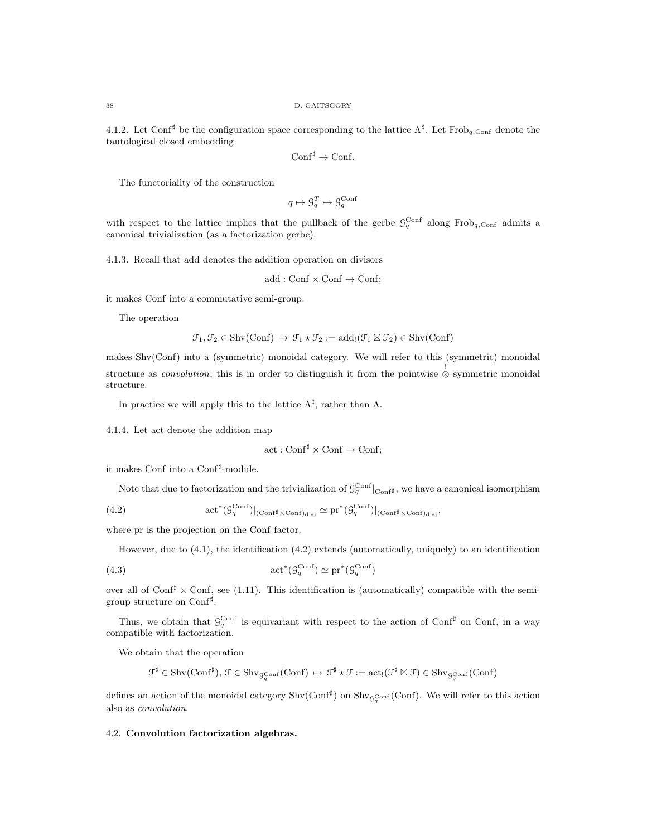4.1.2. Let Conf<sup> $\sharp$ </sup> be the configuration space corresponding to the lattice  $\Lambda^{\sharp}$ . Let Frob<sub>q,Conf</sub> denote the tautological closed embedding

$$
\mathrm{Conf}^{\sharp} \to \mathrm{Conf}.
$$

The functoriality of the construction

$$
q\mapsto \mathbf{G}_q^T\mapsto \mathbf{G}_q^{\mathrm{Conf}}
$$

with respect to the lattice implies that the pullback of the gerbe  $\mathcal{G}_q^{\text{Conf}}$  along Frob<sub>q,Conf</sub> admits a canonical trivialization (as a factorization gerbe).

4.1.3. Recall that add denotes the addition operation on divisors

$$
add: Conf \times Conf \rightarrow Conf;
$$

it makes Conf into a commutative semi-group.

The operation

$$
\mathcal{F}_1, \mathcal{F}_2 \in \mathrm{Shv}(\mathrm{Conf}) \, \mapsto \, \mathcal{F}_1 \star \mathcal{F}_2 := \mathrm{add}_! (\mathcal{F}_1 \boxtimes \mathcal{F}_2) \in \mathrm{Shv}(\mathrm{Conf})
$$

makes Shv(Conf) into a (symmetric) monoidal category. We will refer to this (symmetric) monoidal structure as *convolution*; this is in order to distinguish it from the pointwise  $\stackrel{!}{\otimes}$  symmetric monoidal structure.

In practice we will apply this to the lattice  $\Lambda^{\sharp}$ , rather than  $\Lambda$ .

4.1.4. Let act denote the addition map

$$
act: Conf^{\sharp} \times Conf \rightarrow Conf;
$$

it makes Conf into a Conf<sup>#</sup>-module.

Note that due to factorization and the trivialization of  $\mathcal{G}_q^{\text{Conf}}|_{\text{Conf}^\sharp}$ , we have a canonical isomorphism

(4.2) 
$$
\text{act}^*(\mathcal{G}_q^{\text{Conf}})|_{(\text{Conf}^\sharp \times \text{Conf})_{\text{disj}}} \simeq \text{pr}^*(\mathcal{G}_q^{\text{Conf}})|_{(\text{Conf}^\sharp \times \text{Conf})_{\text{disj}}},
$$

where pr is the projection on the Conf factor.

However, due to (4.1), the identification (4.2) extends (automatically, uniquely) to an identification

(4.3) 
$$
\operatorname{act}^*(\mathcal{G}_q^{\mathrm{Conf}}) \simeq \operatorname{pr}^*(\mathcal{G}_q^{\mathrm{Conf}})
$$

over all of Conf<sup> $\sharp$ </sup> × Conf, see (1.11). This identification is (automatically) compatible with the semigroup structure on Conf<sup>#</sup>.

Thus, we obtain that  $\mathcal{G}_q^{\text{Conf}}$  is equivariant with respect to the action of Conf<sup> $\sharp$ </sup> on Conf, in a way compatible with factorization.

We obtain that the operation

$$
\mathcal{F}^\sharp\in\mathrm{Shv}(\mathrm{Conf}^\sharp),\,\mathcal{F}\in\mathrm{Shv}_{\mathcal{G}_q^{\mathrm{Conf}}}(\mathrm{Conf})\,\mapsto\,\mathcal{F}^\sharp\star\mathcal{F}:=\mathrm{act}_!(\mathcal{F}^\sharp\boxtimes\mathcal{F})\in\mathrm{Shv}_{\mathcal{G}_q^{\mathrm{Conf}}}(\mathrm{Conf})
$$

defines an action of the monoidal category  $\text{Shv}(\text{Conf}^{\sharp})$  on  $\text{Shv}_{\mathcal{G}_q^{\text{Conf}}}(\text{Conf})$ . We will refer to this action also as convolution.

## 4.2. Convolution factorization algebras.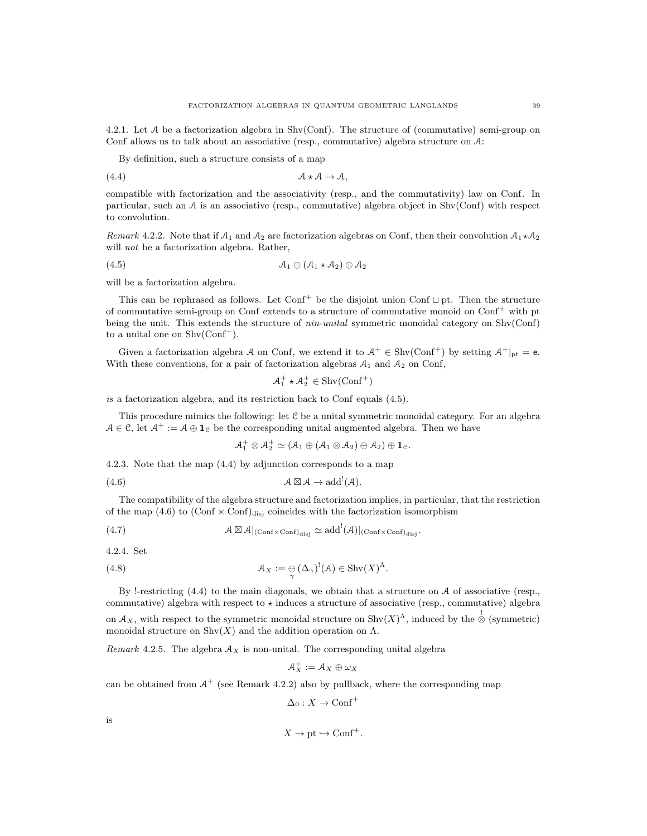4.2.1. Let A be a factorization algebra in Shv(Conf). The structure of (commutative) semi-group on Conf allows us to talk about an associative (resp., commutative) algebra structure on A:

By definition, such a structure consists of a map

(4.4) A ? A → A,

compatible with factorization and the associativity (resp., and the commutativity) law on Conf. In particular, such an  $A$  is an associative (resp., commutative) algebra object in Shv(Conf) with respect to convolution.

Remark 4.2.2. Note that if  $A_1$  and  $A_2$  are factorization algebras on Conf, then their convolution  $A_1 \star A_2$ will *not* be a factorization algebra. Rather,

$$
(4.5) \qquad \qquad \mathcal{A}_1 \oplus (\mathcal{A}_1 \star \mathcal{A}_2) \oplus \mathcal{A}_2
$$

will be a factorization algebra.

This can be rephrased as follows. Let  $Conf^+$  be the disjoint union Conf  $\sqcup$  pt. Then the structure of commutative semi-group on Conf extends to a structure of commutative monoid on Conf<sup>+</sup> with pt being the unit. This extends the structure of *nin-unital* symmetric monoidal category on  $\text{Shv}(\text{Conf})$ to a unital one on  $\text{Shv}(\text{Conf}^+).$ 

Given a factorization algebra A on Conf, we extend it to  $A^+ \in Shv(Conf^+)$  by setting  $A^+|_{pt} = e$ . With these conventions, for a pair of factorization algebras  $A_1$  and  $A_2$  on Conf,

$$
\mathcal{A}_1^+ * \mathcal{A}_2^+ \in \text{Shv}(\text{Conf}^+)
$$

is a factorization algebra, and its restriction back to Conf equals  $(4.5)$ .

This procedure mimics the following: let C be a unital symmetric monoidal category. For an algebra  $A \in \mathcal{C}$ , let  $A^+ := A \oplus \mathbf{1}_{\mathcal{C}}$  be the corresponding unital augmented algebra. Then we have

 $\mathcal{A}_1^+\otimes \mathcal{A}_2^+\simeq (\mathcal{A}_1\oplus (\mathcal{A}_1\otimes \mathcal{A}_2)\oplus \mathcal{A}_2)\oplus \mathbf{1}_\mathfrak{C}.$ 

4.2.3. Note that the map (4.4) by adjunction corresponds to a map

(4.6) A - A → add! (A).

The compatibility of the algebra structure and factorization implies, in particular, that the restriction of the map (4.6) to  $(\text{Conf} \times \text{Conf})_{\text{dis}}$  coincides with the factorization isomorphism

(4.7) 
$$
\mathcal{A} \boxtimes \mathcal{A}|_{(\mathrm{Conf} \times \mathrm{Conf})_{\mathrm{disj}}} \simeq \mathrm{add}^!(\mathcal{A})|_{(\mathrm{Conf} \times \mathrm{Conf})_{\mathrm{disj}}}.
$$

4.2.4. Set

(4.8) 
$$
\mathcal{A}_X := \bigoplus_{\gamma} (\Delta_{\gamma})^!(\mathcal{A}) \in \mathrm{Shv}(X)^{\Lambda}.
$$

By !-restricting  $(4.4)$  to the main diagonals, we obtain that a structure on A of associative (resp., commutative) algebra with respect to  $\star$  induces a structure of associative (resp., commutative) algebra on  $\mathcal{A}_X$ , with respect to the symmetric monoidal structure on  $\text{Shv}(X)$ <sup> $\Lambda$ </sup>, induced by the  $\stackrel{!}{\otimes}$  (symmetric) monoidal structure on  $\text{Shv}(X)$  and the addition operation on  $\Lambda$ .

Remark 4.2.5. The algebra  $A_X$  is non-unital. The corresponding unital algebra

$$
\mathcal{A}_X^+:=\mathcal{A}_X\oplus \omega_X
$$

can be obtained from  $A^+$  (see Remark 4.2.2) also by pullback, where the corresponding map

$$
\Delta_0: X \to \text{Conf}^+
$$

is

$$
X \to \text{pt} \hookrightarrow \text{Conf}^+.
$$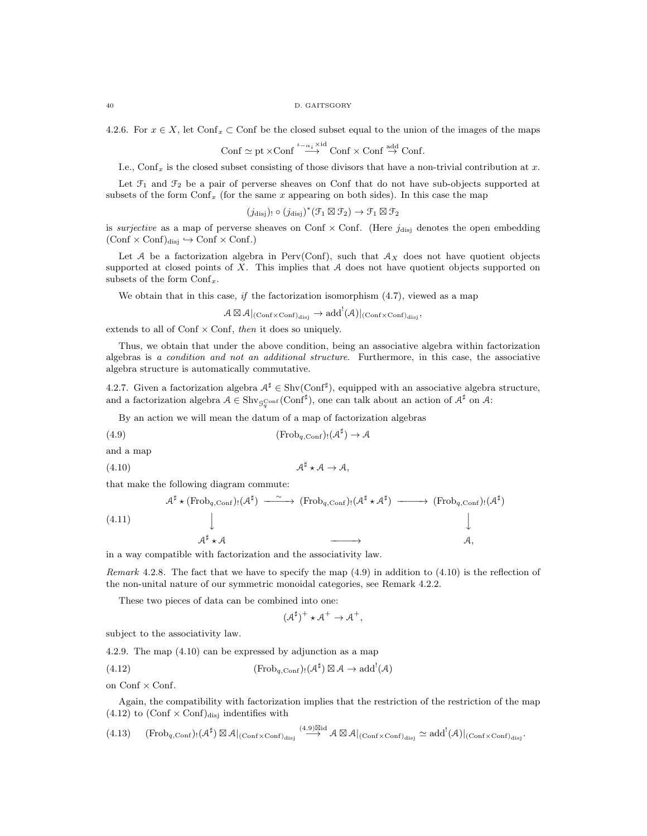4.2.6. For  $x \in X$ , let Conf<sub>x</sub> ⊂ Conf be the closed subset equal to the union of the images of the maps

$$
\text{Conf} \simeq \text{pt} \times \text{Conf} \stackrel{\iota_{-\alpha_i} \times \text{id}}{\longrightarrow} \text{Conf} \times \text{Conf} \stackrel{\text{add}}{\rightarrow} \text{Conf}.
$$

I.e., Conf<sub>x</sub> is the closed subset consisting of those divisors that have a non-trivial contribution at x.

Let  $\mathcal{F}_1$  and  $\mathcal{F}_2$  be a pair of perverse sheaves on Conf that do not have sub-objects supported at subsets of the form  $\text{Conf}_x$  (for the same x appearing on both sides). In this case the map

$$
(j_{\text{disj}}) \circ (j_{\text{disj}})^*(\mathcal{F}_1 \boxtimes \mathcal{F}_2) \to \mathcal{F}_1 \boxtimes \mathcal{F}_2
$$

is *surjective* as a map of perverse sheaves on Conf  $\times$  Conf. (Here  $j_{disj}$  denotes the open embedding  $(Conf \times Conf)_{disj} \hookrightarrow Conf \times Conf.)$ 

Let A be a factorization algebra in Perv(Conf), such that  $A_X$  does not have quotient objects supported at closed points of  $X$ . This implies that  $A$  does not have quotient objects supported on subsets of the form  $Conf_x$ .

We obtain that in this case, if the factorization isomorphism  $(4.7)$ , viewed as a map

$$
\mathcal{A} \boxtimes \mathcal{A}|_{(\mathrm{Conf} \times \mathrm{Conf})_{\mathrm{disj}}} \to \mathrm{add}^! (\mathcal{A})|_{(\mathrm{Conf} \times \mathrm{Conf})_{\mathrm{disj}}},
$$

extends to all of Conf  $\times$  Conf, then it does so uniquely.

Thus, we obtain that under the above condition, being an associative algebra within factorization algebras is a condition and not an additional structure. Furthermore, in this case, the associative algebra structure is automatically commutative.

4.2.7. Given a factorization algebra  $A^{\sharp} \in \text{Shv}(\text{Conf}^{\sharp})$ , equipped with an associative algebra structure, and a factorization algebra  $A \in Shv_{G_q^{\text{Conf}}}(\text{Conf}^{\sharp})$ , one can talk about an action of  $A^{\sharp}$  on  $A$ :

By an action we will mean the datum of a map of factorization algebras

(4.9) 
$$
(\text{Frob}_{q,\text{Conf}})_{!}(\mathcal{A}^{\sharp}) \to \mathcal{A}
$$

and a map

$$
(4.10) \t\t \t\t \t\t \t\t \mathcal{A} \rightarrow \mathcal{A},
$$

that make the following diagram commute:

$$
A^{\sharp} \star (\text{Frob}_{q,\text{Conf}})!(A^{\sharp}) \xrightarrow{\sim} (\text{Frob}_{q,\text{Conf}})!(A^{\sharp} \star A^{\sharp}) \xrightarrow{\sim} (\text{Frob}_{q,\text{Conf}})!(A^{\sharp})
$$
\n
$$
\downarrow
$$
\n
$$
A^{\sharp} \star A \xrightarrow{\qquad} A,
$$

in a way compatible with factorization and the associativity law.

Remark 4.2.8. The fact that we have to specify the map  $(4.9)$  in addition to  $(4.10)$  is the reflection of the non-unital nature of our symmetric monoidal categories, see Remark 4.2.2.

These two pieces of data can be combined into one:

$$
(\mathcal{A}^{\sharp})^{+} \star \mathcal{A}^{+} \to \mathcal{A}^{+},
$$

subject to the associativity law.

4.2.9. The map (4.10) can be expressed by adjunction as a map

(4.12) 
$$
(\text{Frob}_{q,\text{Conf}})_{!}(\mathcal{A}^{\sharp}) \boxtimes \mathcal{A} \to \text{add}^{!}(\mathcal{A})
$$

on  $Conf \times Conf.$ 

Again, the compatibility with factorization implies that the restriction of the restriction of the map  $(4.12)$  to  $(Conf \times Conf)_{disj}$  indentifies with

$$
(4.13) \quad \ \ (Frob_{q,\operatorname{Conf}})_!(\mathcal{A}^\sharp)\boxtimes \mathcal{A}|_{(\operatorname{Conf}\times \operatorname{Conf})_{\operatorname{disj}}}\stackrel{(4.9)\boxtimes id}{\longrightarrow} \mathcal{A}\boxtimes \mathcal{A}|_{(\operatorname{Conf}\times \operatorname{Conf})_{\operatorname{disj}}}\simeq \operatorname{add}^!(\mathcal{A})|_{(\operatorname{Conf}\times \operatorname{Conf})_{\operatorname{disj}}}.
$$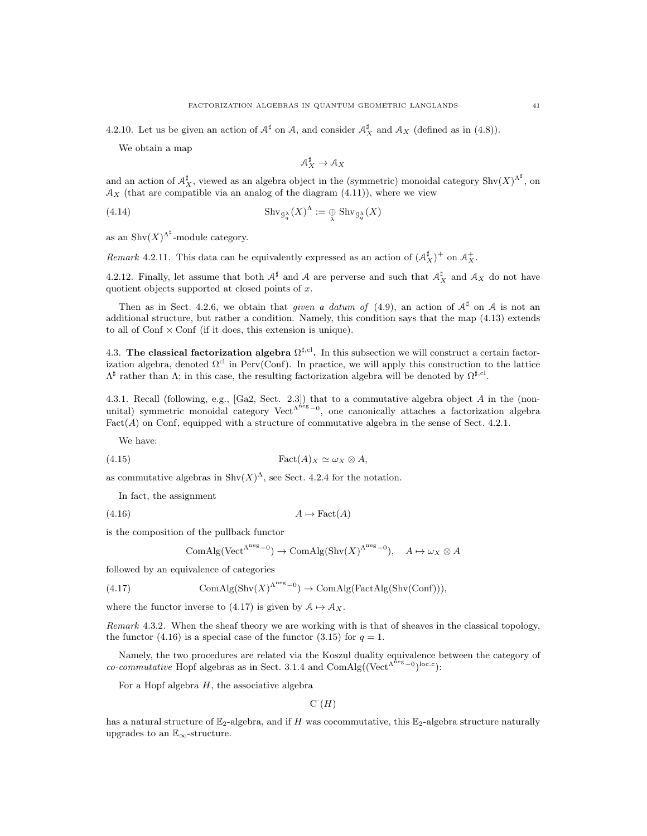We obtain a map

$$
\mathcal{A}_X^\sharp\to\mathcal{A}_X
$$

and an action of  $\mathcal{A}_X^{\sharp}$ , viewed as an algebra object in the (symmetric) monoidal category  $\text{Shv}(X)^{\Lambda^{\sharp}}$ , on  $A_X$  (that are compatible via an analog of the diagram (4.11)), where we view

(4.14) 
$$
\operatorname{Shv}_{\mathcal{G}_q^{\lambda}}(X)^{\Lambda} := \bigoplus_{\lambda} \operatorname{Shv}_{\mathcal{G}_q^{\lambda}}(X)
$$

as an Shv $(X)$ <sup> $\Lambda^{\sharp}$ </sup>-module category.

Remark 4.2.11. This data can be equivalently expressed as an action of  $(\mathcal{A}_X^{\sharp})^+$  on  $\mathcal{A}_X^+$ .

4.2.12. Finally, let assume that both  $A^{\sharp}$  and A are perverse and such that  $A_X^{\sharp}$  and  $A_X$  do not have quotient objects supported at closed points of  $x$ .

Then as in Sect. 4.2.6, we obtain that *given a datum of* (4.9), an action of  $A^{\sharp}$  on A is not an additional structure, but rather a condition. Namely, this condition says that the map (4.13) extends to all of  $Conf \times Conf$  (if it does, this extension is unique).

4.3. The classical factorization algebra  $\Omega^{\sharp,\mathrm{cl}}$ . In this subsection we will construct a certain factorization algebra, denoted  $\Omega^{cl}$  in Perv(Conf). In practice, we will apply this construction to the lattice  $Λ^{\sharp}$  rather than Λ; in this case, the resulting factorization algebra will be denoted by  $Ω^{\sharp, cl}$ .

4.3.1. Recall (following, e.g., [Ga2, Sect. 2.3]) that to a commutative algebra object A in the (nonunital) symmetric monoidal category  $Vect^{\Lambda^{\text{neg}}-0}$ , one canonically attaches a factorization algebra  $Fact(A)$  on Conf, equipped with a structure of commutative algebra in the sense of Sect. 4.2.1.

We have:

(4.15) Fact(A)<sup>X</sup> ' ω<sup>X</sup> ⊗ A,

as commutative algebras in  $\text{Shv}(X)^{\Lambda}$ , see Sect. 4.2.4 for the notation.

In fact, the assignment

 $(4.16)$   $A \mapsto \text{Fact}(A)$ 

is the composition of the pullback functor

$$
\text{ComAlg}(\text{Vect}^{\Lambda^{\text{neg}}-0}) \to \text{ComAlg}(\text{Shv}(X)^{\Lambda^{\text{neg}}-0}), \quad A \mapsto \omega_X \otimes A
$$

followed by an equivalence of categories

(4.17) 
$$
\text{ComAlg}(\text{Shv}(X)^{\Lambda^{\text{neg}}-0}) \to \text{ComAlg}(\text{FactAlg}(\text{Shv}(\text{Conf}))),
$$

where the functor inverse to (4.17) is given by  $A \mapsto A_X$ .

Remark 4.3.2. When the sheaf theory we are working with is that of sheaves in the classical topology, the functor (4.16) is a special case of the functor (3.15) for  $q = 1$ .

Namely, the two procedures are related via the Koszul duality equivalence between the category of co-commutative Hopf algebras as in Sect. 3.1.4 and ComAlg( $(\text{Vect}^{\Lambda^{\text{neg}}-0})^{\text{loc.c}}$ ):

For a Hopf algebra  $H$ , the associative algebra

 $C<sup>\cdot</sup>(H)$ 

has a natural structure of  $\mathbb{E}_2$ -algebra, and if H was cocommutative, this  $\mathbb{E}_2$ -algebra structure naturally upgrades to an  $\mathbb{E}_{\infty}$ -structure.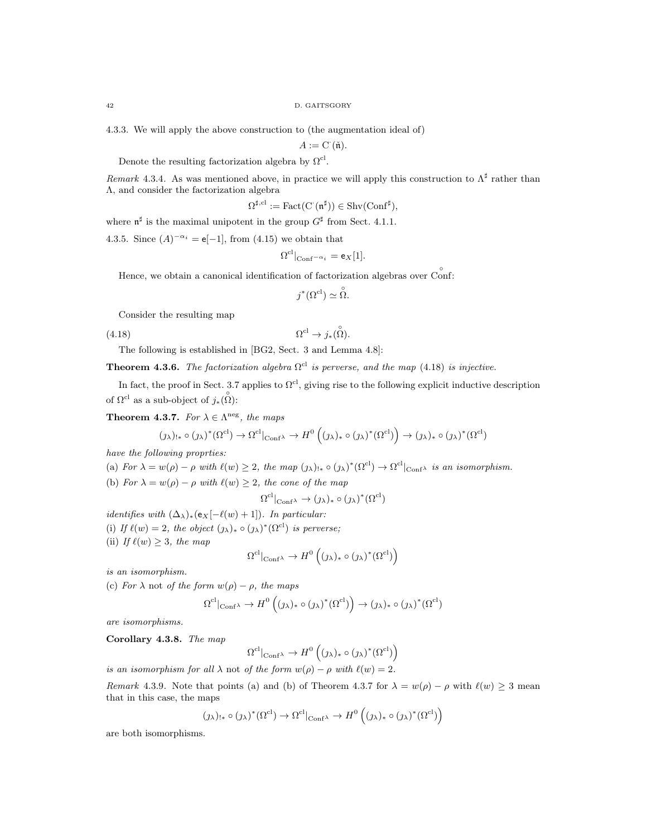4.3.3. We will apply the above construction to (the augmentation ideal of)

 $A := \mathcal{C}(\check{\mathfrak{n}}).$ 

Denote the resulting factorization algebra by  $\Omega^{\text{cl}}$ .

Remark 4.3.4. As was mentioned above, in practice we will apply this construction to  $\Lambda^{\sharp}$  rather than Λ, and consider the factorization algebra

$$
\Omega^{\sharp,\mathrm{cl}}:=\mathrm{Fact}(\mathrm{C}^\cdot(\mathfrak{n}^\sharp))\in\mathrm{Shv}(\mathrm{Conf}^\sharp),
$$

where  $\mathfrak{n}^{\sharp}$  is the maximal unipotent in the group  $G^{\sharp}$  from Sect. 4.1.1.

4.3.5. Since  $(A)^{-\alpha_i} = e[-1]$ , from (4.15) we obtain that

$$
\Omega^{\text{cl}}|_{\text{Conf}^{-\alpha_i}} = \mathsf{e}_X[1].
$$

Hence, we obtain a canonical identification of factorization algebras over Conf:

$$
j^*(\Omega^{\text{cl}}) \simeq \overset{\circ}{\Omega}.
$$

Consider the resulting map

(4.18)  $\Omega^{\text{cl}} \to j_*(\stackrel{\circ}{\Omega}).$ 

The following is established in [BG2, Sect. 3 and Lemma 4.8]:

**Theorem 4.3.6.** The factorization algebra  $\Omega^{cl}$  is perverse, and the map (4.18) is injective.

In fact, the proof in Sect. 3.7 applies to  $\Omega^{cl}$ , giving rise to the following explicit inductive description of  $\Omega^{\text{cl}}$  as a sub-object of  $j_*(\hat{\Omega})$ :

**Theorem 4.3.7.** For  $\lambda \in \Lambda^{neg}$ , the maps

$$
(\jmath_{\lambda})_{!*} \circ (\jmath_{\lambda})^*(\Omega^{cl}) \to \Omega^{cl}|_{\mathrm{Conf}\lambda} \to H^0\left((\jmath_{\lambda})_* \circ (\jmath_{\lambda})^*(\Omega^{cl})\right) \to (\jmath_{\lambda})_* \circ (\jmath_{\lambda})^*(\Omega^{cl})
$$

have the following proprties:

(a) For  $\lambda = w(\rho) - \rho$  with  $\ell(w) \geq 2$ , the map  $(\chi)_{! *} \circ (\chi)^* (\Omega^{\text{cl}}) \to \Omega^{\text{cl}}|_{\text{Conf}}$  is an isomorphism.

(b) For  $\lambda = w(\rho) - \rho$  with  $\ell(w) \geq 2$ , the cone of the map

$$
\Omega^{\text{cl}}|_{\text{Conf}^{\lambda}} \to (\jmath_{\lambda})_* \circ (\jmath_{\lambda})^* (\Omega^{\text{cl}})
$$

*identifies with*  $(\Delta_{\lambda})_*(e_X[-\ell(w) + 1])$ . In particular: (i) If  $\ell(w) = 2$ , the object  $(\jmath_\lambda)_* \circ (\jmath_\lambda)^* (\Omega^{\text{cl}})$  is perverse; (ii) If  $\ell(w) \geq 3$ , the map

$$
\Omega^{\mathrm{cl}}|_{\mathrm{Conf}^\lambda} \to H^0\left((\jmath_\lambda)_* \circ (\jmath_\lambda)^*(\Omega^{\mathrm{cl}})\right)
$$

is an isomorphism.

(c) For  $\lambda$  not of the form  $w(\rho) - \rho$ , the maps

$$
\Omega^{\text{cl}}|_{\text{Conf}^{\lambda}} \to H^0\left((\jmath_{\lambda})_{*} \circ (\jmath_{\lambda})^{*}(\Omega^{\text{cl}})\right) \to (\jmath_{\lambda})_{*} \circ (\jmath_{\lambda})^{*}(\Omega^{\text{cl}})
$$

are isomorphisms.

Corollary 4.3.8. The map

$$
\Omega^{\text{cl}}|_{\text{Conf}^{\lambda}} \to H^0\left((\jmath_{\lambda})_* \circ (\jmath_{\lambda})^*(\Omega^{\text{cl}})\right)
$$

is an isomorphism for all  $\lambda$  not of the form  $w(\rho) - \rho$  with  $\ell(w) = 2$ .

Remark 4.3.9. Note that points (a) and (b) of Theorem 4.3.7 for  $\lambda = w(\rho) - \rho$  with  $\ell(w) \geq 3$  mean that in this case, the maps

$$
(\jmath_\lambda)_{!*} \circ (\jmath_\lambda)^* (\Omega^{\mathrm{cl}}) \to \Omega^{\mathrm{cl}}|_{\mathrm{Conf}^\lambda} \to H^0 \left( (\jmath_\lambda)_* \circ (\jmath_\lambda)^* (\Omega^{\mathrm{cl}}) \right)
$$

are both isomorphisms.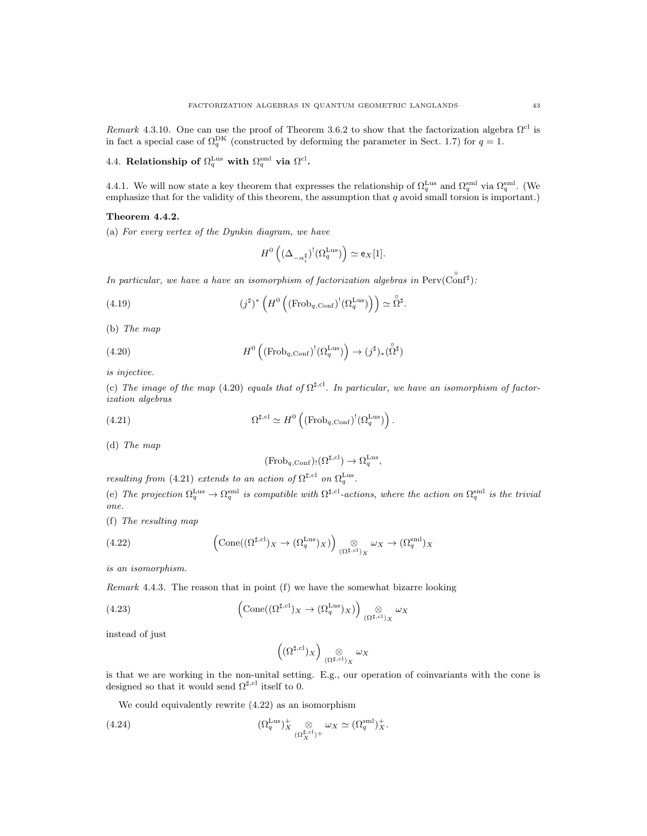Remark 4.3.10. One can use the proof of Theorem 3.6.2 to show that the factorization algebra  $\Omega^{cl}$  is in fact a special case of  $\Omega_q^{\text{DK}}$  (constructed by deforming the parameter in Sect. 1.7) for  $q=1$ .

4.4. Relationship of  $\Omega_q^{\text{Lus}}$  with  $\Omega_q^{\text{sml}}$  via  $\Omega^{\text{cl}}$ .

4.4.1. We will now state a key theorem that expresses the relationship of  $\Omega_q^{\text{Lus}}$  and  $\Omega_q^{\text{sml}}$  via  $\Omega_q^{\text{sml}}$ . (We emphasize that for the validity of this theorem, the assumption that  $q$  avoid small torsion is important.)

### Theorem 4.4.2.

(a) For every vertex of the Dynkin diagram, we have

$$
H^0\left((\Delta_{-\alpha_i^{\sharp}})^!(\Omega_q^{\mathrm{Lus}})\right) \simeq \mathsf{e}_X[1].
$$

In particular, we have a have an isomorphism of factorization algebras in  $Perv(^\circ{conf^\sharp})$ :

(4.19) 
$$
(j^{\sharp})^* \left( H^0 \left( (\text{Frob}_{q,\text{Conf}})^! (\Omega_q^{\text{Lus}}) \right) \right) \simeq \overset{\circ}{\Omega}^{\sharp}.
$$

(b) The map

(4.20) 
$$
H^0\left((\text{Frob}_{q,\text{Conf}})^!(\Omega_q^{\text{Lus}})\right) \to (j^{\sharp})_*(\overset{\circ}{\Omega}^{\sharp})
$$

is injective.

(c) The image of the map (4.20) equals that of  $\Omega^{\sharp,cl}$ . In particular, we have an isomorphism of factorization algebras

.

(4.21) 
$$
\Omega^{\sharp,\mathrm{cl}} \simeq H^0\left((\mathrm{Frob}_{q,\mathrm{Conf}})^!(\Omega_q^{\mathrm{Lus}})\right)
$$

(d) The map

$$
(\mathrm{Frob}_{q,\mathrm{Conf}})_! (\Omega^{\sharp,\mathrm{cl}}) \to \Omega_q^{\mathrm{Lus}},
$$

resulting from (4.21) extends to an action of  $\Omega^{\sharp, cl}$  on  $\Omega_q^{\text{Lus}}$ .

(e) The projection  $\Omega_q^{\text{Lus}} \to \Omega_q^{\text{sml}}$  is compatible with  $\Omega^{\sharp,\text{cl}}$ -actions, where the action on  $\Omega_q^{\text{sml}}$  is the trivial one.

(f) The resulting map

(4.22) 
$$
\left(\text{Cone}((\Omega^{\sharp,\text{cl}})_X \to (\Omega_q^{\text{Lus}})_X)\right) \underset{(\Omega^{\sharp,\text{cl}})_X}{\otimes} \omega_X \to (\Omega_q^{\text{sml}})_X
$$

is an isomorphism.

Remark 4.4.3. The reason that in point (f) we have the somewhat bizarre looking

(4.23) 
$$
\left(\text{Cone}((\Omega^{\sharp,\text{cl}})_X \to (\Omega^{\text{Lus}}_q)_X)\right) \underset{(\Omega^{\sharp,\text{cl}})_X}{\otimes} \omega_X
$$

instead of just

$$
\left((\Omega^{\sharp,\mathrm{cl}})_X\right) \underset{(\Omega^{\sharp,\mathrm{cl}})_X}{\otimes} \omega_X
$$

is that we are working in the non-unital setting. E.g., our operation of coinvariants with the cone is designed so that it would send  $\Omega^{\sharp, cl}$  itself to 0.

We could equivalently rewrite (4.22) as an isomorphism

(4.24) 
$$
(\Omega_q^{\text{Lus}})^+_{X} \underset{(\Omega_X^{\sharp,\text{cl}})^+}{\otimes} \omega_X \simeq (\Omega_q^{\text{small}})^+_{X}.
$$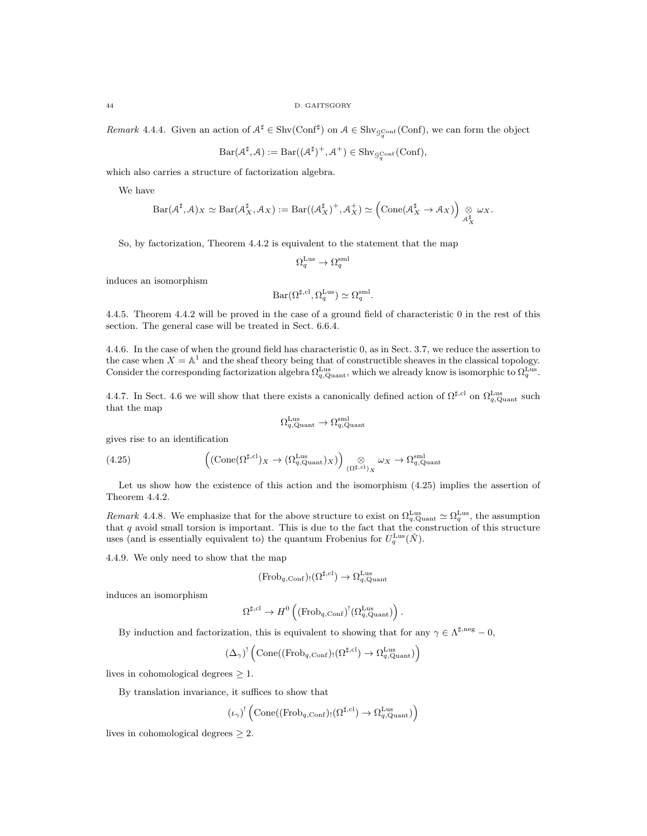Remark 4.4.4. Given an action of  $A^{\sharp} \in \text{Shv}(\text{Conf}^{\sharp})$  on  $A \in \text{Shv}_{\mathcal{G}_q^{\text{Conf}}}(\text{Conf})$ , we can form the object

$$
Bar(\mathcal{A}^{\sharp}, \mathcal{A}) := Bar((\mathcal{A}^{\sharp})^+, \mathcal{A}^+) \in Shv_{\mathcal{G}_q^{\text{Conf}}}(\text{Conf}),
$$

which also carries a structure of factorization algebra.

We have

$$
\mathrm{Bar}(\mathcal{A}^{\sharp}, \mathcal{A})_X \simeq \mathrm{Bar}(\mathcal{A}_X^{\sharp}, \mathcal{A}_X) := \mathrm{Bar}((\mathcal{A}_X^{\sharp})^+, \mathcal{A}_X^+) \simeq \left(\mathrm{Cone}(\mathcal{A}_X^{\sharp} \to \mathcal{A}_X)\right) \underset{\mathcal{A}_X^{\sharp}}{\otimes} \omega_X.
$$

So, by factorization, Theorem 4.4.2 is equivalent to the statement that the map

$$
\Omega_q^{\text{Lus}} \to \Omega_q^{\text{sml}}
$$

induces an isomorphism

$$
Bar(\Omega^{\sharp, \mathrm{cl}}, \Omega_q^{\mathrm{Lus}}) \simeq \Omega_q^{\mathrm{sml}}.
$$

4.4.5. Theorem 4.4.2 will be proved in the case of a ground field of characteristic 0 in the rest of this section. The general case will be treated in Sect. 6.6.4.

4.4.6. In the case of when the ground field has characteristic 0, as in Sect. 3.7, we reduce the assertion to the case when  $X = \mathbb{A}^1$  and the sheaf theory being that of constructible sheaves in the classical topology. Consider the corresponding factorization algebra  $\Omega_{q,\text{Quant}}^{\text{Lus}}$ , which we already know is isomorphic to  $\Omega_{q}^{\text{Lus}}$ .

4.4.7. In Sect. 4.6 we will show that there exists a canonically defined action of  $\Omega^{\sharp,cl}$  on  $\Omega_{q,Q}^{\text{Lus}}$  such that the map

$$
\Omega_{q,\mathrm{Quant}}^{\mathrm{Lus}} \to \Omega_{q,\mathrm{Quant}}^{\mathrm{sml}}
$$

gives rise to an identification

(4.25) 
$$
\left(\left(\text{Cone}(\Omega^{\sharp,\text{cl}})_{X}\right) \left(\Omega_{q,\text{Quant}}^{\text{Lus}}\right)_{X}\right)_{\left(\Omega^{\sharp,\text{cl}}\right)_{X}} \omega_{X} \to \Omega_{q,\text{Quant}}^{\text{sml}}
$$

Let us show how the existence of this action and the isomorphism  $(4.25)$  implies the assertion of Theorem 4.4.2.

Remark 4.4.8. We emphasize that for the above structure to exist on  $\Omega_{q,\text{Quant}}^{\text{Lus}} \simeq \Omega_q^{\text{Lus}}$ , the assumption that q avoid small torsion is important. This is due to the fact that the construction of this structure uses (and is essentially equivalent to) the quantum Frobenius for  $U_q^{\text{Lus}}(\check{N})$ .

4.4.9. We only need to show that the map

$$
(\mathrm{Frob}_{q,\mathrm{Conf}})_! (\Omega^{\sharp,\mathrm{cl}}) \to \Omega_{q,\mathrm{Quant}}^{\mathrm{Lus}}
$$

induces an isomorphism

$$
\Omega^{\sharp,\mathrm{cl}}\rightarrow H^0\left((\mathrm{Frob}_{q,\mathrm{Conf}})^!(\Omega^{\mathrm{Lus}}_{q,\mathrm{Quant}})\right)
$$

.

By induction and factorization, this is equivalent to showing that for any  $\gamma \in \Lambda^{\sharp,\mathrm{neg}} - 0$ ,

$$
(\Delta_{\gamma})^! \left( \mathrm{Cone}((\mathrm{Frob}_{q,\mathrm{Conf}})_! (\Omega^{\sharp,\mathrm{cl}}) \rightarrow \Omega_{q,\mathrm{Quant}}^{\mathrm{Lus}} ) \right)
$$

lives in cohomological degrees  $\geq 1$ .

By translation invariance, it suffices to show that

$$
(\iota_\gamma)^! \left( \mathrm{Cone}((\mathrm{Frob}_{q,\mathrm{Conf}})_! (\Omega^{\sharp,\mathrm{cl}}) \to \Omega_{q,\mathrm{Quant}}^{\mathrm{Lus}} ) \right)
$$

lives in cohomological degrees  $\geq 2$ .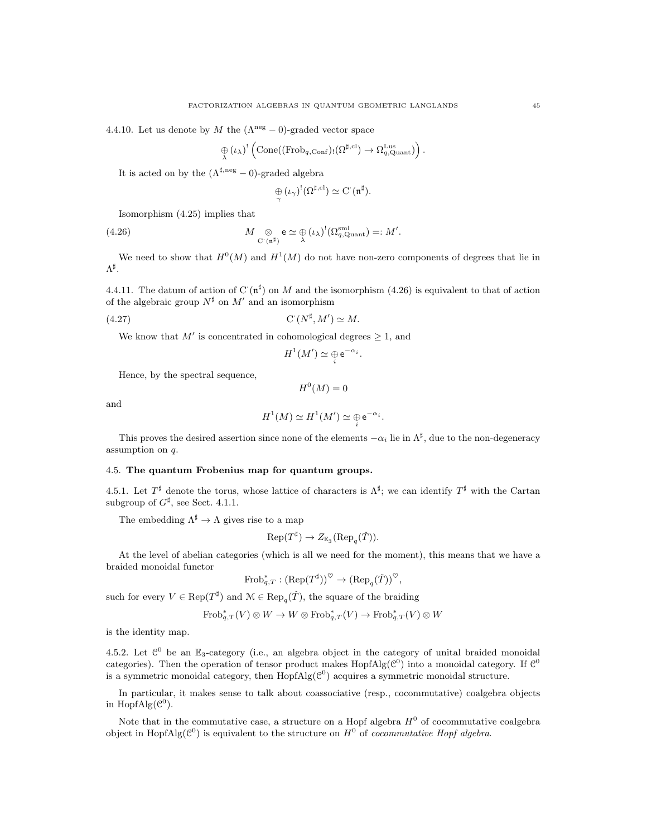4.4.10. Let us denote by M the  $(\Lambda^{neg} - 0)$ -graded vector space

$$
\underset{\lambda}{\oplus}\left(\iota_{\lambda}\right)^{!}\left(\mathrm{Cone}((\mathrm{Frob}_{q,\mathrm{Conf}})_{!}(\Omega^{\sharp,\mathrm{cl}})\rightarrow\Omega_{q,\mathrm{Quant}}^{\mathrm{Lus}})\right).
$$

It is acted on by the  $(\Lambda^{\sharp,\mathrm{neg}} - 0)\text{-graded algebra}$ 

$$
\underset{\gamma}{\oplus}(\iota_{\gamma})^{!}(\Omega^{\sharp, \mathrm{cl}}) \simeq \mathrm{C}^{\cdot}(\mathfrak{n}^{\sharp}).
$$

Isomorphism (4.25) implies that

(4.26) 
$$
M \underset{\mathbf{C}^{\cdot}(\mathfrak{n}^{\sharp})}{\otimes} \mathbf{e} \simeq \underset{\lambda}{\oplus} (\iota_{\lambda})^!(\Omega_{q,\mathrm{Quant}}^{\mathrm{sml}}) =: M'.
$$

We need to show that  $H^0(M)$  and  $H^1(M)$  do not have non-zero components of degrees that lie in  $\Lambda^\sharp.$ 

4.4.11. The datum of action of C $(\mathfrak{n}^{\sharp})$  on M and the isomorphism (4.26) is equivalent to that of action of the algebraic group  $N^{\sharp}$  on  $M'$  and an isomorphism

$$
(4.27) \t\t\t C' (N^{\sharp}, M') \simeq M.
$$

We know that M' is concentrated in cohomological degrees  $\geq 1$ , and

$$
H^1(M')\simeq \mathop{\oplus}_i {\rm e}^{-\alpha_i}.
$$

Hence, by the spectral sequence,

$$
H^0(M)=0
$$

and

$$
H^1(M) \simeq H^1(M') \simeq \bigoplus_i \mathrm{e}^{-\alpha_i}.
$$

This proves the desired assertion since none of the elements  $-\alpha_i$  lie in  $\Lambda^{\sharp}$ , due to the non-degeneracy assumption on q.

# 4.5. The quantum Frobenius map for quantum groups.

4.5.1. Let  $T^{\sharp}$  denote the torus, whose lattice of characters is  $\Lambda^{\sharp}$ ; we can identify  $T^{\sharp}$  with the Cartan subgroup of  $G^{\sharp}$ , see Sect. 4.1.1.

The embedding  $\Lambda^{\sharp} \to \Lambda$  gives rise to a map

$$
\text{Rep}(T^{\sharp}) \to Z_{\mathbb{E}_3}(\text{Rep}_q(\check{T})).
$$

At the level of abelian categories (which is all we need for the moment), this means that we have a braided monoidal functor

$$
\operatorname{Frob}_{q,T}^* : (\operatorname{Rep}(T^{\sharp}))^{\heartsuit} \to (\operatorname{Rep}_q(\check{T}))^{\heartsuit},
$$

such for every  $V \in \text{Rep}(T^{\sharp})$  and  $\mathcal{M} \in \text{Rep}_{q}(\check{T})$ , the square of the braiding

$$
\text{Frob}_{q,T}^*(V) \otimes W \to W \otimes \text{Frob}_{q,T}^*(V) \to \text{Frob}_{q,T}^*(V) \otimes W
$$

is the identity map.

4.5.2. Let  $\mathcal{C}^0$  be an  $\mathbb{E}_3$ -category (i.e., an algebra object in the category of unital braided monoidal categories). Then the operation of tensor product makes  $\text{HopfAlg}(\mathcal{C}^0)$  into a monoidal category. If  $\mathcal{C}^0$ is a symmetric monoidal category, then  $\text{HopfAlg}(\mathcal{C}^0)$  acquires a symmetric monoidal structure.

In particular, it makes sense to talk about coassociative (resp., cocommutative) coalgebra objects in Hopf $\text{Alg}(\mathcal{C}^0)$ .

Note that in the commutative case, a structure on a Hopf algebra  $H^0$  of cocommutative coalgebra object in Hopf $\text{Alg}(\mathcal{C}^0)$  is equivalent to the structure on  $H^0$  of *cocommutative Hopf algebra*.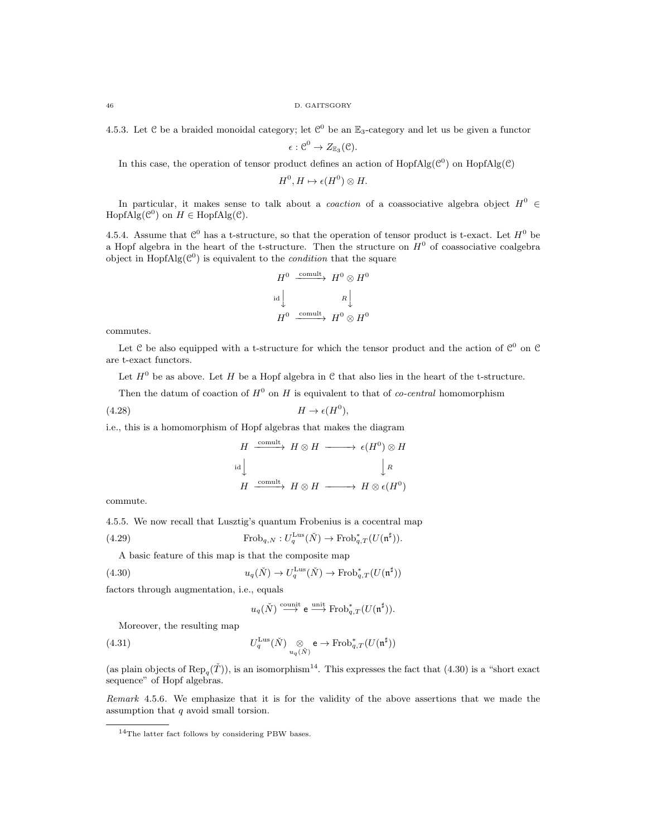46 D. GAITSGORY

4.5.3. Let  $C$  be a braided monoidal category; let  $C^0$  be an  $\mathbb{E}_3$ -category and let us be given a functor

 $\epsilon:\mathcal{C}^0\to Z_{\mathbb{E}_3}(\mathcal{C}).$ 

In this case, the operation of tensor product defines an action of  $HopfAlg(\mathcal{C}^0)$  on  $HopfAlg(\mathcal{C})$ 

 $H^0, H \mapsto \epsilon(H^0) \otimes H.$ 

In particular, it makes sense to talk about a *coaction* of a coassociative algebra object  $H^0$  ∈  $HopfAlg(\mathcal{C}^0)$  on  $H \in HopfAlg(\mathcal{C})$ .

4.5.4. Assume that  $\mathcal{C}^0$  has a t-structure, so that the operation of tensor product is t-exact. Let  $H^0$  be a Hopf algebra in the heart of the t-structure. Then the structure on  $H^0$  of coassociative coalgebra object in  $\text{HopfAlg}(\mathcal{C}^0)$  is equivalent to the *condition* that the square

$$
H^{0} \xrightarrow{\text{comult}} H^{0} \otimes H^{0}
$$
  
id 
$$
\downarrow R \downarrow
$$
  

$$
H^{0} \xrightarrow{\text{comult}} H^{0} \otimes H^{0}
$$

commutes.

Let C be also equipped with a t-structure for which the tensor product and the action of  $\mathcal{C}^0$  on  $\mathcal{C}$ are t-exact functors.

Let  $H^0$  be as above. Let H be a Hopf algebra in C that also lies in the heart of the t-structure.

Then the datum of coaction of  $H^0$  on H is equivalent to that of *co-central* homomorphism

(4.28) H → (H 0 ),

i.e., this is a homomorphism of Hopf algebras that makes the diagram

$$
H \xrightarrow{\text{comult}} H \otimes H \longrightarrow \epsilon(H^0) \otimes H
$$
  
id  

$$
H \xrightarrow{\text{comult}} H \otimes H \longrightarrow H \otimes \epsilon(H^0)
$$

commute.

4.5.5. We now recall that Lusztig's quantum Frobenius is a cocentral map

(4.29) 
$$
\operatorname{Frob}_{q,N}: U_q^{\operatorname{Lus}}(\check{N}) \to \operatorname{Frob}_{q,T}^*(U(\mathfrak{n}^\sharp)).
$$

A basic feature of this map is that the composite map

(4.30) 
$$
u_q(\check{N}) \to U_q^{\text{Lus}}(\check{N}) \to \text{Frob}_{q,T}^*(U(\mathfrak{n}^\sharp))
$$

factors through augmentation, i.e., equals

$$
u_q(\check{N}) \stackrel{\text{count}}{\longrightarrow} e \stackrel{\text{unit}}{\longrightarrow} \text{Frob}_{q,T}^*(U(\mathfrak{n}^\sharp)).
$$

Moreover, the resulting map

(4.31) 
$$
U_q^{\text{Lus}}(\check{N}) \underset{u_q(\check{N})}{\otimes} \mathsf{e} \to \text{Frob}_{q,T}^*(U(\mathfrak{n}^{\sharp}))
$$

(as plain objects of  $\text{Rep}_{q}(\check{T})$ ), is an isomorphism<sup>14</sup>. This expresses the fact that (4.30) is a "short exact sequence" of Hopf algebras.

Remark 4.5.6. We emphasize that it is for the validity of the above assertions that we made the assumption that q avoid small torsion.

 $14$ The latter fact follows by considering PBW bases.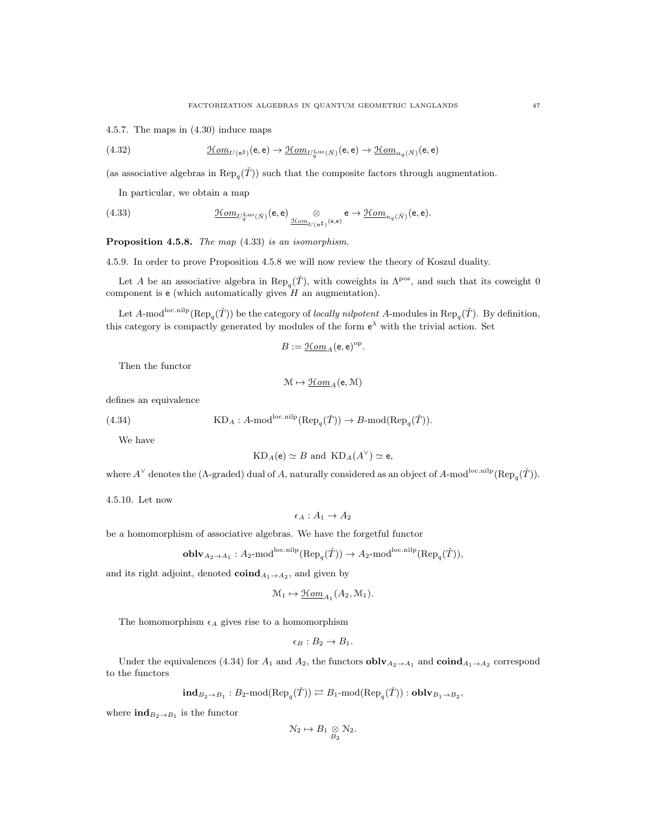4.5.7. The maps in (4.30) induce maps

(4.32) 
$$
\underline{\mathcal{H}om}_{U(\mathfrak{n}^\sharp)}(\mathbf{e},\mathbf{e}) \to \underline{\mathcal{H}om}_{U_q^{\text{Lus}}(\tilde{N})}(\mathbf{e},\mathbf{e}) \to \underline{\mathcal{H}om}_{u_q(\tilde{N})}(\mathbf{e},\mathbf{e})
$$

(as associative algebras in  $\text{Rep}_{q}(\check{T})$ ) such that the composite factors through augmentation.

In particular, we obtain a map

(4.33) 
$$
\underline{\mathcal{H}om}_{U_q^{\text{Lus}}(\tilde{N})}(\mathbf{e},\mathbf{e}) \underset{\underline{\mathcal{H}om}_{U(\mathfrak{n}^{\sharp})}(\mathbf{e},\mathbf{e})}{\otimes} \mathbf{e} \to \underline{\mathcal{H}om}_{u_q(\tilde{N})}(\mathbf{e},\mathbf{e}).
$$

Proposition 4.5.8. The map  $(4.33)$  is an isomorphism.

4.5.9. In order to prove Proposition 4.5.8 we will now review the theory of Koszul duality.

Let A be an associative algebra in  $\text{Rep}_q(\check{T})$ , with coweights in  $\Lambda^{\text{pos}}$ , and such that its coweight 0 component is  $e$  (which automatically gives  $H$  an augmentation).

Let A-mod<sup>loc.nilp</sup> ( $\text{Rep}_q(\check{T})$ ) be the category of *locally nilpotent* A-modules in  $\text{Rep}_q(\check{T})$ . By definition, this category is compactly generated by modules of the form  $e^{\lambda}$  with the trivial action. Set

$$
B := \underline{\mathcal{H}om}_A(\mathsf{e},\mathsf{e})^{\mathrm{op}}.
$$

Then the functor

$$
\mathfrak{M} \mapsto \underline{\mathfrak{Hom}}_A(\mathsf{e},\mathfrak{M})
$$

defines an equivalence

(4.34) 
$$
KD_A: A\text{-mod}^{\text{loc,nilp}}(\text{Rep}_q(\check{T})) \to B\text{-mod}(\text{Rep}_q(\check{T})).
$$

We have

$$
KD_A(e) \simeq B \text{ and } KD_A(A^{\vee}) \simeq e,
$$

where  $A^{\vee}$  denotes the ( $\Lambda$ -graded) dual of A, naturally considered as an object of A-mod<sup>loc.nilp</sup>( $\text{Rep}_{q}(\check{T})$ ).

4.5.10. Let now

 $\epsilon_A : A_1 \to A_2$ 

be a homomorphism of associative algebras. We have the forgetful functor

$$
\mathbf{oblv}_{A_2 \to A_1}: A_2 \text{-mod}^{\text{loc,nilp}}(\text{Rep}_q(\check{T})) \to A_2 \text{-mod}^{\text{loc,nilp}}(\text{Rep}_q(\check{T})),
$$

and its right adjoint, denoted  $\mathbf{coind}_{A_1 \to A_2}$ , and given by

$$
\mathcal{M}_1 \mapsto \underline{\mathcal{H}om}_{A_1}(A_2, \mathcal{M}_1).
$$

The homomorphism  $\epsilon_A$  gives rise to a homomorphism

$$
\epsilon_B:B_2\to B_1.
$$

Under the equivalences (4.34) for  $A_1$  and  $A_2$ , the functors  $\textbf{oblv}_{A_2 \to A_1}$  and  $\textbf{coind}_{A_1 \to A_2}$  correspond to the functors

$$
\mathbf{ind}_{B_2 \to B_1} : B_2 \text{-mod}(\text{Rep}_q(\check{T})) \rightleftarrows B_1 \text{-mod}(\text{Rep}_q(\check{T})) : \mathbf{oblv}_{B_1 \to B_2},
$$

where  $\text{ind}_{B_2 \to B_1}$  is the functor

$$
\mathcal{N}_2 \mapsto B_1 \underset{B_2}{\otimes} \mathcal{N}_2.
$$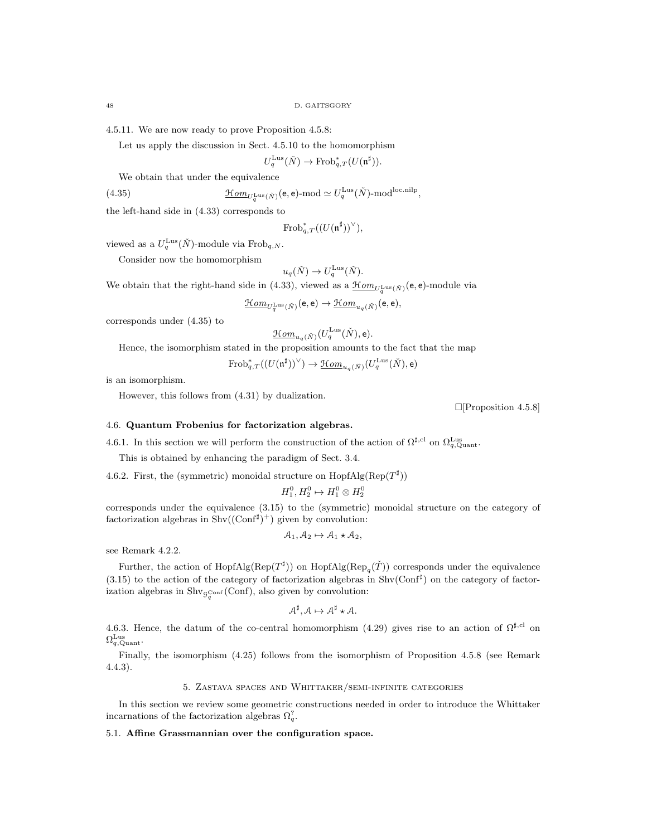4.5.11. We are now ready to prove Proposition 4.5.8:

Let us apply the discussion in Sect. 4.5.10 to the homomorphism

$$
U_q^{\text{Lus}}(\check{N}) \to \text{Frob}_{q,T}^*(U(\mathfrak{n}^\sharp)).
$$

We obtain that under the equivalence

(4.35) 
$$
\underline{\mathcal{H}om}_{U_q^{\text{Lus}}(\check{N})}(\mathbf{e},\mathbf{e})\text{-mod} \simeq U_q^{\text{Lus}}(\check{N})\text{-mod}^{\text{loc,nilp}}
$$

the left-hand side in (4.33) corresponds to

$$
\mathrm{Frob}^*_{q,T}((U(\mathfrak{n}^\sharp))^\vee),
$$

,

viewed as a  $U_q^{\text{Lus}}(\check{N})$ -module via Frob<sub>q,N</sub>.

Consider now the homomorphism

$$
u_q(\check{N}) \to U_q^{\text{Lus}}(\check{N}).
$$

We obtain that the right-hand side in (4.33), viewed as a  $\underline{\mathcal{H}om}_{U_q^{\text{Lus}}(\check{N})}(\mathsf{e},\mathsf{e})$ -module via

$$
\underline{\mathcal{H}om}_{U_q^{\mathrm{Lus}}(\check{N})}(\mathsf{e},\mathsf{e})\rightarrow \underline{\mathcal{H}om}_{u_q(\check{N})}(\mathsf{e},\mathsf{e}),
$$

corresponds under (4.35) to

$$
\underline{\mathcal{H}om}_{u_q(\check{N})}(U_q^{\mathrm{Lus}}(\check{N}),\mathsf{e}).
$$

Hence, the isomorphism stated in the proposition amounts to the fact that the map

$$
\mathrm{Frob}^*_{q,T}((U(\mathfrak{n}^\sharp))^\vee) \to \underline{\mathfrak{Hom}}_{u_q(\check{N})}(U_q^{\mathrm{Lus}}(\check{N}),\mathsf{e})
$$

is an isomorphism.

However, this follows from (4.31) by dualization.

 $\Box$ [Proposition 4.5.8]

### 4.6. Quantum Frobenius for factorization algebras.

4.6.1. In this section we will perform the construction of the action of  $\Omega^{\sharp, cl}$  on  $\Omega_{q, \text{Quant}}^{\text{Lus}}$ .

This is obtained by enhancing the paradigm of Sect. 3.4.

4.6.2. First, the (symmetric) monoidal structure on  $\text{HopfAlg}(\text{Rep}(T^{\sharp}))$ 

$$
H_1^0, H_2^0 \mapsto H_1^0 \otimes H_2^0
$$

corresponds under the equivalence (3.15) to the (symmetric) monoidal structure on the category of factorization algebras in  $\text{Shv}((\text{Conf}^{\sharp})^+)$  given by convolution:

$$
A_1, A_2 \mapsto A_1 \star A_2,
$$

see Remark 4.2.2.

Further, the action of Hopf $\text{Alg}(\text{Rep}(T^{\sharp}))$  on Hopf $\text{Alg}(\text{Rep}_q(\check{T}))$  corresponds under the equivalence  $(3.15)$  to the action of the category of factorization algebras in Shv $(\text{Conf}^{\sharp})$  on the category of factorization algebras in  $\text{Shv}_{\mathcal{G}_q^{\text{Conf}}}(\text{Conf})$ , also given by convolution:

$$
\mathcal{A}^{\sharp}, \mathcal{A} \mapsto \mathcal{A}^{\sharp} \star \mathcal{A}.
$$

4.6.3. Hence, the datum of the co-central homomorphism (4.29) gives rise to an action of  $\Omega^{\sharp,\text{cl}}$  on  $\Omega_{q,\mathrm{Quant}}^{\mathrm{Lus}}$ .

Finally, the isomorphism (4.25) follows from the isomorphism of Proposition 4.5.8 (see Remark 4.4.3).

## 5. Zastava spaces and Whittaker/semi-infinite categories

In this section we review some geometric constructions needed in order to introduce the Whittaker incarnations of the factorization algebras  $\Omega_q^?$ .

### 5.1. Affine Grassmannian over the configuration space.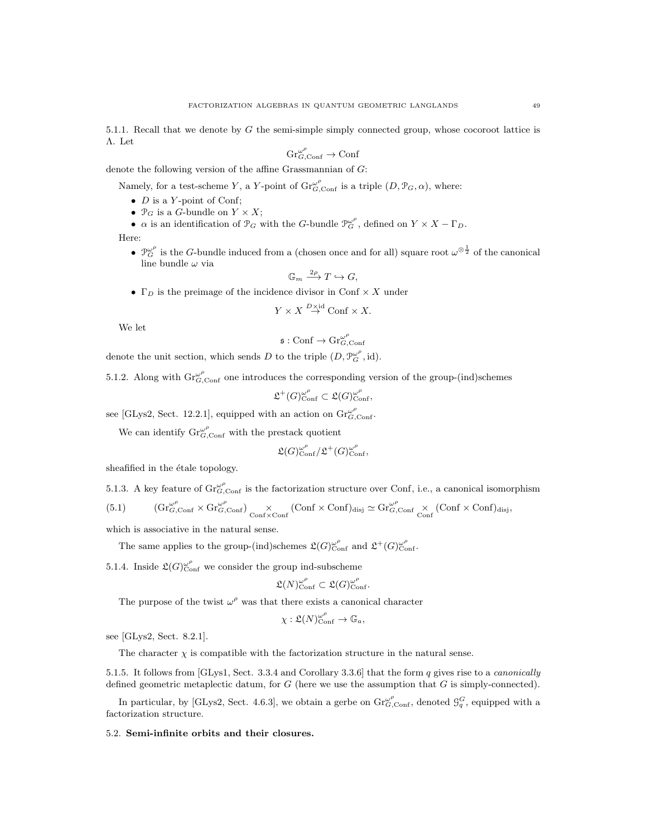5.1.1. Recall that we denote by G the semi-simple simply connected group, whose cocoroot lattice is Λ. Let

$$
\mathrm{Gr}_{G,\mathrm{Conf}}^{\omega^{\rho}} \to \mathrm{Conf}
$$

denote the following version of the affine Grassmannian of G:

Namely, for a test-scheme Y, a Y-point of  $\mathrm{Gr}_{G,\mathrm{Conf}}^{\omega^{\rho}}$  is a triple  $(D,\mathcal{P}_G,\alpha)$ , where:

- $D$  is a Y-point of Conf;
- $\mathcal{P}_G$  is a G-bundle on  $Y \times X$ ;
- $\alpha$  is an identification of  $\mathcal{P}_G$  with the G-bundle  $\mathcal{P}_G^{\omega^{\rho}}$ , defined on  $Y \times X \Gamma_D$ .

Here:

•  $\mathcal{P}_G^{\omega^{\rho}}$  is the G-bundle induced from a (chosen once and for all) square root  $\omega^{\otimes \frac{1}{2}}$  of the canonical line bundle  $\omega$  via

$$
\mathbb{G}_m \xrightarrow{2\rho} T \hookrightarrow G,
$$

•  $\Gamma_D$  is the preimage of the incidence divisor in Conf  $\times X$  under

$$
Y \times X \stackrel{D \times \mathrm{id}}{\to} \mathrm{Conf} \times X.
$$

We let

$$
\mathfrak{s} : \mathrm{Conf} \to \mathrm{Gr}_{G,\mathrm{Conf}}^{\omega^\rho}
$$

denote the unit section, which sends D to the triple  $(D, \mathcal{P}_G^{\omega^{\rho}}, id)$ .

5.1.2. Along with  $\operatorname{Gr}_{G,\text{Conf}}^{\omega^{\rho}}$  one introduces the corresponding version of the group-(ind)schemes

$$
\mathfrak{L}^+(G)_{\text{Conf}}^{\omega^\rho} \subset \mathfrak{L}(G)_{\text{Conf}}^{\omega^\rho},
$$

see [GLys2, Sect. 12.2.1], equipped with an action on  $\operatorname{Gr}_{G,\text{Conf}}^{\omega^{\rho}}$ .

We can identify  $\mathrm{Gr}_{G,\mathrm{Conf}}^{\omega^{\rho}}$  with the prestack quotient

$$
\mathfrak{L}(G)_{\text{Conf}}^{\omega^\rho}/\mathfrak{L}^+(G)_{\text{Conf}}^{\omega^\rho},
$$

sheafified in the étale topology.

5.1.3. A key feature of  $\text{Gr}_{G,\text{Conf}}^{\omega^{\rho}}$  is the factorization structure over Conf, i.e., a canonical isomorphism

$$
(5.1) \qquad \quad (Gr_{G,{\rm Conf}}^{\omega\rho}\times Gr_{G,{\rm Conf}}^{\omega\rho})\underset{{\rm Conf}\times{\rm Conf}}{\times}(\rm Conf\times Conf)_{disj}\simeq Gr_{G,{\rm Conf}}^{\omega\rho}\times(\rm Conf\times Conf)_{disj},
$$

which is associative in the natural sense.

The same applies to the group-(ind)schemes  $\mathfrak{L}(G)_{\text{Conf}}^{\omega^{\rho}}$  and  $\mathfrak{L}^{+}(G)_{\text{Conf}}^{\omega^{\rho}}$ .

5.1.4. Inside  $\mathfrak{L}(G)_{\text{Conf}}^{\omega^{\rho}}$  we consider the group ind-subscheme

$$
\mathfrak{L}(N)_{\mathrm{Conf}}^{\omega^{\rho}} \subset \mathfrak{L}(G)_{\mathrm{Conf}}^{\omega^{\rho}}.
$$

The purpose of the twist  $\omega^{\rho}$  was that there exists a canonical character

$$
\chi : \mathfrak{L}(N)_{\mathrm{Conf}}^{\omega^{\rho}} \to \mathbb{G}_a,
$$

see [GLys2, Sect. 8.2.1].

The character  $\chi$  is compatible with the factorization structure in the natural sense.

5.1.5. It follows from [GLys1, Sect. 3.3.4 and Corollary 3.3.6] that the form q gives rise to a canonically defined geometric metaplectic datum, for  $G$  (here we use the assumption that  $G$  is simply-connected).

In particular, by [GLys2, Sect. 4.6.3], we obtain a gerbe on  $\text{Gr}_{G,\text{Conf}}^{\omega^{\rho}}$ , denoted  $\mathcal{G}_q^G$ , equipped with a factorization structure.

### 5.2. Semi-infinite orbits and their closures.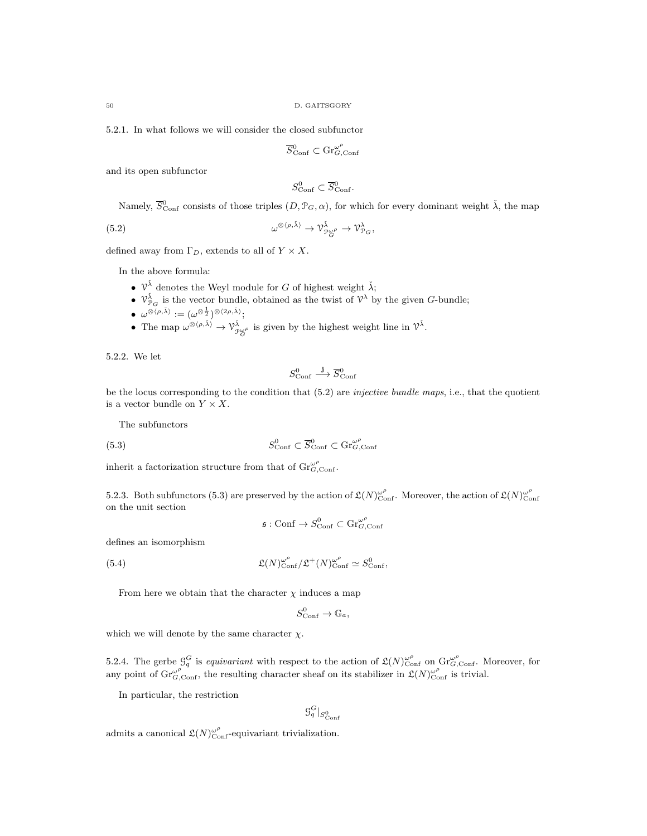5.2.1. In what follows we will consider the closed subfunctor

$$
\overline{S}_{\mathrm{Conf}}^0 \subset \mathrm{Gr}_{G,\mathrm{Conf}}^{\omega^\rho}
$$

and its open subfunctor

$$
S^0_{\text{Conf}} \subset \overline{S}^0_{\text{Conf}}.
$$

Namely,  $\overline{S}_{\text{Conf}}^0$  consists of those triples  $(D, \mathcal{P}_G, \alpha)$ , for which for every dominant weight  $\check{\lambda}$ , the map

(5.2) 
$$
\omega^{\otimes \langle \rho, \tilde{\lambda} \rangle} \to \mathcal{V}_{\mathcal{P}_G^{\omega \rho}}^{\tilde{\lambda}} \to \mathcal{V}_{\mathcal{P}_G}^{\lambda},
$$

defined away from  $\Gamma_D$ , extends to all of  $Y \times X$ .

In the above formula:

- $\mathcal{V}^{\check{\lambda}}$  denotes the Weyl module for G of highest weight  $\check{\lambda}$ ;
- $\mathcal{V}_{\mathcal{P}_G}^{\tilde{\lambda}}$  is the vector bundle, obtained as the twist of  $\mathcal{V}^{\lambda}$  by the given G-bundle;
- $\bullet\;\; \omega^{\otimes \langle \rho, \check{\lambda} \rangle} := (\omega^{\otimes \frac{1}{2}})^{\otimes \langle 2\rho, \check{\lambda} \rangle};$
- The map  $\omega^{\otimes \langle \rho, \tilde{\lambda} \rangle} \to \gamma_{\mathcal{P}_G^{\omega \rho}}^{\tilde{\lambda}}$  is given by the highest weight line in  $\mathcal{V}^{\tilde{\lambda}}$ .

5.2.2. We let

$$
S^0_{\mathrm{Conf}} \stackrel{\mathbf{j}}{\longrightarrow} \overline{S}^0_{\mathrm{Conf}}
$$

be the locus corresponding to the condition that (5.2) are injective bundle maps, i.e., that the quotient is a vector bundle on  $Y \times X$ .

The subfunctors

(5.3) 
$$
S_{\text{Conf}}^0 \subset \overline{S}_{\text{Conf}}^0 \subset \text{Gr}_{G,\text{Conf}}^{\omega^{\rho}}
$$

inherit a factorization structure from that of  $\mathrm{Gr}_{G,\mathrm{Conf}}^{\omega^{\rho}}$ .

5.2.3. Both subfunctors (5.3) are preserved by the action of  $\mathfrak{L}(N)_{\text{Conf}}^{\omega^{\rho}}$ . Moreover, the action of  $\mathfrak{L}(N)_{\text{Conf}}^{\omega^{\rho}}$ on the unit section

$$
\mathfrak{s}: \mathrm{Conf}\to S_{\mathrm{Conf}}^0\subset \mathrm{Gr}_{G,\mathrm{Conf}}^{\omega^\rho}
$$

defines an isomorphism

(5.4) 
$$
\mathfrak{L}(N)_{\text{Conf}}^{\omega^{\rho}}/\mathfrak{L}^{+}(N)_{\text{Conf}}^{\omega^{\rho}} \simeq S_{\text{Conf}}^{0},
$$

From here we obtain that the character  $\chi$  induces a map

$$
S^0_{\mathrm{Conf}} \to \mathbb{G}_a,
$$

which we will denote by the same character  $\chi$ .

5.2.4. The gerbe  $\mathcal{G}_q^G$  is *equivariant* with respect to the action of  $\mathfrak{L}(N)_{\text{Conf}}^{\omega^{\rho}}$  on  $\text{Gr}_{G,\text{Conf}}^{\omega^{\rho}}$ . Moreover, for any point of  $\operatorname{Gr}_{G,\text{Conf}}^{\omega^{\rho}}$ , the resulting character sheaf on its stabilizer in  $\mathfrak{L}(N)_{\text{Conf}}^{\omega^{\rho}}$  is trivial.

In particular, the restriction

$$
\mathcal{G}_q^G|_{S^0_{\text{Conf}}}
$$

admits a canonical  $\mathfrak{L}(N)_{\text{Conf}}^{\omega^{\rho}}$ -equivariant trivialization.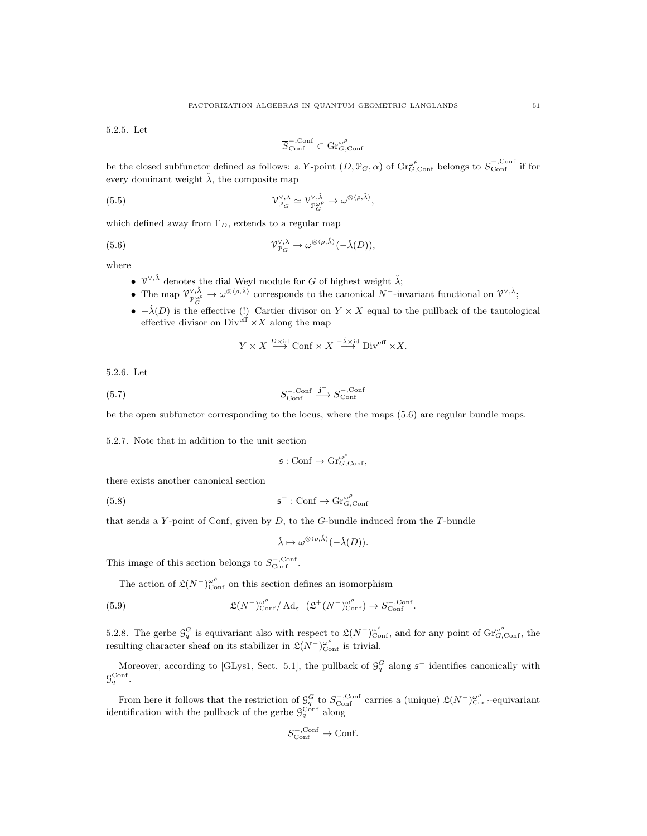5.2.5. Let

$$
\overline{S}^{-,{\rm Conf}}_{\rm Conf}\subset \mathrm{Gr}_{G,{\rm Conf}}^{\omega^\rho}
$$

be the closed subfunctor defined as follows: a Y-point  $(D, \mathcal{P}_G, \alpha)$  of  $\text{Gr}_{G, \text{Conf}}^{\omega^o}$  belongs to  $\overline{S}_{\text{Conf}}^{-,\text{Conf}}$  if for every dominant weight  $\check{\lambda}$ , the composite map

(5.5) 
$$
\mathcal{V}_{\mathcal{P}_G}^{\vee,\lambda} \simeq \mathcal{V}_{\mathcal{P}_G^{\omega}}^{\vee,\bar{\lambda}} \to \omega^{\otimes \langle \rho,\bar{\lambda} \rangle},
$$

which defined away from  $\Gamma_D$ , extends to a regular map

(5.6) 
$$
\mathcal{V}_{\mathcal{P}_G}^{\vee,\lambda} \to \omega^{\otimes \langle \rho,\check{\lambda} \rangle}(-\check{\lambda}(D)),
$$

where

- $\mathcal{V}^{\vee,\check{\lambda}}$  denotes the dial Weyl module for G of highest weight  $\check{\lambda}$ ;
- The map  $\mathcal{V}_{\mathcal{P}_{G}^{\omega}}^{\vee,\tilde{\lambda}} \to \omega^{\otimes \langle \rho,\tilde{\lambda} \rangle}$  corresponds to the canonical  $N^-$ -invariant functional on  $\mathcal{V}^{\vee,\tilde{\lambda}}$ ;
- $-\lambda(D)$  is the effective (!) Cartier divisor on  $Y \times X$  equal to the pullback of the tautological effective divisor on Div<sup>eff</sup>  $\times X$  along the map

$$
Y \times X \stackrel{D \times \mathrm{id}}{\longrightarrow} \mathrm{Conf} \times X \stackrel{-\check{\lambda} \times \mathrm{id}}{\longrightarrow} \mathrm{Div}^{\mathrm{eff}} \times X.
$$

5.2.6. Let

(5.7) 
$$
S_{\text{Conf}}^{-,\text{Conf}} \xrightarrow{\mathbf{j}^{-}} \overline{S}_{\text{Conf}}^{-,\text{Conf}}
$$

be the open subfunctor corresponding to the locus, where the maps (5.6) are regular bundle maps.

5.2.7. Note that in addition to the unit section

$$
\mathfrak{s}: \mathrm{Conf} \to \mathrm{Gr}_{G,\mathrm{Conf}}^{\omega^\rho},
$$

there exists another canonical section

 $(5.8)$  $\overline{\phantom{a}}$  : Conf  $\rightarrow$  Gr $_{G,{\rm Conf}}^{\omega^{\rho}}$ 

that sends a  $Y$ -point of Conf, given by  $D$ , to the  $G$ -bundle induced from the  $T$ -bundle

$$
\check{\lambda}\mapsto \omega^{\otimes \langle \rho,\check{\lambda}\rangle}(-\check{\lambda}(D)).
$$

This image of this section belongs to  $S_{\text{Conf}}^{-\text{,Conf}}$ .

The action of  $\mathfrak{L}(N^{-})^{\omega^{\rho}}_{\text{Conf}}$  on this section defines an isomorphism

(5.9) 
$$
\mathfrak{L}(N^{-})^{\omega^{\rho}}_{\text{Conf}}/ \operatorname{Ad}_{\mathfrak{s}^{-}}(\mathfrak{L}^{+}(N^{-})^{\omega^{\rho}}_{\text{Conf}}) \to S^{-,\text{Conf}}_{\text{Conf}}.
$$

5.2.8. The gerbe  $\mathcal{G}_q^G$  is equivariant also with respect to  $\mathfrak{L}(N^-)_{\text{Conf}}^{\omega^{\rho}}$ , and for any point of  $\mathrm{Gr}_{G,\text{Conf}}^{\omega^{\rho}}$ , the resulting character sheaf on its stabilizer in  $\mathfrak{L}(N^{-})^{\omega^{\rho}}_{\text{Conf}}$  is trivial.

Moreover, according to [GLys1, Sect. 5.1], the pullback of  $\mathcal{G}_q^G$  along  $\mathfrak{s}^-$  identifies canonically with  $\mathcal{G}_q^{\text{Conf}}$ .

From here it follows that the restriction of  $\mathcal{G}_q^G$  to  $S_{\text{Conf}}^{-,\text{Conf}}$  carries a (unique)  $\mathfrak{L}(N^-)_{\text{Conf}}^{\omega^o}$ -equivariant identification with the pullback of the gerbe  $\mathcal{G}_q^{\text{Conf}}$  along

$$
S_{\text{Conf}}^{-,\text{Conf}} \to \text{Conf}.
$$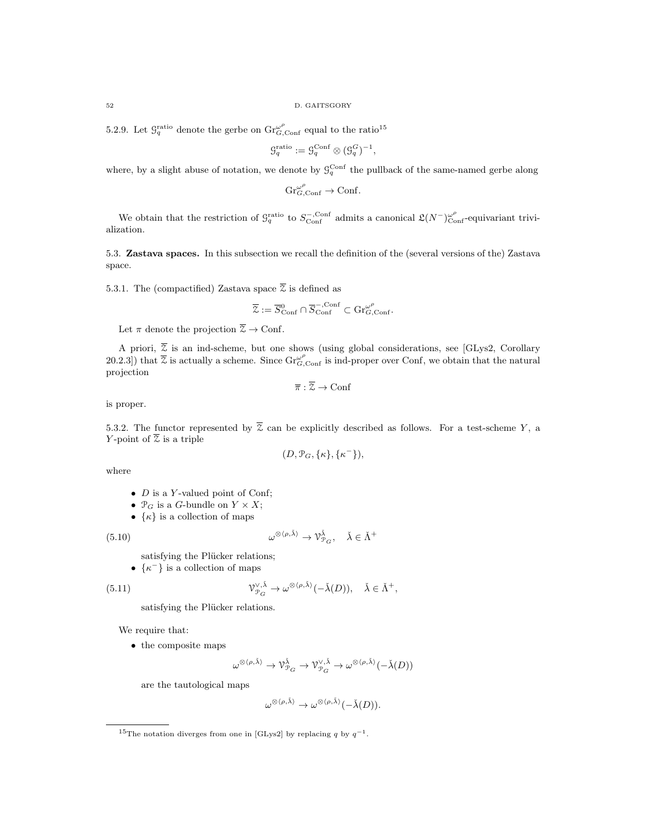5.2.9. Let  $\mathcal{G}_q^{\text{ratio}}$  denote the gerbe on  $\operatorname{Gr}_{G,\text{Conf}}^{\omega^{\rho}}$  equal to the ratio<sup>15</sup>

$$
\mathcal{G}_q^{\text{ratio}} := \mathcal{G}_q^{\text{Conf}} \otimes (\mathcal{G}_q^G)^{-1},
$$

where, by a slight abuse of notation, we denote by  $\mathcal{G}_q^{\text{Conf}}$  the pullback of the same-named gerbe along

 $\operatorname{Gr}_{G,\mathrm{Conf}}^{\omega^{\rho}} \to \mathrm{Conf}.$ 

We obtain that the restriction of  $\mathcal{G}_q^{\text{ratio}}$  to  $S_{\text{Conf}}^{-,\text{Conf}}$  admits a canonical  $\mathfrak{L}(N^-)_{\text{Conf}}^{\omega^{\rho}}$ -equivariant trivialization.

5.3. Zastava spaces. In this subsection we recall the definition of the (several versions of the) Zastava space.

5.3.1. The (compactified) Zastava space  $\overline{z}$  is defined as

$$
\overline{\mathcal{Z}}:=\overline{S}_{\text{Conf}}^0\cap\overline{S}_{\text{Conf}}^{-,\text{Conf}}\subset \text{Gr}_{G,\text{Conf}}^{\omega^\rho}.
$$

Let  $\pi$  denote the projection  $\overline{z} \to$  Conf.

A priori,  $\overline{z}$  is an ind-scheme, but one shows (using global considerations, see [GLys2, Corollary 20.2.3]) that  $\overline{z}$  is actually a scheme. Since  $\text{Gr}_{G,\text{Conf}}^{\omega^{\rho}}$  is ind-proper over Conf, we obtain that the natural projection

$$
\overline{\pi} : \overline{\mathcal{Z}} \to \text{Conf}
$$

is proper.

5.3.2. The functor represented by  $\overline{z}$  can be explicitly described as follows. For a test-scheme Y, a Y-point of  $\overline{z}$  is a triple

$$
(D, \mathcal{P}_G, \{\kappa\}, \{\kappa^-\}),
$$

where

- $D$  is a Y-valued point of Conf;
- $\mathcal{P}_G$  is a G-bundle on  $Y \times X$ ;
- $\{\kappa\}$  is a collection of maps

 $(5.10)$   $\omega$ 

$$
^{\otimes \langle \rho, \check{\lambda} \rangle} \to \mathcal{V}_{\mathcal{P}_G}^{\check{\lambda}}, \quad \check{\lambda} \in \check{\Lambda}^+
$$

satisfying the Plücker relations;

•  $\{\kappa^-\}$  is a collection of maps

(5.11) 
$$
\mathcal{V}_{\mathcal{P}_G}^{\vee,\check{\lambda}} \to \omega^{\otimes \langle \rho,\check{\lambda} \rangle}(-\check{\lambda}(D)), \quad \check{\lambda} \in \check{\Lambda}^+,
$$

satisfying the Plücker relations.

We require that:

• the composite maps

$$
\omega^{\otimes \langle \rho, \check{\lambda} \rangle} \rightarrow \mathcal{V}_{\mathcal{P}_G}^{\check{\lambda}} \rightarrow \mathcal{V}_{\mathcal{P}_G}^{\vee, \check{\lambda}} \rightarrow \omega^{\otimes \langle \rho, \check{\lambda} \rangle}(-\check{\lambda}(D))
$$

are the tautological maps

$$
\omega^{\otimes \langle \rho, \check{\lambda} \rangle} \to \omega^{\otimes \langle \rho, \check{\lambda} \rangle}(-\check{\lambda}(D)).
$$

<sup>&</sup>lt;sup>15</sup>The notation diverges from one in [GLys2] by replacing q by  $q^{-1}$ .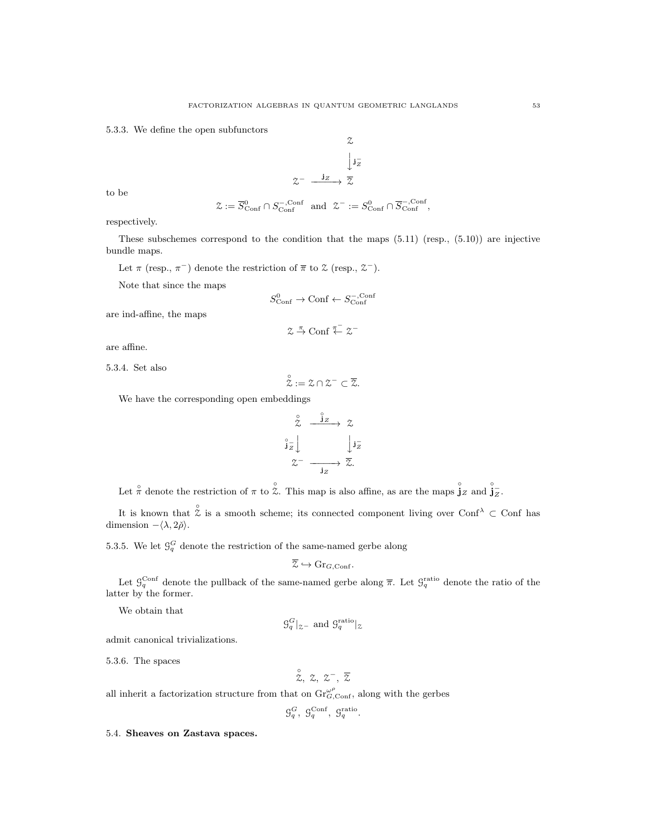5.3.3. We define the open subfunctors

$$
\begin{array}{ccc}\n & \mathcal{Z} \\
 & \downarrow j_{Z}^{-} \\
 & \xrightarrow{\mathbf{j}_{Z}} & \mathcal{Z}\n\end{array}
$$

to be

$$
\mathcal{Z} := \overline{S}_{\text{Conf}}^0 \cap S_{\text{Conf}}^{-,\text{Conf}} \text{ and } \mathcal{Z}^- := S_{\text{Conf}}^0 \cap \overline{S}_{\text{Conf}}^{-,\text{Conf}},
$$

 $\alpha$ 

respectively.

These subschemes correspond to the condition that the maps (5.11) (resp., (5.10)) are injective bundle maps.

Let  $\pi$  (resp.,  $\pi^{-}$ ) denote the restriction of  $\bar{\pi}$  to  $\mathcal{Z}$  (resp.,  $\mathcal{Z}^{-}$ ).

Note that since the maps

$$
S^0_{\text{Conf}} \to \text{Conf} \leftarrow S^{-,\text{Conf}}_{\text{Conf}}
$$

are ind-affine, the maps

$$
\mathcal{Z} \stackrel{\pi}{\rightarrow} \mathrm{Conf} \stackrel{\pi^-}{\leftarrow} \mathcal{Z}^-
$$

are affine.

5.3.4. Set also

$$
\overset{\circ}{\mathcal{Z}}:=\mathcal{Z}\cap\mathcal{Z}^-\subset\overline{\mathcal{Z}}.
$$

We have the corresponding open embeddings

$$
\begin{array}{ccc}\n\stackrel{\circ}{\times} & \stackrel{\stackrel{\circ}{\times}}{\longrightarrow} & \stackrel{\circ}{\times} \\
\stackrel{\circ}{\downarrow} & & \downarrow \stackrel{\circ}{\downarrow} \\
\stackrel{\circ}{\times} & & \downarrow \stackrel{\circ}{\longrightarrow} & \stackrel{\circ}{\times} \\
& & \downarrow \stackrel{\circ}{\longrightarrow} & \stackrel{\circ}{\times} \\
& & \downarrow \end{array}
$$

Let  $\hat{\pi}$  denote the restriction of  $\pi$  to  $\hat{\zeta}$ . This map is also affine, as are the maps  $\hat{j}_z$  and  $\hat{j}_z$ .

It is known that  $\hat{\zeta}$  is a smooth scheme; its connected component living over Conf $\lambda \subset$  Conf has dimension  $-\langle \lambda, 2\rangle$ .

5.3.5. We let  $\mathcal{G}_q^G$  denote the restriction of the same-named gerbe along

$$
\overline{\mathcal{Z}} \hookrightarrow \mathrm{Gr}_{G,\mathrm{Conf}}.
$$

Let  $\mathcal{G}_q^{\text{Conf}}$  denote the pullback of the same-named gerbe along  $\bar{\pi}$ . Let  $\mathcal{G}_q^{\text{ratio}}$  denote the ratio of the latter by the former.

We obtain that

$$
\mathcal{G}_q^G|_{\mathcal{Z}^-}
$$
 and  $\mathcal{G}_q^{\text{ratio}}|_{\mathcal{Z}}$ 

admit canonical trivializations.

5.3.6. The spaces

$$
\overset{\circ}{z},\;z,\;z^-,\;\overline{z}
$$

all inherit a factorization structure from that on  $\mathrm{Gr}_{G,\mathrm{Conf}}^{\omega^{\rho}}$ , along with the gerbes

$$
\mathcal{G}_q^G,~\mathcal{G}_q^{\rm Conf},~\mathcal{G}_q^{\rm ratio}.
$$

5.4. Sheaves on Zastava spaces.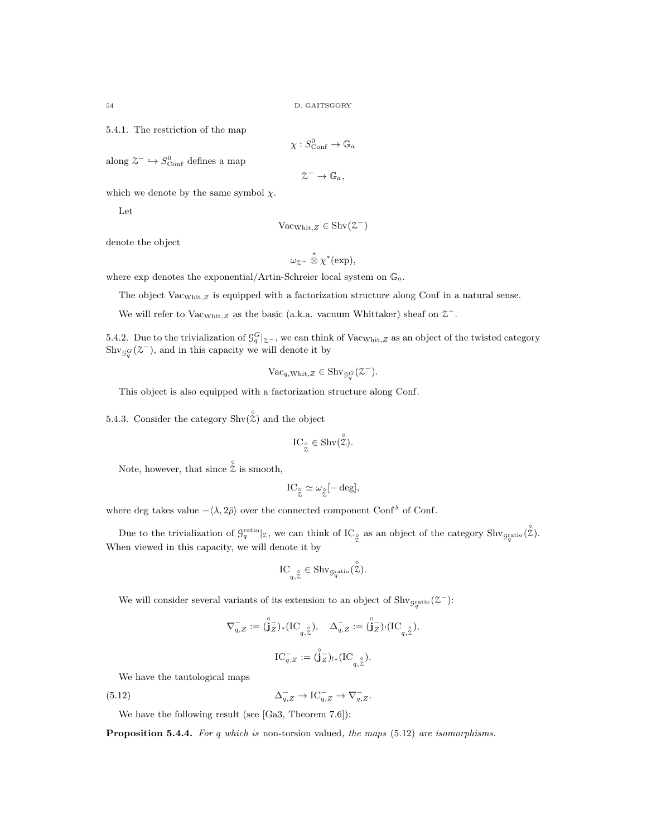5.4.1. The restriction of the map

$$
\chi: S^0_{\text{Conf}} \to \mathbb{G}_a
$$

along  $\mathcal{Z}^- \hookrightarrow S^0_{\text{Conf}}$  defines a map

$$
\mathcal{Z}^- \to \mathbb{G}_a,
$$

which we denote by the same symbol  $\chi$ .

Let

$$
Vac_{Whit,Z} \in Shv(\mathcal{Z}^-)
$$

denote the object

$$
\omega_{\text{Z}^{-}} \overset{*}{\otimes} \chi^*(\text{exp}),
$$

where exp denotes the exponential/Artin-Schreier local system on  $\mathbb{G}_a$ .

The object  $\text{Vac}_{\text{Whit},Z}$  is equipped with a factorization structure along Conf in a natural sense.

We will refer to Vac<sub>Whit,Z</sub> as the basic (a.k.a. vacuum Whittaker) sheaf on  $2^-$ .

5.4.2. Due to the trivialization of  $\mathcal{G}_q^G|_{z^-}$ , we can think of Vac<sub>Whit,Z</sub> as an object of the twisted category  $\text{Shv}_{\mathcal{G}_q^G}(\mathcal{Z}^-)$ , and in this capacity we will denote it by

$$
\text{Vac}_{q,\text{Whit},Z} \in \text{Shv}_{\mathcal{G}_q^G}(\mathcal{Z}^-).
$$

This object is also equipped with a factorization structure along Conf.

5.4.3. Consider the category  $\text{Shv}(\overset{\circ}{\mathcal{Z}})$  and the object

$$
IC_{\overset{\circ}{\mathcal{Z}}}\in \mathrm{Shv}(\overset{\circ}{\mathcal{Z}}).
$$

Note, however, that since  $\hat{z}$  is smooth,

$$
\mathop{\rm IC}\nolimits_{\stackrel{\circ}{\mathcal{Z}}}\simeq \omega_{\stackrel{\circ}{\mathcal{Z}}}[-\mathop{\rm deg}\nolimits],
$$

where deg takes value  $-\langle \lambda, 2\rangle$  over the connected component Conf<sup>λ</sup> of Conf.

Due to the trivialization of  $\mathcal{G}_q^{\text{ratio}}|_{\mathcal{Z}}$ , we can think of IC<sub></sub>° as an object of the category  $\text{Shv}_{\mathcal{G}_q^{\text{ratio}}}(\mathcal{Z})$ . When viewed in this capacity, we will denote it by

$$
\mathop{\rm IC}\nolimits_{q,\stackrel{\circ}{\mathcal{Z}}}\in\mathop{\rm Shv}\nolimits_{\mathop{\rm S}\nolimits_q^{\rm ratio}}(\stackrel{\circ}{\mathcal{Z}}).
$$

We will consider several variants of its extension to an object of  $\text{Shv}_{g_i^{\text{ratio}}}(\mathcal{Z}^-)$ :

$$
\begin{array}{ll} \nabla_{q,Z}^-\mathrel{\mathop:}= (\overset{\circ}{\mathbf{j}}_Z^-)_*(\mathrm{IC}_{q,\overset{\circ}{\mathbb{X}}}), & \Delta_{q,Z}^-\mathrel{\mathop:}= (\overset{\circ}{\mathbf{j}}_Z^-)_!(\mathrm{IC}_{q,\overset{\circ}{\mathbb{X}}}),\\[1mm] & \mathrm{IC}_{q,Z}^-\mathrel{\mathop:}= (\overset{\circ}{\mathbf{j}}_Z^-)_{!*}(\mathrm{IC}_{q,\overset{\circ}{\mathbb{X}}}). \end{array}
$$

We have the tautological maps

(5.12) 
$$
\Delta_{q,Z}^- \to \text{IC}_{q,Z}^- \to \nabla_{q,Z}^-.
$$

We have the following result (see [Ga3, Theorem 7.6]):

**Proposition 5.4.4.** For q which is non-torsion valued, the maps  $(5.12)$  are isomorphisms.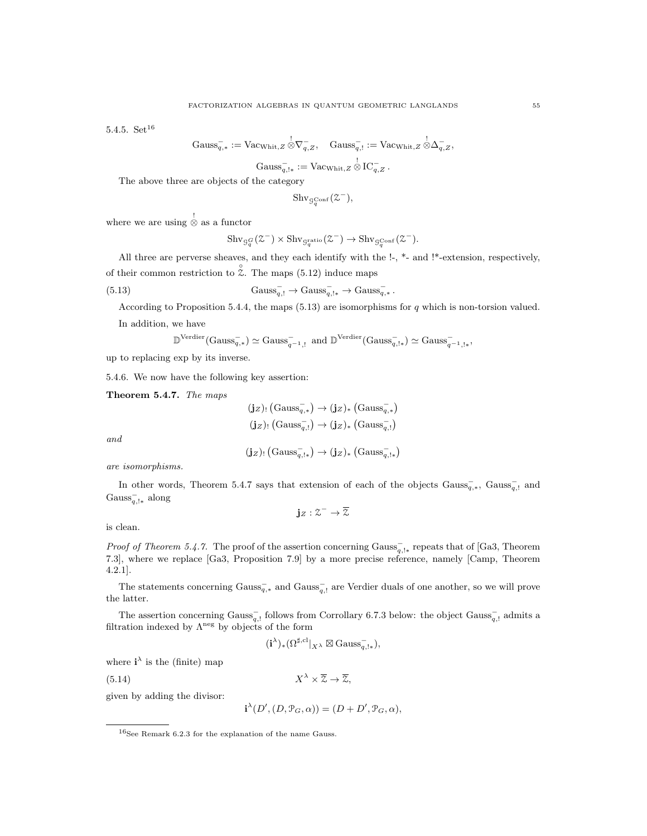5.4.5.  $Set<sup>16</sup>$ 

$$
\mathrm{Gauss}_{q,*}^- := \mathrm{Vac}_{\mathrm{Whit},Z} \overset{!}{\otimes} \nabla_{q,Z}^-, \quad \mathrm{Gauss}_{q,!}^- := \mathrm{Vac}_{\mathrm{Whit},Z} \overset{!}{\otimes} \Delta_{q,Z}^-,
$$

$$
\mathrm{Gauss}_{q,\mathsf{I}*}^- := \mathrm{Vac}_{\mathrm{Whit},Z} \overset{!}{\otimes} \mathrm{IC}_{q,Z}^-.
$$

The above three are objects of the category

$$
\mathrm{Shv}_{\mathcal{G}_q^{\mathrm{Conf}}}(\mathcal{Z}^-),
$$

where we are using  $\frac{1}{\infty}$  as a functor

$$
\mathrm{Shv}_{\mathcal{G}_q^G}(\mathcal{Z}^-) \times \mathrm{Shv}_{\mathcal{G}_q^{\mathrm{ratio}}}(\mathcal{Z}^-) \to \mathrm{Shv}_{\mathcal{G}_q^{\mathrm{Conf}}}(\mathcal{Z}^-).
$$

All three are perverse sheaves, and they each identify with the !-, \*- and !\*-extension, respectively, of their common restriction to  $\hat{\zeta}$ . The maps (5.12) induce maps

(5.13) 
$$
Gauss_{q,!}^- \to Gauss_{q,!}^- \to Gauss_{q,*}^- \to Gauss_{q,*}^-.
$$

According to Proposition 5.4.4, the maps (5.13) are isomorphisms for q which is non-torsion valued. In addition, we have

$$
\mathbb{D}^\mathrm{Verdier}(\mathrm{Gauss}_{q,*}^-)\simeq \mathrm{Gauss}_{q^{-1},!}^- \text{ and } \mathbb{D}^\mathrm{Verdier}(\mathrm{Gauss}_{q,!*}^-)\simeq \mathrm{Gauss}_{q^{-1},!*}^-
$$

up to replacing exp by its inverse.

5.4.6. We now have the following key assertion:

Theorem 5.4.7. The maps

$$
\begin{aligned} &\textbf{(jz)}_!(\text{Gauss}_{q,*}^-)\rightarrow \textbf{(jz)}_*\text{ (Gauss}_{q,*}^-)\\ &\textbf{(jz)}_!(\text{Gauss}_{q,!}^-)\rightarrow \textbf{(jz)}_*\text{ (Gauss}_{q,!}^-)\end{aligned}
$$

and

$$
(\mathbf{j}_Z)_! \left( \mathrm{Gauss}_{q, !*}^- \right) \to (\mathbf{j}_Z)_* \left( \mathrm{Gauss}_{q, !*}^- \right)
$$

are isomorphisms.

In other words, Theorem 5.4.7 says that extension of each of the objects  $Gauss_{q,*}^-$ ,  $Gauss_{q,!}^-$  and Gauss<sub>q,!∗</sub> along

$$
{\mathbf j}_Z:\mathbb{Z}^+\to\overline{\mathbb{Z}}
$$

is clean.

*Proof of Theorem 5.4.7.* The proof of the assertion concerning Gauss<sub> $q, !*$ </sub> repeats that of [Ga3, Theorem 7.3], where we replace [Ga3, Proposition 7.9] by a more precise reference, namely [Camp, Theorem 4.2.1].

The statements concerning  $Gauss_{q,*}^-$  and  $Gauss_{q,!}^-$  are Verdier duals of one another, so we will prove the latter.

The assertion concerning  $Gauss_{q,1}^-$  follows from Corrollary 6.7.3 below: the object  $Gauss_{q,1}^-$  admits a filtration indexed by  $\Lambda^{neg}$  by objects of the form

$$
(\mathbf{i}^{\lambda})_{*} (\Omega^{\sharp,\mathrm{cl}}|_{X^{\lambda}} \boxtimes \mathrm{Gauss}_{q,1*}^{-}),
$$

where  $i^{\lambda}$  is the (finite) map

 $(5.14)$ 

 $X^{\lambda} \times \overline{\mathcal{Z}} \to \overline{\mathcal{Z}}$ .

given by adding the divisor:

 $\mathbf{i}^{\lambda}(D', (D, \mathcal{P}_G, \alpha)) = (D + D', \mathcal{P}_G, \alpha),$ 

 $16$ See Remark 6.2.3 for the explanation of the name Gauss.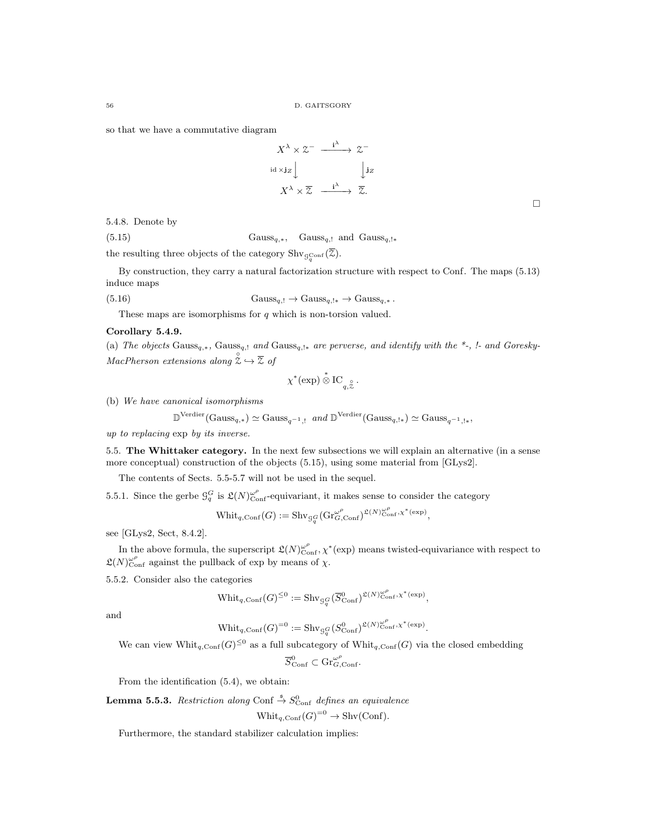so that we have a commutative diagram

$$
X^{\lambda} \times \mathcal{Z}^- \xrightarrow{i^{\lambda}} \mathcal{Z}^-
$$
  
id  $\times$  jz  

$$
X^{\lambda} \times \overline{\mathcal{Z}} \xrightarrow{i^{\lambda}} \overline{\mathcal{Z}}.
$$

 $\Box$ 

,

5.4.8. Denote by

(5.15) Gauss<sub>q,∗</sub>, Gauss<sub>q,!</sub> and Gauss<sub>q,!∗</sub> the resulting three objects of the category  $\text{Shv}_{\mathcal{G}_q^{\text{Conf}}}(\mathcal{Z})$ .

By construction, they carry a natural factorization structure with respect to Conf. The maps (5.13) induce maps

(5.16) 
$$
Gauss_{q,!} \to Gauss_{q,!} \to Gauss_{q,*} \to Gauss_{q,*} .
$$

These maps are isomorphisms for  $q$  which is non-torsion valued.

## Corollary 5.4.9.

(a) The objects Gaussq,<sup>∗</sup>, Gaussq,! and Gaussq,!<sup>∗</sup> are perverse, and identify with the \*-, !- and Goresky- $MacPherson$  extensions along  $\hat{z} \hookrightarrow \overline{z}$  of

$$
\chi^*(\exp)\overset{*}{\otimes}\mathrm{IC}_{q,\overset{\circ}{\mathcal{Z}}}.
$$

(b) We have canonical isomorphisms

$$
\mathbb{D}^{\mathbf{Verdier}}(\mathbf{Gauss}_{q,*}) \simeq \mathbf{Gauss}_{q^{-1},!} \text{ and } \mathbb{D}^{\mathbf{Verdier}}(\mathbf{Gauss}_{q,!*}) \simeq \mathbf{Gauss}_{q^{-1},!*}
$$

up to replacing exp by its inverse.

5.5. The Whittaker category. In the next few subsections we will explain an alternative (in a sense more conceptual) construction of the objects (5.15), using some material from [GLys2].

The contents of Sects. 5.5-5.7 will not be used in the sequel.

5.5.1. Since the gerbe  $\mathcal{G}_q^G$  is  $\mathfrak{L}(N)_{\text{Conf}}^{\omega^{\rho}}$ -equivariant, it makes sense to consider the category

$$
\text{Whit}_{q,\text{Conf}}(G) := \text{Shv}_{\mathcal{G}_q^G}(\text{Gr}_{G,\text{Conf}}^{\omega^{\rho}})^{\mathfrak{L}(N)_{\text{Conf}}^{\omega^{\rho}},\chi^*(\exp)},
$$

see [GLys2, Sect, 8.4.2].

In the above formula, the superscript  $\mathfrak{L}(N)_{\text{Conf}}^{\omega^{\rho}}, \chi^*(\text{exp})$  means twisted-equivariance with respect to  $\mathfrak{L}(N)_{\text{Conf}}^{\omega^{\rho}}$  against the pullback of exp by means of  $\chi$ .

5.5.2. Consider also the categories

$$
\text{Whit}_{q, \text{Conf}}(G)^{\leq 0} := \text{Shv}_{\mathcal{G}_q^G}(\overline{S}_{\text{Conf}}^0)^{\mathfrak{L}(N)_{\text{Conf}}^{\omega^\rho}, \chi^*(\exp)},
$$

and

$$
\text{Whit}_{q,\text{Conf}}(G)^{=0} := \text{Shv}_{\mathcal{G}_q^G}(S^0_{\text{Conf}})^{\mathfrak{L}(N)_{\text{Conf}}^{\omega^{\rho}}, \chi^*(\exp)}.
$$

We can view  $\text{Whit}_{q,\text{Conf}}(G)^{\leq 0}$  as a full subcategory of  $\text{Whit}_{q,\text{Conf}}(G)$  via the closed embedding

 $\overline{S}_{\text{Conf}}^0 \subset \text{Gr}_{G,\text{Conf}}^{\omega^\rho}.$ 

From the identification (5.4), we obtain:

**Lemma 5.5.3.** Restriction along Conf  $\stackrel{\$}{\rightarrow} S^0_{\text{Conf}}$  defines an equivalence

$$
Whit_{q,Conf}(G)^{=0} \to Shv(Conf).
$$

Furthermore, the standard stabilizer calculation implies: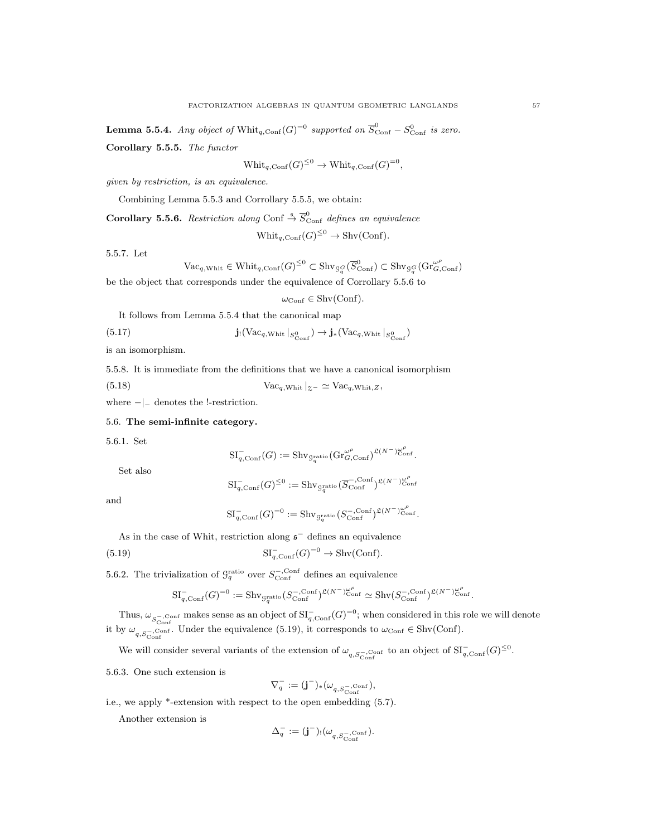**Lemma 5.5.4.** Any object of  $\text{Whit}_{q,\text{Conf}}(G)^{=0}$  supported on  $\overline{S}_{\text{Conf}}^0 - S_{\text{Conf}}^0$  is zero.

Corollary 5.5.5. The functor

$$
\text{Whit}_{q,\text{Conf}}(G)^{\leq 0} \to \text{Whit}_{q,\text{Conf}}(G)^{=0},
$$

given by restriction, is an equivalence.

Combining Lemma 5.5.3 and Corrollary 5.5.5, we obtain:

**Corollary 5.5.6.** Restriction along Conf  $\stackrel{\mathsf{s}}{\rightarrow} \overline{S}_{\text{Conf}}^0$  defines an equivalence

$$
Whit_{q,Conf}(G)^{\leq 0} \to Shv(Conf).
$$

5.5.7. Let

$$
\mathrm{Vac}_{q,\mathrm{Whit}}\in \mathrm{Whit}_{q,\mathrm{Conf}}(G)^{\leq 0}\subset \mathrm{Shv_{\mathcal{G}_q^G}}(\overline{S}_{\mathrm{Conf}}^0)\subset \mathrm{Shv_{\mathcal{G}_q^G}}(\mathrm{Gr}_{G,\mathrm{Conf}}^{\omega^\rho})
$$

be the object that corresponds under the equivalence of Corrollary 5.5.6 to

$$
\omega_{\mathrm{Conf}} \in \mathrm{Shv}(\mathrm{Conf}).
$$

It follows from Lemma 5.5.4 that the canonical map

(5.17) 
$$
\mathbf{j}(\text{Vac}_{q,\text{Whit}}|_{S^0_{\text{Conf}}}) \to \mathbf{j}_*(\text{Vac}_{q,\text{Whit}}|_{S^0_{\text{Conf}}})
$$

is an isomorphism.

5.5.8. It is immediate from the definitions that we have a canonical isomorphism

(5.18)  $\text{Vac}_{q,\text{Whit}}|_{z^-} \simeq \text{Vac}_{q,\text{Whit},Z},$ 

where −|<sup>−</sup> denotes the !-restriction.

## 5.6. The semi-infinite category.

5.6.1. Set

$$
\mathrm{SI}_{q,\mathrm{Conf}}^-(G) := \mathrm{Shv}_{\mathrm{G}_q^{\mathrm{ratio}}}(\mathrm{Gr}_{G,\mathrm{Conf}}^{\omega^\rho})^{\mathfrak{L}(N^-)}^{\omega^\rho}_{\mathrm{Conf}}.
$$

Set also

$$
\mathrm{SI}_{q,\mathrm{Conf}}^-(G)^{\leq 0}:=\mathrm{Shv}_{\mathrm{G}_q^{\mathrm{ratio}}}(\overline{S}_{\mathrm{Conf}}^{-,\mathrm{Conf}})^{\mathfrak{L}(N^{-})^{\omega^{\rho}}_{\mathrm{Conf}}}
$$

and

$$
\mathrm{SI}_{q,\mathrm{Conf}}^-(G)^{=0}:=\mathrm{Shv}_{\mathcal{G}_q^{\mathrm{ratio}}}(S^{-,\mathrm{Conf}}_{\mathrm{Conf}})^{\mathfrak{L}(N^-)_{{\mathrm{Conf}}}^{\omega_r^\rho}}.
$$

As in the case of Whit, restriction along  $\mathfrak{s}^-$  defines an equivalence

(5.19) 
$$
\mathrm{SI}_{q,\mathrm{Conf}}^{-}(G)^{=0} \to \mathrm{Shv}(\mathrm{Conf}).
$$

5.6.2. The trivialization of  $\mathcal{G}_q^{\text{ratio}}$  over  $S_{\text{Conf}}^{-,\text{Conf}}$  defines an equivalence

$$
\mathrm{SI}_{q,\mathrm{Conf}}^-(G)^{=0}:=\mathrm{Shv}_{\mathcal{G}_q^{\mathrm{ratio}}}(S^{-,\mathrm{Conf}}_{\mathrm{Conf}})^{\mathfrak{L}(N^{-})^{\omega_{\mathrm{Conf}}^{\rho}}}\simeq \mathrm{Shv}(S^{-,\mathrm{Conf}}_{\mathrm{Conf}})^{\mathfrak{L}(N^{-})^{\omega_{\mathrm{Conf}}^{\rho}}}_{\mathrm{conf}}.
$$

Thus,  $\omega_{S_{\text{Conf}}^-, \text{Conf}}$  makes sense as an object of  $\mathrm{SI}_{q,\text{Conf}}^-(G)^{=0}$ ; when considered in this role we will denote it by  $\omega_{q,S_{\text{Conf}}^-, \text{Conf}}$ . Under the equivalence (5.19), it corresponds to  $\omega_{\text{Conf}} \in \text{Shv}(\text{Conf})$ .

We will consider several variants of the extension of  $\omega_{q,S_{\text{Conf}}^-\text{Conf}}$  to an object of  $\mathrm{SI}_{q,\text{Conf}}^-(G)^{\leq 0}$ .

5.6.3. One such extension is

$$
\nabla_q^-:=(\mathbf{j}^-)_*(\omega_{q,S_{\text{Conf}}^-, \text{Conf}}),
$$

i.e., we apply \*-extension with respect to the open embedding (5.7).

Another extension is

$$
\Delta^-_q:=(\mathbf{j}^-)_!({\omega}_{q,S^{-,{\rm Conf}}_{\rm Conf}}).
$$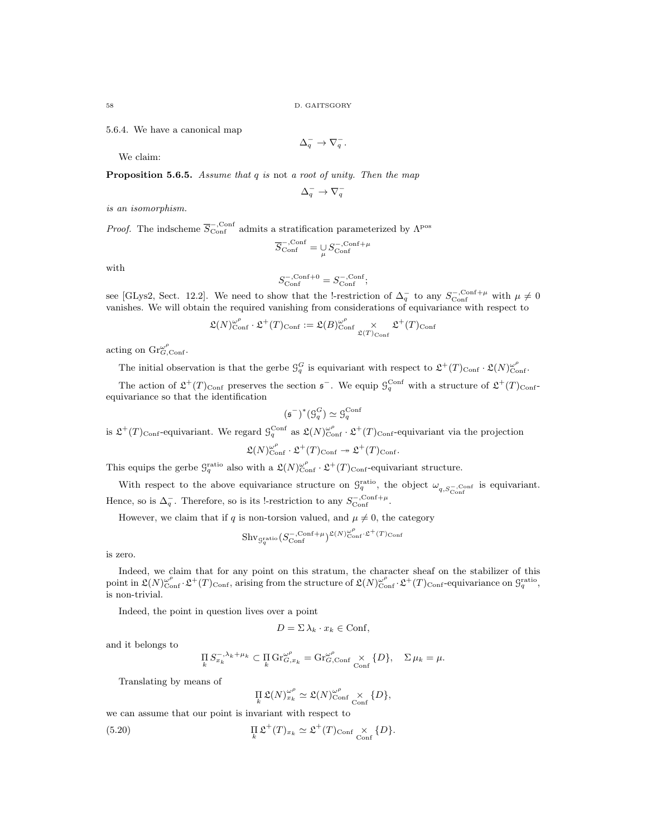5.6.4. We have a canonical map

$$
\Delta_q^- \to \nabla_q^-.
$$

We claim:

**Proposition 5.6.5.** Assume that  $q$  is not a root of unity. Then the map

$$
\Delta^-_q \to \nabla^-_q
$$

is an isomorphism.

*Proof.* The indscheme  $\overline{S}_{\text{Conf}}^{-,\text{Conf}}$  admits a stratification parameterized by  $\Lambda^{\text{pos}}$ 

$$
\overline{S}_{\text{Conf}}^{-,\text{Conf}} = \mathop{\cup}\limits_{\mu} S_{\text{Conf}}^{-,\text{Conf}+\mu}
$$

with

$$
S_{\rm Conf}^{-,{\rm Conf}+0}=S_{\rm Conf}^{-,{\rm Conf}};
$$

see [GLys2, Sect. 12.2]. We need to show that the !-restriction of  $\Delta_q^-$  to any  $S_{\text{Conf}}^{-,\text{Conf}+\mu}$  with  $\mu \neq 0$ vanishes. We will obtain the required vanishing from considerations of equivariance with respect to

$$
\mathfrak{L}(N)_{\text{Conf}}^{\omega^{\rho}} \cdot \mathfrak{L}^{+}(T)_{\text{Conf}} := \mathfrak{L}(B)_{\text{Conf}}^{\omega^{\rho}} \underset{\mathfrak{L}(T)_{\text{Conf}}}{\times} \mathfrak{L}^{+}(T)_{\text{Conf}}
$$

acting on  $\mathrm{Gr}_{G,\mathrm{Conf}}^{\omega^{\rho}}$ .

The initial observation is that the gerbe  $\mathcal{G}_q^G$  is equivariant with respect to  $\mathfrak{L}^+(T)_{\text{Conf}} \cdot \mathfrak{L}(N)_{\text{Conf}}^{\omega^{\rho}}$ .

The action of  $\mathfrak{L}^+(T)_{\text{Conf}}$  preserves the section  $\mathfrak{s}^-$ . We equip  $\mathfrak{G}^{\text{Conf}}_q$  with a structure of  $\mathfrak{L}^+(T)_{\text{Conf}}$ equivariance so that the identification

$$
(\mathfrak{s}^-)^*(\mathfrak{G}_q^G) \simeq \mathfrak{G}_q^{\text{Conf}}
$$

is  $\mathfrak{L}^+(T)$ <sub>Conf</sub>-equivariant. We regard  $\mathcal{G}_q^{\text{Conf}}$  as  $\mathfrak{L}(N)_{\text{Conf}}^{\omega^{\rho}} \cdot \mathfrak{L}^+(T)_{\text{Conf}}$ -equivariant via the projection

$$
\mathfrak{L}(N)_{\text{Conf}}^{\omega^{\rho}} \cdot \mathfrak{L}^+(T)_{\text{Conf}} \twoheadrightarrow \mathfrak{L}^+(T)_{\text{Conf}}.
$$

This equips the gerbe  $\mathcal{G}_q^{\text{ratio}}$  also with a  $\mathfrak{L}(N)_{\text{Conf}}^{\omega^{\rho}} \cdot \mathfrak{L}^+(T)_{\text{Conf}}$ -equivariant structure.

With respect to the above equivariance structure on  $\mathcal{G}_q^{\text{ratio}}$ , the object  $\omega_{q,S_{\text{Conf}}^-\text{Conf}}$  is equivariant. Hence, so is  $\Delta_q^-$ . Therefore, so is its !-restriction to any  $S_{\text{Conf}}^{-,\text{Conf}+\mu}$ .

However, we claim that if q is non-torsion valued, and  $\mu \neq 0$ , the category

$$
\mathrm{Shv}_{\mathcal{G}_q^{\mathrm{ratio}}}\big(S_{\mathrm{Conf}}^{-,\mathrm{Conf}+\mu}\big)^{\mathfrak{L}(N)_{\mathrm{Conf}}^{\omega^\rho}\cdot\mathfrak{L}^+(T)_{\mathrm{Conf}}}
$$

is zero.

Indeed, we claim that for any point on this stratum, the character sheaf on the stabilizer of this point in  $\mathfrak{L}(N)_{\text{Conf}}^{\omega^{\rho}} \cdot \mathfrak{L}^{+}(T)_{\text{Conf}}$ , arising from the structure of  $\mathfrak{L}(N)_{\text{Conf}}^{\omega^{\rho}} \cdot \mathfrak{L}^{+}(T)_{\text{Conf}}$ -equivariance on  $\mathcal{G}_q^{\text{ratio}}$ , is non-trivial.

Indeed, the point in question lives over a point

$$
D = \Sigma \lambda_k \cdot x_k \in \text{Conf},
$$

and it belongs to

$$
\prod_{k} S_{x_k}^{-,\lambda_k + \mu_k} \subset \prod_{k} \text{Gr}_{G,x_k}^{\omega^{\rho}} = \text{Gr}_{G,\text{Conf}}^{\omega^{\rho}} \underset{\text{Conf}}{\times} \{D\}, \quad \Sigma \mu_k = \mu.
$$

Translating by means of

$$
\prod_{k} \mathfrak{L}(N)_{x_k}^{\omega^\rho} \simeq \mathfrak{L}(N)_{\text{Conf}}^{\omega^\rho} \underset{\text{Conf}}{\times} \{D\},\
$$

we can assume that our point is invariant with respect to

(5.20) 
$$
\prod_{k} \mathfrak{L}^{+}(T)_{x_{k}} \simeq \mathfrak{L}^{+}(T)_{\text{Conf}} \underset{\text{Conf}}{\times} \{D\}.
$$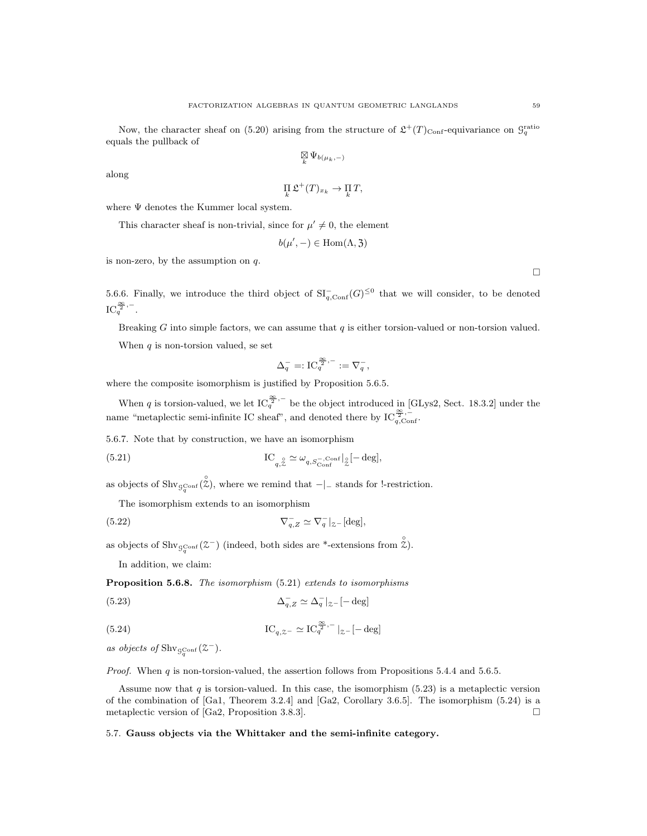Now, the character sheaf on (5.20) arising from the structure of  $\mathfrak{L}^+(T)_{\text{Conf}}$ -equivariance on  $\mathcal{G}_q^{\text{ratio}}$ equals the pullback of

$$
\mathop{\boxtimes}\limits_k\Psi_{b(\mu_k,-)}
$$

along

$$
\prod_k \mathfrak{L}^+(T)_{x_k} \to \prod_k T,
$$

where  $\Psi$  denotes the Kummer local system.

This character sheaf is non-trivial, since for  $\mu' \neq 0$ , the element

$$
b(\mu',-)\in \mathrm{Hom}(\Lambda, \mathfrak{Z})
$$

is non-zero, by the assumption on  $q$ .

 $\Box$ 

5.6.6. Finally, we introduce the third object of  $\mathrm{SI}_{q,\mathrm{Conf}}^-(G)^{\leq 0}$  that we will consider, to be denoted  $IC_q^{\frac{\infty}{2},-}.$ 

Breaking G into simple factors, we can assume that  $q$  is either torsion-valued or non-torsion valued. When  $q$  is non-torsion valued, se set

$$
\Delta_q^- =: \mathrm{IC}_q^{\frac{\infty}{2},-} := \nabla_q^-,
$$

where the composite isomorphism is justified by Proposition 5.6.5.

When q is torsion-valued, we let  $IC_q^{\frac{\infty}{2},-}$  be the object introduced in [GLys2, Sect. 18.3.2] under the name "metaplectic semi-infinite IC sheaf", and denoted there by  $IC_{q,\text{Conf}}^{\frac{\infty}{2},-}$ 

5.6.7. Note that by construction, we have an isomorphism

(5.21) 
$$
\operatorname{IC}_{q,\mathcal{Z}} \simeq \omega_{q,S_{\text{Conf}}^{-},\text{Conf}}|_{\mathcal{Z}} [-\operatorname{deg}],
$$

as objects of  $\text{Shv}_{\mathcal{G}_q^{\text{Conf}}}(\hat{\zeta})$ , where we remind that  $-|$ - stands for !-restriction.

The isomorphism extends to an isomorphism

(5.22) 
$$
\nabla_{q,Z}^- \simeq \nabla_q^-|_{\mathcal{Z}^-}[\text{deg}],
$$

as objects of  $\text{Shv}_{\mathcal{G}_q^{\text{Conf}}}(\mathcal{Z}^-)$  (indeed, both sides are \*-extensions from  $\hat{\mathcal{Z}}$ ).

In addition, we claim:

Proposition 5.6.8. The isomorphism  $(5.21)$  extends to isomorphisms

$$
\Delta_{q,Z}^- \simeq \Delta_q^-|_{z^-}[-\text{deg}]
$$

(5.24) 
$$
IC_{q, z-} \simeq IC_q^{\frac{\infty}{2}, -} |_{z-}[-\deg]
$$

as objects of  $\text{Shv}_{\mathcal{G}_q^{\text{Conf}}}(\mathcal{Z}^-)$ .

*Proof.* When  $q$  is non-torsion-valued, the assertion follows from Propositions 5.4.4 and 5.6.5.

Assume now that  $q$  is torsion-valued. In this case, the isomorphism  $(5.23)$  is a metaplectic version of the combination of [Ga1, Theorem 3.2.4] and [Ga2, Corollary 3.6.5]. The isomorphism (5.24) is a metaplectic version of [Ga2, Proposition 3.8.3].

# 5.7. Gauss objects via the Whittaker and the semi-infinite category.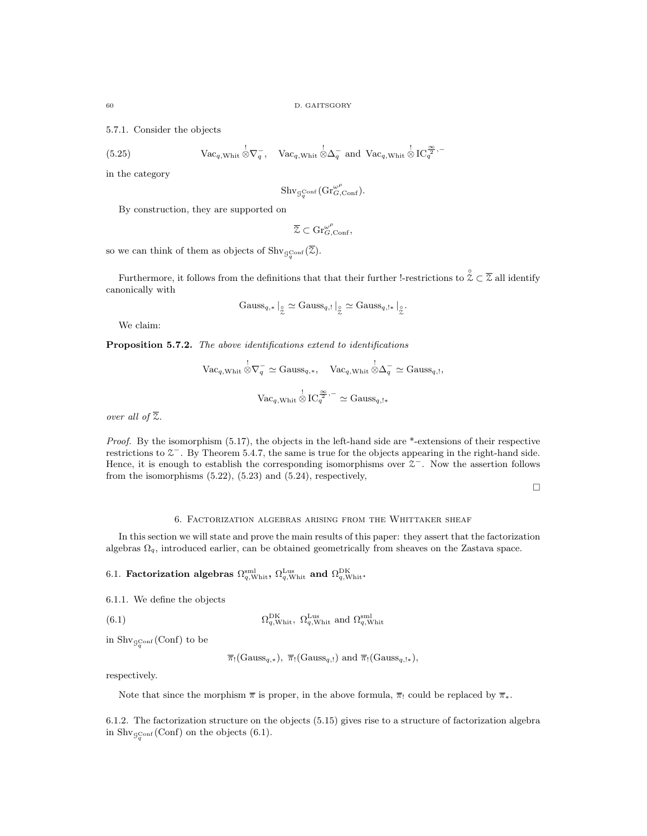5.7.1. Consider the objects

(5.25) 
$$
\text{Vac}_{q,\text{Whit}} \stackrel{!}{\otimes} \nabla_q^-, \quad \text{Vac}_{q,\text{Whit}} \stackrel{!}{\otimes} \Delta_q^- \text{ and } \text{Vac}_{q,\text{Whit}} \stackrel{!}{\otimes} \text{IC}_q^{\stackrel{\infty}{\otimes},-}
$$

in the category

$$
\mathrm{Shv}_{\mathcal{G}_q^{\mathrm{Conf}}}\big(\mathrm{Gr}_{G,\mathrm{Conf}}^{\omega^\rho}\big).
$$

By construction, they are supported on

$$
\overline{\mathcal{Z}} \subset \mathrm{Gr}_{G,\mathrm{Conf}}^{\omega^\rho},
$$

so we can think of them as objects of  $\text{Shv}_{\mathcal{G}_q^{\text{Conf}}}(\mathcal{Z})$ .

Furthermore, it follows from the definitions that that their further !-restrictions to  $\hat{z} \in \overline{\mathcal{Z}}$  all identify canonically with

$$
Gauss_{q,*}\mid_{\mathcal{Z}} \ \simeq Gauss_{q,!}\mid_{\mathcal{Z}} \ \simeq Gauss_{q,!}\mid_{\mathcal{Z}} \ \simeq Gauss_{q,!*}\mid_{\mathcal{Z}}.
$$

We claim:

Proposition 5.7.2. The above identifications extend to identifications

$$
\begin{aligned}\n\text{Vac}_{q, \text{Whit}} \,\, &\stackrel{!}{\otimes} \nabla_q^- \simeq \text{Gauss}_{q,*}, \quad \text{Vac}_{q, \text{Whit}} \,\, &\stackrel{!}{\otimes} \Delta_q^- \simeq \text{Gauss}_{q,!}, \\
\text{Vac}_{q, \text{Whit}} \,\, &\stackrel{!}{\otimes} \text{IC}_{q}^{\frac{\infty}{2},-} \simeq \text{Gauss}_{q,!*} \n\end{aligned}
$$

over all of  $\overline{z}$ .

Proof. By the isomorphism (5.17), the objects in the left-hand side are \*-extensions of their respective restrictions to  $\mathcal{Z}^-$ . By Theorem 5.4.7, the same is true for the objects appearing in the right-hand side. Hence, it is enough to establish the corresponding isomorphisms over  $\mathcal{Z}^-$ . Now the assertion follows from the isomorphisms  $(5.22)$ ,  $(5.23)$  and  $(5.24)$ , respectively,

 $\Box$ 

## 6. Factorization algebras arising from the Whittaker sheaf

In this section we will state and prove the main results of this paper: they assert that the factorization algebras  $\Omega_q$ , introduced earlier, can be obtained geometrically from sheaves on the Zastava space.

6.1. Factorization algebras  $\Omega_{q,\text{Whit}}^{\text{sml}}$ ,  $\Omega_{q,\text{Whit}}^{\text{Lus}}$  and  $\Omega_{q,\text{Whit}}^{\text{DK}}$ .

6.1.1. We define the objects

(6.1)  $\Omega_{q,\text{Whit}}^{\text{DK}}, \ \Omega_{q,\text{Whit}}^{\text{Lus}} \text{ and } \Omega_{q,\text{Whit}}^{\text{sml}}$ 

in  $\mathrm{Shv}_{\mathcal{G}_q^{\mathrm{Conf}}}(\mathrm{Conf})$  to be

$$
\overline{\pi}_!(\mathrm{Gauss}_{q,*}), \overline{\pi}_!(\mathrm{Gauss}_{q,!}) \text{ and } \overline{\pi}_!(\mathrm{Gauss}_{q,!*}),
$$

respectively.

Note that since the morphism  $\bar{\pi}$  is proper, in the above formula,  $\bar{\pi}$  could be replaced by  $\bar{\pi}_*$ .

6.1.2. The factorization structure on the objects (5.15) gives rise to a structure of factorization algebra in  $\text{Shv}_{\mathcal{G}_q^{\text{Conf}}}(\text{Conf})$  on the objects (6.1).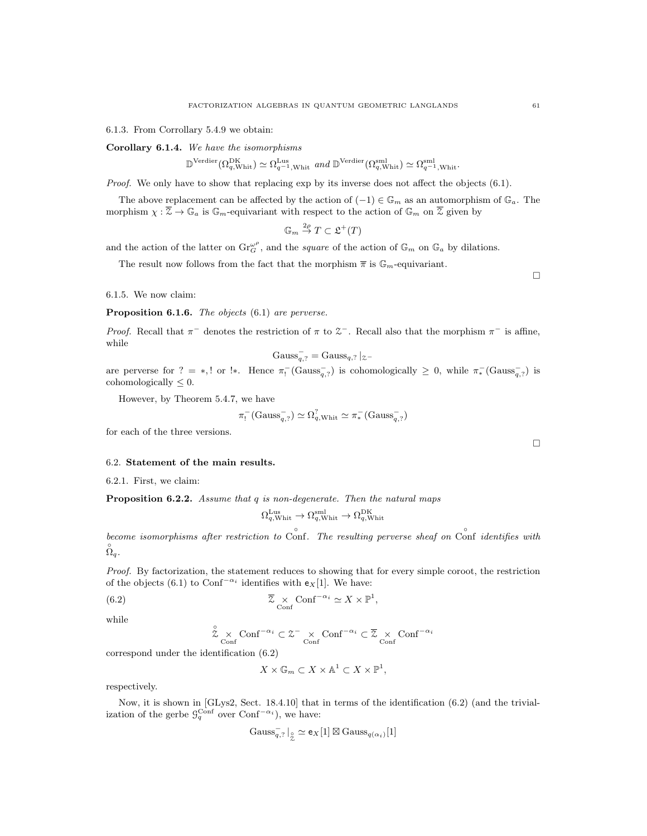6.1.3. From Corrollary 5.4.9 we obtain:

Corollary 6.1.4. We have the isomorphisms

$$
\mathbb{D}^{\text{Verdier}}(\Omega_{q,\text{Whit}}^{\text{DK}}) \simeq \Omega_{q^{-1},\text{Whit}}^{\text{Lus}} \text{ and } \mathbb{D}^{\text{Verdier}}(\Omega_{q,\text{Whit}}^{\text{sml}}) \simeq \Omega_{q^{-1},\text{Whit}}^{\text{sml}}.
$$

Proof. We only have to show that replacing exp by its inverse does not affect the objects (6.1).

The above replacement can be affected by the action of  $(-1) \in \mathbb{G}_m$  as an automorphism of  $\mathbb{G}_a$ . The morphism  $\chi : \overline{Z} \to \mathbb{G}_a$  is  $\mathbb{G}_m$ -equivariant with respect to the action of  $\mathbb{G}_m$  on  $\overline{Z}$  given by

 $\mathbb{G}_m \stackrel{2\rho}{\rightarrow} T \subset \mathfrak{L}^+(T)$ 

and the action of the latter on  $\text{Gr}_{G}^{\omega^{\rho}}$ , and the square of the action of  $\mathbb{G}_{m}$  on  $\mathbb{G}_{a}$  by dilations.

The result now follows from the fact that the morphism  $\bar{\pi}$  is  $\mathbb{G}_m$ -equivariant.

6.1.5. We now claim:

Proposition 6.1.6. The objects (6.1) are perverse.

Proof. Recall that  $\pi^-$  denotes the restriction of  $\pi$  to  $\mathcal{Z}^-$ . Recall also that the morphism  $\pi^-$  is affine, while

$$
Gauss_{q,?}^- = Gauss_{q,?}|_{z^-}
$$

are perverse for ? = \*,! or !\*. Hence  $\pi_1^-(\text{Gauss}_{q,?}^-)$  is cohomologically  $\geq 0$ , while  $\pi_*^-(\text{Gauss}_{q,?}^-)$  is cohomologically  $\leq 0$ .

However, by Theorem 5.4.7, we have

$$
\pi_!^- (\text{Gauss}_{q,?}^-) \simeq \Omega_{q,\text{Whit}}^? \simeq \pi_*^- (\text{Gauss}_{q,?}^-)
$$

for each of the three versions.

#### 6.2. Statement of the main results.

6.2.1. First, we claim:

Proposition 6.2.2. Assume that q is non-degenerate. Then the natural maps

$$
\Omega_{q,\mathrm{Whit}}^{\mathrm{Lus}} \to \Omega_{q,\mathrm{Whit}}^{\mathrm{sml}} \to \Omega_{q,\mathrm{Whit}}^{\mathrm{DK}}
$$

become isomorphisms after restriction to Conf. The resulting perverse sheaf on Conf identifies with  $\stackrel{\circ}{\Omega}_q$ .

Proof. By factorization, the statement reduces to showing that for every simple coroot, the restriction of the objects (6.1) to Conf<sup>- $\alpha_i$ </sup> identifies with  $e_X[1]$ . We have:

(6.2) 
$$
\overline{z} \times \text{Conf}^{-\alpha_i} \simeq X \times \mathbb{P}^1,
$$

while

$$
\stackrel{\circ}{\mathcal{Z}}\times{\rm Conf}^{-\alpha_i}\subset {\mathcal{Z}}^-\times{\rm Conf}^{-\alpha_i}\subset \overline{\mathcal{Z}}\times{\rm Conf}^{-\alpha_i}
$$

correspond under the identification (6.2)

$$
X \times {\mathbb G}_m \subset X \times {\mathbb A}^1 \subset X \times {\mathbb P}^1,
$$

respectively.

Now, it is shown in [GLys2, Sect. 18.4.10] that in terms of the identification (6.2) (and the trivialization of the gerbe  $\mathcal{G}_q^{\text{Conf}}$  over  $\text{Conf}^{-\alpha_i}$ , we have:

$$
\operatorname{Gauss}_{q,?}^-\vert_{\stackrel{\circ}{\mathcal{Z}}}\simeq \mathsf{e}_X[1]\boxtimes \operatorname{Gauss}_{q(\alpha_i)}[1]
$$

 $\Box$ 

 $\Box$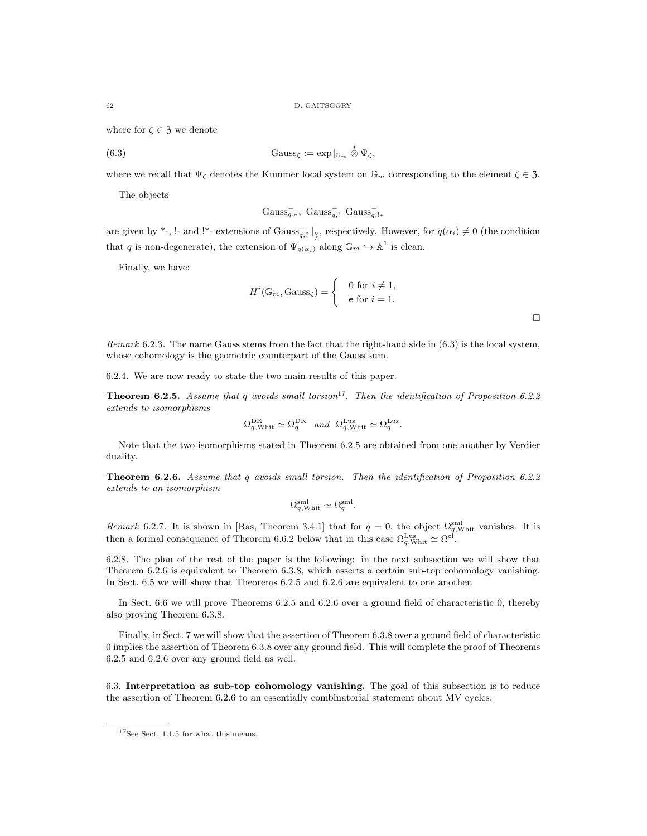where for  $\zeta \in \mathfrak{Z}$  we denote

(6.3) 
$$
\text{Gauss}_{\zeta} := \exp |_{\mathbb{G}_m} \overset{*}{\otimes} \Psi_{\zeta},
$$

where we recall that  $\Psi_{\zeta}$  denotes the Kummer local system on  $\mathbb{G}_m$  corresponding to the element  $\zeta \in \mathfrak{Z}$ .

The objects

$$
Gauss_{q,*}^-,\ Gauss_{q,!}^-,\ Gauss_{q,!}^-
$$

are given by \*-, !- and !\*- extensions of  $Gauss_{q, ?}^{-} \mid_{\hat{Z}}$ , respectively. However, for  $q(\alpha_i) \neq 0$  (the condition that q is non-degenerate), the extension of  $\Psi_{q(\alpha_i)}$  along  $\mathbb{G}_m \hookrightarrow \mathbb{A}^1$  is clean.

Finally, we have:

$$
H^{i}(\mathbb{G}_{m}, \text{Gauss}_{\zeta}) = \begin{cases} 0 \text{ for } i \neq 1, \\ \text{e for } i = 1. \end{cases}
$$

 $\Box$ 

Remark 6.2.3. The name Gauss stems from the fact that the right-hand side in (6.3) is the local system, whose cohomology is the geometric counterpart of the Gauss sum.

6.2.4. We are now ready to state the two main results of this paper.

**Theorem 6.2.5.** Assume that q avoids small torsion<sup>17</sup>. Then the identification of Proposition 6.2.2 extends to isomorphisms

$$
\Omega_{q,\text{Whit}}^{\text{DK}} \simeq \Omega_{q}^{\text{DK}} \quad \text{and} \quad \Omega_{q,\text{Whit}}^{\text{Lus}} \simeq \Omega_{q}^{\text{Lus}}.
$$

Note that the two isomorphisms stated in Theorem 6.2.5 are obtained from one another by Verdier duality.

Theorem 6.2.6. Assume that q avoids small torsion. Then the identification of Proposition 6.2.2 extends to an isomorphism

$$
\Omega_{q,\text{Whit}}^{\text{sml}} \simeq \Omega_{q}^{\text{sml}}.
$$

Remark 6.2.7. It is shown in [Ras, Theorem 3.4.1] that for  $q=0$ , the object  $\Omega_{q,\text{Whit}}^{\text{small}}$  vanishes. It is then a formal consequence of Theorem 6.6.2 below that in this case  $\Omega_{q,\text{Whit}}^{\text{Lus}} \simeq \Omega^{\text{cl}}$ .

6.2.8. The plan of the rest of the paper is the following: in the next subsection we will show that Theorem 6.2.6 is equivalent to Theorem 6.3.8, which asserts a certain sub-top cohomology vanishing. In Sect. 6.5 we will show that Theorems 6.2.5 and 6.2.6 are equivalent to one another.

In Sect. 6.6 we will prove Theorems 6.2.5 and 6.2.6 over a ground field of characteristic 0, thereby also proving Theorem 6.3.8.

Finally, in Sect. 7 we will show that the assertion of Theorem 6.3.8 over a ground field of characteristic 0 implies the assertion of Theorem 6.3.8 over any ground field. This will complete the proof of Theorems 6.2.5 and 6.2.6 over any ground field as well.

6.3. Interpretation as sub-top cohomology vanishing. The goal of this subsection is to reduce the assertion of Theorem 6.2.6 to an essentially combinatorial statement about MV cycles.

<sup>&</sup>lt;sup>17</sup>See Sect. 1.1.5 for what this means.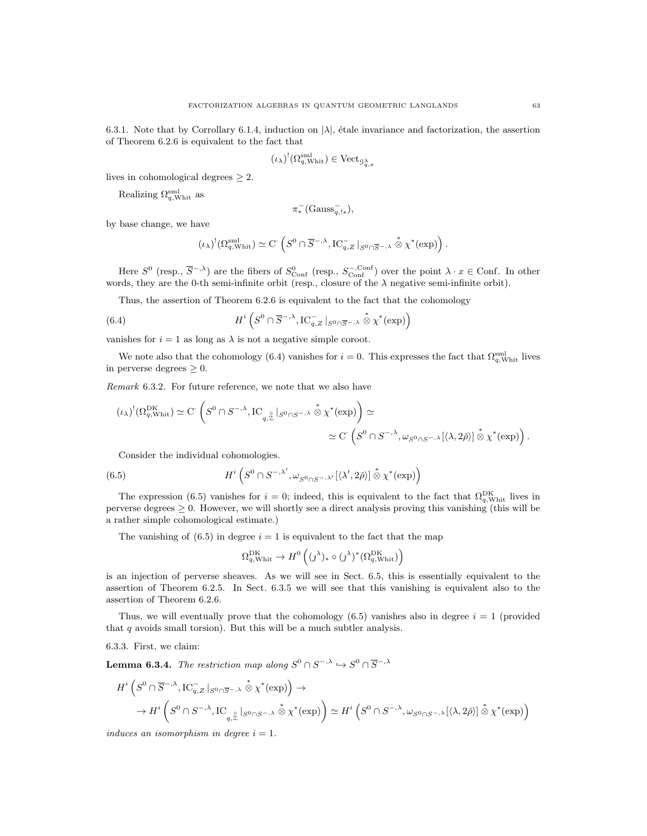6.3.1. Note that by Corrollary 6.1.4, induction on  $|\lambda|$ , étale invariance and factorization, the assertion of Theorem 6.2.6 is equivalent to the fact that

$$
(\iota_{\lambda})^! (\Omega_{q,\mathrm{Whit}}^{\mathrm{sml}}) \in \mathrm{Vect}_{\mathcal{G}_{q,x}^{\lambda}}
$$

lives in cohomological degrees  $\geq 2$ .

Realizing  $\Omega_{q,\text{Whit}}^{\text{sml}}$  as

$$
\pi_*^-(\mathrm{Gauss}_{q,!*}^-),
$$

by base change, we have

$$
(\iota_\lambda)^!(\Omega_{q,\mathrm{Whit}}^{\mathrm{sml}}) \simeq \mathrm{C}^{\cdot}\left(S^0\cap \overline{S}^{-,\lambda}, \mathrm{IC}_{q,Z}^{-}\left\vert_{S^0\cap \overline{S}^{-,\lambda}}\stackrel{*}{\otimes}\chi^*(\mathrm{exp})\right).
$$

Here  $S^0$  (resp.,  $\overline{S}^{-,\lambda}$ ) are the fibers of  $S^0_{\text{Conf}}$  (resp.,  $S^{-,\text{Conf}}_{\text{Conf}}$ ) over the point  $\lambda \cdot x \in \text{Conf}$ . In other words, they are the 0-th semi-infinite orbit (resp., closure of the  $\lambda$  negative semi-infinite orbit).

Thus, the assertion of Theorem 6.2.6 is equivalent to the fact that the cohomology

(6.4) 
$$
H^{i}\left(S^{0}\cap \overline{S}^{-,\lambda},\mathrm{IC}_{q,Z}^{-}\big|_{S^{0}\cap \overline{S}^{-,\lambda}}\stackrel{*}{\otimes}\chi^{*}(\exp)\right)
$$

vanishes for  $i = 1$  as long as  $\lambda$  is not a negative simple coroot.

We note also that the cohomology (6.4) vanishes for  $i = 0$ . This expresses the fact that  $\Omega_{q,\text{Whit}}^{\text{sml}}$  lives in perverse degrees  $\geq 0$ .

Remark 6.3.2. For future reference, we note that we also have

$$
(\iota_{\lambda})^!(\Omega_{q,\text{Whit}}^{\text{DK}}) \simeq C \left( S^0 \cap S^{-,\lambda}, \text{IC}_{q,\overset{\circ}{\mathcal{Z}}} \vert_{S^0 \cap S^{-,\lambda}} \overset{*}{\otimes} \chi^*(\exp) \right) \simeq
$$
  

$$
\simeq C \left( S^0 \cap S^{-,\lambda}, \omega_{S^0 \cap S^{-,\lambda}} [\langle \lambda, 2\check{\rho} \rangle] \overset{*}{\otimes} \chi^*(\exp) \right).
$$

Consider the individual cohomologies.

(6.5) 
$$
H^{i}\left(S^{0}\cap S^{-,\lambda'},\omega_{S^{0}\cap S^{-,\lambda'}}[\langle\lambda',2\check{\rho}\rangle]\overset{*}{\otimes}\chi^{*}(\exp)\right)
$$

The expression (6.5) vanishes for  $i=0$ ; indeed, this is equivalent to the fact that  $\Omega_{q,\text{Whit}}^{\text{DK}}$  lives in perverse degrees  $\geq 0$ . However, we will shortly see a direct analysis proving this vanishing (this will be a rather simple cohomological estimate.)

The vanishing of  $(6.5)$  in degree  $i = 1$  is equivalent to the fact that the map

$$
\Omega_{q,\mathrm{Whit}}^{\mathrm{DK}} \to H^0\left((\jmath^\lambda)_*\circ(\jmath^\lambda)^*(\Omega_{q,\mathrm{Whit}}^{\mathrm{DK}})\right)
$$

is an injection of perverse sheaves. As we will see in Sect. 6.5, this is essentially equivalent to the assertion of Theorem 6.2.5. In Sect. 6.3.5 we will see that this vanishing is equivalent also to the assertion of Theorem 6.2.6.

Thus, we will eventually prove that the cohomology  $(6.5)$  vanishes also in degree  $i = 1$  (provided that  $q$  avoids small torsion). But this will be a much subtler analysis.

6.3.3. First, we claim:

**Lemma 6.3.4.** The restriction map along  $S^0 \cap S^{-,\lambda} \hookrightarrow S^0 \cap \overline{S}^{-,\lambda}$ 

$$
H^i\left(S^0 \cap \overline{S}^{-,\lambda}, \mathrm{IC}_{q,Z}^{-} \mid_{S^0 \cap \overline{S}^{-,\lambda}} \overset{*}{\otimes} \chi^*(\exp)\right) \to
$$
  

$$
\to H^i\left(S^0 \cap S^{-,\lambda}, \mathrm{IC}_{q,\overset{\circ}{\chi}} \mid_{S^0 \cap S^{-,\lambda}} \overset{*}{\otimes} \chi^*(\exp)\right) \simeq H^i\left(S^0 \cap S^{-,\lambda}, \omega_{S^0 \cap S^{-,\lambda}}[\langle \lambda, 2\check{\rho} \rangle] \overset{*}{\otimes} \chi^*(\exp)\right)
$$

induces an isomorphism in degree  $i = 1$ .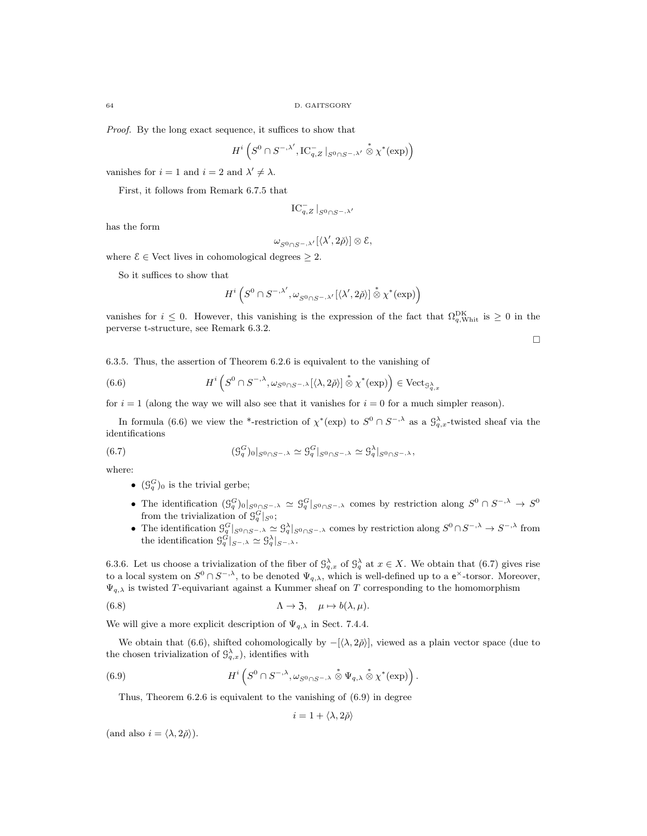Proof. By the long exact sequence, it suffices to show that

$$
H^i\left(S^0\cap S^{-,\lambda'},\mathrm{IC}_{q,Z}^{-}\left\vert_{S^0\cap S^{-,\lambda'}}\overset{*}{\otimes}\chi^{*}(\exp)\right.\right)
$$

vanishes for  $i = 1$  and  $i = 2$  and  $\lambda' \neq \lambda$ .

First, it follows from Remark 6.7.5 that

$$
\operatorname{IC}_{q, Z}^-\vert_{S^0\cap S^{-,\lambda'}}
$$

has the form

$$
\omega_{S^0\cap S^-, \lambda'}[\langle \lambda', 2\check\rho\rangle] \otimes \mathcal{E},
$$

where  $\mathcal{E} \in \text{Vect}$  lives in cohomological degrees  $\geq 2$ .

So it suffices to show that

$$
H^i\left(S^0\cap S^{-,\lambda'},\omega_{S^0\cap S^-,\lambda'}[\langle\lambda',2\check\rho\rangle]\overset{*}{\otimes}\chi^*(\exp)\right)
$$

vanishes for  $i \leq 0$ . However, this vanishing is the expression of the fact that  $\Omega_{q,\text{Whit}}^{\text{DK}}$  is  $\geq 0$  in the perverse t-structure, see Remark 6.3.2.

 $\Box$ 

6.3.5. Thus, the assertion of Theorem 6.2.6 is equivalent to the vanishing of

(6.6) 
$$
H^{i}\left(S^{0}\cap S^{-,\lambda}, \omega_{S^{0}\cap S^{-,\lambda}}[\langle\lambda,2\check{\rho}\rangle]\overset{*}{\otimes}\chi^{*}(\exp)\right) \in \text{Vect}_{\mathcal{G}_{q,x}}.
$$

for  $i = 1$  (along the way we will also see that it vanishes for  $i = 0$  for a much simpler reason).

In formula (6.6) we view the \*-restriction of  $\chi^*(\exp)$  to  $S^0 \cap S^{-,\lambda}$  as a  $\mathcal{G}^{\lambda}_{q,x}$ -twisted sheaf via the identifications

(6.7) 
$$
(\mathcal{G}_q^G)_{0}|_{S^0 \cap S^{-,\lambda}} \simeq \mathcal{G}_q^G|_{S^0 \cap S^{-,\lambda}} \simeq \mathcal{G}_q^{\lambda}|_{S^0 \cap S^{-,\lambda}},
$$

where:

- $(\mathcal{G}_q^G)_0$  is the trivial gerbe;
- The identification  $(\mathcal{G}_q^G)_{0}|_{S^0\cap S^{-,\lambda}} \simeq \mathcal{G}_q^G|_{S^0\cap S^{-,\lambda}}$  comes by restriction along  $S^0 \cap S^{-,\lambda} \to S^0$ from the trivialization of  $\mathcal{G}_q^G|_{S^0}$ ;
- The identification  $\mathcal{G}_q^G|_{S^0 \cap S^{\frown},\lambda} \simeq \mathcal{G}_q^{\lambda}|_{S^0 \cap S^{\frown},\lambda}$  comes by restriction along  $S^0 \cap S^{\frown},\lambda \to S^{\frown},\lambda$  from the identification  $\mathcal{G}_q^G|_{S^{-,\lambda}} \simeq \mathcal{G}_q^{\lambda}|_{S^{-,\lambda}}.$

6.3.6. Let us choose a trivialization of the fiber of  $\mathcal{G}_{q,x}^{\lambda}$  of  $\mathcal{G}_{q}^{\lambda}$  at  $x \in X$ . We obtain that (6.7) gives rise to a local system on  $S^0 \cap S^{-, \lambda}$ , to be denoted  $\Psi_{q, \lambda}$ , which is well-defined up to a  $e^{\times}$ -torsor. Moreover,  $\Psi_{q,\lambda}$  is twisted T-equivariant against a Kummer sheaf on T corresponding to the homomorphism

(6.8) 
$$
\Lambda \to 3, \quad \mu \mapsto b(\lambda, \mu).
$$

We will give a more explicit description of  $\Psi_{q,\lambda}$  in Sect. 7.4.4.

We obtain that (6.6), shifted cohomologically by  $-[\langle \lambda, 2\tilde{\rho} \rangle]$ , viewed as a plain vector space (due to the chosen trivialization of  $\mathcal{G}_{q,x}^{\lambda}$ , identifies with

(6.9) 
$$
H^{i}\left(S^{0}\cap S^{-,\lambda}, \omega_{S^{0}\cap S^{-,\lambda}}\stackrel{*}{\otimes}\Psi_{q,\lambda}\stackrel{*}{\otimes}\chi^{*}(\exp)\right).
$$

Thus, Theorem 6.2.6 is equivalent to the vanishing of (6.9) in degree

$$
i=1+\langle \lambda, 2\check{\rho} \rangle
$$

(and also  $i = \langle \lambda, 2\check{\rho} \rangle$ ).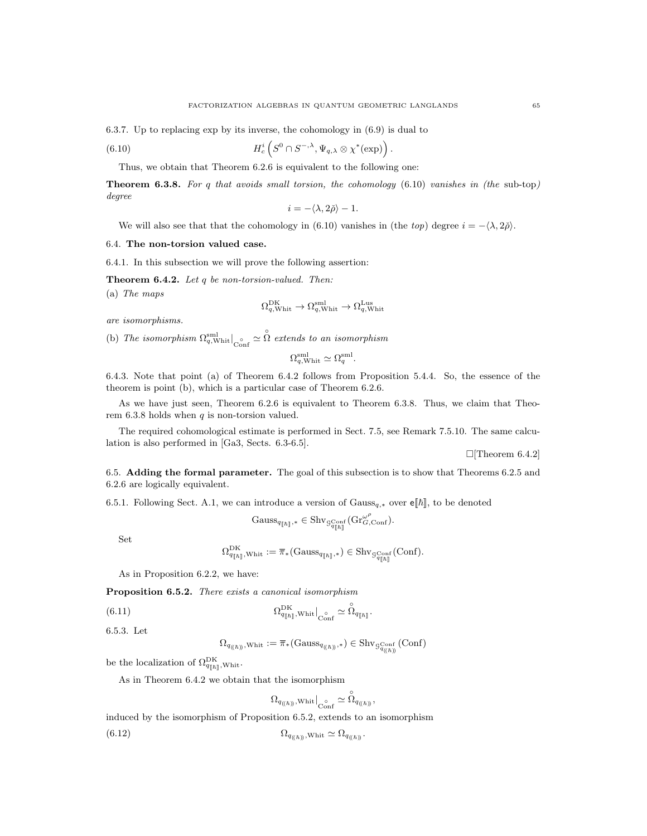6.3.7. Up to replacing exp by its inverse, the cohomology in (6.9) is dual to

(6.10) 
$$
H_c^i\left(S^0\cap S^{-,\lambda},\Psi_{q,\lambda}\otimes\chi^*(\exp)\right).
$$

Thus, we obtain that Theorem 6.2.6 is equivalent to the following one:

**Theorem 6.3.8.** For q that avoids small torsion, the cohomology  $(6.10)$  vanishes in (the sub-top) degree

$$
i = -\langle \lambda, 2\rho \rangle - 1.
$$

We will also see that that the cohomology in (6.10) vanishes in (the top) degree  $i = -\langle \lambda, 2\rangle$ .

#### 6.4. The non-torsion valued case.

6.4.1. In this subsection we will prove the following assertion:

**Theorem 6.4.2.** Let  $q$  be non-torsion-valued. Then:

(a) The maps

$$
\Omega_{q,\text{Whit}}^{\text{DK}} \to \Omega_{q,\text{Whit}}^{\text{sml}} \to \Omega_{q,\text{Whit}}^{\text{Lus}}
$$

are isomorphisms.

(b) The isomorphism  $\Omega_{q,\text{Whit}}^{\text{small}}\big|_{\text{Conf}} \simeq \hat{\Omega}$  extends to an isomorphism

$$
\Omega_{q,\text{Whit}}^{\text{sml}} \simeq \Omega_{q}^{\text{sml}}.
$$

6.4.3. Note that point (a) of Theorem 6.4.2 follows from Proposition 5.4.4. So, the essence of the theorem is point (b), which is a particular case of Theorem 6.2.6.

As we have just seen, Theorem 6.2.6 is equivalent to Theorem 6.3.8. Thus, we claim that Theorem  $6.3.8$  holds when  $q$  is non-torsion valued.

The required cohomological estimate is performed in Sect. 7.5, see Remark 7.5.10. The same calculation is also performed in [Ga3, Sects. 6.3-6.5].

 $\Box$ [Theorem 6.4.2]

6.5. Adding the formal parameter. The goal of this subsection is to show that Theorems 6.2.5 and 6.2.6 are logically equivalent.

6.5.1. Following Sect. A.1, we can introduce a version of  $Gauss_{q,*}$  over  $\mathbf{e}[[\hbar]]$ , to be denoted

$$
\mathrm{Gauss}_{q_{[\![\hbar]\!]},*}\in \mathrm{Shv}_{\mathcal{G}^{\mathrm{Conf}}_{q_{[\![\hbar]\!]}}}(\mathrm{Gr}^{\omega^\rho}_{G,\mathrm{Conf}}).
$$

Set

$$
\Omega_{q_{[\![\hbar]\!]}}, \text{Whit} := \overline{\pi}_* ( \text{Gauss}_{q_{[\![\hbar]\!]},*}) \in \text{Shv}_{\mathcal{G}^{\text{Conf}}_{q_{[\![\hbar]\!]}}}( \text{Conf}).
$$

As in Proposition 6.2.2, we have:

Proposition 6.5.2. There exists a canonical isomorphism

(6.11) 
$$
\Omega_{q_{[\![\hbar]\!]},\mathrm{Whit}}^{\mathrm{DK}}|_{\mathrm{Conf}} \simeq \overset{\circ}{\Omega}_{q_{[\![\hbar]\!]} }.
$$

6.5.3. Let

 $\Omega_{q_{\left(\left(\hbar\right)\right)},\text{Whit}}:=\overline{\pi}_*\big(\mathrm{Gauss}_{q_{\left(\left(\hbar\right)\right)},*}\big)\in \mathrm{Shv}_{\mathcal{G}^{\mathrm{Conf}}_{q\left(\left(\hbar\right)\right)}}\left(\mathrm{Conf}\right)$ 

be the localization of  $\Omega_{q_{\llbracket \hbar \rrbracket}$ , whit.

As in Theorem 6.4.2 we obtain that the isomorphism

$$
\Omega_{q_{(\!(\hbar)\!)},\mathsf{Whit}}\big|_{\mathop{\mathrm{Conf}}\limits^{\circ} \simeq \, \mathop{\Omega}_{q_{(\!(\hbar)\!)}},
$$

induced by the isomorphism of Proposition 6.5.2, extends to an isomorphism (6.12)  $\Omega_{q_{(\hbar)}}$ , Whit  $\simeq \Omega_{q_{(\hbar)}}$ .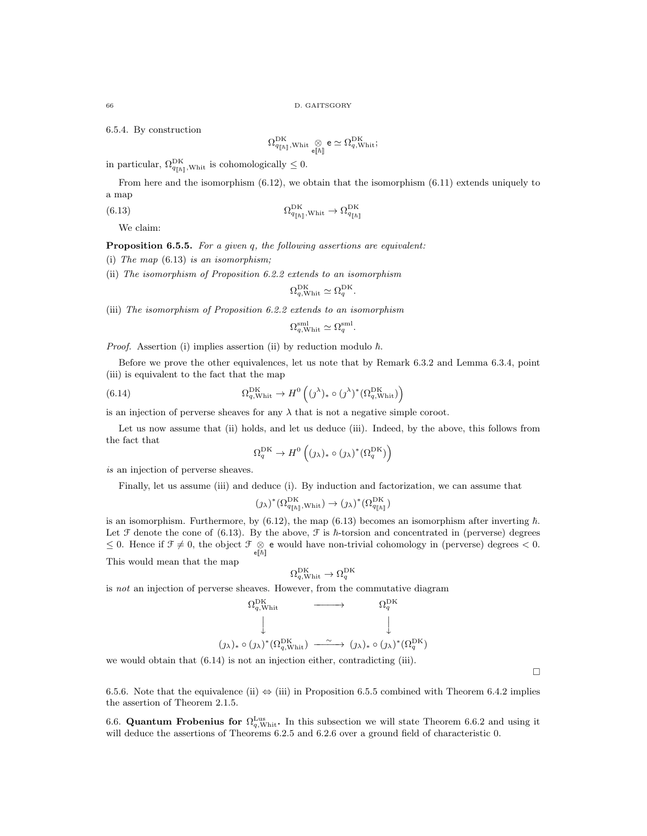6.5.4. By construction

$$
\Omega^{\mathrm{DK}}_{q_{[\![\hbar]\!]}, \mathrm{Whit}} \underset{\mathsf{e} [\![\hbar]\!]}{\otimes} \mathsf{e} \simeq \Omega^{\mathrm{DK}}_{q, \mathrm{Whit}};
$$

in particular,  $\Omega_{q_{\|\hbar\|},\text{Whit}}^{\text{DK}}$  is cohomologically  $\leq 0$ .

From here and the isomorphism (6.12), we obtain that the isomorphism (6.11) extends uniquely to a map

(6.13) 
$$
\Omega_{q_{[\hbar]}\,;\text{Whit}}^{\text{DK}} \to \Omega_{q_{[\hbar]}}^{\text{DK}}
$$

We claim:

Proposition 6.5.5. For a given q, the following assertions are equivalent:

(i) The map  $(6.13)$  is an isomorphism;

(ii) The isomorphism of Proposition 6.2.2 extends to an isomorphism

$$
\Omega_{q,\mathrm{Whit}}^{\mathrm{DK}} \simeq \Omega_{q}^{\mathrm{DK}}.
$$

(iii) The isomorphism of Proposition 6.2.2 extends to an isomorphism

$$
\Omega_{q,\mathrm{Whit}}^{\mathrm{sml}} \simeq \Omega_{q}^{\mathrm{sml}}.
$$

*Proof.* Assertion (i) implies assertion (ii) by reduction modulo  $\hbar$ .

Before we prove the other equivalences, let us note that by Remark 6.3.2 and Lemma 6.3.4, point (iii) is equivalent to the fact that the map

(6.14) 
$$
\Omega_{q,\text{Whit}}^{\text{DK}} \to H^0 \left( (j^{\lambda})_* \circ (j^{\lambda})^* (\Omega_{q,\text{Whit}}^{\text{DK}}) \right)
$$

is an injection of perverse sheaves for any  $\lambda$  that is not a negative simple coroot.

Let us now assume that (ii) holds, and let us deduce (iii). Indeed, by the above, this follows from the fact that

$$
\Omega^{\rm DK}_q \to H^0\left((\jmath_\lambda)_*\circ(\jmath_\lambda)^*(\Omega^{\rm DK}_q)\right)
$$

is an injection of perverse sheaves.

Finally, let us assume (iii) and deduce (i). By induction and factorization, we can assume that

$$
(\jmath_\lambda)^*(\Omega_{q_{[\![\hbar]\!]} ,\text{Whit}}^{\mathrm{DK}}) \to (\jmath_\lambda)^*(\Omega_{q_{[\![\hbar]\!]} }^{\mathrm{DK}})
$$

is an isomorphism. Furthermore, by  $(6.12)$ , the map  $(6.13)$  becomes an isomorphism after inverting  $\hbar$ . Let  $\mathcal F$  denote the cone of (6.13). By the above,  $\mathcal F$  is  $\hbar$ -torsion and concentrated in (perverse) degrees ≤ 0. Hence if  $\mathcal{F} \neq 0$ , the object  $\mathcal{F} \otimes \mathsf{e}$  would have non-trivial cohomology in (perverse) degrees < 0.

This would mean that the map

$$
\Omega_{q,\text{Whit}}^{\text{DK}} \to \Omega_{q}^{\text{DK}}
$$

is not an injection of perverse sheaves. However, from the commutative diagram

$$
\begin{array}{ccc}\n\Omega_{q,\text{Whit}}^{\text{DK}} & \xrightarrow{\hspace{15mm}} & \Omega_{q}^{\text{DK}} \\
\downarrow & & \downarrow \\
(j_{\lambda})_{*} \circ (j_{\lambda})^{*} (\Omega_{q,\text{Whit}}^{\text{DK}}) & \xrightarrow{\hspace{15mm}} (j_{\lambda})_{*} \circ (j_{\lambda})^{*} (\Omega_{q}^{\text{DK}})\n\end{array}
$$

we would obtain that (6.14) is not an injection either, contradicting (iii).

 $\Box$ 

6.5.6. Note that the equivalence (ii)  $\Leftrightarrow$  (iii) in Proposition 6.5.5 combined with Theorem 6.4.2 implies the assertion of Theorem 2.1.5.

6.6. Quantum Frobenius for  $\Omega_{q,\text{Whit}}^{\text{Lus}}$ . In this subsection we will state Theorem 6.6.2 and using it will deduce the assertions of Theorems 6.2.5 and 6.2.6 over a ground field of characteristic 0.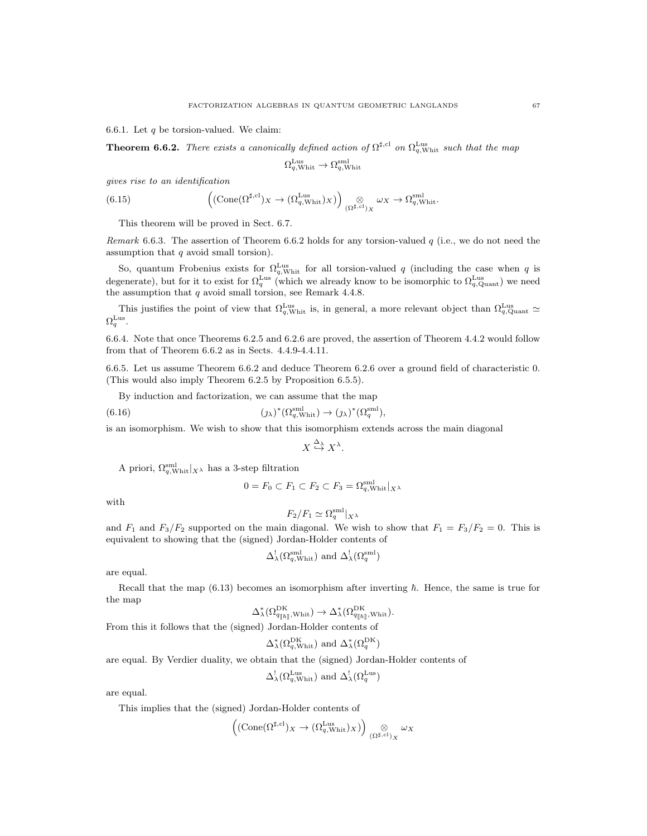6.6.1. Let  $q$  be torsion-valued. We claim:

**Theorem 6.6.2.** There exists a canonically defined action of  $\Omega^{\sharp,cl}$  on  $\Omega_{q,\text{Whit}}^{\text{Lus}}$  such that the map

$$
\Omega_{q,\mathrm{Whit}}^{\mathrm{Lus}} \to \Omega_{q,\mathrm{Whit}}^{\mathrm{sml}}
$$

gives rise to an identification

(6.15) 
$$
\left(\left(\text{Cone}(\Omega^{\sharp,\text{cl}})_{X}\right) \left(\Omega_{q,\text{Whit}}^{\text{Lus}}\right)_{X}\right)_{\left(\Omega^{\sharp,\text{cl}}\right)_{X}} \omega_{X} \to \Omega_{q,\text{Whit}}^{\text{sml}}.
$$

This theorem will be proved in Sect. 6.7.

Remark 6.6.3. The assertion of Theorem 6.6.2 holds for any torsion-valued  $q$  (i.e., we do not need the assumption that q avoid small torsion).

So, quantum Frobenius exists for  $\Omega_{q,\text{Whit}}^{\text{Lus}}$  for all torsion-valued q (including the case when q is degenerate), but for it to exist for  $\Omega_q^{\text{Lus}}$  (which we already know to be isomorphic to  $\Omega_{q,\text{Quant}}^{\text{Lus}}$ ) we need the assumption that  $q$  avoid small torsion, see Remark 4.4.8.

This justifies the point of view that  $\Omega_{q,\text{Whit}}^{\text{Lus}}$  is, in general, a more relevant object than  $\Omega_{q,\text{Quant}}^{\text{Lus}}$  $\Omega^{\rm{Lus}}_q.$ 

6.6.4. Note that once Theorems 6.2.5 and 6.2.6 are proved, the assertion of Theorem 4.4.2 would follow from that of Theorem 6.6.2 as in Sects. 4.4.9-4.4.11.

6.6.5. Let us assume Theorem 6.6.2 and deduce Theorem 6.2.6 over a ground field of characteristic 0. (This would also imply Theorem 6.2.5 by Proposition 6.5.5).

By induction and factorization, we can assume that the map

(6.16) 
$$
(\jmath_{\lambda})^*(\Omega_{q,\text{Whit}}^{\text{sml}}) \to (\jmath_{\lambda})^*(\Omega_{q}^{\text{sml}}),
$$

is an isomorphism. We wish to show that this isomorphism extends across the main diagonal

$$
X \stackrel{\Delta_{\lambda}}{\hookrightarrow} X^{\lambda}.
$$

A priori,  $\Omega_{q,\text{Whit}}^{\text{sml}}|_{X^{\lambda}}$  has a 3-step filtration

$$
0 = F_0 \subset F_1 \subset F_2 \subset F_3 = \Omega_{q,\text{Whit}}^{\text{sml}}|_{X^\lambda}
$$

with

$$
F_2/F_1 \simeq \Omega_q^{\text{sml}}|_{X^{\lambda}}
$$

and  $F_1$  and  $F_3/F_2$  supported on the main diagonal. We wish to show that  $F_1 = F_3/F_2 = 0$ . This is equivalent to showing that the (signed) Jordan-Holder contents of

$$
\Delta_{\lambda}^{!}(\Omega_{q,\text{Whit}}^{\text{sml}})
$$
 and  $\Delta_{\lambda}^{!}(\Omega_{q}^{\text{sml}})$ 

are equal.

Recall that the map (6.13) becomes an isomorphism after inverting  $\hbar$ . Hence, the same is true for the map

$$
\Delta^*_{\lambda}(\Omega^{\mathrm{DK}}_{q_{[\![\hbar]\!]},\mathrm{Whit}}) \to \Delta^*_{\lambda}(\Omega^{\mathrm{DK}}_{q_{[\![\hbar]\!]},\mathrm{Whit}}).
$$

From this it follows that the (signed) Jordan-Holder contents of

$$
\Delta_{\lambda}^{*}(\Omega_{q,\text{Whit}}^{\text{DK}})
$$
 and  $\Delta_{\lambda}^{*}(\Omega_{q}^{\text{DK}})$ 

are equal. By Verdier duality, we obtain that the (signed) Jordan-Holder contents of

$$
\Delta_{\lambda}^{!}(\Omega_{q,\text{Whit}}^{\text{Lus}})
$$
 and  $\Delta_{\lambda}^{!}(\Omega_{q}^{\text{Lus}})$ 

are equal.

This implies that the (signed) Jordan-Holder contents of

$$
\left((\mathrm{Cone}(\Omega^{\sharp,\mathrm{cl}})_X\rightarrow(\Omega_{q,\mathrm{Whit}}^{\mathrm{Lus}})_X)\right)_{(\Omega^{\sharp,\mathrm{cl}})_X}\omega_X
$$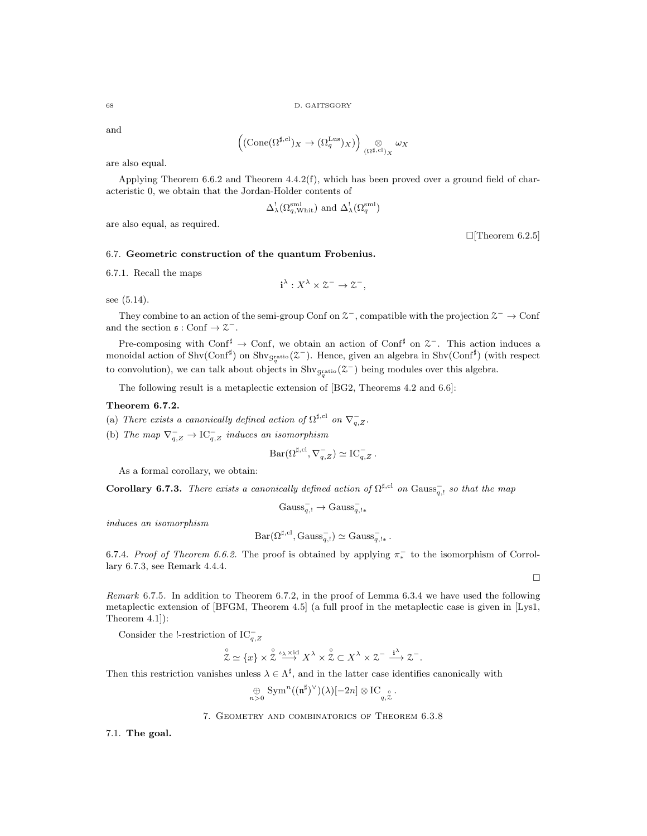and

$$
\left(\left(\text{Cone}(\Omega^{\sharp,\text{cl}})_{X} \to (\Omega_{q}^{\text{Lus}})_{X}\right)\right)_{(\Omega^{\sharp,\text{cl}})_{X}} \omega_{X}
$$

are also equal.

Applying Theorem 6.6.2 and Theorem 4.4.2(f), which has been proved over a ground field of characteristic 0, we obtain that the Jordan-Holder contents of

$$
\Delta_{\lambda}^{!}(\Omega_{q,\text{Whit}}^{\text{sml}})
$$
 and  $\Delta_{\lambda}^{!}(\Omega_{q}^{\text{sml}})$ 

are also equal, as required.

 $\Box$ [Theorem 6.2.5]

## 6.7. Geometric construction of the quantum Frobenius.

6.7.1. Recall the maps

$$
\mathbf{i}^{\lambda}: X^{\lambda} \times \mathcal{Z}^- \to \mathcal{Z}^-,
$$

see (5.14).

They combine to an action of the semi-group Conf on  $\mathcal{Z}^-$ , compatible with the projection  $\mathcal{Z}^- \to \text{Conf}$ and the section  $\mathfrak{s}: \text{Conf} \to \mathfrak{X}^-$ .

Pre-composing with Conf<sup>#</sup>  $\rightarrow$  Conf, we obtain an action of Conf<sup>#</sup> on  $\mathcal{Z}^-$ . This action induces a monoidal action of Shv(Conf<sup>#</sup>) on Shv<sub>Gratio</sub>( $\mathfrak{Z}^-$ ). Hence, given an algebra in Shv(Conf<sup>#</sup>) (with respect to convolution), we can talk about objects in  $\text{Shv}_{g_q^{\text{ratio}}}(\mathcal{Z}^-)$  being modules over this algebra.

The following result is a metaplectic extension of [BG2, Theorems 4.2 and 6.6]:

# Theorem 6.7.2.

- (a) There exists a canonically defined action of  $\Omega^{\sharp,\text{cl}}$  on  $\nabla_{q,Z}^-$ .
- (b) The map  $\nabla_{q,Z}^- \to \text{IC}_{q,Z}^-$  induces an isomorphism

$$
Bar(\Omega^{\sharp, \mathrm{cl}}, \nabla_{q,Z}^-) \simeq \mathrm{IC}_{q,Z}^-.
$$

As a formal corollary, we obtain:

**Corollary 6.7.3.** There exists a canonically defined action of  $\Omega^{\sharp, cl}$  on Gauss<sub>q</sub>, so that the map

$$
Gauss_{q,!}^- \rightarrow Gauss_{q,!}^-
$$

induces an isomorphism

$$
Bar(\Omega^{\sharp, \mathrm{cl}}, \mathrm{Gauss}_{q, !}^-) \simeq \mathrm{Gauss}_{q, !\ast}^-.
$$

6.7.4. Proof of Theorem 6.6.2. The proof is obtained by applying  $\pi$ <sup>-</sup> to the isomorphism of Corrollary 6.7.3, see Remark 4.4.4.

Remark 6.7.5. In addition to Theorem 6.7.2, in the proof of Lemma 6.3.4 we have used the following metaplectic extension of [BFGM, Theorem 4.5] (a full proof in the metaplectic case is given in [Lys1, Theorem 4.1]):

Consider the !-restriction of  $IC_{q,Z}^-$ 

$$
\overset{\circ}{\mathcal{Z}}\simeq \{x\}\times \overset{\circ}{\mathcal{Z}}\stackrel{\iota_{\lambda}\times {\rm id}}{\longrightarrow} X^{\lambda}\times \overset{\circ}{\mathcal{Z}}\subset X^{\lambda}\times \mathcal{Z}^{-} \stackrel{{\bf i}^{\lambda}}{\longrightarrow} \mathcal{Z}^{-}.
$$

Then this restriction vanishes unless  $\lambda \in \Lambda^{\sharp}$ , and in the latter case identifies canonically with

$$
\bigoplus_{n>0}\mathrm{Sym}^n((\mathfrak{n}^\sharp)^\vee)(\lambda)[-2n]\otimes\mathrm{IC}_{q,\stackrel{\circ}{\mathcal{Z}}}.
$$

7. Geometry and combinatorics of Theorem 6.3.8

7.1. The goal.

 $\Box$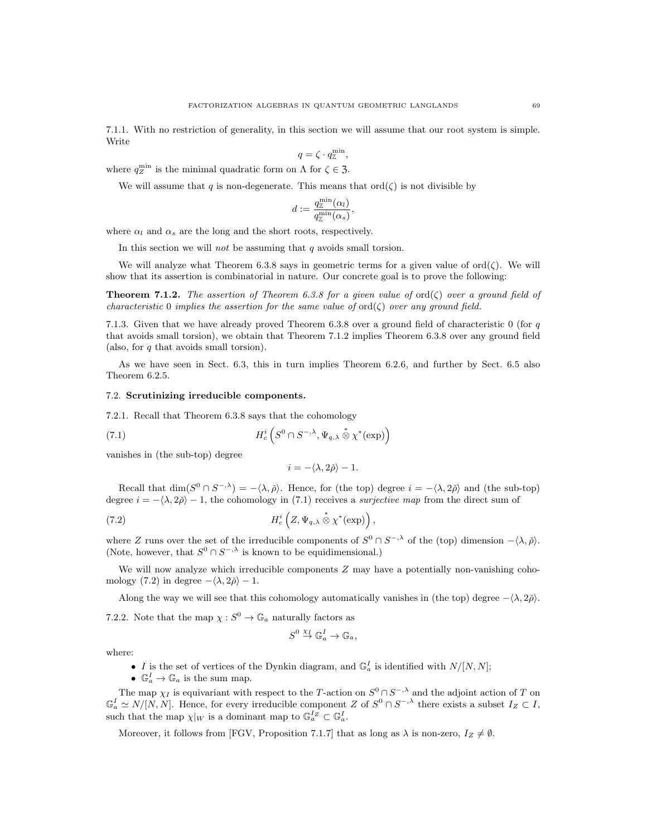7.1.1. With no restriction of generality, in this section we will assume that our root system is simple. Write

$$
q = \zeta \cdot q_{\mathbb{Z}}^{\min},
$$

where  $q_Z^{\min}$  is the minimal quadratic form on  $\Lambda$  for  $\zeta \in \mathfrak{Z}$ .

We will assume that q is non-degenerate. This means that  $\text{ord}(\zeta)$  is not divisible by

$$
d:=\frac{q^{\min}_\mathbb{Z}(\alpha_l)}{q^{\min}_\mathbb{Z}(\alpha_s)},
$$

where  $\alpha_l$  and  $\alpha_s$  are the long and the short roots, respectively.

In this section we will *not* be assuming that  $q$  avoids small torsion.

We will analyze what Theorem 6.3.8 says in geometric terms for a given value of  $ord(\zeta)$ . We will show that its assertion is combinatorial in nature. Our concrete goal is to prove the following:

**Theorem 7.1.2.** The assertion of Theorem 6.3.8 for a given value of ord $(\zeta)$  over a ground field of characteristic 0 implies the assertion for the same value of  $\text{ord}(\zeta)$  over any ground field.

7.1.3. Given that we have already proved Theorem 6.3.8 over a ground field of characteristic  $0$  (for  $q$ that avoids small torsion), we obtain that Theorem 7.1.2 implies Theorem 6.3.8 over any ground field (also, for q that avoids small torsion).

As we have seen in Sect. 6.3, this in turn implies Theorem 6.2.6, and further by Sect. 6.5 also Theorem 6.2.5.

#### 7.2. Scrutinizing irreducible components.

7.2.1. Recall that Theorem 6.3.8 says that the cohomology

(7.1) 
$$
H_c^i\left(S^0\cap S^{-,\lambda},\Psi_{q,\lambda}\overset{*}{\otimes}\chi^*(\exp)\right)
$$

vanishes in (the sub-top) degree

$$
i=-\langle \lambda, 2\check{\rho}\rangle-1.
$$

Recall that  $\dim(S^0 \cap S^{-1}) = -\langle \lambda, \check{\rho} \rangle$ . Hence, for (the top) degree  $i = -\langle \lambda, 2\check{\rho} \rangle$  and (the sub-top) degree  $i = -\langle \lambda, 2\rangle - 1$ , the cohomology in (7.1) receives a *surjective map* from the direct sum of

(7.2) 
$$
H_c^i\left(Z,\Psi_{q,\lambda}\overset{*}{\otimes}\chi^*(\exp)\right),
$$

where Z runs over the set of the irreducible components of  $S^0 \cap S^{-,\lambda}$  of the (top) dimension  $-\langle \lambda, \check{\rho} \rangle$ . (Note, however, that  $S^0 \cap S^{-, \lambda}$  is known to be equidimensional.)

We will now analyze which irreducible components  $Z$  may have a potentially non-vanishing cohomology (7.2) in degree  $-\langle \lambda, 2\rangle - 1$ .

Along the way we will see that this cohomology automatically vanishes in (the top) degree  $-\langle \lambda, 2\rangle$ .

7.2.2. Note that the map  $\chi : S^0 \to \mathbb{G}_a$  naturally factors as

$$
S^0 \stackrel{\chi_I}{\to} \mathbb{G}_a^I \to \mathbb{G}_a,
$$

where:

- I is the set of vertices of the Dynkin diagram, and  $\mathbb{G}_a^I$  is identified with  $N/[N, N]$ ;
- $\mathbb{G}_a^I \to \mathbb{G}_a$  is the sum map.

The map  $\chi_I$  is equivariant with respect to the T-action on  $S^0 \cap S^{-, \lambda}$  and the adjoint action of T on  $\mathbb{G}_a^I \simeq N/[N, N]$ . Hence, for every irreducible component Z of  $S^0 \cap S^{-, \lambda}$  there exists a subset  $I_Z \subset I$ , such that the map  $\chi|_W$  is a dominant map to  $\mathbb{G}_a^I^Z \subset \mathbb{G}_a^I$ .

Moreover, it follows from [FGV, Proposition 7.1.7] that as long as  $\lambda$  is non-zero,  $I_Z \neq \emptyset$ .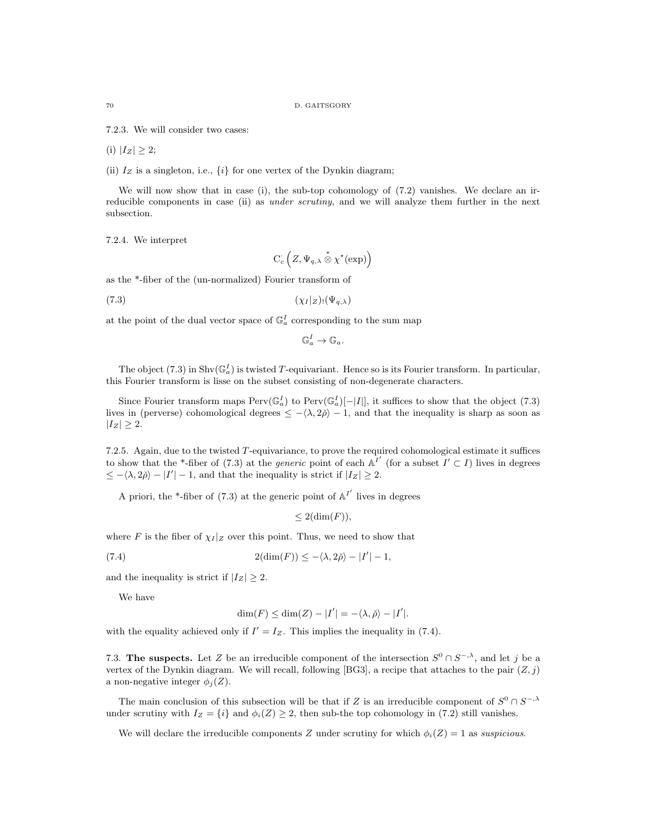7.2.3. We will consider two cases:

(i)  $|I_Z| \geq 2$ ;

(ii)  $I_Z$  is a singleton, i.e.,  $\{i\}$  for one vertex of the Dynkin diagram;

We will now show that in case (i), the sub-top cohomology of  $(7.2)$  vanishes. We declare an irreducible components in case (ii) as *under scrutiny*, and we will analyze them further in the next subsection.

7.2.4. We interpret

 $C_c\left(Z,\Psi_{q,\lambda}\overset{*}{\otimes}\chi^*(\exp)\right)$ 

as the \*-fiber of the (un-normalized) Fourier transform of

(7.3) (χ<sup>I</sup> |<sup>Z</sup> )!(Ψq,λ)

at the point of the dual vector space of  $\mathbb{G}_a^I$  corresponding to the sum map

$$
\mathbb{G}_a^I \to \mathbb{G}_a.
$$

The object (7.3) in  $\text{Shv}(\mathbb{G}_a^I)$  is twisted T-equivariant. Hence so is its Fourier transform. In particular, this Fourier transform is lisse on the subset consisting of non-degenerate characters.

Since Fourier transform maps  $Perv(\mathbb{G}_a^I)$  to  $Perv(\mathbb{G}_a^I)[-|I|]$ , it suffices to show that the object (7.3) lives in (perverse) cohomological degrees  $\leq -\langle \lambda, 2\rangle - 1$ , and that the inequality is sharp as soon as  $|I_Z| \geq 2$ .

7.2.5. Again, due to the twisted T-equivariance, to prove the required cohomological estimate it suffices to show that the \*-fiber of (7.3) at the *generic* point of each  $A^{I'}$  (for a subset  $I' \subset I$ ) lives in degrees  $\leq -\langle \lambda, 2\check{\rho} \rangle - |I'| - 1$ , and that the inequality is strict if  $|I_Z| \geq 2$ .

A priori, the \*-fiber of (7.3) at the generic point of  $\mathbb{A}^{I'}$  lives in degrees

$$
\leq 2(\dim(F)),
$$

where F is the fiber of  $\chi_I|_Z$  over this point. Thus, we need to show that

(7.4) 
$$
2(\dim(F)) \le -\langle \lambda, 2\check{\rho} \rangle - |I'| - 1,
$$

and the inequality is strict if  $|I_z| \geq 2$ .

We have

$$
\dim(F) \le \dim(Z) - |I'| = -\langle \lambda, \check{\rho} \rangle - |I'|.
$$

with the equality achieved only if  $I' = I_Z$ . This implies the inequality in (7.4).

7.3. The suspects. Let Z be an irreducible component of the intersection  $S^0 \cap S^{-, \lambda}$ , and let j be a vertex of the Dynkin diagram. We will recall, following [BG3], a recipe that attaches to the pair  $(Z, j)$ a non-negative integer  $\phi_i(Z)$ .

The main conclusion of this subsection will be that if Z is an irreducible component of  $S^0 \cap S^{-, \lambda}$ under scrutiny with  $I_Z = \{i\}$  and  $\phi_i(Z) \geq 2$ , then sub-the top cohomology in (7.2) still vanishes.

We will declare the irreducible components Z under scrutiny for which  $\phi_i(Z) = 1$  as suspicious.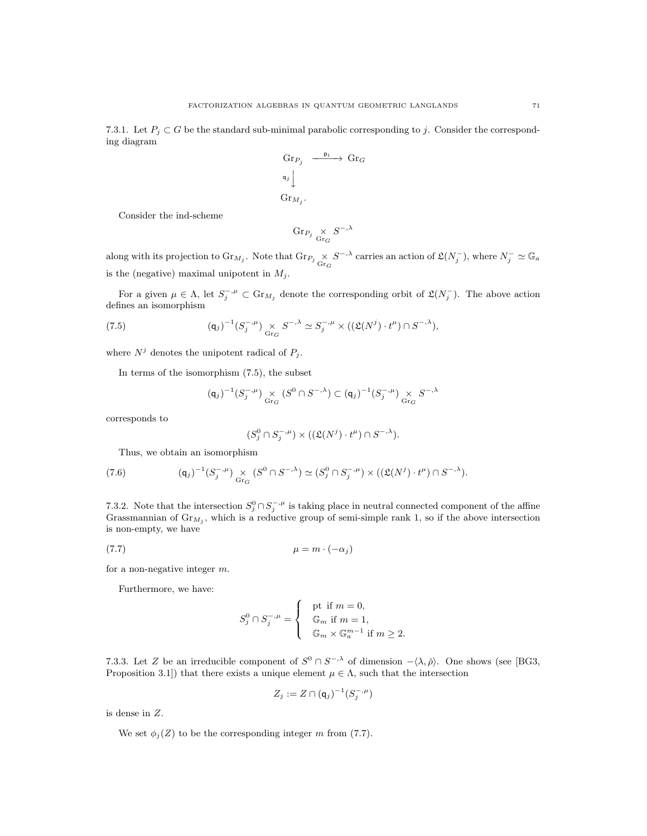7.3.1. Let  $P_i \subset G$  be the standard sub-minimal parabolic corresponding to j. Consider the corresponding diagram

$$
\begin{array}{ccc}\n\text{Gr}_{P_j} & \xrightarrow{\mathsf{p}_i} & \text{Gr}_G \\
\mathsf{q}_j \downarrow & & \\
\text{Gr}_{M_j}.\n\end{array}
$$

Consider the ind-scheme

$$
\textnormal{Gr}_{P_j}\underset{\textnormal{Gr}_G}{\times}S^{-,\lambda}
$$

along with its projection to  $\text{Gr}_{M_j}$ . Note that  $\text{Gr}_{P_j} \times S^{-, \lambda}$  carries an action of  $\mathfrak{L}(N_j^-)$ , where  $N_j^- \simeq \mathbb{G}_a$ is the (negative) maximal unipotent in  $M_j$ .

For a given  $\mu \in \Lambda$ , let  $S_j^{-,\mu} \subset \text{Gr}_{M_j}$  denote the corresponding orbit of  $\mathfrak{L}(N_j^-)$ . The above action defines an isomorphism

(7.5) 
$$
(\mathsf{q}_j)^{-1} (S_j^{-,\mu}) \underset{\text{Gr}_G}{\times} S^{-,\lambda} \simeq S_j^{-,\mu} \times ((\mathfrak{L}(N^j) \cdot t^{\mu}) \cap S^{-,\lambda}),
$$

where  $N^j$  denotes the unipotent radical of  $P_j$ .

In terms of the isomorphism (7.5), the subset

$$
(\mathsf{q}_j)^{-1}(S_j^{-,\mu}) \underset{\mathrm{Gr}_G}{\times} (S^0 \cap S^{-,\lambda}) \subset (\mathsf{q}_j)^{-1}(S_j^{-,\mu}) \underset{\mathrm{Gr}_G}{\times} S^{-,\lambda}
$$

corresponds to

$$
(S_j^0 \cap S_j^{-,\mu}) \times ((\mathfrak{L}(N^j) \cdot t^{\mu}) \cap S^{-,\lambda}).
$$

Thus, we obtain an isomorphism

(7.6) 
$$
({\mathsf q}_j)^{-1} (S_j^{-,\mu}) \underset{{\rm Gr}_G}{\times} (S^0 \cap S^{-,\lambda}) \simeq (S_j^0 \cap S_j^{-,\mu}) \times (({\mathfrak L}(N^j) \cdot t^{\mu}) \cap S^{-,\lambda}).
$$

7.3.2. Note that the intersection  $S_j^0 \cap S_j^{-,\mu}$  is taking place in neutral connected component of the affine Grassmannian of  $\text{Gr}_{M_j}$ , which is a reductive group of semi-simple rank 1, so if the above intersection is non-empty, we have

$$
\mu = m \cdot (-\alpha_j)
$$

for a non-negative integer m.

Furthermore, we have:

$$
S_j^0 \cap S_j^{-,\mu} = \begin{cases} \n\text{pt if } m = 0, \\ \n\mathbb{G}_m \text{ if } m = 1, \\ \n\mathbb{G}_m \times \mathbb{G}_a^{m-1} \text{ if } m \ge 2. \n\end{cases}
$$

7.3.3. Let Z be an irreducible component of  $S^0 \cap S^{-,\lambda}$  of dimension  $-\langle \lambda, \check{\rho} \rangle$ . One shows (see [BG3, Proposition 3.1]) that there exists a unique element  $\mu \in \Lambda$ , such that the intersection

$$
Z_j := Z \cap (\mathsf{q}_j)^{-1}(S_j^{-,\mu})
$$

is dense in Z.

We set  $\phi_i(Z)$  to be the corresponding integer m from (7.7).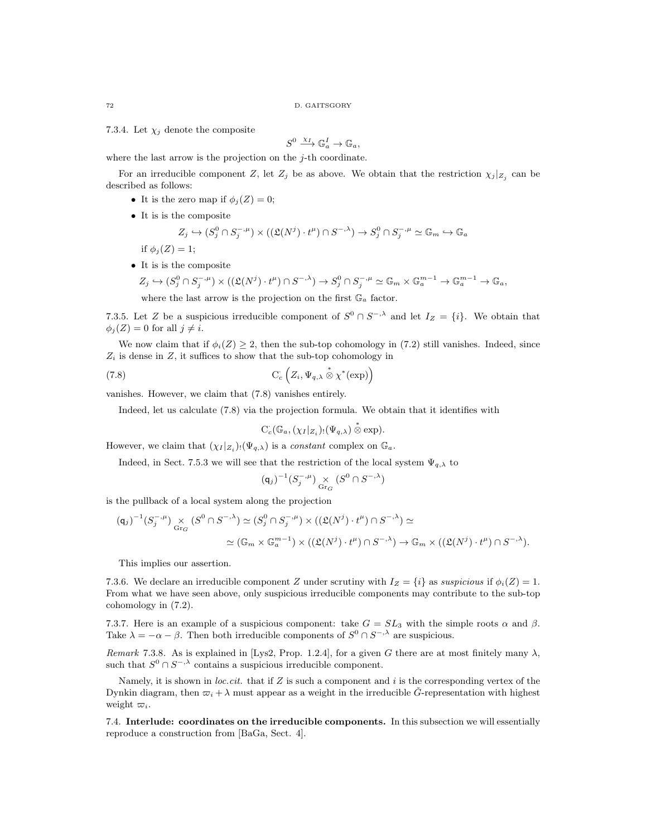7.3.4. Let  $\chi_i$  denote the composite

$$
S^0 \xrightarrow{\chi_I} \mathbb{G}_a^I \to \mathbb{G}_a,
$$

where the last arrow is the projection on the  $j$ -th coordinate.

For an irreducible component Z, let  $Z_j$  be as above. We obtain that the restriction  $\chi_j|_{Z_j}$  can be described as follows:

- It is the zero map if  $\phi_i(Z) = 0$ ;
- It is is the composite

$$
Z_j \hookrightarrow (S_j^0 \cap S_j^{-,\mu}) \times ((\mathfrak{L}(N^j) \cdot t^{\mu}) \cap S^{-,\lambda}) \to S_j^0 \cap S_j^{-,\mu} \simeq \mathbb{G}_m \hookrightarrow \mathbb{G}_a
$$

 $\rightarrow \mathbb{G}_a$ ,

if  $\phi_i(Z) = 1$ ; • It is is the composite

$$
Z_j \hookrightarrow (S_j^0 \cap S_j^{-,\mu}) \times ((\mathfrak{L}(N^j) \cdot t^{\mu}) \cap S^{-,\lambda}) \to S_j^0 \cap S_j^{-,\mu} \simeq \mathbb{G}_m \times \mathbb{G}_a^{m-1} \to \mathbb{G}_a^{m-1}
$$

where the last arrow is the projection on the first  $\mathbb{G}_a$  factor.

7.3.5. Let Z be a suspicious irreducible component of  $S^0 \cap S^{-, \lambda}$  and let  $I_Z = \{i\}$ . We obtain that  $\phi_i(Z) = 0$  for all  $j \neq i$ .

We now claim that if  $\phi_i(Z) \geq 2$ , then the sub-top cohomology in (7.2) still vanishes. Indeed, since  $Z_i$  is dense in  $Z$ , it suffices to show that the sub-top cohomology in

(7.8) 
$$
C_c\left(Z_i, \Psi_{q,\lambda} \overset{*}{\otimes} \chi^*(\exp)\right)
$$

vanishes. However, we claim that (7.8) vanishes entirely.

Indeed, let us calculate (7.8) via the projection formula. We obtain that it identifies with

$$
C_c(\mathbb{G}_a,(\chi_I|_{Z_i})_!(\Psi_{q,\lambda})\overset{*}{\otimes} \exp).
$$

However, we claim that  $(\chi_I | z_i)_! (\Psi_{q,\lambda})$  is a *constant* complex on  $\mathbb{G}_a$ .

Indeed, in Sect. 7.5.3 we will see that the restriction of the local system  $\Psi_{q,\lambda}$  to

$$
(\mathsf{q}_j)^{-1}(S_j^{-,\mu}) \underset{\mathrm{Gr}_G}{\times} (S^0 \cap S^{-,\lambda})
$$

is the pullback of a local system along the projection

$$
\begin{aligned} \left(\mathsf{q}_j\right)^{-1} (S_j^{-,\mu}) &\underset{\mathrm{Gr}_G}{\times} \left( S^0 \cap S^{-,\lambda} \right) \simeq (S_j^0 \cap S_j^{-,\mu}) \times \left( \left( \mathfrak{L}(N^j) \cdot t^\mu \right) \cap S^{-,\lambda} \right) \simeq \\ &\simeq \left( \mathbb{G}_m \times \mathbb{G}_a^{m-1} \right) \times \left( \left( \mathfrak{L}(N^j) \cdot t^\mu \right) \cap S^{-,\lambda} \right) \to \mathbb{G}_m \times \left( \left( \mathfrak{L}(N^j) \cdot t^\mu \right) \cap S^{-,\lambda} \right). \end{aligned}
$$

This implies our assertion.

7.3.6. We declare an irreducible component Z under scrutiny with  $I_Z = \{i\}$  as suspicious if  $\phi_i(Z) = 1$ . From what we have seen above, only suspicious irreducible components may contribute to the sub-top cohomology in (7.2).

7.3.7. Here is an example of a suspicious component: take  $G = SL_3$  with the simple roots  $\alpha$  and  $\beta$ . Take  $\lambda = -\alpha - \beta$ . Then both irreducible components of  $S^0 \cap S^{-, \lambda}$  are suspicious.

Remark 7.3.8. As is explained in [Lys2, Prop. 1.2.4], for a given G there are at most finitely many  $\lambda$ , such that  $S^0 \cap S^{-, \lambda}$  contains a suspicious irreducible component.

Namely, it is shown in *loc.cit.* that if  $Z$  is such a component and i is the corresponding vertex of the Dynkin diagram, then  $\varpi_i + \lambda$  must appear as a weight in the irreducible G $\zeta$ -representation with highest weight  $\varpi_i$ .

7.4. Interlude: coordinates on the irreducible components. In this subsection we will essentially reproduce a construction from [BaGa, Sect. 4].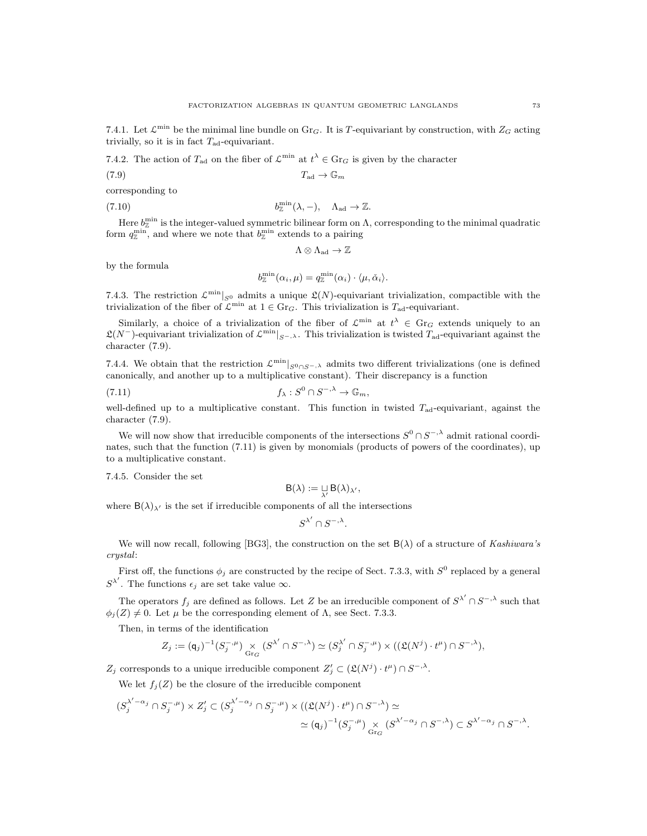7.4.1. Let  $\mathcal{L}^{\min}$  be the minimal line bundle on Gr<sub>G</sub>. It is T-equivariant by construction, with  $Z_G$  acting trivially, so it is in fact  $T_{\text{ad}}$ -equivariant.

7.4.2. The action of  $T_{ad}$  on the fiber of  $\mathcal{L}^{\min}$  at  $t^{\lambda} \in \text{Gr}_G$  is given by the character

$$
(7.9) \t\t T_{\text{ad}} \to \mathbb{G}_m
$$

corresponding to

(7.10) 
$$
b^{\min}_{\mathbb{Z}}(\lambda,-), \quad \Lambda_{\text{ad}} \to \mathbb{Z}.
$$

Here  $b^{\min}_{\mathbb{Z}}$  is the integer-valued symmetric bilinear form on  $\Lambda$ , corresponding to the minimal quadratic form  $q_{\mathbb{Z}}^{\min}$ , and where we note that  $b_{\mathbb{Z}}^{\min}$  extends to a pairing

$$
\Lambda\otimes\Lambda_{\mathrm{ad}}\to\mathbb{Z}
$$

by the formula

$$
b^{\min}_{\mathbb{Z}}(\alpha_i,\mu)=q^{\min}_{\mathbb{Z}}(\alpha_i)\cdot\langle\mu,\check{\alpha}_i\rangle.
$$

7.4.3. The restriction  $\mathcal{L}^{\min}|_{S^0}$  admits a unique  $\mathfrak{L}(N)$ -equivariant trivialization, compactible with the trivialization of the fiber of  $\mathcal{L}^{\min}$  at  $1 \in \text{Gr}_G$ . This trivialization is  $T_{ad}$ -equivariant.

Similarly, a choice of a trivialization of the fiber of  $\mathcal{L}^{\min}$  at  $t^{\lambda} \in \mathrm{Gr}_G$  extends uniquely to an  $\mathfrak{L}(N^-)$ -equivariant trivialization of  $\mathcal{L}^{\min}|_{S^{-,\lambda}}$ . This trivialization is twisted  $T_{\text{ad}}$ -equivariant against the character (7.9).

7.4.4. We obtain that the restriction  $\mathcal{L}^{\min}|_{S^0 \cap S^{-,\lambda}}$  admits two different trivializations (one is defined canonically, and another up to a multiplicative constant). Their discrepancy is a function

(7.11) 
$$
f_{\lambda}: S^{0} \cap S^{-,\lambda} \to \mathbb{G}_{m},
$$

well-defined up to a multiplicative constant. This function in twisted  $T_{ad}$ -equivariant, against the character (7.9).

We will now show that irreducible components of the intersections  $S^0 \cap S^{-, \lambda}$  admit rational coordinates, such that the function (7.11) is given by monomials (products of powers of the coordinates), up to a multiplicative constant.

7.4.5. Consider the set

$$
B(\lambda):=\mathop{\sqcup}\limits_{\lambda'} B(\lambda)_{\lambda'},
$$

where  $B(\lambda)_{\lambda'}$  is the set if irreducible components of all the intersections

$$
\boldsymbol{S}^{\lambda'} \cap \boldsymbol{S}^{-,\lambda}.
$$

We will now recall, following [BG3], the construction on the set  $B(\lambda)$  of a structure of Kashiwara's crystal:

First off, the functions  $\phi_j$  are constructed by the recipe of Sect. 7.3.3, with  $S^0$  replaced by a general  $S^{\lambda'}$ . The functions  $\epsilon_j$  are set take value  $\infty$ .

The operators  $f_j$  are defined as follows. Let Z be an irreducible component of  $S^{\lambda'} \cap S^{-,\lambda}$  such that  $\phi_i(Z) \neq 0$ . Let  $\mu$  be the corresponding element of  $\Lambda$ , see Sect. 7.3.3.

Then, in terms of the identification

$$
Z_j:=(\mathsf{q}_j)^{-1}(S_j^{-,\mu})\underset{\mathrm{Gr}_G}\times \big(S^{\lambda'}\cap S^{-,\lambda}\big)\simeq (S_j^{\lambda'}\cap S_j^{-,\mu})\times \big((\mathfrak{L}(N^j)\cdot t^\mu)\cap S^{-,\lambda}\big),
$$

 $Z_j$  corresponds to a unique irreducible component  $Z'_j \subset (\mathfrak{L}(N^j) \cdot t^{\mu}) \cap S^{-, \lambda}$ .

We let  $f_j(Z)$  be the closure of the irreducible component

$$
(S_j^{\lambda'-\alpha_j} \cap S_j^{-,\mu}) \times Z'_j \subset (S_j^{\lambda'-\alpha_j} \cap S_j^{-,\mu}) \times ((\mathfrak{L}(N^j) \cdot t^\mu) \cap S^{-,\lambda}) \simeq
$$
  

$$
\simeq (\mathfrak{q}_j)^{-1} (S_j^{-,\mu}) \underset{\text{Gr}_G}{\times} (S^{\lambda'-\alpha_j} \cap S^{-,\lambda}) \subset S^{\lambda'-\alpha_j} \cap S^{-,\lambda}.
$$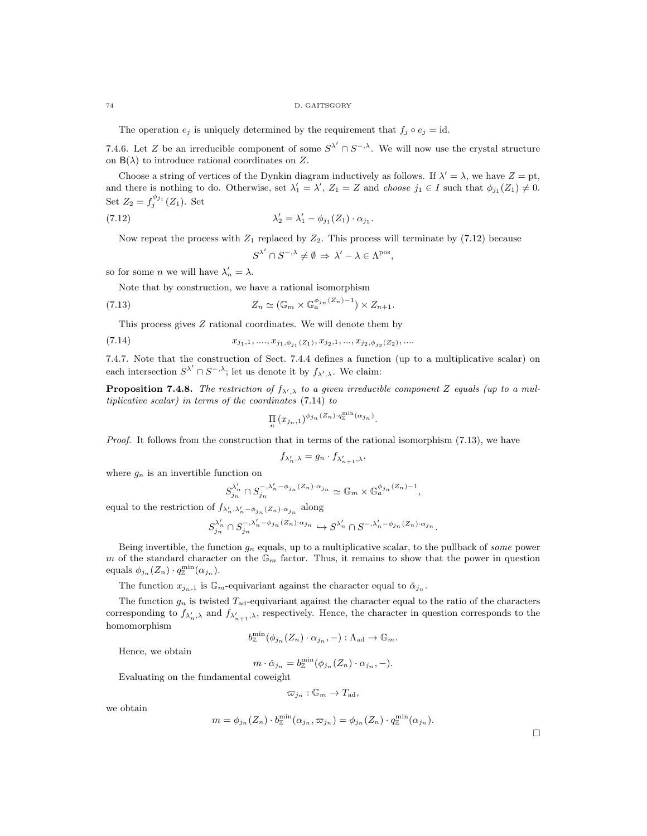#### 74 D. GAITSGORY

The operation  $e_i$  is uniquely determined by the requirement that  $f_i \circ e_j = id$ .

7.4.6. Let Z be an irreducible component of some  $S^{\lambda'} \cap S^{-,\lambda}$ . We will now use the crystal structure on  $B(\lambda)$  to introduce rational coordinates on Z.

Choose a string of vertices of the Dynkin diagram inductively as follows. If  $\lambda' = \lambda$ , we have  $Z = pt$ , and there is nothing to do. Otherwise, set  $\lambda'_1 = \lambda'$ ,  $Z_1 = Z$  and choose  $j_1 \in I$  such that  $\phi_{j_1}(Z_1) \neq 0$ . Set  $Z_2 = f_j^{\phi_{j_1}}(Z_1)$ . Set

(7.12) 
$$
\lambda'_2 = \lambda'_1 - \phi_{j_1}(Z_1) \cdot \alpha_{j_1}.
$$

Now repeat the process with  $Z_1$  replaced by  $Z_2$ . This process will terminate by (7.12) because

$$
S^{\lambda'} \cap S^{-,\lambda} \neq \emptyset \Rightarrow \lambda' - \lambda \in \Lambda^{\text{pos}},
$$

so for some *n* we will have  $\lambda'_n = \lambda$ .

Note that by construction, we have a rational isomorphism

(7.13) 
$$
Z_n \simeq (\mathbb{G}_m \times \mathbb{G}_a^{\phi_{j_n}(Z_n)-1}) \times Z_{n+1}.
$$

This process gives Z rational coordinates. We will denote them by

(7.14) 
$$
x_{j_1,1},...,x_{j_1,\phi_{j_1}(Z_1)},x_{j_2,1},...,x_{j_2,\phi_{j_2}(Z_2)},...
$$

7.4.7. Note that the construction of Sect. 7.4.4 defines a function (up to a multiplicative scalar) on each intersection  $S^{\lambda'} \cap S^{-,\lambda}$ ; let us denote it by  $f_{\lambda',\lambda}$ . We claim:

**Proposition 7.4.8.** The restriction of  $f_{\lambda',\lambda}$  to a given irreducible component Z equals (up to a multiplicative scalar) in terms of the coordinates (7.14) to

$$
\prod_n (x_{j_n,1})^{\phi_{j_n}(Z_n)} \cdot q^{\min}_{\mathbb{Z}}(\alpha_{j_n}).
$$

Proof. It follows from the construction that in terms of the rational isomorphism (7.13), we have

$$
f_{\lambda'_n,\lambda} = g_n \cdot f_{\lambda'_{n+1},\lambda},
$$

where  $g_n$  is an invertible function on

$$
S_{j_n}^{\lambda'_n} \cap S_{j_n}^{-,\lambda'_n-\phi_{j_n}(Z_n)\cdot \alpha_{j_n}} \simeq \mathbb{G}_m \times \mathbb{G}_a^{\phi_{j_n}(Z_n)-1},
$$

equal to the restriction of  $f_{\lambda'_n, \lambda'_n - \phi_{j_n}(Z_n) \cdot \alpha_{j_n}}$  along

$$
S_{j_n}^{\lambda_n'}\cap S_{j_n}^{-,\lambda_n'-\phi_{j_n}(Z_n)\cdot\alpha_{j_n}}\hookrightarrow S^{\lambda_n'}\cap S^{-,\lambda_n'-\phi_{j_n}(Z_n)\cdot\alpha_{j_n}}.
$$

Being invertible, the function  $g_n$  equals, up to a multiplicative scalar, to the pullback of some power m of the standard character on the  $\mathbb{G}_m$  factor. Thus, it remains to show that the power in question equals  $\phi_{j_n}(Z_n) \cdot q_{\mathbb{Z}}^{\min}(\alpha_{j_n}).$ 

The function  $x_{j_n,1}$  is  $\mathbb{G}_m$ -equivariant against the character equal to  $\check{\alpha}_{j_n}$ .

The function  $g_n$  is twisted  $T_{\text{ad}}$ -equivariant against the character equal to the ratio of the characters corresponding to  $f_{\lambda'_n,\lambda}$  and  $f_{\lambda'_{n+1},\lambda}$ , respectively. Hence, the character in question corresponds to the homomorphism

$$
b^{\min}_{\mathbb{Z}}(\phi_{j_n}(Z_n)\cdot\alpha_{j_n},-):\Lambda_{\text{ad}}\to\mathbb{G}_m.
$$

Hence, we obtain

$$
m \cdot \check{\alpha}_{j_n} = b^{\min}_{\mathbb{Z}}(\phi_{j_n}(Z_n) \cdot \alpha_{j_n}, -).
$$

Evaluating on the fundamental coweight

$$
\varpi_{j_n} : \mathbb{G}_m \to T_{\mathrm{ad}},
$$

we obtain

$$
m = \phi_{j_n}(Z_n) \cdot b^{\min}_{\mathbb{Z}}(\alpha_{j_n}, \varpi_{j_n}) = \phi_{j_n}(Z_n) \cdot q^{\min}_{\mathbb{Z}}(\alpha_{j_n}).
$$

 $\Box$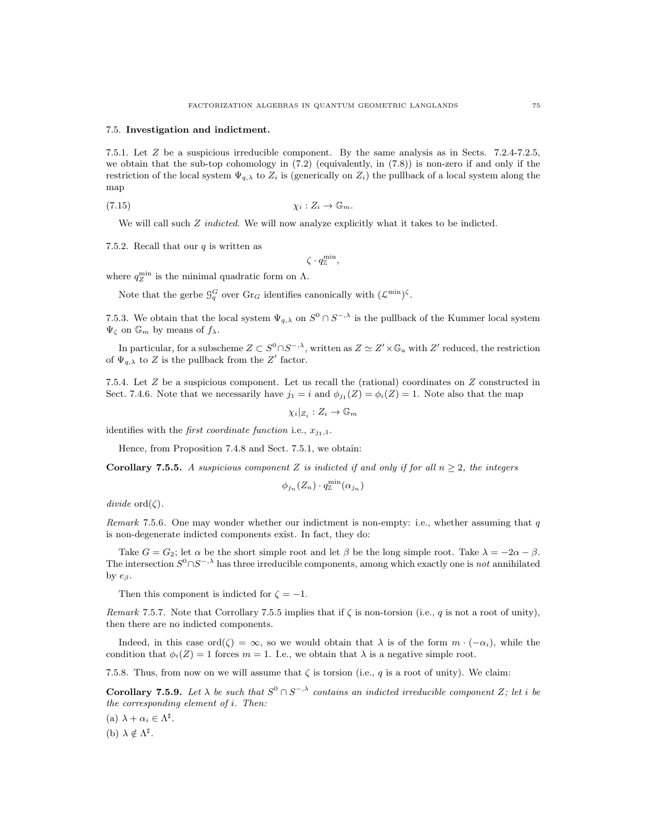## 7.5. Investigation and indictment.

7.5.1. Let Z be a suspicious irreducible component. By the same analysis as in Sects. 7.2.4-7.2.5, we obtain that the sub-top cohomology in  $(7.2)$  (equivalently, in  $(7.8)$ ) is non-zero if and only if the restriction of the local system  $\Psi_{q,\lambda}$  to  $Z_i$  is (generically on  $Z_i$ ) the pullback of a local system along the map

$$
\chi_i: Z_i \to \mathbb{G}_m.
$$

We will call such  $Z$  *indicted*. We will now analyze explicitly what it takes to be indicted.

7.5.2. Recall that our  $q$  is written as

$$
\zeta \cdot q_{\mathbb{Z}}^{\min},
$$

where  $q_Z^{\min}$  is the minimal quadratic form on  $\Lambda$ .

Note that the gerbe  $\mathcal{G}_q^G$  over  $\text{Gr}_G$  identifies canonically with  $(\mathcal{L}^{\min})^{\zeta}$ .

7.5.3. We obtain that the local system  $\Psi_{q,\lambda}$  on  $S^0 \cap S^{-,\lambda}$  is the pullback of the Kummer local system  $\Psi_{\zeta}$  on  $\mathbb{G}_m$  by means of  $f_{\lambda}$ .

In particular, for a subscheme  $Z \subset S^0 \cap S^{-, \lambda}$ , written as  $Z \simeq Z' \times \mathbb{G}_a$  with  $Z'$  reduced, the restriction of  $\Psi_{q,\lambda}$  to Z is the pullback from the Z' factor.

7.5.4. Let Z be a suspicious component. Let us recall the (rational) coordinates on Z constructed in Sect. 7.4.6. Note that we necessarily have  $j_1 = i$  and  $\phi_{j_1}(Z) = \phi_i(Z) = 1$ . Note also that the map

$$
\chi_i|_{Z_i}: Z_i \to \mathbb{G}_m
$$

identifies with the *first coordinate function* i.e.,  $x_{j_1,1}$ .

Hence, from Proposition 7.4.8 and Sect. 7.5.1, we obtain:

**Corollary 7.5.5.** A suspicious component Z is indicted if and only if for all  $n \geq 2$ , the integers

$$
\phi_{j_n}(Z_n)\cdot q^{\min}_{\mathbb{Z}}(\alpha_{j_n})
$$

 $divide~\text{ord}(\zeta).$ 

Remark 7.5.6. One may wonder whether our indictment is non-empty: i.e., whether assuming that  $q$ is non-degenerate indicted components exist. In fact, they do:

Take  $G = G_2$ ; let  $\alpha$  be the short simple root and let  $\beta$  be the long simple root. Take  $\lambda = -2\alpha - \beta$ . The intersection  $S^0 \cap S^{-, \lambda}$  has three irreducible components, among which exactly one is not annihilated by  $e_{\beta}$ .

Then this component is indicted for  $\zeta = -1$ .

Remark 7.5.7. Note that Corrollary 7.5.5 implies that if  $\zeta$  is non-torsion (i.e., q is not a root of unity), then there are no indicted components.

Indeed, in this case ord( $\zeta$ ) =  $\infty$ , so we would obtain that  $\lambda$  is of the form  $m \cdot (-\alpha_i)$ , while the condition that  $\phi_i(Z) = 1$  forces  $m = 1$ . I.e., we obtain that  $\lambda$  is a negative simple root.

7.5.8. Thus, from now on we will assume that  $\zeta$  is torsion (i.e., q is a root of unity). We claim:

**Corollary 7.5.9.** Let  $\lambda$  be such that  $S^0 \cap S^{-,\lambda}$  contains an indicted irreducible component Z; let i be the corresponding element of i. Then:

(a)  $\lambda + \alpha_i \in \Lambda^{\sharp}$ .

(b)  $\lambda \notin \Lambda^{\sharp}$ .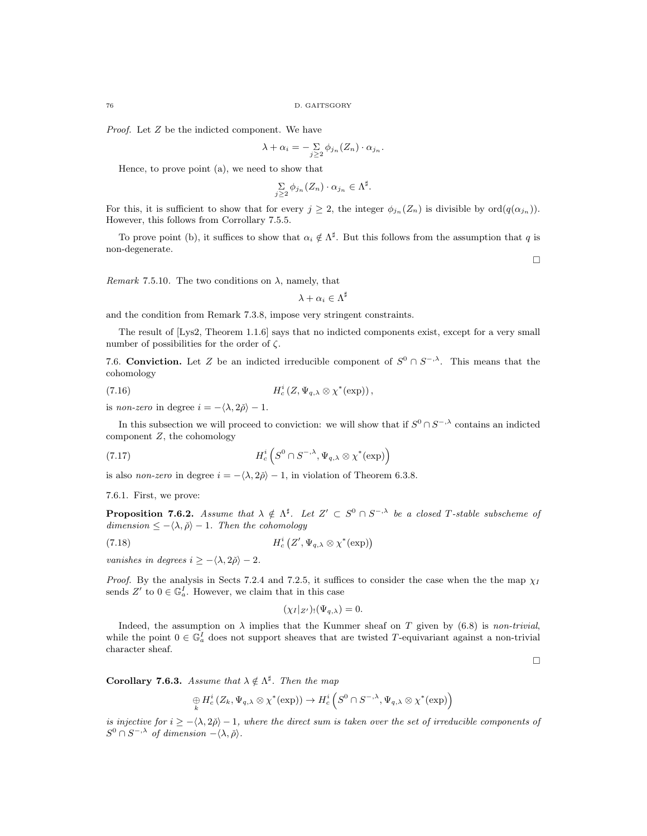Proof. Let Z be the indicted component. We have

$$
\lambda + \alpha_i = -\sum_{j \geq 2} \phi_{j_n}(Z_n) \cdot \alpha_{j_n}.
$$

Hence, to prove point (a), we need to show that

$$
\sum_{j\geq 2} \phi_{j_n}(Z_n) \cdot \alpha_{j_n} \in \Lambda^{\sharp}.
$$

For this, it is sufficient to show that for every  $j \geq 2$ , the integer  $\phi_{j_n}(Z_n)$  is divisible by  $\text{ord}(q(\alpha_{j_n}))$ . However, this follows from Corrollary 7.5.5.

To prove point (b), it suffices to show that  $\alpha_i \notin \Lambda^{\sharp}$ . But this follows from the assumption that q is non-degenerate.

 $\Box$ 

Remark 7.5.10. The two conditions on  $\lambda$ , namely, that

 $\lambda+\alpha_i\in\Lambda^\sharp$ 

and the condition from Remark 7.3.8, impose very stringent constraints.

The result of [Lys2, Theorem 1.1.6] says that no indicted components exist, except for a very small number of possibilities for the order of  $\zeta$ .

7.6. Conviction. Let Z be an indicted irreducible component of  $S^0 \cap S^{-, \lambda}$ . This means that the cohomology

(7.16) 
$$
H_c^i(Z, \Psi_{q,\lambda} \otimes \chi^*(\exp)),
$$

is non-zero in degree  $i = -\langle \lambda, 2\rangle - 1$ .

In this subsection we will proceed to conviction: we will show that if  $S^0 \cap S^{-, \lambda}$  contains an indicted component  $Z$ , the cohomology

(7.17) 
$$
H_c^i\left(S^0\cap S^{-,\lambda},\Psi_{q,\lambda}\otimes\chi^*(\exp)\right)
$$

is also *non-zero* in degree  $i = -\langle \lambda, 2\rangle - 1$ , in violation of Theorem 6.3.8.

7.6.1. First, we prove:

**Proposition 7.6.2.** Assume that  $\lambda \notin \Lambda^{\sharp}$ . Let  $Z' \subset S^0 \cap S^{-, \lambda}$  be a closed T-stable subscheme of dimension  $\leq -\langle \lambda, \check{\rho} \rangle - 1$ . Then the cohomology

$$
(7.18) \tH_c^i(Z', \Psi_{q,\lambda} \otimes \chi^*(\exp))
$$

vanishes in degrees  $i \geq -\langle \lambda, 2\rangle - 2$ .

*Proof.* By the analysis in Sects 7.2.4 and 7.2.5, it suffices to consider the case when the the map  $\chi_I$ sends  $Z'$  to  $0 \in \mathbb{G}_a^I$ . However, we claim that in this case

$$
(\chi_I|_{Z'})(\Psi_{q,\lambda})=0.
$$

Indeed, the assumption on  $\lambda$  implies that the Kummer sheaf on T given by (6.8) is non-trivial, while the point  $0 \in \mathbb{G}_a^I$  does not support sheaves that are twisted T-equivariant against a non-trivial character sheaf.

 $\Box$ 

**Corollary 7.6.3.** Assume that  $\lambda \notin \Lambda^{\sharp}$ . Then the map

$$
\underset{k}{\oplus} H_c^i(Z_k,\Psi_{q,\lambda}\otimes\chi^*(\exp))\rightarrow H_c^i\left(S^0\cap S^{-,\lambda},\Psi_{q,\lambda}\otimes\chi^*(\exp)\right)
$$

is injective for  $i \ge -\langle \lambda, 2\rangle - 1$ , where the direct sum is taken over the set of irreducible components of  $S^0 \cap S^{-,\lambda}$  of dimension  $-\langle \lambda, \check{\rho} \rangle$ .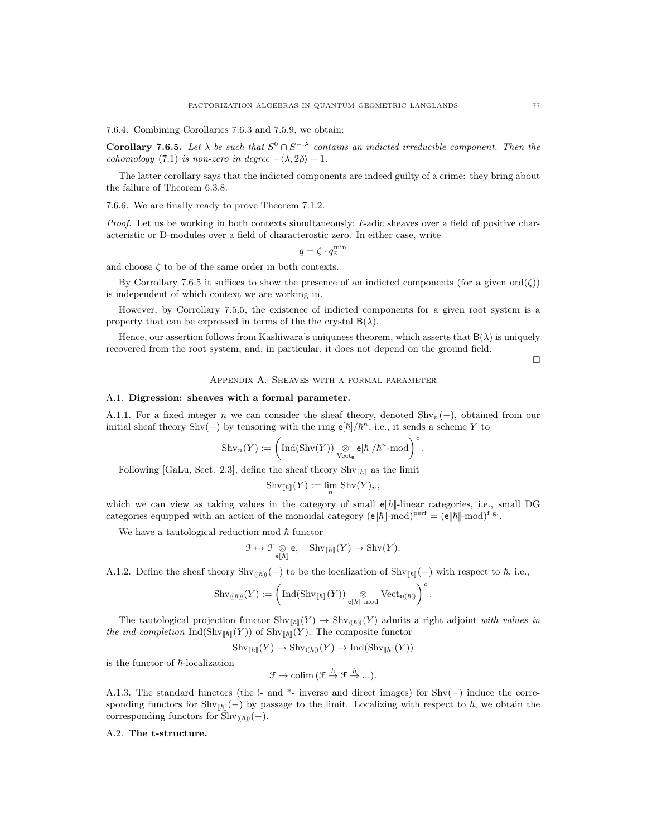7.6.4. Combining Corollaries 7.6.3 and 7.5.9, we obtain:

**Corollary 7.6.5.** Let  $\lambda$  be such that  $S^0 \cap S^{-,\lambda}$  contains an indicted irreducible component. Then the cohomology (7.1) is non-zero in degree  $-\langle \lambda, 2\rangle - 1$ .

The latter corollary says that the indicted components are indeed guilty of a crime: they bring about the failure of Theorem 6.3.8.

7.6.6. We are finally ready to prove Theorem 7.1.2.

*Proof.* Let us be working in both contexts simultaneously:  $\ell$ -adic sheaves over a field of positive characteristic or D-modules over a field of characterostic zero. In either case, write

$$
q=\zeta\cdot q_{\mathbb{Z}}^{\min}
$$

and choose  $\zeta$  to be of the same order in both contexts.

By Corrollary 7.6.5 it suffices to show the presence of an indicted components (for a given ord( $\zeta$ )) is independent of which context we are working in.

However, by Corrollary 7.5.5, the existence of indicted components for a given root system is a property that can be expressed in terms of the the crystal  $B(\lambda)$ .

Hence, our assertion follows from Kashiwara's uniquess theorem, which asserts that  $B(\lambda)$  is uniquely recovered from the root system, and, in particular, it does not depend on the ground field.

 $\Box$ 

## Appendix A. Sheaves with a formal parameter

#### A.1. Digression: sheaves with a formal parameter.

A.1.1. For a fixed integer n we can consider the sheaf theory, denoted  $\text{Shv}_n(-)$ , obtained from our initial sheaf theory Shv(-) by tensoring with the ring  $e[\hbar]/\hbar^n$ , i.e., it sends a scheme Y to

$$
\mathrm{Shv}_n(Y) := \left( \mathrm{Ind}(\mathrm{Shv}(Y)) \underset{\mathrm{Vect}_\mathsf{e}}{\otimes} \mathsf{e}[\hbar] / \hbar^n\text{-mod} \right)^c.
$$

Following [GaLu, Sect. 2.3], define the sheaf theory  $\text{Shv}_{\llbracket \hbar \rrbracket}$  as the limit

$$
\operatorname{Shv}_{[\![\hbar]\!]}(Y):=\lim_n \, \operatorname{Shv}(Y)_n,
$$

which we can view as taking values in the category of small  $\mathbb{E}[\hbar]$ -linear categories, i.e., small DG categories equipped with an action of the monoidal category  $(e[\![\hbar]\!]-\text{mod})^{\text{perf}} = (e[\![\hbar]\!]-\text{mod})^{\text{f.g.}}$ .

We have a tautological reduction mod  $\hbar$  functor

$$
\mathcal{F} \mapsto \mathcal{F} \underset{\mathbf{e} \parallel \hbar \parallel}{\otimes} \mathbf{e}, \quad \mathrm{Shv}_{\llbracket \hbar \rrbracket}(Y) \to \mathrm{Shv}(Y).
$$

A.1.2. Define the sheaf theory  $\text{Shv}_{((\hbar))}(-)$  to be the localization of  $\text{Shv}_{[\hbar]}(-)$  with respect to  $\hbar$ , i.e.,

$$
\mathrm{Shv}_{(\!(\hbar)\!)}(Y) := \left( \mathrm{Ind}(\mathrm{Shv}_{[\![\hbar]\!]}(Y)) \underset{{\tt e} [\![\hbar]\!]-\mathrm{mod}}{\otimes} \mathrm{Vect}_{{\tt e}(\!(\hbar)\!)} \right)^c.
$$

The tautological projection functor  $\text{Shv}_{[h]}(Y) \to \text{Shv}_{([h])}(Y)$  admits a right adjoint with values in the ind-completion  $\text{Ind}(\text{Shv}_{[\![\hbar]\!]}(Y))$  of  $\text{Shv}_{[\![\hbar]\!]}(Y)$ . The composite functor

$$
\mathrm{Shv}_{\llbracket \hbar \rrbracket}(Y) \to \mathrm{Shv}_{(\hbar))}(Y) \to \mathrm{Ind}(\mathrm{Shv}_{\llbracket \hbar \rrbracket}(Y))
$$

is the functor of  $\hbar$ -localization

$$
\mathcal{F} \mapsto \mathrm{colim} \, (\mathcal{F} \stackrel{\hbar}{\rightarrow} \mathcal{F} \stackrel{\hbar}{\rightarrow} \dots).
$$

A.1.3. The standard functors (the !- and \*- inverse and direct images) for Shv(−) induce the corresponding functors for Shv<sub>[ $\hbar$ ]</sub>(−) by passage to the limit. Localizing with respect to  $\hbar$ , we obtain the corresponding functors for  $\text{Shv}_{(\hbar)}(-)$ .

# A.2. The t-structure.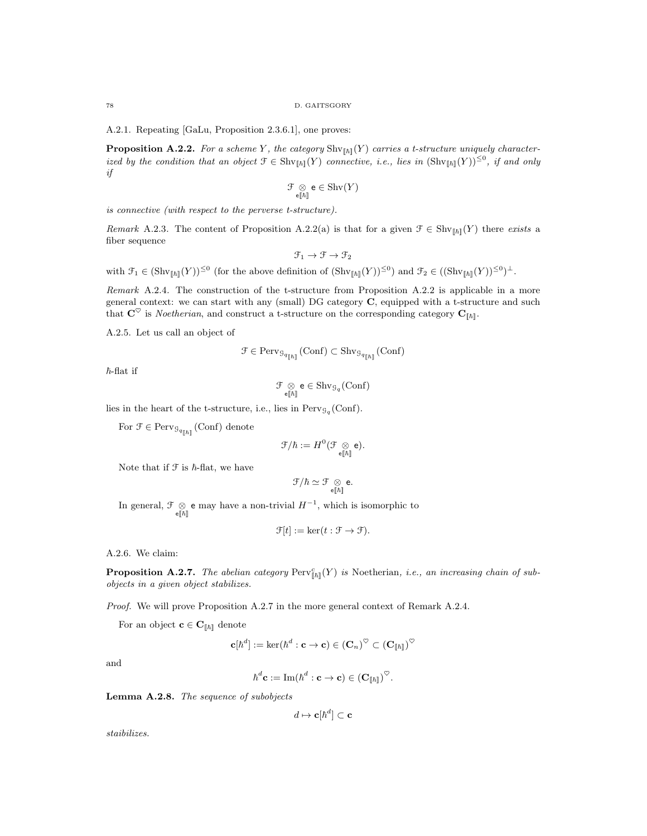78 D. GAITSGORY

A.2.1. Repeating [GaLu, Proposition 2.3.6.1], one proves:

**Proposition A.2.2.** For a scheme Y, the category  $\text{Shv}_{[h]}(Y)$  carries a t-structure uniquely characterized by the condition that an object  $\mathcal{F} \in \text{Shv}_{\llbracket \hbar \rrbracket}(Y)$  connective, i.e., lies in  $(\text{Shv}_{\llbracket \hbar \rrbracket}(Y))^{\leq 0}$ , if and only if

$$
\mathcal{F} \underset{\mathbf{e} \parallel \hbar \parallel}{\otimes} \mathbf{e} \in \mathrm{Shv}(Y)
$$

is connective (with respect to the perverse t-structure).

Remark A.2.3. The content of Proposition A.2.2(a) is that for a given  $\mathcal{F} \in \text{Shv}_{[h]}(Y)$  there exists a fiber sequence

$$
\mathcal{F}_1 \to \mathcal{F} \to \mathcal{F}_2
$$

with  $\mathcal{F}_1 \in (\mathrm{Shv}_{\llbracket \hbar \rrbracket}(Y))^{\leq 0}$  (for the above definition of  $(\mathrm{Shv}_{\llbracket \hbar \rrbracket}(Y))^{\leq 0}$ ) and  $\mathcal{F}_2 \in ((\mathrm{Shv}_{\llbracket \hbar \rrbracket}(Y))^{\leq 0})^{\perp}$ .

Remark A.2.4. The construction of the t-structure from Proposition A.2.2 is applicable in a more general context: we can start with any (small) DG category C, equipped with a t-structure and such that  $\mathbf{C}^{\heartsuit}$  is *Noetherian*, and construct a t-structure on the corresponding category  $\mathbf{C}_{[\![\hbar]\!]}$ .

A.2.5. Let us call an object of

$$
\mathcal{F} \in \mathrm{Perv}_{\mathcal{G}_{q[\![\hbar]\!]}}(\mathrm{Conf}) \subset \mathrm{Shv}_{\mathcal{G}_{q[\![\hbar]\!]}}(\mathrm{Conf})
$$

 $\hbar$ -flat if

$$
\mathcal{F} \underset{\mathbf{e}[\![\hbar]\!]}{\otimes} \mathbf{e} \in \mathrm{Shv}_{\mathcal{G}_q}(\mathrm{Conf})
$$

lies in the heart of the t-structure, i.e., lies in  $Perv_{\mathcal{G}_q}(Conf)$ .

For  $\mathcal{F} \in \text{Perv}_{\mathcal{G}_{q_{\lceil h \rceil}}}(\text{Conf})$  denote

$$
\mathfrak{F}/\hbar:=H^0(\mathfrak{F}\underset{{\scriptscriptstyle \mathsf{e}}[\![\hbar]\!]}{\otimes}{\mathsf{e}}).
$$

Note that if  $\mathfrak F$  is  $\hbar$ -flat, we have

$$
\mathcal{F}/\hbar \simeq \mathcal{F} \underset{\mathbf{e}[[\hbar]]}{\otimes} \mathbf{e}.
$$

In general,  $\mathcal{F} \underset{\in [h]}{\otimes}$  e may have a non-trivial  $H^{-1}$ , which is isomorphic to

$$
\mathcal{F}[t] := \ker(t : \mathcal{F} \to \mathcal{F}).
$$

A.2.6. We claim:

**Proposition A.2.7.** The abelian category  $\text{Perv}^c_{\llbracket h \rrbracket}(Y)$  is Noetherian, i.e., an increasing chain of subobjects in a given object stabilizes.

Proof. We will prove Proposition A.2.7 in the more general context of Remark A.2.4.

For an object  $\mathbf{c} \in \mathbf{C}_{[\![\hbar]\!]}$  denote

$$
\mathbf{c}[\hbar^d]:=\ker(\hbar^d:\mathbf{c}\to\mathbf{c})\in\left(\mathbf{C}_n\right)^\heartsuit\subset\left(\mathbf{C}_{\llbracket\hbar\rrbracket}\right)^\heartsuit
$$

and

$$
\hbar^d \mathbf{c} := \mathrm{Im}(\hbar^d : \mathbf{c} \to \mathbf{c}) \in (\mathbf{C}_{[\![\hbar]\!]})^{\heartsuit}.
$$

Lemma A.2.8. The sequence of subobjects

$$
d \mapsto \mathbf{c}[\hbar^d] \subset \mathbf{c}
$$

staibilizes.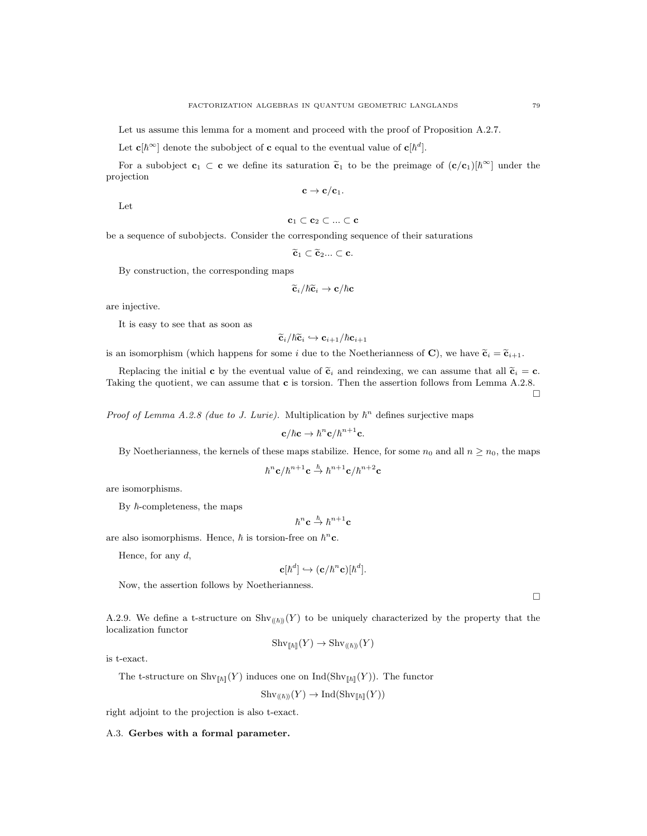Let us assume this lemma for a moment and proceed with the proof of Proposition A.2.7.

Let  $\mathbf{c}[\hbar^{\infty}]$  denote the subobject of c equal to the eventual value of  $\mathbf{c}[\hbar^{d}]$ .

For a subobject  $\mathbf{c}_1 \subset \mathbf{c}$  we define its saturation  $\tilde{\mathbf{c}}_1$  to be the preimage of  $(\mathbf{c}/\mathbf{c}_1)[\hbar^{\infty}]$  under the projection

$$
\mathbf{c} \to \mathbf{c}/\mathbf{c}_1.
$$

Let

$$
\mathbf{c}_1 \subset \mathbf{c}_2 \subset ... \subset \mathbf{c}
$$

be a sequence of subobjects. Consider the corresponding sequence of their saturations

 $\widetilde{\mathbf{c}}_1 \subset \widetilde{\mathbf{c}}_2... \subset \mathbf{c}.$ 

By construction, the corresponding maps

$$
\widetilde{\mathbf{c}}_i/\hbar\widetilde{\mathbf{c}}_i\to\mathbf{c}/\hbar\mathbf{c}
$$

are injective.

It is easy to see that as soon as

$$
\widetilde{\mathbf{c}}_i/\hbar\widetilde{\mathbf{c}}_i\hookrightarrow \mathbf{c}_{i+1}/\hbar\mathbf{c}_{i+1}
$$

is an isomorphism (which happens for some i due to the Noetherianness of C), we have  $\tilde{\mathbf{c}}_i = \tilde{\mathbf{c}}_{i+1}$ .

Replacing the initial c by the eventual value of  $\tilde{\mathbf{c}}_i$  and reindexing, we can assume that all  $\tilde{\mathbf{c}}_i = \mathbf{c}$ . Taking the quotient, we can assume that **c** is torsion. Then the assertion follows from Lemma A.2.8.  $\Box$ 

*Proof of Lemma A.2.8 (due to J. Lurie)*. Multiplication by  $\hbar^n$  defines surjective maps

$$
\mathbf{c}/\hbar\mathbf{c}\rightarrow\hbar^n\mathbf{c}/\hbar^{n+1}\mathbf{c}.
$$

By Noetherianness, the kernels of these maps stabilize. Hence, for some  $n_0$  and all  $n \geq n_0$ , the maps

$$
\hbar^n \mathbf{c} / \hbar^{n+1} \mathbf{c} \stackrel{\hbar}{\rightarrow} \hbar^{n+1} \mathbf{c} / \hbar^{n+2} \mathbf{c}
$$

are isomorphisms.

By  $\hbar$ -completeness, the maps

$$
\hbar^n\mathbf{c}\overset{\hbar}{\rightarrow}\hbar^{n+1}\mathbf{c}
$$

are also isomorphisms. Hence,  $\hbar$  is torsion-free on  $\hbar^n$ **c**.

Hence, for any  $d$ ,

$$
\mathbf{c}[\hbar^d] \hookrightarrow (\mathbf{c}/\hbar^n \mathbf{c})[\hbar^d].
$$

Now, the assertion follows by Noetherianness.

A.2.9. We define a t-structure on  $\text{Shv}_{(\hbar)}(Y)$  to be uniquely characterized by the property that the localization functor

$$
Shv_{\llbracket \hbar \rrbracket}(Y) \to Shv_{(\lceil \hbar \rceil)}(Y)
$$

is t-exact.

The t-structure on  $\text{Shv}_{\llbracket \hbar \rrbracket}(Y)$  induces one on  $\text{Ind}(\text{Shv}_{\llbracket \hbar \rrbracket}(Y))$ . The functor

$$
Shv_{(\hbar)]}(Y) \to Ind(Shv_{\lVert \hbar \rVert}(Y))
$$

right adjoint to the projection is also t-exact.

A.3. Gerbes with a formal parameter.

 $\Box$